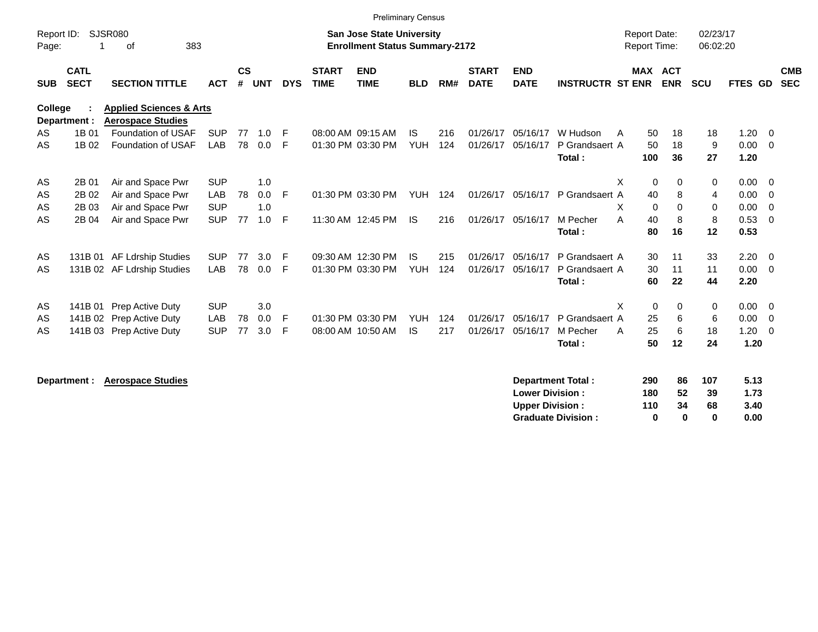|                     |                            |                                                                |            |                |            |            |                             | <b>Preliminary Census</b>                                                 |            |     |                             |                           |                          |   |                     |                       |                      |              |                           |
|---------------------|----------------------------|----------------------------------------------------------------|------------|----------------|------------|------------|-----------------------------|---------------------------------------------------------------------------|------------|-----|-----------------------------|---------------------------|--------------------------|---|---------------------|-----------------------|----------------------|--------------|---------------------------|
| Report ID:<br>Page: |                            | SJSR080<br>383<br>οf                                           |            |                |            |            |                             | <b>San Jose State University</b><br><b>Enrollment Status Summary-2172</b> |            |     |                             |                           |                          |   | <b>Report Date:</b> | <b>Report Time:</b>   | 02/23/17<br>06:02:20 |              |                           |
| <b>SUB</b>          | <b>CATL</b><br><b>SECT</b> | <b>SECTION TITTLE</b>                                          | <b>ACT</b> | <b>CS</b><br># | <b>UNT</b> | <b>DYS</b> | <b>START</b><br><b>TIME</b> | <b>END</b><br><b>TIME</b>                                                 | <b>BLD</b> | RM# | <b>START</b><br><b>DATE</b> | <b>END</b><br><b>DATE</b> | <b>INSTRUCTR ST ENR</b>  |   |                     | MAX ACT<br><b>ENR</b> | <b>SCU</b>           |              | <b>CMB</b><br>FTES GD SEC |
| College             | Department :               | <b>Applied Sciences &amp; Arts</b><br><b>Aerospace Studies</b> |            |                |            |            |                             |                                                                           |            |     |                             |                           |                          |   |                     |                       |                      |              |                           |
| AS                  | 1B 01                      | Foundation of USAF                                             | <b>SUP</b> | 77             | 1.0        | F          |                             | 08:00 AM 09:15 AM                                                         | <b>IS</b>  | 216 | 01/26/17                    | 05/16/17                  | W Hudson                 | A | 50                  | 18                    | 18                   | 1.20         | $\overline{\mathbf{0}}$   |
| AS                  | 1B 02                      | <b>Foundation of USAF</b>                                      | LAB        | 78             | 0.0        | F          |                             | 01:30 PM 03:30 PM                                                         | <b>YUH</b> | 124 | 01/26/17                    | 05/16/17                  | P Grandsaert A           |   | 50                  | 18                    | 9                    | 0.00         | $\overline{0}$            |
|                     |                            |                                                                |            |                |            |            |                             |                                                                           |            |     |                             |                           | Total:                   |   | 100                 | 36                    | 27                   | 1.20         |                           |
| AS                  | 2B 01                      | Air and Space Pwr                                              | <b>SUP</b> |                | 1.0        |            |                             |                                                                           |            |     |                             |                           |                          | X | $\mathbf 0$         | 0                     | 0                    | 0.00         | $\overline{0}$            |
| AS                  | 2B 02                      | Air and Space Pwr                                              | LAB        | 78             | 0.0        | F          |                             | 01:30 PM 03:30 PM                                                         | <b>YUH</b> | 124 | 01/26/17                    | 05/16/17                  | P Grandsaert A           |   | 40                  | 8                     | 4                    | 0.00         | $\overline{0}$            |
| AS                  | 2B 03                      | Air and Space Pwr                                              | <b>SUP</b> |                | 1.0        |            |                             |                                                                           |            |     |                             |                           |                          | X | 0                   | $\mathbf 0$           | 0                    | 0.00         | $\overline{0}$            |
| AS                  | 2B 04                      | Air and Space Pwr                                              | <b>SUP</b> | 77             | 1.0        | F          |                             | 11:30 AM 12:45 PM                                                         | <b>IS</b>  | 216 | 01/26/17                    | 05/16/17                  | M Pecher                 | A | 40                  | 8                     | 8                    | 0.53         | $\overline{0}$            |
|                     |                            |                                                                |            |                |            |            |                             |                                                                           |            |     |                             |                           | Total:                   |   | 80                  | 16                    | 12                   | 0.53         |                           |
| AS                  |                            | 131B 01 AF Ldrship Studies                                     | <b>SUP</b> | 77             | 3.0        | F          |                             | 09:30 AM 12:30 PM                                                         | IS         | 215 | 01/26/17                    | 05/16/17                  | P Grandsaert A           |   | 30                  | 11                    | 33                   | 2.20         | $\overline{\mathbf{0}}$   |
| AS                  |                            | 131B 02 AF Ldrship Studies                                     | LAB        | 78             | 0.0        | F          |                             | 01:30 PM 03:30 PM                                                         | <b>YUH</b> | 124 | 01/26/17                    | 05/16/17                  | P Grandsaert A           |   | 30                  | 11                    | 11                   | 0.00         | $\overline{0}$            |
|                     |                            |                                                                |            |                |            |            |                             |                                                                           |            |     |                             |                           | Total:                   |   | 60                  | 22                    | 44                   | 2.20         |                           |
| AS                  | 141B 01                    | Prep Active Duty                                               | <b>SUP</b> |                | 3.0        |            |                             |                                                                           |            |     |                             |                           |                          | X | 0                   | $\Omega$              | 0                    | 0.00         | $\overline{\mathbf{0}}$   |
| AS                  |                            | 141B 02 Prep Active Duty                                       | LAB        | 78             | 0.0        | F          |                             | 01:30 PM 03:30 PM                                                         | <b>YUH</b> | 124 | 01/26/17                    | 05/16/17                  | P Grandsaert A           |   | 25                  | 6                     | 6                    | 0.00         | $\overline{0}$            |
| AS                  |                            | 141B 03 Prep Active Duty                                       | <b>SUP</b> | 77             | 3.0        | F          |                             | 08:00 AM 10:50 AM                                                         | <b>IS</b>  | 217 | 01/26/17                    | 05/16/17                  | M Pecher                 | A | 25                  | 6                     | 18                   | 1.20         | $\overline{0}$            |
|                     |                            |                                                                |            |                |            |            |                             |                                                                           |            |     |                             |                           | Total:                   |   | 50                  | 12                    | 24                   | 1.20         |                           |
|                     | Department :               | <b>Aerospace Studies</b>                                       |            |                |            |            |                             |                                                                           |            |     |                             | <b>Lower Division:</b>    | <b>Department Total:</b> |   | 290<br>180          | 86<br>52              | 107<br>39            | 5.13<br>1.73 |                           |

**Upper Division : 110 34 68 3.40<br>
Graduate Division : 0 0 0 0 0.00 Graduate Division : 0 0 0 0.00**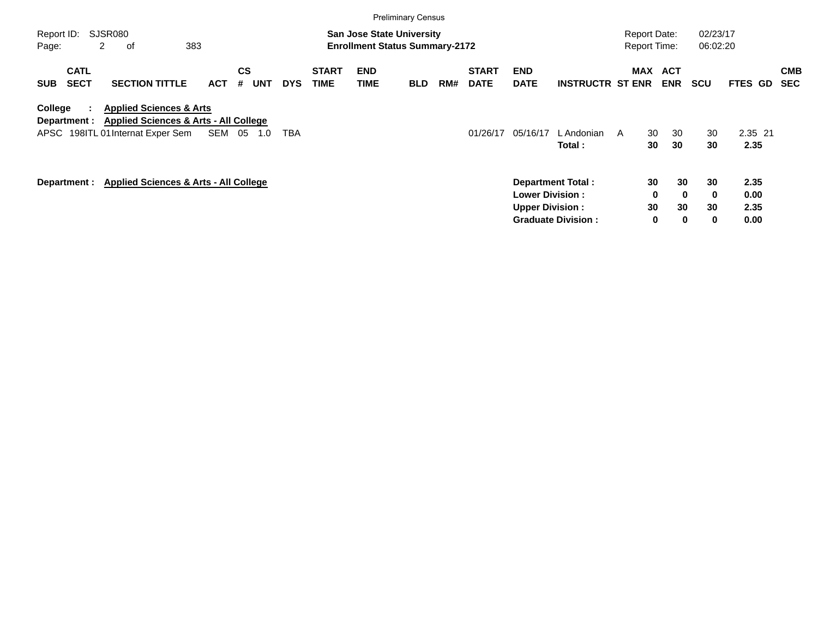|                                          |                                                                                                                             |            |                              |            |                             |                    | <b>Preliminary Census</b>                                                 |     |                             |                                                  |                                                       |                                            |                                            |                      |                              |                          |
|------------------------------------------|-----------------------------------------------------------------------------------------------------------------------------|------------|------------------------------|------------|-----------------------------|--------------------|---------------------------------------------------------------------------|-----|-----------------------------|--------------------------------------------------|-------------------------------------------------------|--------------------------------------------|--------------------------------------------|----------------------|------------------------------|--------------------------|
| Report ID:<br>Page:                      | SJSR080<br>2<br>оf                                                                                                          | 383        |                              |            |                             |                    | <b>San Jose State University</b><br><b>Enrollment Status Summary-2172</b> |     |                             |                                                  |                                                       | <b>Report Date:</b><br><b>Report Time:</b> |                                            | 02/23/17<br>06:02:20 |                              |                          |
| <b>CATL</b><br><b>SECT</b><br><b>SUB</b> | <b>SECTION TITTLE</b>                                                                                                       | <b>ACT</b> | <b>CS</b><br><b>UNT</b><br># | <b>DYS</b> | <b>START</b><br><b>TIME</b> | <b>END</b><br>TIME | <b>BLD</b>                                                                | RM# | <b>START</b><br><b>DATE</b> | <b>END</b><br><b>DATE</b>                        | <b>INSTRUCTR ST ENR</b>                               | MAX                                        | <b>ACT</b><br><b>ENR</b>                   | <b>SCU</b>           | <b>FTES GD</b>               | <b>CMB</b><br><b>SEC</b> |
| College<br>Department :                  | <b>Applied Sciences &amp; Arts</b><br><b>Applied Sciences &amp; Arts - All College</b><br>APSC 198ITL 01 Internat Exper Sem | SEM        | - 05<br>1.0                  | TBA        |                             |                    |                                                                           |     | 01/26/17                    | 05/16/17                                         | L Andonian<br>Total:                                  | 30<br>A<br>30                              | 30<br>30                                   | 30<br>30             | 2.35 21<br>2.35              |                          |
| Department :                             | <b>Applied Sciences &amp; Arts - All College</b>                                                                            |            |                              |            |                             |                    |                                                                           |     |                             | <b>Lower Division:</b><br><b>Upper Division:</b> | <b>Department Total:</b><br><b>Graduate Division:</b> | 30<br>30                                   | 30<br>0<br>$\bf{0}$<br>30<br>$\bf{0}$<br>0 | 30<br>0<br>30<br>0   | 2.35<br>0.00<br>2.35<br>0.00 |                          |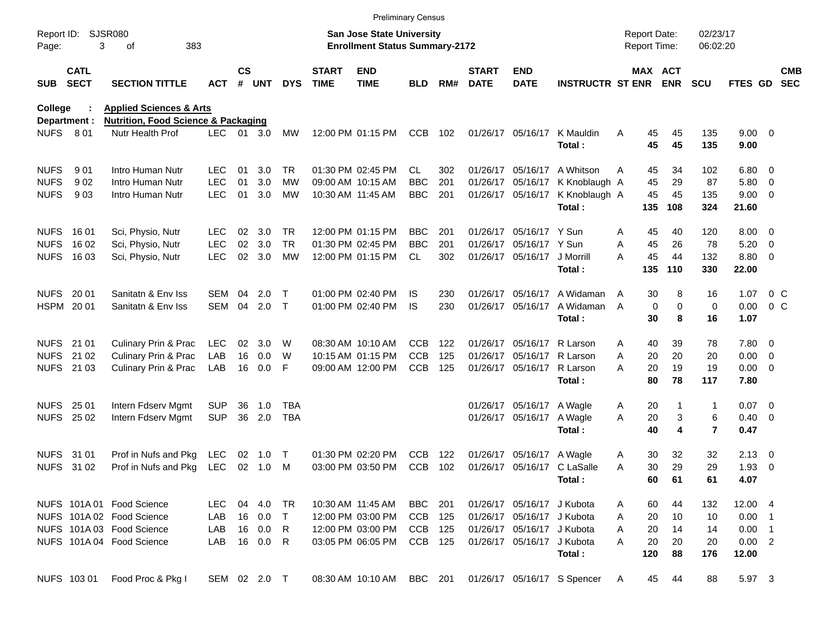|                  |                            |                                                |              |               |        |            |                             | <b>Preliminary Census</b>             |            |     |                             |                            |                             |                     |                   |                  |                |                      |                          |                          |
|------------------|----------------------------|------------------------------------------------|--------------|---------------|--------|------------|-----------------------------|---------------------------------------|------------|-----|-----------------------------|----------------------------|-----------------------------|---------------------|-------------------|------------------|----------------|----------------------|--------------------------|--------------------------|
| Report ID:       |                            | <b>SJSR080</b>                                 |              |               |        |            |                             | <b>San Jose State University</b>      |            |     |                             |                            |                             | <b>Report Date:</b> |                   |                  | 02/23/17       |                      |                          |                          |
| Page:            | 3<br>383<br>οf             |                                                |              |               |        |            |                             | <b>Enrollment Status Summary-2172</b> |            |     |                             |                            |                             | Report Time:        |                   |                  | 06:02:20       |                      |                          |                          |
| SUB              | <b>CATL</b><br><b>SECT</b> | <b>SECTION TITTLE</b>                          | <b>ACT</b>   | $\mathsf{cs}$ | # UNT  | <b>DYS</b> | <b>START</b><br><b>TIME</b> | <b>END</b><br><b>TIME</b>             | <b>BLD</b> | RM# | <b>START</b><br><b>DATE</b> | <b>END</b><br><b>DATE</b>  | <b>INSTRUCTR ST ENR</b>     |                     | MAX ACT           | <b>ENR</b>       | <b>SCU</b>     | <b>FTES GD</b>       |                          | <b>CMB</b><br><b>SEC</b> |
| <b>College</b>   |                            | <b>Applied Sciences &amp; Arts</b>             |              |               |        |            |                             |                                       |            |     |                             |                            |                             |                     |                   |                  |                |                      |                          |                          |
|                  | Department :               | <b>Nutrition, Food Science &amp; Packaging</b> |              |               |        |            |                             |                                       |            |     |                             |                            |                             |                     |                   |                  |                |                      |                          |                          |
| <b>NUFS</b>      | 8 0 1                      | Nutr Health Prof                               | <b>LEC</b>   |               | 01 3.0 | MW         |                             | 12:00 PM 01:15 PM                     | CCB        | 102 |                             | 01/26/17 05/16/17          | K Mauldin<br>Total:         | Α                   | 45<br>45          | 45<br>45         | 135<br>135     | $9.00 \t 0$<br>9.00  |                          |                          |
| <b>NUFS</b>      | 901                        | Intro Human Nutr                               | LEC          | 01            | 3.0    | TR         |                             | 01:30 PM 02:45 PM                     | CL         | 302 |                             | 01/26/17 05/16/17          | A Whitson                   | A                   | 45                | 34               | 102            | $6.80$ 0             |                          |                          |
| <b>NUFS</b>      | 902                        | Intro Human Nutr                               | <b>LEC</b>   | 01            | 3.0    | <b>MW</b>  |                             | 09:00 AM 10:15 AM                     | <b>BBC</b> | 201 |                             | 01/26/17 05/16/17          | K Knoblaugh A               |                     | 45                | 29               | 87             | 5.80 0               |                          |                          |
| <b>NUFS</b>      | 903                        | Intro Human Nutr                               | <b>LEC</b>   | 01            | 3.0    | MW         |                             | 10:30 AM 11:45 AM                     | <b>BBC</b> | 201 |                             | 01/26/17 05/16/17          | K Knoblaugh A<br>Total:     |                     | 45<br>135         | 45<br>108        | 135<br>324     | $9.00 \t 0$<br>21.60 |                          |                          |
| NUFS 1601        |                            | Sci, Physio, Nutr                              | <b>LEC</b>   | 02            | 3.0    | <b>TR</b>  |                             | 12:00 PM 01:15 PM                     | <b>BBC</b> | 201 |                             | 01/26/17 05/16/17 Y Sun    |                             | Α                   | 45                | 40               | 120            | $8.00 \t 0$          |                          |                          |
| <b>NUFS</b>      | 16 02                      | Sci, Physio, Nutr                              | <b>LEC</b>   | 02            | 3.0    | <b>TR</b>  |                             | 01:30 PM 02:45 PM                     | <b>BBC</b> | 201 |                             | 01/26/17 05/16/17 Y Sun    |                             | A                   | 45                | 26               | 78             | 5.20                 | $\overline{\phantom{0}}$ |                          |
|                  | <b>NUFS 1603</b>           | Sci, Physio, Nutr                              | <b>LEC</b>   | 02            | 3.0    | <b>MW</b>  |                             | 12:00 PM 01:15 PM                     | CL         | 302 |                             | 01/26/17 05/16/17          | J Morrill<br>Total:         | A                   | 45<br>135         | 44<br>110        | 132<br>330     | 8.80 0<br>22.00      |                          |                          |
| NUFS 2001        |                            | Sanitatn & Env Iss                             | SEM          | 04            | 2.0    | Т          |                             | 01:00 PM 02:40 PM                     | IS         | 230 |                             | 01/26/17 05/16/17          | A Widaman                   | A                   | 30                | 8                | 16             | 1.07                 | $0\,$ C                  |                          |
| HSPM 2001        |                            | Sanitatn & Env Iss                             | <b>SEM</b>   | 04            | 2.0    | $\top$     |                             | 01:00 PM 02:40 PM                     | <b>IS</b>  | 230 |                             | 01/26/17 05/16/17          | A Widaman<br>Total:         | A                   | $\mathbf 0$<br>30 | $\mathbf 0$<br>8 | 0<br>16        | 0.00<br>1.07         | 0 <sup>o</sup>           |                          |
| NUFS 21 01       |                            | Culinary Prin & Prac                           | <b>LEC</b>   | 02            | 3.0    | W          |                             | 08:30 AM 10:10 AM                     | <b>CCB</b> | 122 |                             | 01/26/17 05/16/17          | R Larson                    | A                   | 40                | 39               | 78             | 7.80 0               |                          |                          |
| <b>NUFS</b>      | 21 02                      | <b>Culinary Prin &amp; Prac</b>                | LAB          | 16            | 0.0    | W          |                             | 10:15 AM 01:15 PM                     | <b>CCB</b> | 125 |                             | 01/26/17 05/16/17          | R Larson                    | A                   | 20                | 20               | 20             | $0.00 \t 0$          |                          |                          |
|                  | NUFS 21 03                 | <b>Culinary Prin &amp; Prac</b>                | LAB          | 16            | 0.0    | F          |                             | 09:00 AM 12:00 PM                     | <b>CCB</b> | 125 |                             | 01/26/17 05/16/17          | R Larson                    | A                   | 20<br>80          | 19               | 19             | $0.00 \t 0$          |                          |                          |
|                  |                            |                                                |              |               |        |            |                             |                                       |            |     |                             |                            | Total:                      |                     |                   | 78               | 117            | 7.80                 |                          |                          |
| NUFS 25 01       |                            | Intern Fdserv Mgmt                             | <b>SUP</b>   | 36            | 1.0    | TBA        |                             |                                       |            |     |                             | 01/26/17 05/16/17          | A Wagle                     | Α                   | 20                | 1                | 1              | $0.07$ 0             |                          |                          |
| <b>NUFS 2502</b> |                            | Intern Fdserv Mgmt                             | <b>SUP</b>   | 36            | 2.0    | <b>TBA</b> |                             |                                       |            |     |                             | 01/26/17 05/16/17          | A Wagle                     | A                   | 20                | 3                | 6              | $0.40 \quad 0$       |                          |                          |
|                  |                            |                                                |              |               |        |            |                             |                                       |            |     |                             |                            | Total:                      |                     | 40                | 4                | $\overline{7}$ | 0.47                 |                          |                          |
| NUFS 31 01       |                            | Prof in Nufs and Pkg                           | LEC          | 02            | 1.0    | $\top$     |                             | 01:30 PM 02:20 PM                     | <b>CCB</b> | 122 |                             | 01/26/17 05/16/17          | A Wagle                     | A                   | 30                | 32               | 32             | $2.13 \quad 0$       |                          |                          |
|                  | NUFS 31 02                 | Prof in Nufs and Pkg                           | LEC          | $02\,$        | 1.0    | M          |                             | 03:00 PM 03:50 PM                     | <b>CCB</b> | 102 |                             |                            | 01/26/17 05/16/17 C LaSalle | Α                   | 30                | 29               | 29             | $1.93$ 0             |                          |                          |
|                  |                            |                                                |              |               |        |            |                             |                                       |            |     |                             |                            | Total:                      |                     | 60                | 61               | 61             | 4.07                 |                          |                          |
|                  |                            | NUFS 101A 01 Food Science                      | LEC.         |               | 04 4.0 | TR         |                             | 10:30 AM 11:45 AM                     | BBC        | 201 |                             | 01/26/17 05/16/17 J Kubota |                             | A                   | 60                | 44               | 132            | 12.00 4              |                          |                          |
|                  |                            | NUFS 101A 02 Food Science                      | LAB          |               | 16 0.0 | $\top$     |                             | 12:00 PM 03:00 PM                     | CCB        | 125 |                             | 01/26/17 05/16/17 J Kubota |                             | A                   | 20                | 10               | 10             | $0.00$ 1             |                          |                          |
|                  |                            | NUFS 101A 03 Food Science                      | LAB          |               | 16 0.0 | R.         |                             | 12:00 PM 03:00 PM                     | CCB        | 125 |                             | 01/26/17 05/16/17 J Kubota |                             | Α                   | 20                | 14               | 14             | $0.00$ 1             |                          |                          |
|                  |                            | NUFS 101A 04 Food Science                      | LAB          |               | 16 0.0 | R          |                             | 03:05 PM 06:05 PM                     | CCB 125    |     |                             | 01/26/17 05/16/17          | J Kubota<br>Total:          | A                   | 20<br>120         | 20<br>88         | 20<br>176      | 0.00 2<br>12.00      |                          |                          |
|                  | NUFS 103 01                | Food Proc & Pkg I                              | SEM 02 2.0 T |               |        |            |                             | 08:30 AM 10:10 AM                     | BBC 201    |     |                             |                            | 01/26/17 05/16/17 S Spencer | A                   | 45                | 44               | 88             | 5.97 3               |                          |                          |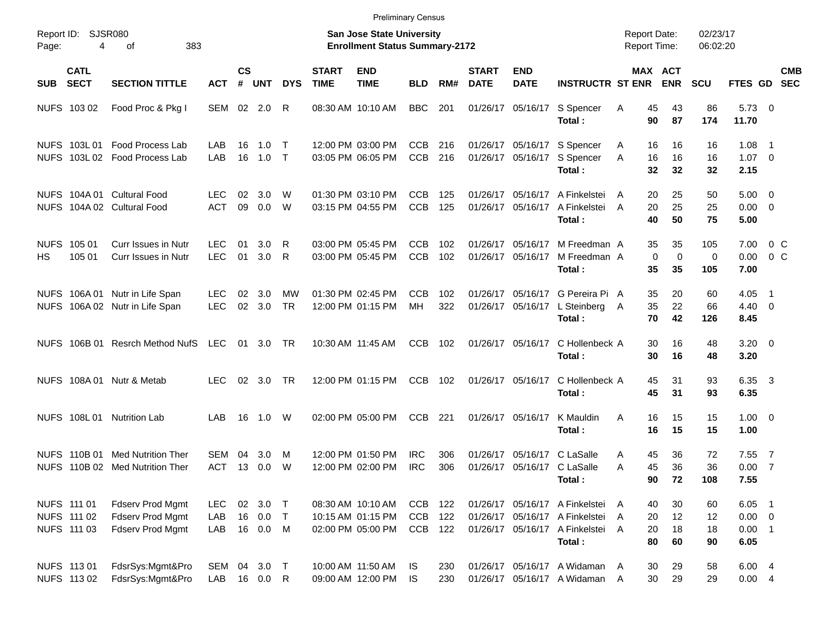|                     |                                           |                                                                        |                          |                    |                          |                  |                             | <b>Preliminary Census</b>                                          |                                        |                   |                             |                           |                                                                                              |                                            |                          |                      |                                             |                          |            |
|---------------------|-------------------------------------------|------------------------------------------------------------------------|--------------------------|--------------------|--------------------------|------------------|-----------------------------|--------------------------------------------------------------------|----------------------------------------|-------------------|-----------------------------|---------------------------|----------------------------------------------------------------------------------------------|--------------------------------------------|--------------------------|----------------------|---------------------------------------------|--------------------------|------------|
| Report ID:<br>Page: | 4                                         | <b>SJSR080</b><br>383<br>οf                                            |                          |                    |                          |                  |                             | San Jose State University<br><b>Enrollment Status Summary-2172</b> |                                        |                   |                             |                           |                                                                                              | <b>Report Date:</b><br><b>Report Time:</b> |                          | 02/23/17<br>06:02:20 |                                             |                          |            |
| <b>SUB</b>          | <b>CATL</b><br><b>SECT</b>                | <b>SECTION TITTLE</b>                                                  | <b>ACT</b>               | $\mathsf{cs}$<br># | UNT                      | <b>DYS</b>       | <b>START</b><br><b>TIME</b> | <b>END</b><br><b>TIME</b>                                          | <b>BLD</b>                             | RM#               | <b>START</b><br><b>DATE</b> | <b>END</b><br><b>DATE</b> | <b>INSTRUCTR ST ENR</b>                                                                      |                                            | MAX ACT<br><b>ENR</b>    | <b>SCU</b>           | FTES GD SEC                                 |                          | <b>CMB</b> |
|                     | NUFS 103 02                               | Food Proc & Pkg I                                                      | SEM 02 2.0               |                    |                          | R                |                             | 08:30 AM 10:10 AM                                                  | <b>BBC</b>                             | 201               | 01/26/17                    |                           | 05/16/17 S Spencer<br>Total:                                                                 | 45<br>A<br>90                              | 43<br>87                 | 86<br>174            | $5.73$ 0<br>11.70                           |                          |            |
|                     | NUFS 103L01                               | Food Process Lab<br>NUFS 103L 02 Food Process Lab                      | LAB<br><b>LAB</b>        | 16<br>16           | 1.0<br>1.0               | $\top$<br>$\top$ |                             | 12:00 PM 03:00 PM<br>03:05 PM 06:05 PM                             | <b>CCB</b><br><b>CCB</b>               | 216<br>216        |                             |                           | 01/26/17 05/16/17 S Spencer<br>01/26/17 05/16/17 S Spencer<br>Total:                         | 16<br>Α<br>16<br>A<br>32                   | 16<br>16<br>32           | 16<br>16<br>32       | 1.08<br>$1.07 \t 0$<br>2.15                 | $\overline{\phantom{1}}$ |            |
|                     |                                           | NUFS 104A 01 Cultural Food<br>NUFS 104A 02 Cultural Food               | LEC<br><b>ACT</b>        | 02<br>09           | 3.0<br>0.0               | W<br>W           |                             | 01:30 PM 03:10 PM<br>03:15 PM 04:55 PM                             | CCB<br><b>CCB</b>                      | 125<br>125        | 01/26/17<br>01/26/17        |                           | 05/16/17 A Finkelstei<br>05/16/17 A Finkelstei<br>Total:                                     | 20<br>A<br>20<br>A<br>40                   | 25<br>25<br>50           | 50<br>25<br>75       | $5.00 \t 0$<br>$0.00 \t 0$<br>5.00          |                          |            |
| HS                  | NUFS 105 01<br>105 01                     | Curr Issues in Nutr<br>Curr Issues in Nutr                             | <b>LEC</b><br><b>LEC</b> | 01<br>01           | 3.0<br>3.0               | R<br>R           |                             | 03:00 PM 05:45 PM<br>03:00 PM 05:45 PM                             | CCB<br><b>CCB</b>                      | 102<br>102        | 01/26/17<br>01/26/17        | 05/16/17<br>05/16/17      | M Freedman A<br>M Freedman A<br>Total:                                                       | 35<br>$\mathbf 0$<br>35                    | 35<br>$\mathbf 0$<br>35  | 105<br>0<br>105      | 7.00<br>0.00<br>7.00                        | $0\,$ C<br>$0\,$ C       |            |
|                     |                                           | NUFS 106A 01 Nutr in Life Span<br>NUFS 106A 02 Nutr in Life Span       | LEC<br><b>LEC</b>        | 02<br>02           | 3.0<br>3.0               | МW<br><b>TR</b>  |                             | 01:30 PM 02:45 PM<br>12:00 PM 01:15 PM                             | <b>CCB</b><br>MH                       | 102<br>322        | 01/26/17<br>01/26/17        |                           | 05/16/17 G Pereira Pi A<br>05/16/17 L Steinberg A<br>Total:                                  | 35<br>35<br>70                             | 20<br>22<br>42           | 60<br>66<br>126      | 4.05<br>$4.40 \ 0$<br>8.45                  | $\overline{\phantom{1}}$ |            |
|                     | NUFS 106B 01                              | Resrch Method NufS                                                     | LEC                      | 01                 | 3.0                      | <b>TR</b>        |                             | 10:30 AM 11:45 AM                                                  | <b>CCB</b>                             | 102               |                             |                           | 01/26/17 05/16/17 C Hollenbeck A<br>Total:                                                   | 30<br>30                                   | 16<br>16                 | 48<br>48             | $3.20 \ 0$<br>3.20                          |                          |            |
|                     |                                           | NUFS 108A 01 Nutr & Metab                                              | <b>LEC</b>               | 02                 | 3.0                      | <b>TR</b>        |                             | 12:00 PM 01:15 PM                                                  | <b>CCB</b>                             | 102               |                             | 01/26/17 05/16/17         | C Hollenbeck A<br>Total:                                                                     | 45<br>45                                   | 31<br>31                 | 93<br>93             | 6.35 3<br>6.35                              |                          |            |
|                     | NUFS 108L01                               | <b>Nutrition Lab</b>                                                   | LAB                      | 16                 | 1.0                      | W                |                             | 02:00 PM 05:00 PM                                                  | <b>CCB</b>                             | 221               |                             | 01/26/17 05/16/17         | K Mauldin<br>Total:                                                                          | A<br>16<br>16                              | 15<br>15                 | 15<br>15             | $1.00 \t 0$<br>1.00                         |                          |            |
|                     | NUFS 110B 01                              | Med Nutrition Ther<br>NUFS 110B 02 Med Nutrition Ther                  | SEM<br>ACT               | 04<br>13           | 3.0<br>0.0               | M<br>W           |                             | 12:00 PM 01:50 PM<br>12:00 PM 02:00 PM                             | <b>IRC</b><br><b>IRC</b>               | 306<br>306        | 01/26/17                    |                           | 05/16/17 C LaSalle<br>01/26/17 05/16/17 C LaSalle<br>Total:                                  | 45<br>Α<br>45<br>A<br>90                   | 36<br>36<br>72           | 72<br>36<br>108      | 7.55<br>0.007<br>7.55                       | $\overline{7}$           |            |
|                     | NUFS 111 01<br>NUFS 111 02<br>NUFS 111 03 | <b>Fdserv Prod Mgmt</b><br>Fdserv Prod Mgmt<br><b>Fdserv Prod Mgmt</b> | <b>LEC</b><br>LAB<br>LAB | 02<br>16           | 3.0<br>0.0<br>16  0.0  M | $\top$<br>$\top$ |                             | 08:30 AM 10:10 AM<br>10:15 AM 01:15 PM<br>02:00 PM 05:00 PM        | <b>CCB</b><br><b>CCB</b><br><b>CCB</b> | 122<br>122<br>122 | 01/26/17<br>01/26/17        |                           | 01/26/17 05/16/17 A Finkelstei A<br>05/16/17 A Finkelstei<br>05/16/17 A Finkelstei<br>Total: | 40<br>20<br>A<br>20<br>A<br>80             | $30\,$<br>12<br>18<br>60 | 60<br>12<br>18<br>90 | $6.05$ 1<br>$0.00 \t 0$<br>$0.00$ 1<br>6.05 |                          |            |
|                     | NUFS 113 01<br>NUFS 113 02                | FdsrSys:Mgmt&Pro<br>FdsrSys:Mgmt&Pro                                   | SEM 04 3.0 T<br>LAB      |                    | 16  0.0  R               |                  |                             | 10:00 AM 11:50 AM<br>09:00 AM 12:00 PM                             | IS.<br><b>IS</b>                       | 230<br>230        | 01/26/17                    |                           | 01/26/17 05/16/17 A Widaman A<br>05/16/17 A Widaman                                          | $30\,$<br>30<br><sub>A</sub>               | 29<br>29                 | 58<br>29             | 6.00 4<br>0.004                             |                          |            |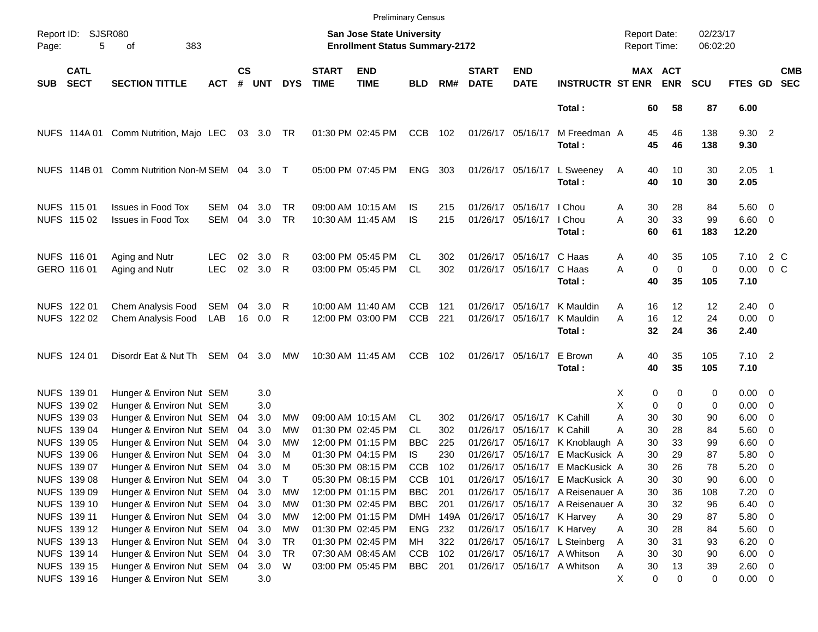|                     |                                           |                                                                                     |                          |                    |                      |                 |                             | <b>Preliminary Census</b>                                                 |                                 |                   |                             |                                                          |                                                                                                         |                                     |                                        |                      |                                      |                                                      |                          |
|---------------------|-------------------------------------------|-------------------------------------------------------------------------------------|--------------------------|--------------------|----------------------|-----------------|-----------------------------|---------------------------------------------------------------------------|---------------------------------|-------------------|-----------------------------|----------------------------------------------------------|---------------------------------------------------------------------------------------------------------|-------------------------------------|----------------------------------------|----------------------|--------------------------------------|------------------------------------------------------|--------------------------|
| Report ID:<br>Page: | 5                                         | <b>SJSR080</b><br>383<br>оf                                                         |                          |                    |                      |                 |                             | <b>San Jose State University</b><br><b>Enrollment Status Summary-2172</b> |                                 |                   |                             |                                                          |                                                                                                         | <b>Report Date:</b><br>Report Time: |                                        | 02/23/17<br>06:02:20 |                                      |                                                      |                          |
| <b>SUB</b>          | <b>CATL</b><br><b>SECT</b>                | <b>SECTION TITTLE</b>                                                               | <b>ACT</b>               | $\mathsf{cs}$<br># | <b>UNT</b>           | <b>DYS</b>      | <b>START</b><br><b>TIME</b> | <b>END</b><br><b>TIME</b>                                                 | <b>BLD</b>                      | RM#               | <b>START</b><br><b>DATE</b> | <b>END</b><br><b>DATE</b>                                | <b>INSTRUCTR ST ENR</b>                                                                                 |                                     | MAX ACT<br><b>ENR</b>                  | <b>SCU</b>           | FTES GD                              |                                                      | <b>CMB</b><br><b>SEC</b> |
|                     |                                           |                                                                                     |                          |                    |                      |                 |                             |                                                                           |                                 |                   |                             |                                                          | Total:                                                                                                  | 60                                  | 58                                     | 87                   | 6.00                                 |                                                      |                          |
|                     | NUFS 114A 01                              | Comm Nutrition, Majo LEC                                                            |                          |                    | 03 3.0 TR            |                 |                             | 01:30 PM 02:45 PM                                                         | CCB                             | 102               |                             | 01/26/17 05/16/17                                        | M Freedman A<br>Total:                                                                                  | 45<br>45                            | 46<br>46                               | 138<br>138           | 9.30 2<br>9.30                       |                                                      |                          |
|                     | NUFS 114B 01                              | Comm Nutrition Non-MSEM 04 3.0 T                                                    |                          |                    |                      |                 |                             | 05:00 PM 07:45 PM                                                         | <b>ENG</b>                      | 303               |                             | 01/26/17 05/16/17                                        | L Sweeney<br>Total:                                                                                     | 40<br>A<br>40                       | 10<br>10                               | 30<br>30             | $2.05$ 1<br>2.05                     |                                                      |                          |
|                     | NUFS 115 01<br>NUFS 115 02                | Issues in Food Tox<br><b>Issues in Food Tox</b>                                     | SEM<br><b>SEM</b>        | 04<br>04           | 3.0<br>3.0           | TR<br><b>TR</b> |                             | 09:00 AM 10:15 AM<br>10:30 AM 11:45 AM                                    | IS<br>IS                        | 215<br>215        |                             | 01/26/17 05/16/17<br>01/26/17 05/16/17                   | I Chou<br>I Chou<br>Total:                                                                              | 30<br>Α<br>30<br>A<br>60            | 28<br>33<br>61                         | 84<br>99<br>183      | $5.60 \quad 0$<br>$6.60$ 0<br>12.20  |                                                      |                          |
|                     | NUFS 116 01<br>GERO 116 01                | Aging and Nutr<br>Aging and Nutr                                                    | <b>LEC</b><br><b>LEC</b> | 02<br>02           | 3.0<br>3.0           | R<br>R          |                             | 03:00 PM 05:45 PM<br>03:00 PM 05:45 PM                                    | CL.<br><b>CL</b>                | 302<br>302        |                             | 01/26/17 05/16/17 C Haas<br>01/26/17 05/16/17            | C Haas<br>Total:                                                                                        | 40<br>A<br>A<br>40                  | 35<br>$\mathbf 0$<br>$\mathbf 0$<br>35 | 105<br>0<br>105      | 7.10<br>0.00<br>7.10                 | 2 C<br>$0\,$ C                                       |                          |
|                     | NUFS 122 01<br>NUFS 122 02                | Chem Analysis Food<br>Chem Analysis Food                                            | SEM<br>LAB               | 04                 | 3.0<br>16 0.0        | R<br>R          |                             | 10:00 AM 11:40 AM<br>12:00 PM 03:00 PM                                    | CCB<br><b>CCB</b>               | 121<br>221        |                             | 01/26/17 05/16/17<br>01/26/17 05/16/17                   | K Mauldin<br>K Mauldin<br>Total:                                                                        | 16<br>A<br>A<br>16<br>32            | 12<br>12<br>24                         | 12<br>24<br>36       | $2.40 \ 0$<br>$0.00 \t 0$<br>2.40    |                                                      |                          |
|                     | NUFS 124 01                               | Disordr Eat & Nut Th SEM                                                            |                          | 04                 | 3.0                  | МW              |                             | 10:30 AM 11:45 AM                                                         | <b>CCB</b>                      | 102               |                             | 01/26/17 05/16/17                                        | E Brown<br>Total:                                                                                       | 40<br>Α<br>40                       | 35<br>35                               | 105<br>105           | $7.10$ 2<br>7.10                     |                                                      |                          |
|                     | NUFS 139 01<br>NUFS 139 02                | Hunger & Environ Nut SEM<br>Hunger & Environ Nut SEM                                |                          |                    | 3.0<br>3.0           |                 |                             |                                                                           |                                 |                   |                             |                                                          |                                                                                                         | X<br>X                              | 0<br>0<br>$\mathbf 0$<br>$\Omega$      | 0<br>0               | $0.00 \t 0$<br>$0.00 \t 0$           |                                                      |                          |
|                     | NUFS 139 03<br>NUFS 139 04<br>NUFS 139 05 | Hunger & Environ Nut SEM<br>Hunger & Environ Nut SEM<br>Hunger & Environ Nut SEM    |                          | 04<br>04<br>04     | 3.0<br>3.0<br>3.0    | МW<br>MW<br>MW  |                             | 09:00 AM 10:15 AM<br>01:30 PM 02:45 PM<br>12:00 PM 01:15 PM               | CL.<br><b>CL</b><br><b>BBC</b>  | 302<br>302<br>225 |                             | 01/26/17 05/16/17 K Cahill<br>01/26/17 05/16/17 K Cahill | 01/26/17 05/16/17 K Knoblaugh A                                                                         | A<br>30<br>30<br>А<br>30            | 30<br>28<br>33                         | 90<br>84<br>99       | $6.00 \quad 0$<br>5.60 0<br>$6.60$ 0 |                                                      |                          |
|                     | NUFS 139 06<br>NUFS 139 07                | Hunger & Environ Nut SEM<br>Hunger & Environ Nut SEM                                |                          | 04<br>04           | 3.0<br>3.0           | M<br>M          |                             | 01:30 PM 04:15 PM<br>05:30 PM 08:15 PM                                    | IS<br><b>CCB</b>                | 230<br>102        |                             | 01/26/17 05/16/17                                        | E MacKusick A<br>01/26/17 05/16/17 E MacKusick A                                                        | 30<br>30                            | 29<br>26                               | 87<br>78             | 5.80<br>5.20                         | $\overline{\phantom{0}}$<br>$\overline{\phantom{0}}$ |                          |
|                     | NUFS 139 08<br>NUFS 139 09<br>NUFS 139 10 | Hunger & Environ Nut SEM 04<br>Hunger & Environ Nut SEM<br>Hunger & Environ Nut SEM |                          | 04                 | 3.0<br>3.0<br>04 3.0 | МW<br>МW        |                             | 05:30 PM 08:15 PM<br>12:00 PM 01:15 PM<br>01:30 PM 02:45 PM               | <b>CCB</b><br>BBC<br><b>BBC</b> | 101<br>201<br>201 |                             |                                                          | 01/26/17 05/16/17 E MacKusick A<br>01/26/17 05/16/17 A Reisenauer A<br>01/26/17 05/16/17 A Reisenauer A | 30<br>30<br>30                      | 30<br>36<br>32                         | 90<br>108<br>96      | 6.00<br>7.20<br>$6.40\quad 0$        | $\overline{\phantom{0}}$<br>$\overline{\phantom{0}}$ |                          |
|                     | NUFS 139 11<br>NUFS 139 12<br>NUFS 139 13 | Hunger & Environ Nut SEM<br>Hunger & Environ Nut SEM<br>Hunger & Environ Nut SEM    |                          | 04<br>04           | 04 3.0<br>3.0<br>3.0 | МW<br>МW<br>TR  |                             | 12:00 PM 01:15 PM<br>01:30 PM 02:45 PM<br>01:30 PM 02:45 PM               | ENG 232<br>MН                   | DMH 149A<br>322   |                             | 01/26/17 05/16/17 K Harvey<br>01/26/17 05/16/17 K Harvey | 01/26/17 05/16/17 L Steinberg                                                                           | 30<br>Α<br>30<br>Α<br>30<br>A       | 29<br>28<br>31                         | 87<br>84<br>93       | 5.80 0<br>5.60 0<br>$6.20\ 0$        |                                                      |                          |
|                     | NUFS 139 14<br>NUFS 139 15<br>NUFS 139 16 | Hunger & Environ Nut SEM<br>Hunger & Environ Nut SEM 04<br>Hunger & Environ Nut SEM |                          | 04                 | 3.0<br>3.0<br>3.0    | <b>TR</b><br>W  |                             | 07:30 AM 08:45 AM<br>03:00 PM 05:45 PM                                    | <b>CCB</b><br><b>BBC</b>        | 102<br>201        |                             |                                                          | 01/26/17 05/16/17 A Whitson<br>01/26/17 05/16/17 A Whitson                                              | 30<br>Α<br>30<br>Α<br>X             | 30<br>13<br>0<br>0                     | 90<br>39<br>0        | $6.00 \t 0$<br>2.60 0<br>$0.00 \t 0$ |                                                      |                          |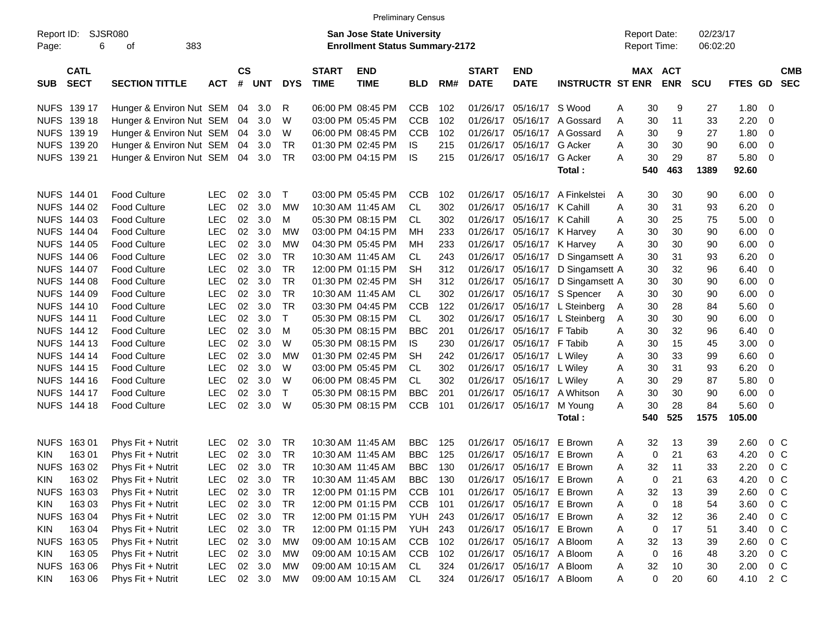|             |             |                          |            |               |        |            |                                       | <b>Preliminary Census</b>        |            |     |              |                           |                         |              |                     |            |            |         |                |  |
|-------------|-------------|--------------------------|------------|---------------|--------|------------|---------------------------------------|----------------------------------|------------|-----|--------------|---------------------------|-------------------------|--------------|---------------------|------------|------------|---------|----------------|--|
| Report ID:  |             | SJSR080                  |            |               |        |            |                                       | <b>San Jose State University</b> |            |     |              |                           |                         |              | <b>Report Date:</b> |            | 02/23/17   |         |                |  |
| Page:       | 6           | 383<br>οf                |            |               |        |            | <b>Enrollment Status Summary-2172</b> |                                  |            |     |              |                           |                         | Report Time: |                     | 06:02:20   |            |         |                |  |
|             |             |                          |            |               |        |            |                                       |                                  |            |     |              |                           |                         |              |                     |            |            |         |                |  |
|             | <b>CATL</b> |                          |            | $\mathsf{cs}$ |        |            | <b>START</b>                          | <b>END</b>                       |            |     | <b>START</b> | <b>END</b>                |                         |              | <b>MAX ACT</b>      |            |            |         | <b>CMB</b>     |  |
| <b>SUB</b>  | <b>SECT</b> | <b>SECTION TITTLE</b>    | <b>ACT</b> | #             | UNT    | <b>DYS</b> | <b>TIME</b>                           | <b>TIME</b>                      | <b>BLD</b> | RM# | <b>DATE</b>  | <b>DATE</b>               | <b>INSTRUCTR ST ENR</b> |              |                     | <b>ENR</b> | <b>SCU</b> | FTES GD | <b>SEC</b>     |  |
| NUFS 139 17 |             | Hunger & Environ Nut SEM |            | 04            | 3.0    | R          |                                       | 06:00 PM 08:45 PM                | <b>CCB</b> | 102 | 01/26/17     | 05/16/17 S Wood           |                         | Α            | 30                  | 9          | 27         | 1.80    | 0              |  |
| NUFS 139 18 |             | Hunger & Environ Nut SEM |            | 04            | 3.0    | W          |                                       | 03:00 PM 05:45 PM                | <b>CCB</b> | 102 | 01/26/17     | 05/16/17                  | A Gossard               | Α            | 30                  | 11         | 33         | 2.20    | 0              |  |
| NUFS 139 19 |             | Hunger & Environ Nut SEM |            | 04            | 3.0    | W          |                                       | 06:00 PM 08:45 PM                | <b>CCB</b> | 102 | 01/26/17     | 05/16/17                  | A Gossard               | Α            | 30                  | 9          | 27         | 1.80    | 0              |  |
| NUFS 139 20 |             | Hunger & Environ Nut SEM |            | 04            | 3.0    | <b>TR</b>  |                                       | 01:30 PM 02:45 PM                | <b>IS</b>  | 215 | 01/26/17     | 05/16/17                  | G Acker                 | Α            | 30                  | 30         | 90         | 6.00    | 0              |  |
| NUFS 139 21 |             | Hunger & Environ Nut SEM |            | 04            | 3.0    | TR         |                                       | 03:00 PM 04:15 PM                | <b>IS</b>  | 215 | 01/26/17     | 05/16/17                  | G Acker                 | A            | 30                  | 29         | 87         | 5.80    | 0              |  |
|             |             |                          |            |               |        |            |                                       |                                  |            |     |              |                           | Total:                  |              | 540                 | 463        | 1389       | 92.60   |                |  |
|             |             |                          |            |               |        |            |                                       |                                  |            |     |              |                           |                         |              |                     |            |            |         |                |  |
| NUFS 144 01 |             | <b>Food Culture</b>      | <b>LEC</b> | 02            | 3.0    | Т          |                                       | 03:00 PM 05:45 PM                | <b>CCB</b> | 102 | 01/26/17     | 05/16/17                  | A Finkelstei            | A            | 30                  | 30         | 90         | 6.00    | 0              |  |
| NUFS 144 02 |             | <b>Food Culture</b>      | <b>LEC</b> | 02            | 3.0    | <b>MW</b>  | 10:30 AM 11:45 AM                     |                                  | CL.        | 302 | 01/26/17     | 05/16/17 K Cahill         |                         | Α            | 30                  | 31         | 93         | 6.20    | 0              |  |
| NUFS 144 03 |             | <b>Food Culture</b>      | <b>LEC</b> | 02            | 3.0    | М          |                                       | 05:30 PM 08:15 PM                | CL.        | 302 | 01/26/17     | 05/16/17 K Cahill         |                         | Α            | 30                  | 25         | 75         | 5.00    | 0              |  |
| NUFS 144 04 |             | <b>Food Culture</b>      | <b>LEC</b> | 02            | 3.0    | МW         |                                       | 03:00 PM 04:15 PM                | MН         | 233 | 01/26/17     |                           | 05/16/17 K Harvey       | Α            | 30                  | 30         | 90         | 6.00    | 0              |  |
| NUFS 144 05 |             | <b>Food Culture</b>      | <b>LEC</b> | 02            | 3.0    | <b>MW</b>  |                                       | 04:30 PM 05:45 PM                | MН         | 233 | 01/26/17     | 05/16/17 K Harvey         |                         | Α            | 30                  | 30         | 90         | 6.00    | 0              |  |
| NUFS 144 06 |             | <b>Food Culture</b>      | <b>LEC</b> | 02            | 3.0    | <b>TR</b>  |                                       | 10:30 AM 11:45 AM                | CL.        | 243 | 01/26/17     | 05/16/17                  | D Singamsett A          |              | 30                  | 31         | 93         | 6.20    | 0              |  |
| NUFS 144 07 |             | <b>Food Culture</b>      | <b>LEC</b> | 02            | 3.0    | <b>TR</b>  |                                       | 12:00 PM 01:15 PM                | <b>SH</b>  | 312 | 01/26/17     | 05/16/17                  | D Singamsett A          |              | 30                  | 32         | 96         | 6.40    | 0              |  |
| NUFS 144 08 |             | <b>Food Culture</b>      | <b>LEC</b> | 02            | 3.0    | <b>TR</b>  |                                       | 01:30 PM 02:45 PM                | <b>SH</b>  | 312 | 01/26/17     | 05/16/17                  | D Singamsett A          |              | 30                  | 30         | 90         | 6.00    | 0              |  |
| NUFS 144 09 |             | <b>Food Culture</b>      | <b>LEC</b> | 02            | 3.0    | <b>TR</b>  |                                       | 10:30 AM 11:45 AM                | CL         | 302 | 01/26/17     |                           | 05/16/17 S Spencer      | A            | 30                  | 30         | 90         | 6.00    | 0              |  |
| NUFS 144 10 |             | <b>Food Culture</b>      | <b>LEC</b> | 02            | 3.0    | <b>TR</b>  |                                       | 03:30 PM 04:45 PM                | <b>CCB</b> | 122 | 01/26/17     |                           | 05/16/17 L Steinberg    | A            | 30                  | 28         | 84         | 5.60    | 0              |  |
| NUFS 144 11 |             | <b>Food Culture</b>      | <b>LEC</b> | 02            | 3.0    | T          |                                       | 05:30 PM 08:15 PM                | CL         | 302 | 01/26/17     |                           | 05/16/17 L Steinberg    | A            | 30                  | 30         | 90         | 6.00    | 0              |  |
| NUFS 144 12 |             | <b>Food Culture</b>      | <b>LEC</b> | 02            | 3.0    | M          |                                       | 05:30 PM 08:15 PM                | <b>BBC</b> | 201 | 01/26/17     | 05/16/17 F Tabib          |                         | Α            | 30                  | 32         | 96         | 6.40    | 0              |  |
| NUFS 144 13 |             | <b>Food Culture</b>      | <b>LEC</b> | 02            | 3.0    | W          |                                       | 05:30 PM 08:15 PM                | IS         | 230 | 01/26/17     | 05/16/17 F Tabib          |                         | Α            | 30                  | 15         | 45         | 3.00    | 0              |  |
| NUFS 144 14 |             | <b>Food Culture</b>      | <b>LEC</b> | 02            | 3.0    | <b>MW</b>  |                                       | 01:30 PM 02:45 PM                | <b>SH</b>  | 242 | 01/26/17     | 05/16/17 L Wiley          |                         | A            | 30                  | 33         | 99         | 6.60    | 0              |  |
| NUFS 144 15 |             | <b>Food Culture</b>      | <b>LEC</b> | 02            | 3.0    | W          |                                       | 03:00 PM 05:45 PM                | CL.        | 302 | 01/26/17     | 05/16/17 L Wiley          |                         | Α            | 30                  | 31         | 93         | 6.20    | 0              |  |
| NUFS 144 16 |             | <b>Food Culture</b>      | <b>LEC</b> | 02            | 3.0    | W          |                                       | 06:00 PM 08:45 PM                | CL.        | 302 | 01/26/17     | 05/16/17 L Wiley          |                         | Α            | 30                  | 29         | 87         | 5.80    | 0              |  |
| NUFS 144 17 |             | <b>Food Culture</b>      | <b>LEC</b> | 02            | 3.0    | $\top$     |                                       | 05:30 PM 08:15 PM                | <b>BBC</b> | 201 | 01/26/17     | 05/16/17                  | A Whitson               | Α            | 30                  | 30         | 90         | 6.00    | 0              |  |
| NUFS 144 18 |             | <b>Food Culture</b>      | <b>LEC</b> | 02            | 3.0    | W          |                                       | 05:30 PM 08:15 PM                | <b>CCB</b> | 101 | 01/26/17     | 05/16/17                  | M Young                 | Α            | 30                  | 28         | 84         | 5.60    | 0              |  |
|             |             |                          |            |               |        |            |                                       |                                  |            |     |              |                           | Total :                 |              | 540                 | 525        | 1575       | 105.00  |                |  |
|             |             |                          |            |               |        |            |                                       |                                  |            |     |              |                           |                         |              |                     |            |            |         |                |  |
| NUFS 163 01 |             | Phys Fit + Nutrit        | <b>LEC</b> | 02            | 3.0    | TR.        |                                       | 10:30 AM 11:45 AM                | BBC.       | 125 | 01/26/17     | 05/16/17                  | E Brown                 | A            | 32                  | 13         | 39         | 2.60    | 0 <sup>o</sup> |  |
| <b>KIN</b>  | 163 01      | Phys Fit + Nutrit        | <b>LEC</b> | 02            | 3.0    | <b>TR</b>  |                                       | 10:30 AM 11:45 AM                | <b>BBC</b> | 125 | 01/26/17     | 05/16/17 E Brown          |                         | Α            | 0                   | 21         | 63         | 4.20    | 0 <sup>o</sup> |  |
| NUFS 16302  |             | Phys Fit + Nutrit        | <b>LEC</b> | 02            | 3.0    | TR         |                                       | 10:30 AM 11:45 AM                | <b>BBC</b> | 130 | 01/26/17     | 05/16/17 E Brown          |                         | A            | 32                  | 11         | 33         | 2.20    | 0 <sup>o</sup> |  |
| <b>KIN</b>  | 163 02      | Phys Fit + Nutrit        | <b>LEC</b> | 02            | 3.0    | TR         |                                       | 10:30 AM 11:45 AM                | <b>BBC</b> | 130 |              | 01/26/17 05/16/17 E Brown |                         | A            | 0                   | 21         | 63         | 4.20    | 0 <sup>o</sup> |  |
| NUFS 163 03 |             | Phys Fit + Nutrit        | <b>LEC</b> |               | 02 3.0 | TR         |                                       | 12:00 PM 01:15 PM                | <b>CCB</b> | 101 |              | 01/26/17 05/16/17 E Brown |                         | A            | 32                  | 13         | 39         | 2.60    | 0 <sup>o</sup> |  |
| KIN         | 163 03      | Phys Fit + Nutrit        | <b>LEC</b> |               | 02 3.0 | TR         |                                       | 12:00 PM 01:15 PM                | <b>CCB</b> | 101 |              | 01/26/17 05/16/17 E Brown |                         | A            | 0                   | 18         | 54         | 3.60    | 0 <sup>C</sup> |  |
| NUFS 163 04 |             | Phys Fit + Nutrit        | <b>LEC</b> |               | 02 3.0 | <b>TR</b>  |                                       | 12:00 PM 01:15 PM                | YUH        | 243 |              | 01/26/17 05/16/17 E Brown |                         | A            | 32                  | 12         | 36         | 2.40    | 0 <sup>C</sup> |  |
| KIN         | 163 04      | Phys Fit + Nutrit        | <b>LEC</b> |               | 02 3.0 | TR         |                                       | 12:00 PM 01:15 PM                | YUH        | 243 |              | 01/26/17 05/16/17 E Brown |                         | A            | 0                   | 17         | 51         | 3.40    | 0 <sup>C</sup> |  |
| NUFS 163 05 |             | Phys Fit + Nutrit        | <b>LEC</b> |               | 02 3.0 | <b>MW</b>  |                                       | 09:00 AM 10:15 AM                | <b>CCB</b> | 102 |              | 01/26/17 05/16/17 A Bloom |                         | A            | 32                  | 13         | 39         | 2.60    | 0 <sup>C</sup> |  |
| KIN         | 163 05      | Phys Fit + Nutrit        | <b>LEC</b> |               | 02 3.0 | MW         |                                       | 09:00 AM 10:15 AM                | <b>CCB</b> | 102 |              | 01/26/17 05/16/17 A Bloom |                         | A            | 0                   | 16         | 48         | 3.20    | 0 <sup>C</sup> |  |
| NUFS 163 06 |             | Phys Fit + Nutrit        | <b>LEC</b> |               | 02 3.0 | MW         |                                       | 09:00 AM 10:15 AM                | CL         | 324 |              | 01/26/17 05/16/17 A Bloom |                         | A            | 32                  | 10         | 30         | 2.00    | $0\,C$         |  |
| <b>KIN</b>  | 163 06      | Phys Fit + Nutrit        | <b>LEC</b> |               | 02 3.0 | MW         |                                       | 09:00 AM 10:15 AM                | CL         | 324 |              | 01/26/17 05/16/17 A Bloom |                         | A            | 0                   | 20         | 60         | 4.10    | 2 C            |  |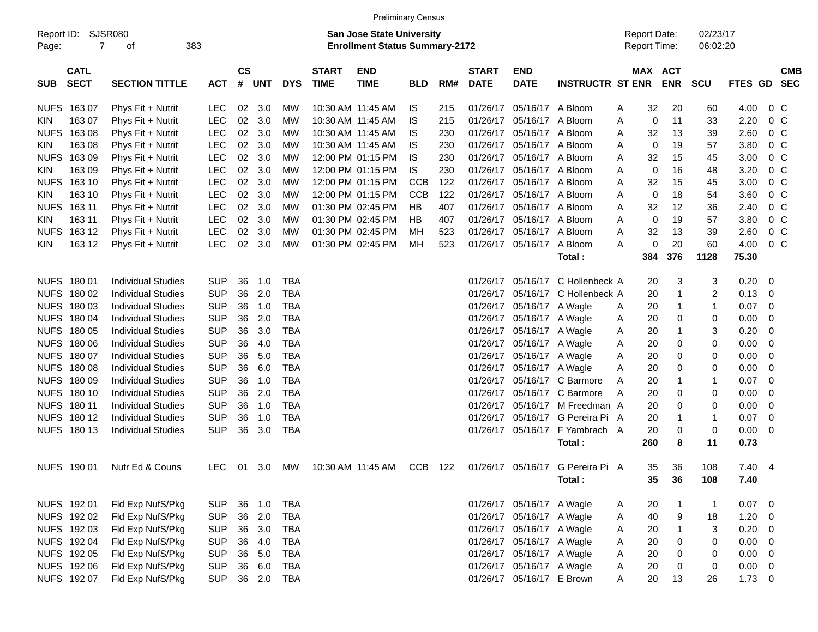|                     |                            |                           |            |                    |            |            |                             |                                                                           | <b>Preliminary Census</b> |     |                             |                           |                         |                                     |     |                          |                         |                |                          |
|---------------------|----------------------------|---------------------------|------------|--------------------|------------|------------|-----------------------------|---------------------------------------------------------------------------|---------------------------|-----|-----------------------------|---------------------------|-------------------------|-------------------------------------|-----|--------------------------|-------------------------|----------------|--------------------------|
| Report ID:<br>Page: | 7                          | <b>SJSR080</b><br>of      | 383        |                    |            |            |                             | <b>San Jose State University</b><br><b>Enrollment Status Summary-2172</b> |                           |     |                             |                           |                         | <b>Report Date:</b><br>Report Time: |     |                          | 02/23/17<br>06:02:20    |                |                          |
| <b>SUB</b>          | <b>CATL</b><br><b>SECT</b> | <b>SECTION TITTLE</b>     | <b>ACT</b> | $\mathsf{cs}$<br># | <b>UNT</b> | <b>DYS</b> | <b>START</b><br><b>TIME</b> | <b>END</b><br><b>TIME</b>                                                 | <b>BLD</b>                | RM# | <b>START</b><br><b>DATE</b> | <b>END</b><br><b>DATE</b> | <b>INSTRUCTR ST ENR</b> | MAX                                 |     | <b>ACT</b><br><b>ENR</b> | <b>SCU</b>              | <b>FTES GD</b> | <b>CMB</b><br><b>SEC</b> |
| <b>NUFS</b>         | 16307                      | Phys Fit + Nutrit         | LEC        | 02                 | 3.0        | MW         |                             | 10:30 AM 11:45 AM                                                         | IS.                       | 215 | 01/26/17                    | 05/16/17                  | A Bloom                 | A                                   | 32  | 20                       | 60                      | 4.00           | 0 <sup>C</sup>           |
| <b>KIN</b>          | 163 07                     | Phys Fit + Nutrit         | <b>LEC</b> | 02                 | 3.0        | MW         |                             | 10:30 AM 11:45 AM                                                         | IS                        | 215 | 01/26/17                    | 05/16/17                  | A Bloom                 | Α                                   | 0   | 11                       | 33                      | 2.20           | 0 <sup>C</sup>           |
| <b>NUFS</b>         | 16308                      | Phys Fit + Nutrit         | <b>LEC</b> | 02                 | 3.0        | MW         |                             | 10:30 AM 11:45 AM                                                         | IS                        | 230 | 01/26/17                    | 05/16/17                  | A Bloom                 | Α                                   | 32  | 13                       | 39                      | 2.60           | 0 <sup>C</sup>           |
| <b>KIN</b>          | 163 08                     | Phys Fit + Nutrit         | <b>LEC</b> | 02                 | 3.0        | MW         |                             | 10:30 AM 11:45 AM                                                         | IS                        | 230 | 01/26/17                    | 05/16/17                  | A Bloom                 | A                                   | 0   | 19                       | 57                      | 3.80           | 0 <sup>C</sup>           |
| <b>NUFS</b>         | 16309                      | Phys Fit + Nutrit         | <b>LEC</b> | 02                 | 3.0        | MW         |                             | 12:00 PM 01:15 PM                                                         | IS                        | 230 | 01/26/17                    | 05/16/17                  | A Bloom                 | Α                                   | 32  | 15                       | 45                      | 3.00           | 0 <sup>C</sup>           |
| <b>KIN</b>          | 163 09                     | Phys Fit + Nutrit         | <b>LEC</b> | 02                 | 3.0        | MW         |                             | 12:00 PM 01:15 PM                                                         | IS                        | 230 | 01/26/17                    | 05/16/17                  | A Bloom                 | Α                                   | 0   | 16                       | 48                      | 3.20           | 0 <sup>C</sup>           |
| <b>NUFS</b>         | 163 10                     | Phys Fit + Nutrit         | LEC        | 02                 | 3.0        | MW         |                             | 12:00 PM 01:15 PM                                                         | <b>CCB</b>                | 122 | 01/26/17                    | 05/16/17                  | A Bloom                 | Α                                   | 32  | 15                       | 45                      | 3.00           | 0 <sup>C</sup>           |
| <b>KIN</b>          | 163 10                     | Phys Fit + Nutrit         | <b>LEC</b> | 02                 | 3.0        | MW         |                             | 12:00 PM 01:15 PM                                                         | <b>CCB</b>                | 122 | 01/26/17                    | 05/16/17                  | A Bloom                 | Α                                   | 0   | 18                       | 54                      | 3.60           | 0 <sup>C</sup>           |
| <b>NUFS</b>         | 163 11                     | Phys Fit + Nutrit         | <b>LEC</b> | 02                 | 3.0        | MW         |                             | 01:30 PM 02:45 PM                                                         | HB                        | 407 | 01/26/17                    | 05/16/17                  | A Bloom                 | Α                                   | 32  | 12                       | 36                      | 2.40           | 0 <sup>C</sup>           |
| <b>KIN</b>          | 163 11                     | Phys Fit + Nutrit         | <b>LEC</b> | 02                 | 3.0        | MW         |                             | 01:30 PM 02:45 PM                                                         | HB                        | 407 | 01/26/17                    | 05/16/17                  | A Bloom                 | Α                                   | 0   | 19                       | 57                      | 3.80           | 0 <sup>C</sup>           |
| <b>NUFS</b>         | 163 12                     | Phys Fit + Nutrit         | <b>LEC</b> | 02                 | 3.0        | МW         |                             | 01:30 PM 02:45 PM                                                         | МH                        | 523 | 01/26/17                    | 05/16/17                  | A Bloom                 | Α                                   | 32  | 13                       | 39                      | 2.60           | 0 <sup>C</sup>           |
| <b>KIN</b>          | 163 12                     | Phys Fit + Nutrit         | <b>LEC</b> | 02                 | 3.0        | МW         |                             | 01:30 PM 02:45 PM                                                         | МH                        | 523 | 01/26/17                    | 05/16/17                  | A Bloom                 | A                                   | 0   | 20                       | 60                      | 4.00           | 0 <sup>C</sup>           |
|                     |                            |                           |            |                    |            |            |                             |                                                                           |                           |     |                             |                           | Total:                  |                                     | 384 | 376                      | 1128                    | 75.30          |                          |
|                     |                            |                           |            |                    |            |            |                             |                                                                           |                           |     |                             |                           |                         |                                     |     |                          |                         |                |                          |
|                     | NUFS 180 01                | <b>Individual Studies</b> | <b>SUP</b> | 36                 | 1.0        | TBA        |                             |                                                                           |                           |     | 01/26/17                    | 05/16/17                  | C Hollenbeck A          |                                     | 20  | 3                        | 3                       | 0.20           | 0                        |
|                     | NUFS 180 02                | <b>Individual Studies</b> | <b>SUP</b> | 36                 | 2.0        | TBA        |                             |                                                                           |                           |     | 01/26/17                    | 05/16/17                  | C Hollenbeck A          |                                     | 20  | 1                        | $\overline{\mathbf{c}}$ | 0.13           | 0                        |
|                     | NUFS 180 03                | <b>Individual Studies</b> | <b>SUP</b> | 36                 | 1.0        | <b>TBA</b> |                             |                                                                           |                           |     | 01/26/17                    | 05/16/17                  | A Wagle                 | A                                   | 20  | 1                        | $\mathbf{1}$            | 0.07           | $\mathbf 0$              |
|                     | NUFS 180 04                | <b>Individual Studies</b> | <b>SUP</b> | 36                 | 2.0        | <b>TBA</b> |                             |                                                                           |                           |     | 01/26/17                    | 05/16/17                  | A Wagle                 | A                                   | 20  | 0                        | 0                       | 0.00           | 0                        |
|                     | NUFS 180 05                | <b>Individual Studies</b> | <b>SUP</b> | 36                 | 3.0        | <b>TBA</b> |                             |                                                                           |                           |     | 01/26/17                    | 05/16/17                  | A Wagle                 | A                                   | 20  | 1                        | 3                       | 0.20           | 0                        |
|                     | NUFS 180 06                | <b>Individual Studies</b> | <b>SUP</b> | 36                 | 4.0        | <b>TBA</b> |                             |                                                                           |                           |     | 01/26/17                    | 05/16/17                  | A Wagle                 | A                                   | 20  | 0                        | 0                       | 0.00           | 0                        |
|                     | NUFS 180 07                | <b>Individual Studies</b> | <b>SUP</b> | 36                 | 5.0        | <b>TBA</b> |                             |                                                                           |                           |     | 01/26/17                    | 05/16/17                  | A Wagle                 | A                                   | 20  | 0                        | 0                       | 0.00           | 0                        |
|                     | NUFS 180 08                | <b>Individual Studies</b> | <b>SUP</b> | 36                 | 6.0        | <b>TBA</b> |                             |                                                                           |                           |     | 01/26/17                    | 05/16/17 A Wagle          |                         | Α                                   | 20  | 0                        | 0                       | 0.00           | 0                        |
|                     | NUFS 180 09                | <b>Individual Studies</b> | <b>SUP</b> | 36                 | 1.0        | <b>TBA</b> |                             |                                                                           |                           |     | 01/26/17                    | 05/16/17                  | C Barmore               | Α                                   | 20  | 1                        | $\mathbf{1}$            | 0.07           | $\mathbf 0$              |
|                     | NUFS 180 10                | <b>Individual Studies</b> | <b>SUP</b> | 36                 | 2.0        | <b>TBA</b> |                             |                                                                           |                           |     | 01/26/17                    | 05/16/17                  | C Barmore               | A                                   | 20  | 0                        | 0                       | 0.00           | 0                        |
|                     | NUFS 180 11                | <b>Individual Studies</b> | <b>SUP</b> | 36                 | 1.0        | <b>TBA</b> |                             |                                                                           |                           |     | 01/26/17                    | 05/16/17                  | M Freedman A            |                                     | 20  | 0                        | 0                       | 0.00           | 0                        |
|                     | NUFS 180 12                | <b>Individual Studies</b> | <b>SUP</b> | 36                 | 1.0        | <b>TBA</b> |                             |                                                                           |                           |     | 01/26/17                    | 05/16/17                  | G Pereira Pi A          |                                     | 20  | 1                        | $\mathbf{1}$            | 0.07           | 0                        |
|                     | NUFS 180 13                | <b>Individual Studies</b> | <b>SUP</b> | 36                 | 3.0        | TBA        |                             |                                                                           |                           |     | 01/26/17                    | 05/16/17                  | F Yambrach A            |                                     | 20  | 0                        | 0                       | 0.00           | 0                        |
|                     |                            |                           |            |                    |            |            |                             |                                                                           |                           |     |                             |                           | Total:                  |                                     | 260 | 8                        | 11                      | 0.73           |                          |
|                     | NUFS 190 01                | Nutr Ed & Couns           | <b>LEC</b> | 01                 | -3.0       | <b>MW</b>  |                             | 10:30 AM 11:45 AM                                                         | CCB                       | 122 | 01/26/17                    | 05/16/17                  | G Pereira Pi A          |                                     | 35  | 36                       | 108                     | 7.40           | -4                       |
|                     |                            |                           |            |                    |            |            |                             |                                                                           |                           |     |                             |                           | Total:                  |                                     | 35  | 36                       | 108                     | 7.40           |                          |
|                     |                            |                           |            |                    |            |            |                             |                                                                           |                           |     |                             |                           |                         |                                     |     |                          |                         |                |                          |
|                     | NUFS 192 01                | Fld Exp NufS/Pkg          | <b>SUP</b> | 36                 | 1.0        | TBA        |                             |                                                                           |                           |     |                             | 01/26/17 05/16/17 A Wagle |                         | A                                   | 20  | $\overline{1}$           | $\mathbf{1}$            | 0.07           | $\overline{\mathbf{0}}$  |
|                     | NUFS 192 02                | Fld Exp NufS/Pkg          | <b>SUP</b> | 36                 | 2.0        | <b>TBA</b> |                             |                                                                           |                           |     |                             | 01/26/17 05/16/17 A Wagle |                         | A                                   | 40  | $\boldsymbol{9}$         | 18                      | 1.20           | 0                        |
|                     | NUFS 192 03                | Fld Exp NufS/Pkg          | <b>SUP</b> |                    | 36 3.0     | <b>TBA</b> |                             |                                                                           |                           |     |                             | 01/26/17 05/16/17 A Wagle |                         | A                                   | 20  | $\overline{1}$           | 3                       | 0.20           | $\mathbf 0$              |
|                     | NUFS 192 04                | Fld Exp NufS/Pkg          | <b>SUP</b> | 36                 | 4.0        | <b>TBA</b> |                             |                                                                           |                           |     |                             | 01/26/17 05/16/17 A Wagle |                         | A                                   | 20  | 0                        | 0                       | 0.00           | $\mathbf 0$              |
|                     | NUFS 192 05                | Fld Exp NufS/Pkg          | <b>SUP</b> | 36                 | 5.0        | <b>TBA</b> |                             |                                                                           |                           |     | 01/26/17                    | 05/16/17 A Wagle          |                         | A                                   | 20  | 0                        | 0                       | 0.00           | $\mathbf 0$              |
|                     | NUFS 192 06                | Fld Exp NufS/Pkg          | <b>SUP</b> | 36                 | 6.0        | <b>TBA</b> |                             |                                                                           |                           |     | 01/26/17                    | 05/16/17 A Wagle          |                         | A                                   | 20  | 0                        | 0                       | 0.00           | 0                        |
|                     | NUFS 192 07                | Fld Exp NufS/Pkg          | <b>SUP</b> |                    | 36 2.0     | <b>TBA</b> |                             |                                                                           |                           |     |                             | 01/26/17 05/16/17 E Brown |                         | Α                                   | 20  | 13                       | 26                      | 1.73           | $\overline{0}$           |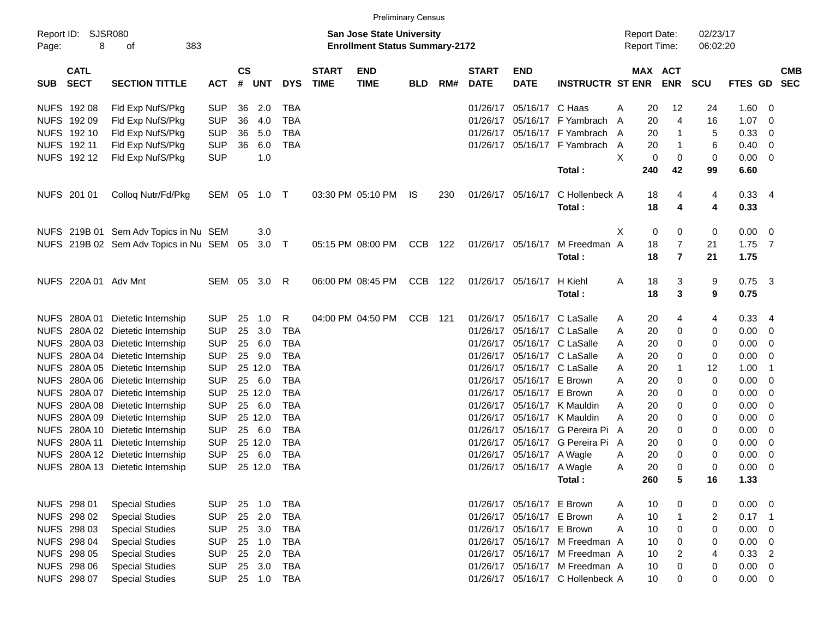|             |                            |                                          |              |                    |            |            |                             |                                                                           | <b>Preliminary Census</b> |       |                             |                           |                                  |   |                                            |                |                      |                    |                          |            |
|-------------|----------------------------|------------------------------------------|--------------|--------------------|------------|------------|-----------------------------|---------------------------------------------------------------------------|---------------------------|-------|-----------------------------|---------------------------|----------------------------------|---|--------------------------------------------|----------------|----------------------|--------------------|--------------------------|------------|
| Page:       | Report ID: SJSR080<br>8    | 383<br>оf                                |              |                    |            |            |                             | <b>San Jose State University</b><br><b>Enrollment Status Summary-2172</b> |                           |       |                             |                           |                                  |   | <b>Report Date:</b><br><b>Report Time:</b> |                | 02/23/17<br>06:02:20 |                    |                          |            |
| <b>SUB</b>  | <b>CATL</b><br><b>SECT</b> | <b>SECTION TITTLE</b>                    | <b>ACT</b>   | $\mathsf{cs}$<br># | <b>UNT</b> | <b>DYS</b> | <b>START</b><br><b>TIME</b> | <b>END</b><br><b>TIME</b>                                                 | <b>BLD</b>                | RM#   | <b>START</b><br><b>DATE</b> | <b>END</b><br><b>DATE</b> | <b>INSTRUCTR ST ENR</b>          |   | <b>MAX ACT</b>                             | <b>ENR</b>     | <b>SCU</b>           | FTES GD SEC        |                          | <b>CMB</b> |
|             | NUFS 192 08                | Fld Exp NufS/Pkg                         | <b>SUP</b>   | 36                 | 2.0        | <b>TBA</b> |                             |                                                                           |                           |       | 01/26/17                    | 05/16/17 C Haas           |                                  | A | 20                                         | 12             | 24                   | 1.60               | - 0                      |            |
|             | NUFS 192 09                | Fld Exp NufS/Pkg                         | <b>SUP</b>   | 36                 | 4.0        | <b>TBA</b> |                             |                                                                           |                           |       | 01/26/17                    |                           | 05/16/17 F Yambrach              | A | 20                                         | 4              | 16                   | 1.07               | - 0                      |            |
|             | NUFS 192 10                | Fld Exp NufS/Pkg                         | <b>SUP</b>   | 36                 | 5.0        | <b>TBA</b> |                             |                                                                           |                           |       |                             |                           | 01/26/17 05/16/17 F Yambrach     | A | 20                                         | 1              | 5                    | 0.33               | 0                        |            |
|             | NUFS 192 11                | Fld Exp NufS/Pkg                         | <b>SUP</b>   | 36                 | 6.0        | <b>TBA</b> |                             |                                                                           |                           |       |                             |                           | 01/26/17 05/16/17 F Yambrach     | A | 20                                         | -1             | 6                    | 0.40               | 0                        |            |
|             | NUFS 19212                 | Fld Exp NufS/Pkg                         | <b>SUP</b>   |                    | 1.0        |            |                             |                                                                           |                           |       |                             |                           |                                  | X | 0                                          | 0              | 0                    | 0.00               | $\overline{\mathbf{0}}$  |            |
|             |                            |                                          |              |                    |            |            |                             |                                                                           |                           |       |                             |                           | Total:                           |   | 240                                        | 42             | 99                   | 6.60               |                          |            |
|             | NUFS 201 01                | Colloq Nutr/Fd/Pkg                       | SEM 05 1.0 T |                    |            |            |                             | 03:30 PM 05:10 PM                                                         | IS.                       | 230   |                             | 01/26/17 05/16/17         | C Hollenbeck A<br>Total:         |   | 18<br>18                                   | 4<br>4         | 4<br>4               | $0.33 - 4$<br>0.33 |                          |            |
|             |                            | NUFS 219B 01 Sem Adv Topics in Nu SEM    |              |                    | 3.0        |            |                             |                                                                           |                           |       |                             |                           |                                  | X | 0                                          | 0              | 0                    | $0.00 \ 0$         |                          |            |
|             |                            | NUFS 219B 02 Sem Adv Topics in Nu SEM 05 |              |                    | $3.0$ T    |            |                             | 05:15 PM 08:00 PM                                                         | <b>CCB</b>                | 122   |                             | 01/26/17 05/16/17         | M Freedman A                     |   | 18                                         | 7              | 21                   | $1.75$ 7           |                          |            |
|             |                            |                                          |              |                    |            |            |                             |                                                                           |                           |       |                             |                           | Total:                           |   | 18                                         | $\overline{7}$ | 21                   | 1.75               |                          |            |
|             | NUFS 220A 01 Adv Mnt       |                                          | SEM 05 3.0   |                    |            | R          |                             | 06:00 PM 08:45 PM                                                         | CCB                       | 122   |                             | 01/26/17 05/16/17         | H Kiehl<br>Total:                | A | 18<br>18                                   | 3<br>3         | 9<br>9               | $0.75$ 3<br>0.75   |                          |            |
|             |                            | NUFS 280A 01 Dietetic Internship         | <b>SUP</b>   | 25                 | 1.0        | R          |                             | 04:00 PM 04:50 PM                                                         | CCB                       | - 121 |                             |                           | 01/26/17 05/16/17 C LaSalle      | A | 20                                         | 4              | 4                    | $0.33 - 4$         |                          |            |
| <b>NUFS</b> |                            | 280A 02 Dietetic Internship              | <b>SUP</b>   | 25                 | 3.0        | <b>TBA</b> |                             |                                                                           |                           |       | 01/26/17                    |                           | 05/16/17 C LaSalle               | A | 20                                         | 0              | 0                    | 0.00               | - 0                      |            |
|             |                            | NUFS 280A 03 Dietetic Internship         | <b>SUP</b>   | 25                 | 6.0        | TBA        |                             |                                                                           |                           |       |                             |                           | 01/26/17 05/16/17 C LaSalle      | A | 20                                         | 0              | 0                    | 0.00               | 0                        |            |
| <b>NUFS</b> |                            | 280A 04 Dietetic Internship              | <b>SUP</b>   | 25                 | 9.0        | <b>TBA</b> |                             |                                                                           |                           |       |                             |                           | 01/26/17 05/16/17 C LaSalle      | A | 20                                         | 0              | 0                    | 0.00               | - 0                      |            |
| <b>NUFS</b> |                            | 280A 05 Dietetic Internship              | <b>SUP</b>   |                    | 25 12.0    | TBA        |                             |                                                                           |                           |       |                             |                           | 01/26/17 05/16/17 C LaSalle      | A | 20                                         | 1              | 12                   | 1.00               | -1                       |            |
| <b>NUFS</b> |                            | 280A 06 Dietetic Internship              | <b>SUP</b>   |                    | 25 6.0     | TBA        |                             |                                                                           |                           |       |                             | 01/26/17 05/16/17 E Brown |                                  | A | 20                                         | 0              | 0                    | 0.00               | - 0                      |            |
|             |                            | NUFS 280A 07 Dietetic Internship         | <b>SUP</b>   |                    | 25 12.0    | TBA        |                             |                                                                           |                           |       |                             | 01/26/17 05/16/17 E Brown |                                  | A | 20                                         | 0              | 0                    | 0.00               | - 0                      |            |
| <b>NUFS</b> |                            | 280A 08 Dietetic Internship              | <b>SUP</b>   |                    | 25 6.0     | <b>TBA</b> |                             |                                                                           |                           |       | 01/26/17                    |                           | 05/16/17 K Mauldin               | A | 20                                         | 0              | 0                    | 0.00               | 0                        |            |
| <b>NUFS</b> |                            | 280A 09 Dietetic Internship              | <b>SUP</b>   |                    | 25 12.0    | TBA        |                             |                                                                           |                           |       | 01/26/17                    |                           | 05/16/17 K Mauldin               | А | 20                                         | 0              | 0                    | 0.00               | 0                        |            |
| <b>NUFS</b> |                            | 280A 10 Dietetic Internship              | <b>SUP</b>   |                    | 25 6.0     | TBA        |                             |                                                                           |                           |       | 01/26/17                    |                           | 05/16/17 G Pereira Pi            | A | 20                                         | 0              | 0                    | 0.00               | 0                        |            |
| <b>NUFS</b> |                            | 280A 11 Dietetic Internship              | <b>SUP</b>   |                    | 25 12.0    | TBA        |                             |                                                                           |                           |       | 01/26/17                    |                           | 05/16/17 G Pereira Pi A          |   | 20                                         | 0              | 0                    | 0.00               | 0                        |            |
| <b>NUFS</b> |                            | 280A 12 Dietetic Internship              | <b>SUP</b>   | 25                 | 6.0        | TBA        |                             |                                                                           |                           |       |                             | 01/26/17 05/16/17 A Wagle |                                  | A | 20                                         | 0              | 0                    | 0.00               | 0                        |            |
|             |                            | NUFS 280A 13 Dietetic Internship         | <b>SUP</b>   |                    | 25 12.0    | TBA        |                             |                                                                           |                           |       |                             | 01/26/17 05/16/17 A Wagle |                                  | A | 20                                         | 0              | 0                    | 0.00               | $\overline{\mathbf{0}}$  |            |
|             |                            |                                          |              |                    |            |            |                             |                                                                           |                           |       |                             |                           | Total:                           |   | 260                                        | 5              | 16                   | 1.33               |                          |            |
|             | NUFS 298 01                | <b>Special Studies</b>                   | <b>SUP</b>   | 25                 | 1.0        | TBA        |                             |                                                                           |                           |       |                             | 01/26/17 05/16/17 E Brown |                                  | A | 10                                         | 0              | 0                    | 0.00 0             |                          |            |
|             | NUFS 298 02                | <b>Special Studies</b>                   | <b>SUP</b>   | 25                 | 2.0        | TBA        |                             |                                                                           |                           |       |                             | 01/26/17 05/16/17 E Brown |                                  | Α | 10                                         | -1             | 2                    | $0.17$ 1           |                          |            |
|             | NUFS 298 03                | <b>Special Studies</b>                   | <b>SUP</b>   | 25                 | 3.0        | TBA        |                             |                                                                           |                           |       |                             | 01/26/17 05/16/17 E Brown |                                  | Α | 10                                         | 0              | 0                    | 0.00               | - 0                      |            |
|             | NUFS 298 04                | <b>Special Studies</b>                   | <b>SUP</b>   | 25                 | 1.0        | <b>TBA</b> |                             |                                                                           |                           |       |                             |                           | 01/26/17 05/16/17 M Freedman A   |   | 10                                         | 0              | 0                    | 0.00               | $\overline{\mathbf{0}}$  |            |
|             | NUFS 298 05                | <b>Special Studies</b>                   | <b>SUP</b>   | 25                 | 2.0        | TBA        |                             |                                                                           |                           |       |                             |                           | 01/26/17 05/16/17 M Freedman A   |   | 10                                         | 2              | 4                    | 0.33               | $\overline{\phantom{a}}$ |            |
|             | NUFS 298 06                | <b>Special Studies</b>                   | <b>SUP</b>   | 25                 | 3.0        | TBA        |                             |                                                                           |                           |       |                             |                           | 01/26/17 05/16/17 M Freedman A   |   | 10                                         | 0              | 0                    | $0.00 \t 0$        |                          |            |
|             | NUFS 298 07                | <b>Special Studies</b>                   | <b>SUP</b>   |                    |            | 25 1.0 TBA |                             |                                                                           |                           |       |                             |                           | 01/26/17 05/16/17 C Hollenbeck A |   | 10                                         | 0              | 0                    | $0.00 \t 0$        |                          |            |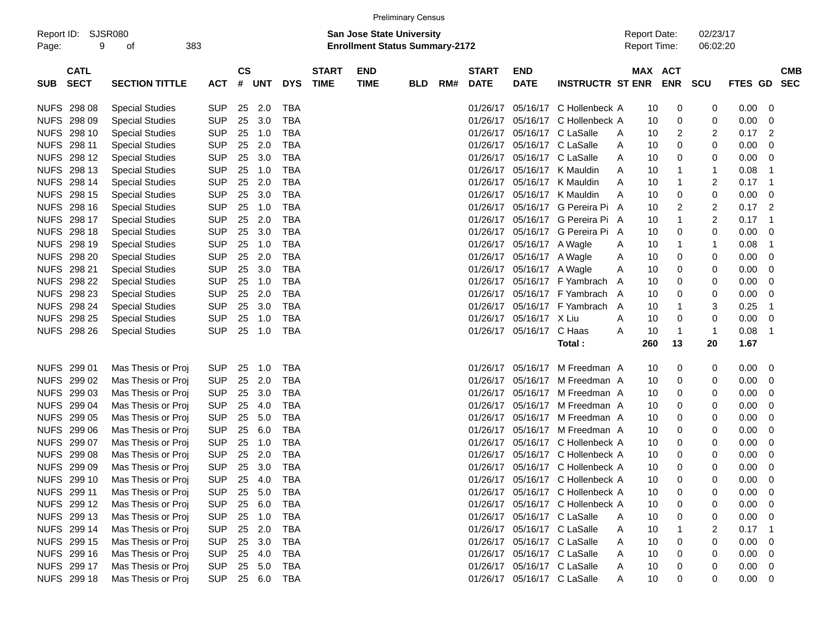| Page:       | Report ID: SJSR080<br>9    | οf                     | 383 |            |                |            |            |                             | <b>San Jose State University</b><br><b>Enrollment Status Summary-2172</b> |            |     |                             |                             |                                  | <b>Report Date:</b><br><b>Report Time:</b> |         |            | 02/23/17<br>06:02:20 |                |                          |
|-------------|----------------------------|------------------------|-----|------------|----------------|------------|------------|-----------------------------|---------------------------------------------------------------------------|------------|-----|-----------------------------|-----------------------------|----------------------------------|--------------------------------------------|---------|------------|----------------------|----------------|--------------------------|
| <b>SUB</b>  | <b>CATL</b><br><b>SECT</b> | <b>SECTION TITTLE</b>  |     | <b>ACT</b> | <b>CS</b><br># | <b>UNT</b> | <b>DYS</b> | <b>START</b><br><b>TIME</b> | <b>END</b><br><b>TIME</b>                                                 | <b>BLD</b> | RM# | <b>START</b><br><b>DATE</b> | <b>END</b><br><b>DATE</b>   | <b>INSTRUCTR ST ENR</b>          |                                            | MAX ACT | <b>ENR</b> | <b>SCU</b>           | <b>FTES GD</b> | <b>CMB</b><br><b>SEC</b> |
|             | NUFS 298 08                | <b>Special Studies</b> |     | SUP        | 25             | 2.0        | TBA        |                             |                                                                           |            |     | 01/26/17                    |                             | 05/16/17 C Hollenbeck A          |                                            | 10      | 0          | 0                    | $0.00\,$       | 0                        |
| <b>NUFS</b> | 298 09                     | <b>Special Studies</b> |     | <b>SUP</b> | 25             | 3.0        | <b>TBA</b> |                             |                                                                           |            |     | 01/26/17                    |                             | 05/16/17 C Hollenbeck A          |                                            | 10      | 0          | 0                    | 0.00           | 0                        |
| <b>NUFS</b> | 298 10                     | <b>Special Studies</b> |     | <b>SUP</b> | 25             | 1.0        | TBA        |                             |                                                                           |            |     | 01/26/17                    | 05/16/17 C LaSalle          |                                  | A                                          | 10      | 2          | 2                    | 0.17           | 2                        |
| <b>NUFS</b> | 298 11                     | <b>Special Studies</b> |     | <b>SUP</b> | 25             | 2.0        | TBA        |                             |                                                                           |            |     | 01/26/17                    | 05/16/17 C LaSalle          |                                  | A                                          | 10      | 0          | 0                    | 0.00           | 0                        |
| <b>NUFS</b> | 298 12                     | <b>Special Studies</b> |     | <b>SUP</b> | 25             | 3.0        | TBA        |                             |                                                                           |            |     | 01/26/17                    | 05/16/17 C LaSalle          |                                  | A                                          | 10      | 0          | 0                    | 0.00           | 0                        |
| <b>NUFS</b> | 298 13                     | <b>Special Studies</b> |     | <b>SUP</b> | 25             | 1.0        | TBA        |                             |                                                                           |            |     | 01/26/17                    |                             | 05/16/17 K Mauldin               | A                                          | 10      | 1          | -1                   | 0.08           | -1                       |
| <b>NUFS</b> | 298 14                     | <b>Special Studies</b> |     | <b>SUP</b> | 25             | 2.0        | <b>TBA</b> |                             |                                                                           |            |     | 01/26/17                    | 05/16/17                    | K Mauldin                        | A                                          | 10      | 1          | 2                    | 0.17           | -1                       |
| <b>NUFS</b> | 298 15                     | <b>Special Studies</b> |     | <b>SUP</b> | 25             | 3.0        | TBA        |                             |                                                                           |            |     | 01/26/17                    |                             | 05/16/17 K Mauldin               | Α                                          | 10      | 0          | 0                    | 0.00           | 0                        |
| <b>NUFS</b> | 298 16                     | <b>Special Studies</b> |     | <b>SUP</b> | 25             | 1.0        | TBA        |                             |                                                                           |            |     | 01/26/17                    |                             | 05/16/17 G Pereira Pi A          |                                            | 10      | 2          | 2                    | 0.17           | 2                        |
| <b>NUFS</b> | 298 17                     | <b>Special Studies</b> |     | <b>SUP</b> | 25             | 2.0        | TBA        |                             |                                                                           |            |     | 01/26/17                    |                             | 05/16/17 G Pereira Pi A          |                                            | 10      | 1          | 2                    | 0.17           | -1                       |
| <b>NUFS</b> | 298 18                     | <b>Special Studies</b> |     | <b>SUP</b> | 25             | 3.0        | TBA        |                             |                                                                           |            |     | 01/26/17                    |                             | 05/16/17 G Pereira Pi A          |                                            | 10      | 0          | 0                    | 0.00           | 0                        |
| <b>NUFS</b> | 298 19                     | <b>Special Studies</b> |     | <b>SUP</b> | 25             | 1.0        | TBA        |                             |                                                                           |            |     | 01/26/17                    | 05/16/17 A Wagle            |                                  | A                                          | 10      | 1          | -1                   | 0.08           | -1                       |
| <b>NUFS</b> | 298 20                     | <b>Special Studies</b> |     | <b>SUP</b> | 25             | 2.0        | TBA        |                             |                                                                           |            |     | 01/26/17                    | 05/16/17 A Wagle            |                                  | A                                          | 10      | 0          | 0                    | 0.00           | 0                        |
| <b>NUFS</b> | 298 21                     | <b>Special Studies</b> |     | <b>SUP</b> | 25             | 3.0        | TBA        |                             |                                                                           |            |     | 01/26/17                    | 05/16/17 A Wagle            |                                  | A                                          | 10      | 0          | 0                    | 0.00           | 0                        |
|             | NUFS 298 22                | <b>Special Studies</b> |     | <b>SUP</b> | 25             | 1.0        | TBA        |                             |                                                                           |            |     | 01/26/17                    |                             | 05/16/17 F Yambrach              | A                                          | 10      | 0          | 0                    | 0.00           | 0                        |
|             | NUFS 298 23                | <b>Special Studies</b> |     | <b>SUP</b> | 25             | 2.0        | TBA        |                             |                                                                           |            |     | 01/26/17                    |                             | 05/16/17 F Yambrach              | A                                          | 10      | 0          | 0                    | 0.00           | 0                        |
|             | NUFS 298 24                | <b>Special Studies</b> |     | <b>SUP</b> | 25             | 3.0        | TBA        |                             |                                                                           |            |     | 01/26/17                    |                             | 05/16/17 F Yambrach              | A                                          | 10      | 1          | 3                    | 0.25           | -1                       |
|             | <b>NUFS 298 25</b>         | <b>Special Studies</b> |     | <b>SUP</b> | 25             | 1.0        | TBA        |                             |                                                                           |            |     | 01/26/17                    | 05/16/17 X Liu              |                                  | A                                          | 10      | 0          | 0                    | 0.00           | 0                        |
|             | NUFS 298 26                | <b>Special Studies</b> |     | <b>SUP</b> | 25             | 1.0        | TBA        |                             |                                                                           |            |     |                             | 01/26/17 05/16/17           | C Haas                           | A                                          | 10      | 1          | -1                   | 0.08           | -1                       |
|             |                            |                        |     |            |                |            |            |                             |                                                                           |            |     |                             |                             | Total:                           |                                            | 260     | 13         | 20                   | 1.67           |                          |
|             | NUFS 299 01                | Mas Thesis or Proj     |     | <b>SUP</b> | 25             | 1.0        | TBA        |                             |                                                                           |            |     | 01/26/17                    | 05/16/17                    | M Freedman A                     |                                            | 10      | 0          | 0                    | 0.00           | 0                        |
| <b>NUFS</b> | 299 02                     | Mas Thesis or Proj     |     | <b>SUP</b> | 25             | 2.0        | TBA        |                             |                                                                           |            |     | 01/26/17                    | 05/16/17                    | M Freedman A                     |                                            | 10      | 0          | 0                    | 0.00           | 0                        |
|             | NUFS 299 03                | Mas Thesis or Proj     |     | <b>SUP</b> | 25             | 3.0        | TBA        |                             |                                                                           |            |     | 01/26/17                    |                             | 05/16/17 M Freedman A            |                                            | 10      | 0          | 0                    | 0.00           | 0                        |
|             | NUFS 299 04                | Mas Thesis or Proj     |     | <b>SUP</b> | 25             | 4.0        | TBA        |                             |                                                                           |            |     | 01/26/17                    |                             | 05/16/17 M Freedman A            |                                            | 10      | 0          | 0                    | 0.00           | 0                        |
| <b>NUFS</b> | 299 05                     | Mas Thesis or Proj     |     | <b>SUP</b> | 25             | 5.0        | TBA        |                             |                                                                           |            |     | 01/26/17                    |                             | 05/16/17 M Freedman A            |                                            | 10      | 0          | 0                    | 0.00           | 0                        |
| <b>NUFS</b> | 299 06                     | Mas Thesis or Proj     |     | <b>SUP</b> | 25             | 6.0        | TBA        |                             |                                                                           |            |     | 01/26/17                    |                             | 05/16/17 M Freedman A            |                                            | 10      | 0          | 0                    | 0.00           | 0                        |
| <b>NUFS</b> | 299 07                     | Mas Thesis or Proj     |     | <b>SUP</b> | 25             | 1.0        | TBA        |                             |                                                                           |            |     | 01/26/17                    |                             | 05/16/17 C Hollenbeck A          |                                            | 10      | 0          | 0                    | 0.00           | 0                        |
| <b>NUFS</b> | 299 08                     | Mas Thesis or Proj     |     | <b>SUP</b> | 25             | 2.0        | TBA        |                             |                                                                           |            |     | 01/26/17                    |                             | 05/16/17 C Hollenbeck A          |                                            | 10      | 0          | 0                    | 0.00           | 0                        |
| <b>NUFS</b> | 299 09                     | Mas Thesis or Proj     |     | <b>SUP</b> | 25             | 3.0        | TBA        |                             |                                                                           |            |     | 01/26/17                    |                             | 05/16/17 C Hollenbeck A          |                                            | 10      | 0          | 0                    | 0.00           | 0                        |
|             | <b>NUFS 299 10</b>         | Mas Thesis or Proj     |     | <b>SUP</b> | 25             | 4.0        | TBA        |                             |                                                                           |            |     |                             |                             | 01/26/17 05/16/17 C Hollenbeck A |                                            | 10      | 0          | 0                    | 0.00           | 0                        |
|             | NUFS 299 11                | Mas Thesis or Proj     |     | <b>SUP</b> |                | 25 5.0     | TBA        |                             |                                                                           |            |     |                             |                             | 01/26/17 05/16/17 C Hollenbeck A |                                            | 10      | 0          | 0                    | $0.00\,$       | 0                        |
|             | NUFS 299 12                | Mas Thesis or Proj     |     | <b>SUP</b> |                | 25 6.0     | TBA        |                             |                                                                           |            |     |                             |                             | 01/26/17 05/16/17 C Hollenbeck A |                                            | 10      | 0          |                      | 0.00           | 0                        |
|             | NUFS 299 13                | Mas Thesis or Proj     |     | <b>SUP</b> |                | 25 1.0     | TBA        |                             |                                                                           |            |     |                             | 01/26/17 05/16/17 C LaSalle |                                  | A                                          | 10      |            | 0                    | 0.00           | 0                        |
|             | NUFS 299 14                | Mas Thesis or Proj     |     | <b>SUP</b> |                | 25 2.0     | TBA        |                             |                                                                           |            |     |                             | 01/26/17 05/16/17 C LaSalle |                                  | A                                          | 10      |            | 2                    | 0.17           | -1                       |
|             | NUFS 299 15                | Mas Thesis or Proj     |     | <b>SUP</b> |                | 25 3.0     | TBA        |                             |                                                                           |            |     |                             | 01/26/17 05/16/17 C LaSalle |                                  | A                                          | 10      | 0          | 0                    | 0.00           | 0                        |
|             | NUFS 299 16                | Mas Thesis or Proj     |     | <b>SUP</b> |                | 25 4.0     | TBA        |                             |                                                                           |            |     |                             | 01/26/17 05/16/17 C LaSalle |                                  | A                                          | 10      | 0          | 0                    | 0.00           | 0                        |
|             | NUFS 299 17                | Mas Thesis or Proj     |     | SUP        |                | 25 5.0     | TBA        |                             |                                                                           |            |     |                             | 01/26/17 05/16/17 C LaSalle |                                  | A                                          | 10      |            | 0                    | 0.00           | 0                        |
|             | NUFS 299 18                | Mas Thesis or Proj     |     | SUP 25 6.0 |                |            | TBA        |                             |                                                                           |            |     |                             |                             | 01/26/17 05/16/17 C LaSalle      | A                                          | 10      | 0          | 0                    | 0.00           | 0                        |

Preliminary Census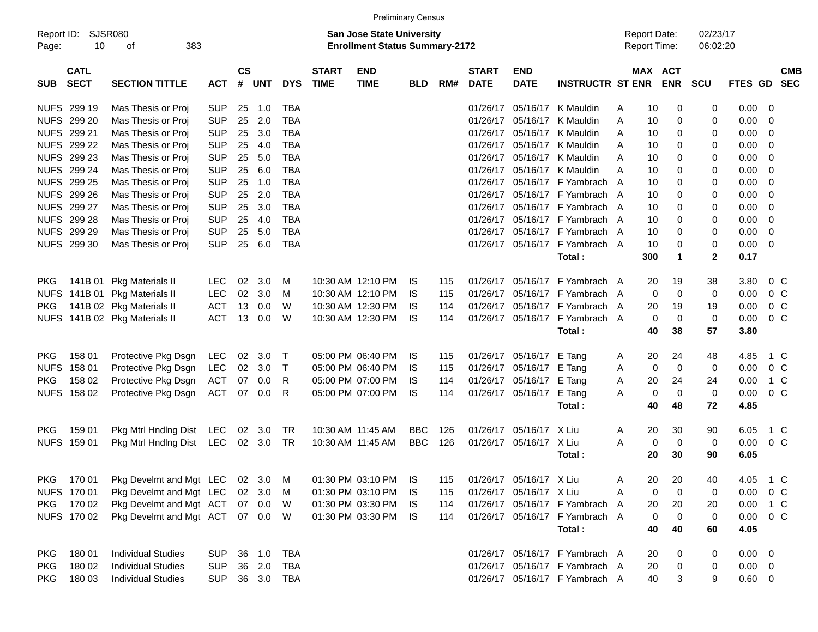|                                          |                                         |            |                    |            |            |                             |                                                                           | <b>Preliminary Census</b> |     |                             |                             |                                |                                            |                       |             |                      |                |                |                          |
|------------------------------------------|-----------------------------------------|------------|--------------------|------------|------------|-----------------------------|---------------------------------------------------------------------------|---------------------------|-----|-----------------------------|-----------------------------|--------------------------------|--------------------------------------------|-----------------------|-------------|----------------------|----------------|----------------|--------------------------|
| Report ID:<br>Page:                      | SJSR080<br>10<br>383<br>οf              |            |                    |            |            |                             | <b>San Jose State University</b><br><b>Enrollment Status Summary-2172</b> |                           |     |                             |                             |                                | <b>Report Date:</b><br><b>Report Time:</b> |                       |             | 02/23/17<br>06:02:20 |                |                |                          |
| <b>CATL</b><br><b>SECT</b><br><b>SUB</b> | <b>SECTION TITTLE</b>                   | <b>ACT</b> | $\mathsf{cs}$<br># | <b>UNT</b> | <b>DYS</b> | <b>START</b><br><b>TIME</b> | <b>END</b><br><b>TIME</b>                                                 | <b>BLD</b>                | RM# | <b>START</b><br><b>DATE</b> | <b>END</b><br><b>DATE</b>   | <b>INSTRUCTR ST ENR</b>        |                                            | MAX ACT<br><b>ENR</b> |             | <b>SCU</b>           | <b>FTES GD</b> |                | <b>CMB</b><br><b>SEC</b> |
| NUFS 299 19                              | Mas Thesis or Proj                      | <b>SUP</b> | 25                 | 1.0        | TBA        |                             |                                                                           |                           |     | 01/26/17                    | 05/16/17                    | K Mauldin                      | A                                          | 10                    | 0           | 0                    | 0.00           | - 0            |                          |
| NUFS 299 20                              | Mas Thesis or Proj                      | <b>SUP</b> | 25                 | 2.0        | <b>TBA</b> |                             |                                                                           |                           |     | 01/26/17                    | 05/16/17                    | K Mauldin                      | A                                          | 10                    | 0           | 0                    | 0.00           | - 0            |                          |
| NUFS 299 21                              | Mas Thesis or Proj                      | <b>SUP</b> | 25                 | 3.0        | <b>TBA</b> |                             |                                                                           |                           |     | 01/26/17                    |                             | 05/16/17 K Mauldin             | A                                          | 10                    | 0           | 0                    | 0.00           | - 0            |                          |
| NUFS 299 22                              | Mas Thesis or Proj                      | <b>SUP</b> | 25                 | 4.0        | <b>TBA</b> |                             |                                                                           |                           |     | 01/26/17                    |                             | 05/16/17 K Mauldin             | A                                          | 10                    | 0           | 0                    | 0.00           | - 0            |                          |
| NUFS 299 23                              | Mas Thesis or Proj                      | <b>SUP</b> | 25                 | 5.0        | <b>TBA</b> |                             |                                                                           |                           |     | 01/26/17                    |                             | 05/16/17 K Mauldin             | A                                          | 10                    | 0           | 0                    | 0.00           | - 0            |                          |
| NUFS 299 24                              | Mas Thesis or Proj                      | <b>SUP</b> | 25                 | 6.0        | <b>TBA</b> |                             |                                                                           |                           |     | 01/26/17                    |                             | 05/16/17 K Mauldin             | A                                          | 10                    | 0           | 0                    | 0.00           | - 0            |                          |
| NUFS 299 25                              | Mas Thesis or Proj                      | <b>SUP</b> | 25                 | 1.0        | <b>TBA</b> |                             |                                                                           |                           |     | 01/26/17                    |                             | 05/16/17 F Yambrach            | A                                          | 10                    | 0           | 0                    | 0.00           | - 0            |                          |
| NUFS 299 26                              | Mas Thesis or Proj                      | <b>SUP</b> | 25                 | 2.0        | <b>TBA</b> |                             |                                                                           |                           |     | 01/26/17                    |                             | 05/16/17 F Yambrach            | A                                          | 10                    | 0           | 0                    | 0.00           | - 0            |                          |
| NUFS 299 27                              | Mas Thesis or Proj                      | <b>SUP</b> | 25                 | 3.0        | <b>TBA</b> |                             |                                                                           |                           |     | 01/26/17                    |                             | 05/16/17 F Yambrach A          |                                            | 10                    | 0           | 0                    | 0.00           | - 0            |                          |
| NUFS 299 28                              | Mas Thesis or Proj                      | <b>SUP</b> | 25                 | 4.0        | <b>TBA</b> |                             |                                                                           |                           |     | 01/26/17                    |                             | 05/16/17 F Yambrach A          |                                            | 10                    | 0           | 0                    | 0.00           | - 0            |                          |
| NUFS 299 29                              | Mas Thesis or Proj                      | <b>SUP</b> | 25                 | 5.0        | <b>TBA</b> |                             |                                                                           |                           |     | 01/26/17                    |                             | 05/16/17 F Yambrach            | A                                          | 10                    | 0           | 0                    | 0.00           | - 0            |                          |
| NUFS 299 30                              | Mas Thesis or Proj                      | <b>SUP</b> | 25                 | 6.0        | <b>TBA</b> |                             |                                                                           |                           |     | 01/26/17                    |                             | 05/16/17 F Yambrach A          |                                            | 10                    | 0           | 0                    | 0.00           | - 0            |                          |
|                                          |                                         |            |                    |            |            |                             |                                                                           |                           |     |                             |                             | Total:                         |                                            | 300                   | $\mathbf 1$ | $\mathbf{2}$         | 0.17           |                |                          |
| <b>PKG</b>                               | 141B 01 Pkg Materials II                | LEC        | 02                 | 3.0        | M          |                             | 10:30 AM 12:10 PM                                                         | IS.                       | 115 | 01/26/17                    | 05/16/17                    | F Yambrach A                   |                                            | 20                    | 19          | 38                   | 3.80           | $0\,$ C        |                          |
| <b>NUFS</b>                              | 141B 01 Pkg Materials II                | <b>LEC</b> | 02                 | 3.0        | M          |                             | 10:30 AM 12:10 PM                                                         | IS.                       | 115 | 01/26/17                    | 05/16/17                    | F Yambrach A                   |                                            | 0                     | $\mathbf 0$ | 0                    | 0.00           | 0 <sup>o</sup> |                          |
| <b>PKG</b>                               | 141B 02 Pkg Materials II                | <b>ACT</b> | 13                 | 0.0        | W          |                             | 10:30 AM 12:30 PM                                                         | IS.                       | 114 | 01/26/17                    | 05/16/17                    | F Yambrach                     | A                                          | 20                    | 19          | 19                   | 0.00           | 0 <sup>o</sup> |                          |
|                                          | NUFS 141B 02 Pkg Materials II           | <b>ACT</b> | 13                 | 0.0        | W          |                             | 10:30 AM 12:30 PM                                                         | IS.                       | 114 |                             |                             | 01/26/17 05/16/17 F Yambrach A |                                            | 0                     | $\mathbf 0$ | 0                    | 0.00           | 0 <sup>o</sup> |                          |
|                                          |                                         |            |                    |            |            |                             |                                                                           |                           |     |                             |                             | Total:                         |                                            | 40                    | 38          | 57                   | 3.80           |                |                          |
|                                          |                                         |            |                    |            |            |                             |                                                                           |                           |     |                             |                             |                                |                                            |                       |             |                      |                |                |                          |
| 158 01<br><b>PKG</b>                     | Protective Pkg Dsgn                     | LEC        | 02                 | 3.0        | $\top$     |                             | 05:00 PM 06:40 PM                                                         | IS.                       | 115 |                             | 01/26/17 05/16/17           | E Tang                         | A                                          | 20                    | 24          | 48                   | 4.85           | 1 C            |                          |
| <b>NUFS</b><br>158 01                    | Protective Pkg Dsgn                     | LEC        | 02                 | 3.0        | $\top$     |                             | 05:00 PM 06:40 PM                                                         | IS.                       | 115 |                             | 01/26/17 05/16/17           | E Tang                         | A                                          | 0                     | 0           | 0                    | 0.00           | $0\,$ C        |                          |
| <b>PKG</b><br>158 02                     | Protective Pkg Dsgn                     | <b>ACT</b> | 07                 | 0.0        | R          |                             | 05:00 PM 07:00 PM                                                         | IS.                       | 114 |                             | 01/26/17 05/16/17           | E Tang                         | A                                          | 20                    | 24          | 24                   | 0.00           | 1 C            |                          |
| NUFS 158 02                              | Protective Pkg Dsgn                     | <b>ACT</b> | 07                 | 0.0        | R          |                             | 05:00 PM 07:00 PM                                                         | IS.                       | 114 |                             | 01/26/17 05/16/17           | E Tang                         | A                                          | 0                     | 0           | $\mathbf 0$          | 0.00           | 0 <sup>o</sup> |                          |
|                                          |                                         |            |                    |            |            |                             |                                                                           |                           |     |                             |                             | Total:                         |                                            | 40                    | 48          | 72                   | 4.85           |                |                          |
| 159 01<br><b>PKG</b>                     | Pkg Mtrl Hndlng Dist LEC                |            | 02                 | 3.0        | TR         |                             | 10:30 AM 11:45 AM                                                         | <b>BBC</b>                | 126 | 01/26/17                    | 05/16/17                    | X Liu                          | A                                          | 20                    | 30          | 90                   | 6.05           | 1 C            |                          |
| NUFS 159 01                              | Pkg Mtrl Hndlng Dist LEC                |            |                    | 02 3.0     | TR         |                             | 10:30 AM 11:45 AM                                                         | <b>BBC</b>                | 126 |                             | 01/26/17 05/16/17 X Liu     |                                | A                                          | 0                     | 0           | 0                    | 0.00           | $0\,$ C        |                          |
|                                          |                                         |            |                    |            |            |                             |                                                                           |                           |     |                             |                             | Total:                         |                                            | 20                    | 30          | 90                   | 6.05           |                |                          |
|                                          |                                         |            |                    |            |            |                             |                                                                           |                           |     |                             |                             |                                |                                            |                       |             |                      |                |                |                          |
| <b>PKG</b>                               | 170 01 Pkg Develmt and Mgt LEC 02 3.0 M |            |                    |            |            |                             | 01:30 PM 03:10 PM IS                                                      |                           |     |                             | 115 01/26/17 05/16/17 X Liu |                                | Α                                          | 20 20                 |             | 40                   | 4.05 1 C       |                |                          |
| NUFS 170 01                              | Pkg Develmt and Mgt LEC                 |            | 02                 | 3.0        | M          |                             | 01:30 PM 03:10 PM                                                         | - IS                      | 115 |                             | 01/26/17 05/16/17 X Liu     |                                | A                                          | 0                     | 0           | 0                    | 0.00           | $0\,$ C        |                          |
| <b>PKG</b><br>170 02                     | Pkg Develmt and Mgt ACT                 |            |                    | 07 0.0     | - W        |                             | 01:30 PM 03:30 PM                                                         | - IS                      | 114 |                             |                             | 01/26/17 05/16/17 F Yambrach   | A                                          | 20                    | 20          | 20                   | 0.00           | 1 C            |                          |
| NUFS 170 02                              | Pkg Develmt and Mgt ACT                 |            |                    | 07  0.0  W |            |                             | 01:30 PM 03:30 PM IS                                                      |                           | 114 |                             |                             | 01/26/17 05/16/17 F Yambrach A |                                            | 0                     | 0           | 0                    | 0.00           | $0\,C$         |                          |
|                                          |                                         |            |                    |            |            |                             |                                                                           |                           |     |                             |                             | Total:                         |                                            | 40                    | 40          | 60                   | 4.05           |                |                          |
| PKG<br>180 01                            | <b>Individual Studies</b>               | <b>SUP</b> | 36                 | 1.0        | <b>TBA</b> |                             |                                                                           |                           |     |                             |                             | 01/26/17 05/16/17 F Yambrach A |                                            | 20                    | 0           | 0                    | $0.00 \t 0$    |                |                          |
| <b>PKG</b><br>180 02                     | <b>Individual Studies</b>               | <b>SUP</b> | 36                 | 2.0        | TBA        |                             |                                                                           |                           |     |                             |                             | 01/26/17 05/16/17 F Yambrach A |                                            | 20                    | 0           | 0                    | $0.00 \quad 0$ |                |                          |
| <b>PKG</b><br>180 03                     | <b>Individual Studies</b>               | <b>SUP</b> |                    |            | 36 3.0 TBA |                             |                                                                           |                           |     |                             |                             | 01/26/17 05/16/17 F Yambrach A |                                            | 40                    | 3           | 9                    | $0.60 \t 0$    |                |                          |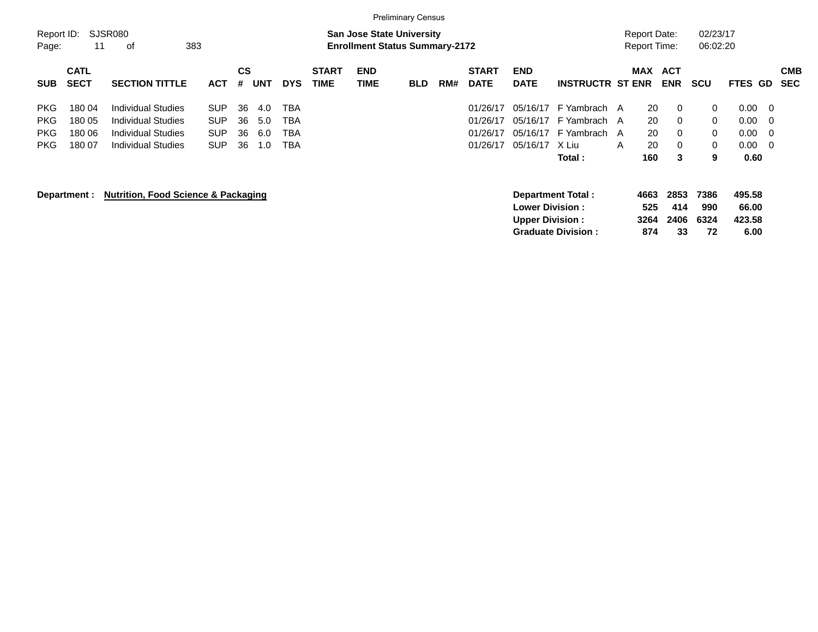|            |              |                                                |            |           |     |            |              |                                       | <b>Preliminary Census</b> |     |              |                         |                           |   |                     |            |            |          |                |            |
|------------|--------------|------------------------------------------------|------------|-----------|-----|------------|--------------|---------------------------------------|---------------------------|-----|--------------|-------------------------|---------------------------|---|---------------------|------------|------------|----------|----------------|------------|
| Report ID: |              | SJSR080                                        |            |           |     |            |              | <b>San Jose State University</b>      |                           |     |              |                         |                           |   | <b>Report Date:</b> |            | 02/23/17   |          |                |            |
| Page:      | 11           | 383<br>οf                                      |            |           |     |            |              | <b>Enrollment Status Summary-2172</b> |                           |     |              |                         |                           |   | Report Time:        |            | 06:02:20   |          |                |            |
|            | <b>CATL</b>  |                                                |            | <b>CS</b> |     |            | <b>START</b> | <b>END</b>                            |                           |     | <b>START</b> | <b>END</b>              |                           |   | <b>MAX</b>          | <b>ACT</b> |            |          |                | <b>CMB</b> |
| <b>SUB</b> | <b>SECT</b>  | <b>SECTION TITTLE</b>                          | <b>ACT</b> | #         | UNT | <b>DYS</b> | TIME         | <b>TIME</b>                           | <b>BLD</b>                | RM# | <b>DATE</b>  | <b>DATE</b>             | <b>INSTRUCTR ST ENR</b>   |   |                     | <b>ENR</b> | <b>SCU</b> | FTES GD  |                | <b>SEC</b> |
| <b>PKG</b> | 180 04       | Individual Studies                             | <b>SUP</b> | 36        | 4.0 | <b>TBA</b> |              |                                       |                           |     | 01/26/17     | 05/16/17                | F Yambrach A              |   | 20                  | 0          | 0          | $0.00\,$ | $\overline{0}$ |            |
| <b>PKG</b> | 180 05       | <b>Individual Studies</b>                      | <b>SUP</b> | 36        | 5.0 | <b>TBA</b> |              |                                       |                           |     | 01/26/17     | 05/16/17                | F Yambrach A              |   | 20                  | 0          | 0          | 0.00     | - 0            |            |
| <b>PKG</b> | 180 06       | <b>Individual Studies</b>                      | <b>SUP</b> | 36        | 6.0 | <b>TBA</b> |              |                                       |                           |     | 01/26/17     |                         | 05/16/17 F Yambrach A     |   | 20                  | 0          | 0          | 0.00     | - 0            |            |
| PKG.       | 18007        | <b>Individual Studies</b>                      | <b>SUP</b> | 36        | 1.0 | TBA        |              |                                       |                           |     | 01/26/17     | 05/16/17                | X Liu                     | A | 20                  | 0          | 0          | $0.00\,$ | - 0            |            |
|            |              |                                                |            |           |     |            |              |                                       |                           |     |              |                         | Total :                   |   | 160                 | 3          | 9          | 0.60     |                |            |
|            | Department : | <b>Nutrition, Food Science &amp; Packaging</b> |            |           |     |            |              |                                       |                           |     |              |                         | <b>Department Total:</b>  |   | 4663                | 2853       | 7386       | 495.58   |                |            |
|            |              |                                                |            |           |     |            |              |                                       |                           |     |              | <b>Lower Division :</b> |                           |   | 525                 | 414        | 990        | 66.00    |                |            |
|            |              |                                                |            |           |     |            |              |                                       |                           |     |              | <b>Upper Division:</b>  |                           |   | 3264                | 2406       | 6324       | 423.58   |                |            |
|            |              |                                                |            |           |     |            |              |                                       |                           |     |              |                         | <b>Graduate Division:</b> |   | 874                 | 33         | 72         | 6.00     |                |            |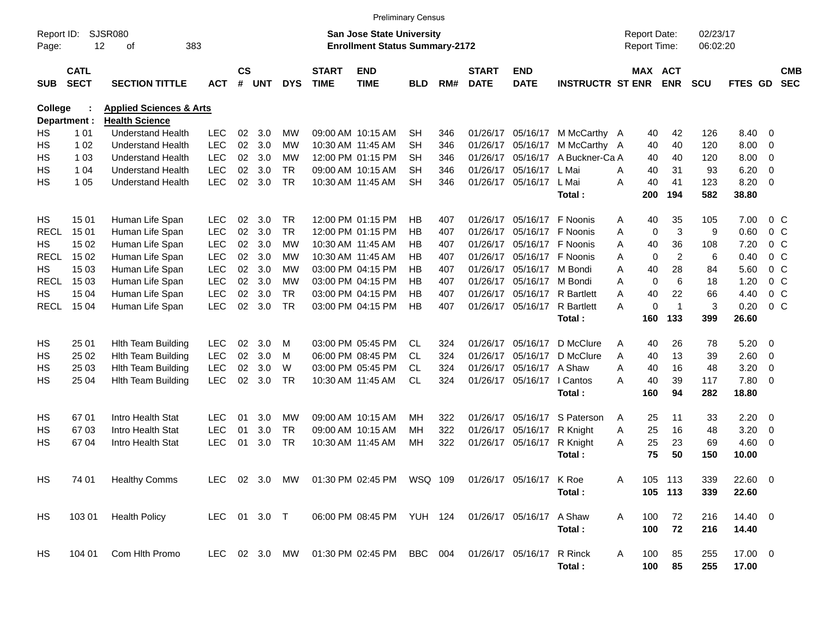|                     |                            |                                                      |                          |                    |            |                 |                             | <b>Preliminary Census</b>                                                 |                        |            |                             |                           |                         |                                            |             |                |                      |              |                            |                          |
|---------------------|----------------------------|------------------------------------------------------|--------------------------|--------------------|------------|-----------------|-----------------------------|---------------------------------------------------------------------------|------------------------|------------|-----------------------------|---------------------------|-------------------------|--------------------------------------------|-------------|----------------|----------------------|--------------|----------------------------|--------------------------|
| Report ID:<br>Page: | 12                         | SJSR080<br>383<br>οf                                 |                          |                    |            |                 |                             | <b>San Jose State University</b><br><b>Enrollment Status Summary-2172</b> |                        |            |                             |                           |                         | <b>Report Date:</b><br><b>Report Time:</b> |             |                | 02/23/17<br>06:02:20 |              |                            |                          |
| <b>SUB</b>          | <b>CATL</b><br><b>SECT</b> | <b>SECTION TITTLE</b>                                | <b>ACT</b>               | $\mathsf{cs}$<br># | <b>UNT</b> | <b>DYS</b>      | <b>START</b><br><b>TIME</b> | <b>END</b><br><b>TIME</b>                                                 | <b>BLD</b>             | RM#        | <b>START</b><br><b>DATE</b> | <b>END</b><br><b>DATE</b> | <b>INSTRUCTR ST ENR</b> | MAX ACT                                    |             | <b>ENR</b>     | <b>SCU</b>           | FTES GD      |                            | <b>CMB</b><br><b>SEC</b> |
| <b>College</b>      |                            | <b>Applied Sciences &amp; Arts</b>                   |                          |                    |            |                 |                             |                                                                           |                        |            |                             |                           |                         |                                            |             |                |                      |              |                            |                          |
|                     | Department :               | <b>Health Science</b>                                |                          |                    |            |                 |                             |                                                                           |                        |            |                             |                           |                         |                                            |             |                |                      |              |                            |                          |
| HS                  | 1 0 1                      | <b>Understand Health</b>                             | <b>LEC</b>               | 02                 | 3.0        | МW              |                             | 09:00 AM 10:15 AM                                                         | <b>SH</b>              | 346        | 01/26/17                    | 05/16/17                  | M McCarthy A            |                                            | 40          | 42             | 126                  | 8.40         | $\mathbf{0}$               |                          |
| <b>HS</b>           | 1 0 2                      | <b>Understand Health</b><br><b>Understand Health</b> | <b>LEC</b>               | 02                 | 3.0        | МW              |                             | 10:30 AM 11:45 AM                                                         | <b>SH</b>              | 346        | 01/26/17                    | 05/16/17                  | M McCarthy A            |                                            | 40          | 40             | 120                  | 8.00         | $\mathbf 0$                |                          |
| НS                  | 1 0 3                      | <b>Understand Health</b>                             | <b>LEC</b><br><b>LEC</b> | 02<br>02           | 3.0<br>3.0 | МW<br><b>TR</b> |                             | 12:00 PM 01:15 PM<br>09:00 AM 10:15 AM                                    | <b>SH</b><br><b>SH</b> | 346        | 01/26/17<br>01/26/17        | 05/16/17                  | A Buckner-Ca A<br>L Mai |                                            | 40          | 40<br>31       | 120                  | 8.00<br>6.20 | $\mathbf 0$                |                          |
| НS<br>НS            | 1 04<br>1 0 5              | <b>Understand Health</b>                             | <b>LEC</b>               | 02                 | 3.0        | <b>TR</b>       |                             | 10:30 AM 11:45 AM                                                         | <b>SH</b>              | 346<br>346 | 01/26/17                    | 05/16/17<br>05/16/17      | L Mai                   | A<br>Α                                     | 40<br>40    | 41             | 93<br>123            | 8.20         | $\mathbf 0$<br>$\mathbf 0$ |                          |
|                     |                            |                                                      |                          |                    |            |                 |                             |                                                                           |                        |            |                             |                           | Total:                  |                                            | 200         | 194            | 582                  | 38.80        |                            |                          |
| НS                  | 15 01                      | Human Life Span                                      | <b>LEC</b>               | 02                 | 3.0        | <b>TR</b>       |                             | 12:00 PM 01:15 PM                                                         | НB                     | 407        | 01/26/17                    | 05/16/17                  | F Noonis                | A                                          | 40          | 35             | 105                  | 7.00         | 0 <sup>o</sup>             |                          |
| <b>RECL</b>         | 15 01                      | Human Life Span                                      | <b>LEC</b>               | 02                 | 3.0        | <b>TR</b>       |                             | 12:00 PM 01:15 PM                                                         | <b>HB</b>              | 407        | 01/26/17                    | 05/16/17                  | F Noonis                | Α                                          | $\mathbf 0$ | $\mathbf{3}$   | 9                    | 0.60         | $0\quad C$                 |                          |
| НS                  | 15 02                      | Human Life Span                                      | <b>LEC</b>               | 02                 | 3.0        | <b>MW</b>       |                             | 10:30 AM 11:45 AM                                                         | ΗB                     | 407        | 01/26/17                    | 05/16/17                  | F Noonis                | Α                                          | 40          | 36             | 108                  | 7.20         | 0 <sub>C</sub>             |                          |
| <b>RECL</b>         | 15 02                      | Human Life Span                                      | <b>LEC</b>               | 02                 | 3.0        | МW              |                             | 10:30 AM 11:45 AM                                                         | <b>HB</b>              | 407        | 01/26/17                    | 05/16/17                  | F Noonis                | Α                                          | 0           | $\overline{2}$ | 6                    | 0.40         | 0 <sub>C</sub>             |                          |
| НS                  | 15 03                      | Human Life Span                                      | <b>LEC</b>               | 02                 | 3.0        | МW              |                             | 03:00 PM 04:15 PM                                                         | <b>HB</b>              | 407        | 01/26/17                    | 05/16/17                  | M Bondi                 | Α                                          | 40          | 28             | 84                   | 5.60         | 0 <sup>o</sup>             |                          |
| <b>RECL</b>         | 15 03                      | Human Life Span                                      | <b>LEC</b>               | 02                 | 3.0        | МW              |                             | 03:00 PM 04:15 PM                                                         | <b>HB</b>              | 407        | 01/26/17                    | 05/16/17                  | M Bondi                 | Α                                          | $\mathbf 0$ | 6              | 18                   | 1.20         | $0\,C$                     |                          |
| НS                  | 15 04                      | Human Life Span                                      | <b>LEC</b>               | 02                 | 3.0        | <b>TR</b>       |                             | 03:00 PM 04:15 PM                                                         | <b>HB</b>              | 407        | 01/26/17                    | 05/16/17                  | <b>R</b> Bartlett       | Α                                          | 40          | 22             | 66                   | 4.40         | $0\quad C$                 |                          |
| <b>RECL</b>         | 15 04                      | Human Life Span                                      | <b>LEC</b>               | 02                 | 3.0        | <b>TR</b>       |                             | 03:00 PM 04:15 PM                                                         | <b>HB</b>              | 407        | 01/26/17                    | 05/16/17                  | <b>R</b> Bartlett       | А                                          | $\mathbf 0$ | $\overline{1}$ | 3                    | 0.20         | $0\,C$                     |                          |
|                     |                            |                                                      |                          |                    |            |                 |                             |                                                                           |                        |            |                             |                           | Total:                  |                                            | 160         | 133            | 399                  | 26.60        |                            |                          |
| HS                  | 25 01                      | <b>Hith Team Building</b>                            | <b>LEC</b>               | 02                 | 3.0        | M               |                             | 03:00 PM 05:45 PM                                                         | CL                     | 324        | 01/26/17                    | 05/16/17                  | D McClure               | Α                                          | 40          | 26             | 78                   | 5.20         | 0                          |                          |
| НS                  | 25 02                      | <b>Hith Team Building</b>                            | <b>LEC</b>               | 02                 | 3.0        | M               |                             | 06:00 PM 08:45 PM                                                         | <b>CL</b>              | 324        | 01/26/17                    | 05/16/17                  | D McClure               | A                                          | 40          | 13             | 39                   | 2.60         | $\mathbf 0$                |                          |
| НS                  | 25 03                      | <b>Hith Team Building</b>                            | <b>LEC</b>               | 02                 | 3.0        | W               |                             | 03:00 PM 05:45 PM                                                         | <b>CL</b>              | 324        | 01/26/17                    | 05/16/17                  | A Shaw                  | Α                                          | 40          | 16             | 48                   | 3.20         | $\mathbf 0$                |                          |
| НS                  | 25 04                      | <b>Hith Team Building</b>                            | <b>LEC</b>               | 02                 | 3.0        | <b>TR</b>       |                             | 10:30 AM 11:45 AM                                                         | <b>CL</b>              | 324        | 01/26/17                    | 05/16/17                  | I Cantos                | А                                          | 40          | 39             | 117                  | 7.80         | $\mathbf 0$                |                          |
|                     |                            |                                                      |                          |                    |            |                 |                             |                                                                           |                        |            |                             |                           | Total:                  | 160                                        |             | 94             | 282                  | 18.80        |                            |                          |
| HS.                 | 67 01                      | Intro Health Stat                                    | <b>LEC</b>               | 01                 | 3.0        | MW              |                             | 09:00 AM 10:15 AM                                                         | MН                     | 322        | 01/26/17                    | 05/16/17                  | S Paterson              | A                                          | 25          | 11             | 33                   | 2.20         | 0                          |                          |
| НS                  | 6703                       | Intro Health Stat                                    | <b>LEC</b>               | 01                 | 3.0        | <b>TR</b>       |                             | 09:00 AM 10:15 AM                                                         | MН                     | 322        | 01/26/17                    | 05/16/17                  | R Knight                | A                                          | 25          | 16             | 48                   | 3.20         | $\mathbf 0$                |                          |
| НS                  | 67 04                      | Intro Health Stat                                    | <b>LEC</b>               | 01                 | 3.0        | <b>TR</b>       |                             | 10:30 AM 11:45 AM                                                         | MH                     | 322        | 01/26/17                    | 05/16/17                  | R Knight                | A                                          | 25          | 23             | 69                   | 4.60         | $\mathbf 0$                |                          |
|                     |                            |                                                      |                          |                    |            |                 |                             |                                                                           |                        |            |                             |                           | Total:                  |                                            | 75          | 50             | 150                  | 10.00        |                            |                          |
| HS                  | 74 01                      | <b>Healthy Comms</b>                                 | LEC.                     |                    | 02 3.0 MW  |                 |                             | 01:30 PM 02:45 PM WSQ 109                                                 |                        |            |                             | 01/26/17 05/16/17 K Roe   |                         | Α                                          |             | 105 113        | 339                  | 22.60 0      |                            |                          |
|                     |                            |                                                      |                          |                    |            |                 |                             |                                                                           |                        |            |                             |                           | Total:                  |                                            |             | 105 113        | 339                  | 22.60        |                            |                          |
| HS                  | 103 01                     | <b>Health Policy</b>                                 | LEC 01 3.0 T             |                    |            |                 |                             | 06:00 PM 08:45 PM YUH 124                                                 |                        |            |                             | 01/26/17 05/16/17 A Shaw  |                         | 100<br>A                                   |             | 72             | 216                  | 14.40 0      |                            |                          |
|                     |                            |                                                      |                          |                    |            |                 |                             |                                                                           |                        |            |                             |                           | Total:                  | 100                                        |             | 72             | 216                  | 14.40        |                            |                          |
| HS                  | 104 01                     | Com Hlth Promo                                       | LEC                      |                    | 02 3.0 MW  |                 |                             | 01:30 PM 02:45 PM BBC 004                                                 |                        |            |                             | 01/26/17 05/16/17         | R Rinck                 | 100<br>A                                   |             | 85             | 255                  | 17.00 0      |                            |                          |
|                     |                            |                                                      |                          |                    |            |                 |                             |                                                                           |                        |            |                             |                           | Total:                  |                                            | 100         | 85             | 255                  | 17.00        |                            |                          |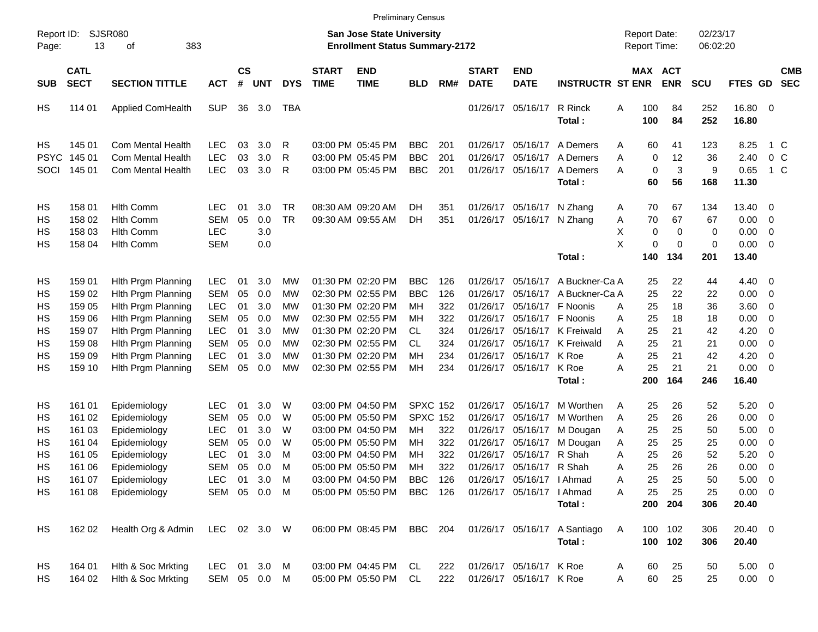|                     |                            |                             |              |                    |            |            |                             |                                                                           | <b>Preliminary Census</b> |     |                             |                            |                              |                                     |             |                       |                      |                  |                          |                          |
|---------------------|----------------------------|-----------------------------|--------------|--------------------|------------|------------|-----------------------------|---------------------------------------------------------------------------|---------------------------|-----|-----------------------------|----------------------------|------------------------------|-------------------------------------|-------------|-----------------------|----------------------|------------------|--------------------------|--------------------------|
| Report ID:<br>Page: | 13                         | <b>SJSR080</b><br>383<br>of |              |                    |            |            |                             | <b>San Jose State University</b><br><b>Enrollment Status Summary-2172</b> |                           |     |                             |                            |                              | <b>Report Date:</b><br>Report Time: |             |                       | 02/23/17<br>06:02:20 |                  |                          |                          |
| <b>SUB</b>          | <b>CATL</b><br><b>SECT</b> | <b>SECTION TITTLE</b>       | <b>ACT</b>   | $\mathsf{cs}$<br># | <b>UNT</b> | <b>DYS</b> | <b>START</b><br><b>TIME</b> | <b>END</b><br><b>TIME</b>                                                 | <b>BLD</b>                | RM# | <b>START</b><br><b>DATE</b> | <b>END</b><br><b>DATE</b>  | <b>INSTRUCTR ST ENR</b>      |                                     |             | MAX ACT<br><b>ENR</b> | <b>SCU</b>           | FTES GD          |                          | <b>CMB</b><br><b>SEC</b> |
| HS                  | 114 01                     | <b>Applied ComHealth</b>    | <b>SUP</b>   | 36                 | 3.0        | TBA        |                             |                                                                           |                           |     |                             | 01/26/17 05/16/17          | R Rinck<br>Total:            | Α                                   | 100<br>100  | 84<br>84              | 252<br>252           | 16.80 0<br>16.80 |                          |                          |
| HS                  | 145 01                     | Com Mental Health           | <b>LEC</b>   | 03                 | 3.0        | R          |                             | 03:00 PM 05:45 PM                                                         | <b>BBC</b>                | 201 |                             | 01/26/17 05/16/17          | A Demers                     | Α                                   | 60          | 41                    | 123                  | 8.25             | $1\,C$                   |                          |
| <b>PSYC</b>         | 145 01                     | Com Mental Health           | <b>LEC</b>   | 03                 | 3.0        | R          |                             | 03:00 PM 05:45 PM                                                         | <b>BBC</b>                | 201 | 01/26/17                    | 05/16/17                   | A Demers                     | A                                   | $\mathbf 0$ | 12                    | 36                   | 2.40             | $0\,C$                   |                          |
| SOCI                | 145 01                     | <b>Com Mental Health</b>    | <b>LEC</b>   | 03                 | 3.0        | R          |                             | 03:00 PM 05:45 PM                                                         | <b>BBC</b>                | 201 |                             | 01/26/17 05/16/17          | A Demers                     | Α                                   | $\mathbf 0$ | 3                     | 9                    | 0.65             | $1\,C$                   |                          |
|                     |                            |                             |              |                    |            |            |                             |                                                                           |                           |     |                             |                            | Total:                       |                                     | 60          | 56                    | 168                  | 11.30            |                          |                          |
| HS                  | 158 01                     | <b>Hith Comm</b>            | <b>LEC</b>   | 01                 | 3.0        | TR         |                             | 08:30 AM 09:20 AM                                                         | DH.                       | 351 |                             | 01/26/17 05/16/17          | N Zhang                      | Α                                   | 70          | 67                    | 134                  | 13.40            | - 0                      |                          |
| HS                  | 158 02                     | <b>Hlth Comm</b>            | <b>SEM</b>   | 05                 | 0.0        | <b>TR</b>  |                             | 09:30 AM 09:55 AM                                                         | DH                        | 351 |                             | 01/26/17 05/16/17 N Zhang  |                              | Α                                   | 70          | 67                    | 67                   | 0.00             | $\overline{\mathbf{0}}$  |                          |
| HS                  | 158 03                     | <b>Hith Comm</b>            | <b>LEC</b>   |                    | 3.0        |            |                             |                                                                           |                           |     |                             |                            |                              | Χ                                   | 0           | 0                     | 0                    | 0.00             | $\overline{\mathbf{0}}$  |                          |
| НS                  | 158 04                     | <b>Hith Comm</b>            | <b>SEM</b>   |                    | 0.0        |            |                             |                                                                           |                           |     |                             |                            |                              | X                                   | 0           | $\mathbf 0$           | 0                    | 0.00             | $\overline{\mathbf{0}}$  |                          |
|                     |                            |                             |              |                    |            |            |                             |                                                                           |                           |     |                             |                            | Total:                       |                                     | 140         | 134                   | 201                  | 13.40            |                          |                          |
| HS                  | 159 01                     | Hith Prgm Planning          | <b>LEC</b>   | 01                 | 3.0        | MW         |                             | 01:30 PM 02:20 PM                                                         | <b>BBC</b>                | 126 |                             | 01/26/17 05/16/17          | A Buckner-Ca A               |                                     | 25          | 22                    | 44                   | 4.40             | $\overline{\phantom{0}}$ |                          |
| HS                  | 159 02                     | Hith Prgm Planning          | <b>SEM</b>   | 05                 | 0.0        | MW         |                             | 02:30 PM 02:55 PM                                                         | <b>BBC</b>                | 126 | 01/26/17                    | 05/16/17                   | A Buckner-Ca A               |                                     | 25          | 22                    | 22                   | 0.00             | $\overline{\mathbf{0}}$  |                          |
| НS                  | 159 05                     | Hlth Prgm Planning          | <b>LEC</b>   | 01                 | 3.0        | MW         |                             | 01:30 PM 02:20 PM                                                         | MН                        | 322 |                             | 01/26/17 05/16/17          | F Noonis                     | Α                                   | 25          | 18                    | 36                   | 3.60             | $\overline{\mathbf{0}}$  |                          |
| НS                  | 159 06                     | Hith Prgm Planning          | <b>SEM</b>   | 05                 | 0.0        | MW         |                             | 02:30 PM 02:55 PM                                                         | MН                        | 322 |                             | 01/26/17 05/16/17 F Noonis |                              | Α                                   | 25          | 18                    | 18                   | 0.00             | 0                        |                          |
| НS                  | 159 07                     | Hith Prgm Planning          | <b>LEC</b>   | 01                 | 3.0        | MW         |                             | 01:30 PM 02:20 PM                                                         | CL.                       | 324 |                             |                            | 01/26/17 05/16/17 K Freiwald | Α                                   | 25          | 21                    | 42                   | 4.20             | $\overline{0}$           |                          |
| НS                  | 159 08                     | Hith Prgm Planning          | <b>SEM</b>   | 05                 | 0.0        | MW         |                             | 02:30 PM 02:55 PM                                                         | <b>CL</b>                 | 324 |                             |                            | 01/26/17 05/16/17 K Freiwald | A                                   | 25          | 21                    | 21                   | 0.00             | $\overline{0}$           |                          |
| HS                  | 159 09                     | Hith Prgm Planning          | <b>LEC</b>   | 01                 | 3.0        | MW         |                             | 01:30 PM 02:20 PM                                                         | MН                        | 234 |                             | 01/26/17 05/16/17          | K Roe                        | A                                   | 25          | 21                    | 42                   | 4.20             | 0                        |                          |
| НS                  | 159 10                     | Hith Prgm Planning          | <b>SEM</b>   | 05                 | 0.0        | МW         |                             | 02:30 PM 02:55 PM                                                         | МH                        | 234 |                             | 01/26/17 05/16/17          | K Roe                        | Α                                   | 25          | 21                    | 21                   | 0.00             | $\overline{0}$           |                          |
|                     |                            |                             |              |                    |            |            |                             |                                                                           |                           |     |                             |                            | Total:                       |                                     | 200         | 164                   | 246                  | 16.40            |                          |                          |
| HS                  | 161 01                     | Epidemiology                | <b>LEC</b>   | 01                 | 3.0        | W          |                             | 03:00 PM 04:50 PM                                                         | <b>SPXC 152</b>           |     |                             | 01/26/17 05/16/17          | M Worthen                    | Α                                   | 25          | 26                    | 52                   | 5.20             | $\overline{\phantom{0}}$ |                          |
| HS                  | 161 02                     | Epidemiology                | <b>SEM</b>   | 05                 | 0.0        | W          |                             | 05:00 PM 05:50 PM                                                         | <b>SPXC 152</b>           |     |                             | 01/26/17 05/16/17          | M Worthen                    | Α                                   | 25          | 26                    | 26                   | 0.00             | $\overline{\mathbf{0}}$  |                          |
| НS                  | 161 03                     | Epidemiology                | <b>LEC</b>   | 01                 | 3.0        | W          |                             | 03:00 PM 04:50 PM                                                         | MН                        | 322 |                             | 01/26/17 05/16/17          | M Dougan                     | Α                                   | 25          | 25                    | 50                   | 5.00             | 0                        |                          |
| HS                  | 161 04                     | Epidemiology                | <b>SEM</b>   | 05                 | 0.0        | W          |                             | 05:00 PM 05:50 PM                                                         | MН                        | 322 |                             | 01/26/17 05/16/17          | M Dougan                     | Α                                   | 25          | 25                    | 25                   | 0.00             | 0                        |                          |
| HS                  | 161 05                     | Epidemiology                | <b>LEC</b>   | 01                 | 3.0        | м          |                             | 03:00 PM 04:50 PM                                                         | ΜН                        | 322 |                             | 01/26/17 05/16/17          | R Shah                       | A                                   | 25          | 26                    | 52                   | 5.20             | 0                        |                          |
| НS                  | 161 06                     | Epidemiology                | <b>SEM</b>   | 05                 | 0.0        | M          |                             | 05:00 PM 05:50 PM                                                         | МH                        | 322 |                             | 01/26/17 05/16/17 R Shah   |                              | Α                                   | 25          | 26                    | 26                   | 0.00             | $\overline{0}$           |                          |
| HS                  | 161 07                     | Epidemiology                | <b>LEC</b>   |                    | 01 3.0 M   |            |                             | 03:00 PM 04:50 PM                                                         | BBC                       | 126 |                             | 01/26/17 05/16/17   Ahmad  |                              | Α                                   | 25          | 25                    | 50                   | $5.00 \t 0$      |                          |                          |
| НS                  | 161 08                     | Epidemiology                | SEM 05 0.0 M |                    |            |            |                             | 05:00 PM 05:50 PM                                                         | <b>BBC</b> 126            |     |                             | 01/26/17 05/16/17   Ahmad  |                              | Α                                   | 25          | 25                    | 25                   | $0.00 \t 0$      |                          |                          |
|                     |                            |                             |              |                    |            |            |                             |                                                                           |                           |     |                             |                            | Total:                       |                                     |             | 200 204               | 306                  | 20.40            |                          |                          |
| HS                  | 162 02                     | Health Org & Admin          | LEC 02 3.0 W |                    |            |            |                             | 06:00 PM 08:45 PM                                                         | BBC 204                   |     |                             |                            | 01/26/17 05/16/17 A Santiago | A                                   |             | 100 102               | 306                  | 20.40 0          |                          |                          |
|                     |                            |                             |              |                    |            |            |                             |                                                                           |                           |     |                             |                            | Total:                       |                                     |             | 100 102               | 306                  | 20.40            |                          |                          |
| HS                  | 164 01                     | Hith & Soc Mrkting          | LEC          |                    | 01 3.0 M   |            |                             | 03:00 PM 04:45 PM                                                         | CL                        | 222 |                             | 01/26/17 05/16/17 K Roe    |                              | Α                                   | 60          | 25                    | 50                   | $5.00 \t 0$      |                          |                          |
| НS                  | 164 02                     | Hith & Soc Mrkting          | SEM 05 0.0 M |                    |            |            |                             | 05:00 PM 05:50 PM                                                         | CL                        | 222 |                             | 01/26/17 05/16/17 K Roe    |                              | Α                                   | 60          | 25                    | 25                   | $0.00 \t 0$      |                          |                          |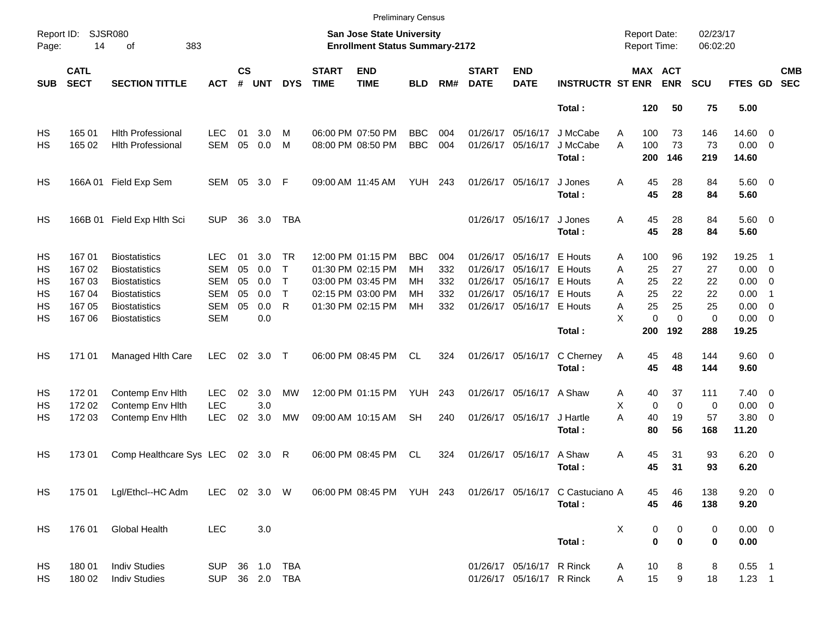|                     |                            |                                              |                   |                    |            |                              |                             | <b>Preliminary Census</b>                                          |                 |            |                             |                               |                                                            |                                     |                              |                      |                      |                          |                          |
|---------------------|----------------------------|----------------------------------------------|-------------------|--------------------|------------|------------------------------|-----------------------------|--------------------------------------------------------------------|-----------------|------------|-----------------------------|-------------------------------|------------------------------------------------------------|-------------------------------------|------------------------------|----------------------|----------------------|--------------------------|--------------------------|
| Report ID:<br>Page: | 14                         | <b>SJSR080</b><br>383<br>οf                  |                   |                    |            |                              |                             | San Jose State University<br><b>Enrollment Status Summary-2172</b> |                 |            |                             |                               |                                                            | <b>Report Date:</b><br>Report Time: |                              | 02/23/17<br>06:02:20 |                      |                          |                          |
| <b>SUB</b>          | <b>CATL</b><br><b>SECT</b> | <b>SECTION TITTLE</b>                        | <b>ACT</b>        | $\mathsf{cs}$<br># | <b>UNT</b> | <b>DYS</b>                   | <b>START</b><br><b>TIME</b> | <b>END</b><br><b>TIME</b>                                          | <b>BLD</b>      | RM#        | <b>START</b><br><b>DATE</b> | <b>END</b><br><b>DATE</b>     | <b>INSTRUCTR ST ENR</b>                                    |                                     | <b>MAX ACT</b><br><b>ENR</b> | <b>SCU</b>           | FTES GD              |                          | <b>CMB</b><br><b>SEC</b> |
|                     |                            |                                              |                   |                    |            |                              |                             |                                                                    |                 |            |                             |                               | Total:                                                     | 120                                 | 50                           | 75                   | 5.00                 |                          |                          |
| HS                  | 165 01                     | <b>Hith Professional</b>                     | LEC               | 01                 | 3.0        | м                            |                             | 06:00 PM 07:50 PM                                                  | <b>BBC</b>      | 004        |                             | 01/26/17 05/16/17             | J McCabe                                                   | Α<br>100                            | 73                           | 146                  | 14.60 0              |                          |                          |
| HS                  | 165 02                     | <b>Hith Professional</b>                     | <b>SEM</b>        | 05                 | 0.0        | M                            |                             | 08:00 PM 08:50 PM                                                  | <b>BBC</b>      | 004        |                             | 01/26/17 05/16/17             | J McCabe<br>Total:                                         | A<br>100<br>200                     | 73<br>146                    | 73<br>219            | $0.00 \t 0$<br>14.60 |                          |                          |
| HS                  |                            | 166A 01 Field Exp Sem                        | SEM 05            |                    | 3.0 F      |                              |                             | 09:00 AM 11:45 AM                                                  | <b>YUH 243</b>  |            |                             | 01/26/17 05/16/17             | J Jones                                                    | 45<br>Α                             | 28                           | 84                   | $5.60$ 0             |                          |                          |
|                     |                            |                                              |                   |                    |            |                              |                             |                                                                    |                 |            |                             |                               | Total:                                                     | 45                                  | 28                           | 84                   | 5.60                 |                          |                          |
| HS                  |                            | 166B 01 Field Exp Hlth Sci                   | <b>SUP</b>        | 36                 | 3.0        | TBA                          |                             |                                                                    |                 |            |                             | 01/26/17 05/16/17             | J Jones<br>Total:                                          | 45<br>Α<br>45                       | 28<br>28                     | 84<br>84             | $5.60$ 0<br>5.60     |                          |                          |
|                     |                            |                                              |                   |                    |            |                              |                             |                                                                    |                 |            |                             |                               |                                                            |                                     |                              |                      |                      |                          |                          |
| HS                  | 167 01                     | <b>Biostatistics</b>                         | LEC               | 01                 | 3.0        | TR.                          |                             | 12:00 PM 01:15 PM                                                  | BBC             | 004        |                             | 01/26/17 05/16/17             | E Houts                                                    | 100<br>A                            | 96                           | 192                  | 19.25                | - 1                      |                          |
| HS<br>HS            | 16702<br>16703             | <b>Biostatistics</b><br><b>Biostatistics</b> | <b>SEM</b><br>SEM | 05<br>05           | 0.0<br>0.0 | $\mathsf{T}$<br>$\mathsf{T}$ |                             | 01:30 PM 02:15 PM<br>03:00 PM 03:45 PM                             | <b>MH</b><br>MН | 332<br>332 | 01/26/17                    | 05/16/17<br>01/26/17 05/16/17 | E Houts<br>E Houts                                         | 25<br>A<br>25                       | 27<br>22                     | 27<br>22             | $0.00 \t 0$<br>0.00  | $\overline{\phantom{0}}$ |                          |
| HS                  | 16704                      | <b>Biostatistics</b>                         | <b>SEM</b>        | 05                 | 0.0        | $\mathsf{T}$                 |                             | 02:15 PM 03:00 PM                                                  | MН              | 332        |                             | 01/26/17 05/16/17 E Houts     |                                                            | A<br>25<br>A                        | 22                           | 22                   | 0.00                 | -1                       |                          |
| HS                  | 167 05                     | <b>Biostatistics</b>                         | <b>SEM</b>        | 05                 | 0.0        | $\mathsf{R}$                 |                             | 01:30 PM 02:15 PM                                                  | <b>MH</b>       | 332        |                             | 01/26/17 05/16/17 E Houts     |                                                            | A<br>25                             | 25                           | 25                   | 0.00                 | $\overline{\mathbf{0}}$  |                          |
| HS                  | 167 06                     | <b>Biostatistics</b>                         | <b>SEM</b>        |                    | 0.0        |                              |                             |                                                                    |                 |            |                             |                               |                                                            | X                                   | $\mathbf 0$<br>$\Omega$      | 0                    | $0.00 \t 0$          |                          |                          |
|                     |                            |                                              |                   |                    |            |                              |                             |                                                                    |                 |            |                             |                               | Total:                                                     | 200                                 | 192                          | 288                  | 19.25                |                          |                          |
| HS                  | 171 01                     | Managed Hith Care                            | <b>LEC</b>        | 02                 | 3.0 T      |                              |                             | 06:00 PM 08:45 PM                                                  | CL              | 324        |                             | 01/26/17 05/16/17             | C Cherney                                                  | Α<br>45                             | 48                           | 144                  | 9.60 0               |                          |                          |
|                     |                            |                                              |                   |                    |            |                              |                             |                                                                    |                 |            |                             |                               | Total:                                                     | 45                                  | 48                           | 144                  | 9.60                 |                          |                          |
| HS                  | 17201                      | Contemp Env Hith                             | <b>LEC</b>        | 02                 | 3.0        | MW                           |                             | 12:00 PM 01:15 PM                                                  | YUH             | 243        |                             | 01/26/17 05/16/17 A Shaw      |                                                            | 40<br>A                             | 37                           | 111                  | $7.40 \quad 0$       |                          |                          |
| HS                  | 172 02                     | Contemp Env Hith                             | <b>LEC</b>        |                    | 3.0        |                              |                             |                                                                    |                 |            |                             |                               |                                                            | Χ                                   | 0<br>$\mathbf 0$             | 0                    | 0.00                 | $\overline{\phantom{0}}$ |                          |
| HS                  | 172 03                     | Contemp Env Hith                             | <b>LEC</b>        | 02                 | 3.0        | MW                           |                             | 09:00 AM 10:15 AM                                                  | <b>SH</b>       | 240        |                             | 01/26/17 05/16/17             | J Hartle                                                   | A<br>40                             | 19                           | 57                   | 3.80 0               |                          |                          |
|                     |                            |                                              |                   |                    |            |                              |                             |                                                                    |                 |            |                             |                               | Total:                                                     | 80                                  | 56                           | 168                  | 11.20                |                          |                          |
| HS                  | 173 01                     | Comp Healthcare Sys LEC                      |                   |                    | 02 3.0 R   |                              |                             | 06:00 PM 08:45 PM                                                  | CL              | 324        |                             | 01/26/17 05/16/17             | A Shaw                                                     | 45<br>A                             | 31                           | 93                   | $6.20 \quad 0$       |                          |                          |
|                     |                            |                                              |                   |                    |            |                              |                             |                                                                    |                 |            |                             |                               | Total:                                                     | 45                                  | 31                           | 93                   | 6.20                 |                          |                          |
| HS                  |                            | 175 01 Lgl/Ethcl--HC Adm                     | LEC 02 3.0 W      |                    |            |                              |                             |                                                                    |                 |            |                             |                               | 06:00 PM 08:45 PM YUH 243 01/26/17 05/16/17 C Castuciano A |                                     | 45<br>46                     | 138                  | $9.20 \ 0$           |                          |                          |
|                     |                            |                                              |                   |                    |            |                              |                             |                                                                    |                 |            |                             |                               | Total:                                                     |                                     | 45<br>46                     | 138                  | 9.20                 |                          |                          |
| HS                  | 176 01                     | Global Health                                | <b>LEC</b>        |                    | 3.0        |                              |                             |                                                                    |                 |            |                             |                               |                                                            | X                                   | $\pmb{0}$<br>0               | 0                    | $0.00 \t 0$          |                          |                          |
|                     |                            |                                              |                   |                    |            |                              |                             |                                                                    |                 |            |                             |                               | Total:                                                     |                                     | $\bf{0}$<br>$\bf{0}$         | 0                    | 0.00                 |                          |                          |
| HS                  | 180 01                     | <b>Indiv Studies</b>                         | SUP               |                    |            | 36 1.0 TBA                   |                             |                                                                    |                 |            |                             | 01/26/17 05/16/17 R Rinck     |                                                            | 10<br>A                             | 8                            | 8                    | $0.55$ 1             |                          |                          |
| HS                  | 180 02                     | <b>Indiv Studies</b>                         | <b>SUP</b>        |                    |            | 36  2.0  TBA                 |                             |                                                                    |                 |            |                             | 01/26/17 05/16/17 R Rinck     |                                                            | 15<br>A                             | 9                            | 18                   | $1.23$ 1             |                          |                          |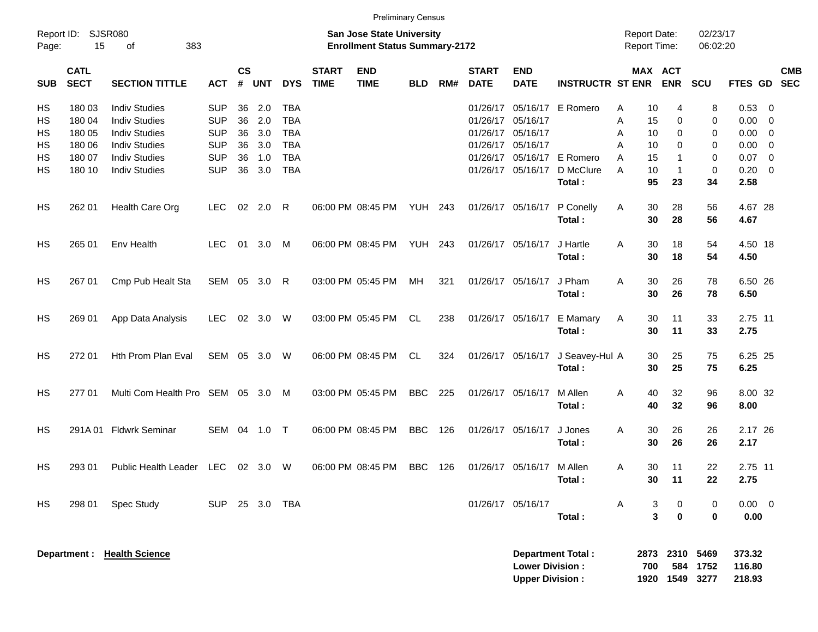|            |                            |                                 |            |                |            |            |                             | <b>Preliminary Census</b>                                                 |                |     |                             |                                                  |                          |   |                                            |                     |                      |                            |                         |            |
|------------|----------------------------|---------------------------------|------------|----------------|------------|------------|-----------------------------|---------------------------------------------------------------------------|----------------|-----|-----------------------------|--------------------------------------------------|--------------------------|---|--------------------------------------------|---------------------|----------------------|----------------------------|-------------------------|------------|
| Page:      | Report ID: SJSR080<br>15   | 383<br>οf                       |            |                |            |            |                             | <b>San Jose State University</b><br><b>Enrollment Status Summary-2172</b> |                |     |                             |                                                  |                          |   | <b>Report Date:</b><br><b>Report Time:</b> |                     | 02/23/17<br>06:02:20 |                            |                         |            |
| <b>SUB</b> | <b>CATL</b><br><b>SECT</b> | <b>SECTION TITTLE</b>           | <b>ACT</b> | <b>CS</b><br># | <b>UNT</b> | <b>DYS</b> | <b>START</b><br><b>TIME</b> | <b>END</b><br><b>TIME</b>                                                 | <b>BLD</b>     | RM# | <b>START</b><br><b>DATE</b> | <b>END</b><br><b>DATE</b>                        | <b>INSTRUCTR ST ENR</b>  |   | MAX ACT                                    | <b>ENR</b>          | <b>SCU</b>           | FTES GD SEC                |                         | <b>CMB</b> |
| HS         | 180 03                     | <b>Indiv Studies</b>            | <b>SUP</b> | 36             | 2.0        | <b>TBA</b> |                             |                                                                           |                |     | 01/26/17                    |                                                  | 05/16/17 E Romero        | A | 10                                         | 4                   | 8                    | 0.53                       | $\overline{\mathbf{0}}$ |            |
| HS         | 180 04                     | <b>Indiv Studies</b>            | <b>SUP</b> | 36             | 2.0        | <b>TBA</b> |                             |                                                                           |                |     | 01/26/17                    | 05/16/17                                         |                          | Α | 15                                         | 0                   | 0                    | 0.00                       | $\overline{0}$          |            |
| HS         | 180 05                     | <b>Indiv Studies</b>            | <b>SUP</b> | 36             | 3.0        | <b>TBA</b> |                             |                                                                           |                |     | 01/26/17                    | 05/16/17                                         |                          | A | 10                                         | 0                   | 0                    | 0.00                       | $\overline{0}$          |            |
| НS         | 180 06                     | <b>Indiv Studies</b>            | <b>SUP</b> | 36             | 3.0        | <b>TBA</b> |                             |                                                                           |                |     | 01/26/17                    | 05/16/17                                         |                          | A | 10                                         | 0                   | 0                    | 0.00                       | $\overline{\mathbf{0}}$ |            |
| HS         | 180 07                     | <b>Indiv Studies</b>            | <b>SUP</b> | 36             | 1.0        | <b>TBA</b> |                             |                                                                           |                |     | 01/26/17                    |                                                  | 05/16/17 E Romero        | A | 15                                         | -1                  | 0                    | 0.07                       | $\overline{0}$          |            |
| HS         | 180 10                     | <b>Indiv Studies</b>            | <b>SUP</b> | 36             | 3.0        | <b>TBA</b> |                             |                                                                           |                |     |                             | 01/26/17 05/16/17                                | D McClure<br>Total:      | A | 10<br>95                                   | $\mathbf 1$<br>23   | 0<br>34              | 0.20<br>2.58               | $\overline{\mathbf{0}}$ |            |
| HS         | 262 01                     | Health Care Org                 | <b>LEC</b> | 02             | 2.0        | R          |                             | 06:00 PM 08:45 PM                                                         | <b>YUH 243</b> |     |                             | 01/26/17 05/16/17                                | P Conelly<br>Total:      | Α | 30<br>30                                   | 28<br>28            | 56<br>56             | 4.67 28<br>4.67            |                         |            |
| HS         | 265 01                     | Env Health                      | <b>LEC</b> | 01             | 3.0        | M          |                             | 06:00 PM 08:45 PM                                                         | <b>YUH 243</b> |     |                             | 01/26/17 05/16/17                                | J Hartle<br>Total:       | A | 30<br>30                                   | 18<br>18            | 54<br>54             | 4.50 18<br>4.50            |                         |            |
| HS         | 267 01                     | Cmp Pub Healt Sta               | SEM 05     |                | 3.0        | R          |                             | 03:00 PM 05:45 PM                                                         | MН             | 321 |                             | 01/26/17 05/16/17                                | J Pham<br>Total:         | A | 30<br>30                                   | 26<br>26            | 78<br>78             | 6.50 26<br>6.50            |                         |            |
| HS         | 269 01                     | App Data Analysis               | <b>LEC</b> |                | 02 3.0     | W          |                             | 03:00 PM 05:45 PM                                                         | CL.            | 238 |                             | 01/26/17 05/16/17                                | E Mamary<br>Total:       | A | 30<br>30                                   | 11<br>11            | 33<br>33             | 2.75 11<br>2.75            |                         |            |
| <b>HS</b>  | 272 01                     | Hth Prom Plan Eval              | SEM 05     |                | 3.0        | W          |                             | 06:00 PM 08:45 PM                                                         | CL             | 324 |                             | 01/26/17 05/16/17                                | J Seavey-Hul A<br>Total: |   | 30<br>30                                   | 25<br>25            | 75<br>75             | 6.25 25<br>6.25            |                         |            |
| <b>HS</b>  | 277 01                     | Multi Com Health Pro SEM 05 3.0 |            |                |            | M          |                             | 03:00 PM 05:45 PM                                                         | <b>BBC</b>     | 225 | 01/26/17 05/16/17           |                                                  | M Allen<br>Total:        | A | 40<br>40                                   | 32<br>32            | 96<br>96             | 8.00 32<br>8.00            |                         |            |
| НS         | 291A01                     | <b>Fldwrk Seminar</b>           | SEM 04     |                | 1.0        | $\top$     |                             | 06:00 PM 08:45 PM                                                         | <b>BBC</b>     | 126 |                             | 01/26/17 05/16/17                                | J Jones<br>Total:        | A | 30<br>30                                   | 26<br>26            | 26<br>26             | 2.17 26<br>2.17            |                         |            |
| HS         | 293 01                     | Public Health Leader LEC        |            |                | 02 3.0     | W          |                             | 06:00 PM 08:45 PM                                                         | BBC            | 126 |                             | 01/26/17 05/16/17 M Allen                        | Total:                   | Α | 30<br>30                                   | 11<br>11            | 22<br>22             | 2.75 11<br>2.75            |                         |            |
| <b>HS</b>  | 298 01                     | Spec Study                      | <b>SUP</b> |                | 25 3.0 TBA |            |                             |                                                                           |                |     |                             | 01/26/17 05/16/17                                | Total:                   | A | 3<br>3                                     | 0<br>$\mathbf 0$    | 0<br>$\mathbf 0$     | $0.00 \t 0$<br>0.00        |                         |            |
|            |                            | Department : Health Science     |            |                |            |            |                             |                                                                           |                |     |                             | <b>Lower Division:</b><br><b>Upper Division:</b> | <b>Department Total:</b> |   | 2873<br>700<br>1920                        | 2310<br>584<br>1549 | 5469<br>1752<br>3277 | 373.32<br>116.80<br>218.93 |                         |            |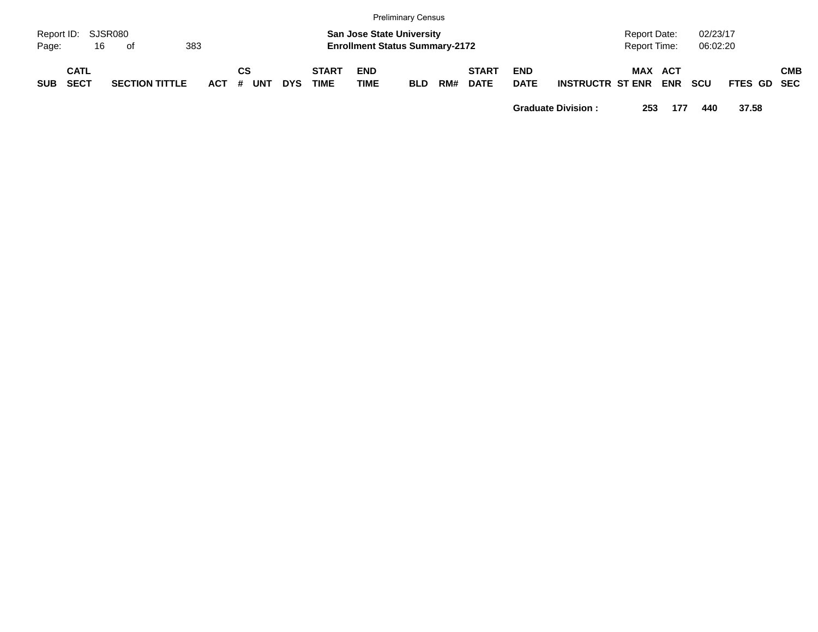|            |                          |                       |     |                 |     |                             |                           | <b>Preliminary Census</b>                                                 |     |                             |                           |                         |                              |     |                      |             |            |
|------------|--------------------------|-----------------------|-----|-----------------|-----|-----------------------------|---------------------------|---------------------------------------------------------------------------|-----|-----------------------------|---------------------------|-------------------------|------------------------------|-----|----------------------|-------------|------------|
| Page:      | Report ID: SJSR080<br>16 | of                    | 383 |                 |     |                             |                           | <b>San Jose State University</b><br><b>Enrollment Status Summary-2172</b> |     |                             |                           |                         | Report Date:<br>Report Time: |     | 02/23/17<br>06:02:20 |             |            |
| <b>SUB</b> | CATL<br><b>SECT</b>      | <b>SECTION TITTLE</b> |     | СS<br>ACT # UNT | DYS | <b>START</b><br><b>TIME</b> | <b>END</b><br><b>TIME</b> | BLD                                                                       | RM# | <b>START</b><br><b>DATE</b> | <b>END</b><br><b>DATE</b> | <b>INSTRUCTR ST ENR</b> | <b>MAX ACT</b>               | ENR | scu                  | FTES GD SEC | <b>CMB</b> |

**Graduate Division : 253 177 440 37.58**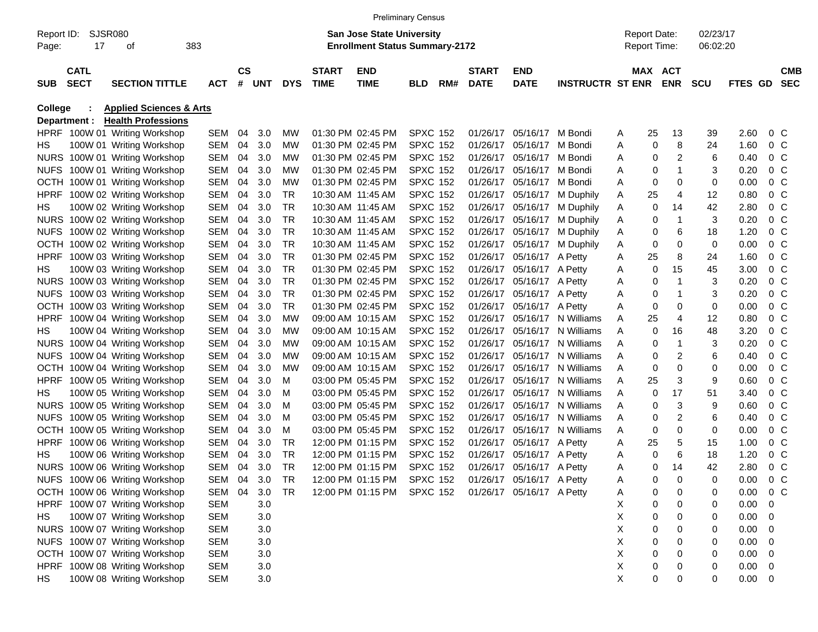|                     |                            |                                    |            |                        |       |            |                             |                                                                           | <b>Preliminary Census</b> |     |                             |                           |                         |   |                     |                |                      |                |                |                          |
|---------------------|----------------------------|------------------------------------|------------|------------------------|-------|------------|-----------------------------|---------------------------------------------------------------------------|---------------------------|-----|-----------------------------|---------------------------|-------------------------|---|---------------------|----------------|----------------------|----------------|----------------|--------------------------|
| Report ID:<br>Page: | 17                         | SJSR080<br>οf                      | 383        |                        |       |            |                             | <b>San Jose State University</b><br><b>Enrollment Status Summary-2172</b> |                           |     |                             |                           |                         |   | <b>Report Date:</b> | Report Time:   | 02/23/17<br>06:02:20 |                |                |                          |
| <b>SUB</b>          | <b>CATL</b><br><b>SECT</b> | <b>SECTION TITTLE</b>              | <b>ACT</b> | $\mathbf{c}\mathbf{s}$ | # UNT | <b>DYS</b> | <b>START</b><br><b>TIME</b> | <b>END</b><br><b>TIME</b>                                                 | BLD                       | RM# | <b>START</b><br><b>DATE</b> | <b>END</b><br><b>DATE</b> | <b>INSTRUCTR ST ENR</b> |   |                     | MAX ACT<br>ENR | <b>SCU</b>           | <b>FTES GD</b> |                | <b>CMB</b><br><b>SEC</b> |
| College             |                            | <b>Applied Sciences &amp; Arts</b> |            |                        |       |            |                             |                                                                           |                           |     |                             |                           |                         |   |                     |                |                      |                |                |                          |
|                     | Department :               | <b>Health Professions</b>          |            |                        |       |            |                             |                                                                           |                           |     |                             |                           |                         |   |                     |                |                      |                |                |                          |
|                     |                            | HPRF 100W 01 Writing Workshop      | SEM 04     |                        | 3.0   | <b>MW</b>  |                             | 01:30 PM 02:45 PM                                                         | <b>SPXC 152</b>           |     | 01/26/17                    | 05/16/17 M Bondi          |                         | A | 25                  | 13             | 39                   | 2.60           | 0 <sup>o</sup> |                          |
| HS                  |                            | 100W 01 Writing Workshop           | SEM        | 04                     | 3.0   | <b>MW</b>  |                             | 01:30 PM 02:45 PM                                                         | <b>SPXC 152</b>           |     | 01/26/17                    | 05/16/17 M Bondi          |                         | Α | 0                   | 8              | 24                   | 1.60           | 0 <sup>o</sup> |                          |
|                     |                            | NURS 100W 01 Writing Workshop      | SEM        | 04                     | 3.0   | <b>MW</b>  |                             | 01:30 PM 02:45 PM                                                         | <b>SPXC 152</b>           |     | 01/26/17                    | 05/16/17 M Bondi          |                         | Α | 0                   | $\overline{c}$ | 6                    | 0.40           | 0 <sup>o</sup> |                          |
|                     |                            | NUFS 100W 01 Writing Workshop      | SEM        | 04                     | 3.0   | <b>MW</b>  |                             | 01:30 PM 02:45 PM                                                         | <b>SPXC 152</b>           |     | 01/26/17                    | 05/16/17 M Bondi          |                         | Α | 0                   | 1              | 3                    | 0.20           | $0\,$ C        |                          |
|                     |                            | OCTH 100W 01 Writing Workshop      | SEM        | 04                     | 3.0   | <b>MW</b>  |                             | 01:30 PM 02:45 PM                                                         | <b>SPXC 152</b>           |     | 01/26/17                    | 05/16/17 M Bondi          |                         | Α | 0                   | 0              | 0                    | 0.00           | $0\,$ C        |                          |
| <b>HPRF</b>         |                            | 100W 02 Writing Workshop           | SEM        | 04                     | 3.0   | TR         | 10:30 AM 11:45 AM           |                                                                           | <b>SPXC 152</b>           |     | 01/26/17                    |                           | 05/16/17 M Duphily      | Α | 25                  | 4              | 12                   | 0.80           | $0\,$ C        |                          |
| HS                  |                            | 100W 02 Writing Workshop           | SEM        | 04                     | 3.0   | TR         |                             | 10:30 AM 11:45 AM                                                         | <b>SPXC 152</b>           |     | 01/26/17                    |                           | 05/16/17 M Duphily      | Α | 0                   | 14             | 42                   | 2.80           | $0\,$ C        |                          |
|                     |                            | NURS 100W 02 Writing Workshop      | SEM        | 04                     | 3.0   | TR         | 10:30 AM 11:45 AM           |                                                                           | <b>SPXC 152</b>           |     | 01/26/17                    |                           | 05/16/17 M Duphily      | Α | 0                   | 1              | 3                    | 0.20           | $0\,$ C        |                          |
|                     |                            | NUFS 100W 02 Writing Workshop      | SEM        | 04                     | 3.0   | TR         | 10:30 AM 11:45 AM           |                                                                           | <b>SPXC 152</b>           |     | 01/26/17                    |                           | 05/16/17 M Duphily      | Α | 0                   | 6              | 18                   | 1.20           | $0\,$ C        |                          |
|                     |                            | OCTH 100W 02 Writing Workshop      | SEM        | 04                     | 3.0   | TR         |                             | 10:30 AM 11:45 AM                                                         | <b>SPXC 152</b>           |     | 01/26/17                    |                           | 05/16/17 M Duphily      | Α | 0                   | 0              | 0                    | 0.00           | $0\,$ C        |                          |
| <b>HPRF</b>         |                            | 100W 03 Writing Workshop           | SEM        | 04                     | 3.0   | TR         |                             | 01:30 PM 02:45 PM                                                         | <b>SPXC 152</b>           |     | 01/26/17                    | 05/16/17 A Petty          |                         | Α | 25                  | 8              | 24                   | 1.60           | $0\,$ C        |                          |
| HS                  |                            | 100W 03 Writing Workshop           | SEM        | 04                     | 3.0   | TR         |                             | 01:30 PM 02:45 PM                                                         | <b>SPXC 152</b>           |     | 01/26/17                    | 05/16/17 A Petty          |                         | Α | 0                   | 15             | 45                   | 3.00           | 0 <sup>o</sup> |                          |
|                     |                            | NURS 100W 03 Writing Workshop      | SEM        | 04                     | 3.0   | TR         |                             | 01:30 PM 02:45 PM                                                         | <b>SPXC 152</b>           |     | 01/26/17                    | 05/16/17 A Petty          |                         | Α | 0                   | 1              | 3                    | 0.20           | $0\,$ C        |                          |
|                     |                            | NUFS 100W 03 Writing Workshop      | SEM        | 04                     | 3.0   | TR         |                             | 01:30 PM 02:45 PM                                                         | <b>SPXC 152</b>           |     | 01/26/17                    | 05/16/17 A Petty          |                         | Α | 0                   | 1              | 3                    | 0.20           | $0\,$ C        |                          |
|                     |                            | OCTH 100W 03 Writing Workshop      | SEM        | 04                     | 3.0   | TR         |                             | 01:30 PM 02:45 PM                                                         | <b>SPXC 152</b>           |     | 01/26/17                    | 05/16/17 A Petty          |                         | Α | 0                   | 0              | 0                    | 0.00           | $0\,$ C        |                          |
| <b>HPRF</b>         |                            | 100W 04 Writing Workshop           | SEM        | 04                     | 3.0   | MW         |                             | 09:00 AM 10:15 AM                                                         | <b>SPXC 152</b>           |     | 01/26/17                    |                           | 05/16/17 N Williams     | A | 25                  | 4              | 12                   | 0.80           | 0 <sup>o</sup> |                          |
| HS                  |                            | 100W 04 Writing Workshop           | SEM        | 04                     | 3.0   | <b>MW</b>  |                             | 09:00 AM 10:15 AM                                                         | <b>SPXC 152</b>           |     | 01/26/17                    |                           | 05/16/17 N Williams     | Α | 0                   | 16             | 48                   | 3.20           | $0\,$ C        |                          |
|                     |                            | NURS 100W 04 Writing Workshop      | SEM        | 04                     | 3.0   | <b>MW</b>  |                             | 09:00 AM 10:15 AM                                                         | <b>SPXC 152</b>           |     | 01/26/17                    |                           | 05/16/17 N Williams     | Α | 0                   | 1              | 3                    | 0.20           | $0\,$ C        |                          |
|                     |                            | NUFS 100W 04 Writing Workshop      | SEM        | 04                     | 3.0   | <b>MW</b>  |                             | 09:00 AM 10:15 AM                                                         | <b>SPXC 152</b>           |     | 01/26/17                    |                           | 05/16/17 N Williams     | Α | 0                   | $\overline{c}$ | 6                    | 0.40           | $0\,$ C        |                          |
|                     |                            | OCTH 100W 04 Writing Workshop      | SEM        | 04                     | 3.0   | MW         |                             | 09:00 AM 10:15 AM                                                         | <b>SPXC 152</b>           |     | 01/26/17                    |                           | 05/16/17 N Williams     | Α | 0                   | 0              | 0                    | 0.00           | $0\,$ C        |                          |
| <b>HPRF</b>         |                            | 100W 05 Writing Workshop           | SEM        | 04                     | 3.0   | м          |                             | 03:00 PM 05:45 PM                                                         | <b>SPXC 152</b>           |     | 01/26/17                    |                           | 05/16/17 N Williams     | Α | 25                  | 3              | 9                    | 0.60           | $0\,$ C        |                          |
| HS                  |                            | 100W 05 Writing Workshop           | SEM        | 04                     | 3.0   | м          |                             | 03:00 PM 05:45 PM                                                         | <b>SPXC 152</b>           |     | 01/26/17                    |                           | 05/16/17 N Williams     | Α | 0                   | 17             | 51                   | 3.40           | $0\,$ C        |                          |
|                     |                            | NURS 100W 05 Writing Workshop      | SEM        | 04                     | 3.0   | M          |                             | 03:00 PM 05:45 PM                                                         | <b>SPXC 152</b>           |     | 01/26/17                    |                           | 05/16/17 N Williams     | Α | 0                   | 3              | 9                    | 0.60           | $0\,$ C        |                          |
| <b>NUFS</b>         |                            | 100W 05 Writing Workshop           | SEM        | 04                     | 3.0   | M          |                             | 03:00 PM 05:45 PM                                                         | <b>SPXC 152</b>           |     | 01/26/17                    |                           | 05/16/17 N Williams     | Α | 0                   | $\overline{c}$ | 6                    | 0.40           | $0\,$ C        |                          |
| <b>OCTH</b>         |                            | 100W 05 Writing Workshop           | SEM        | 04                     | 3.0   | M          |                             | 03:00 PM 05:45 PM                                                         | <b>SPXC 152</b>           |     | 01/26/17                    |                           | 05/16/17 N Williams     | Α | 0                   | 0              | 0                    | 0.00           | 0 <sub>C</sub> |                          |
| <b>HPRF</b>         |                            | 100W 06 Writing Workshop           | SEM        | 04                     | 3.0   | TR         |                             | 12:00 PM 01:15 PM                                                         | <b>SPXC 152</b>           |     | 01/26/17                    | 05/16/17 A Petty          |                         | A | 25                  | 5              | 15                   | 1.00           | 0 <sub>C</sub> |                          |
| НS                  |                            | 100W 06 Writing Workshop           | SEM        | 04                     | 3.0   | <b>TR</b>  |                             | 12:00 PM 01:15 PM                                                         | <b>SPXC 152</b>           |     | 01/26/17                    | 05/16/17 A Petty          |                         | Α | 0                   | 6              | 18                   | 1.20           | 0 <sup>o</sup> |                          |
|                     |                            | NURS 100W 06 Writing Workshop      | SEM        | 04                     | 3.0   | TR         |                             | 12:00 PM 01:15 PM                                                         | <b>SPXC 152</b>           |     |                             | 01/26/17 05/16/17 A Petty |                         | A | 0                   | 14             | 42                   | 2.80           | 0 <sub>C</sub> |                          |
|                     |                            | NUFS 100W 06 Writing Workshop      | SEM 04     |                        | 3.0   | TR         |                             | 12:00 PM 01:15 PM SPXC 152                                                |                           |     |                             | 01/26/17 05/16/17 A Petty |                         | A | 0                   | 0              | 0                    | 0.00           | 0 <sup>o</sup> |                          |
|                     |                            | OCTH 100W 06 Writing Workshop      | SEM 04     |                        | 3.0   | <b>TR</b>  |                             | 12:00 PM 01:15 PM                                                         | <b>SPXC 152</b>           |     |                             | 01/26/17 05/16/17 A Petty |                         | A | 0                   | 0              | 0                    | 0.00           | $0\,C$         |                          |
|                     |                            | HPRF 100W 07 Writing Workshop      | SEM        |                        | 3.0   |            |                             |                                                                           |                           |     |                             |                           |                         | X | 0                   | 0              | 0                    | 0.00           | 0              |                          |
| HS                  |                            | 100W 07 Writing Workshop           | SEM        |                        | 3.0   |            |                             |                                                                           |                           |     |                             |                           |                         | Х | 0                   | 0              | 0                    | 0.00           | 0              |                          |
|                     |                            | NURS 100W 07 Writing Workshop      | SEM        |                        | 3.0   |            |                             |                                                                           |                           |     |                             |                           |                         | Х | 0                   | 0              | 0                    | 0.00           | 0              |                          |
|                     |                            | NUFS 100W 07 Writing Workshop      | SEM        |                        | 3.0   |            |                             |                                                                           |                           |     |                             |                           |                         | Χ | 0                   | 0              | 0                    | 0.00           | 0              |                          |
|                     |                            | OCTH 100W 07 Writing Workshop      | SEM        |                        | 3.0   |            |                             |                                                                           |                           |     |                             |                           |                         | х | 0                   | 0              | 0                    | 0.00           | 0              |                          |
|                     |                            | HPRF 100W 08 Writing Workshop      | SEM        |                        | 3.0   |            |                             |                                                                           |                           |     |                             |                           |                         | Х | 0                   | 0              | 0                    | 0.00           | 0              |                          |
| HS                  |                            | 100W 08 Writing Workshop           | SEM        |                        | 3.0   |            |                             |                                                                           |                           |     |                             |                           |                         | X | 0                   | 0              | 0                    | 0.00           | $\mathbf 0$    |                          |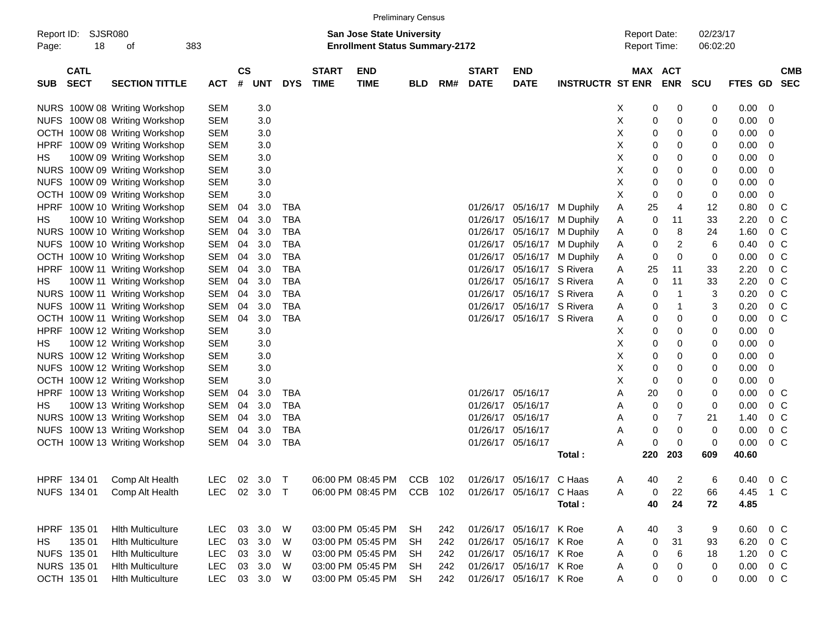| <b>Preliminary Census</b> |  |
|---------------------------|--|
|---------------------------|--|

| Page:       | Report ID: SJSR080<br>18   | οf                            | 383        |                       |              |             |                             | <b>San Jose State University</b><br><b>Enrollment Status Summary-2172</b> |            |     |                             |                           |                         | <b>Report Date:</b><br>Report Time: |            |         | 02/23/17<br>06:02:20 |               |                |                          |
|-------------|----------------------------|-------------------------------|------------|-----------------------|--------------|-------------|-----------------------------|---------------------------------------------------------------------------|------------|-----|-----------------------------|---------------------------|-------------------------|-------------------------------------|------------|---------|----------------------|---------------|----------------|--------------------------|
|             |                            |                               |            |                       |              |             |                             |                                                                           |            |     |                             |                           |                         |                                     |            |         |                      |               |                |                          |
| SUB.        | <b>CATL</b><br><b>SECT</b> | <b>SECTION TITTLE</b>         | <b>ACT</b> | $\mathsf{cs}$<br>$\#$ | <b>UNT</b>   | <b>DYS</b>  | <b>START</b><br><b>TIME</b> | <b>END</b><br><b>TIME</b>                                                 | <b>BLD</b> | RM# | <b>START</b><br><b>DATE</b> | <b>END</b><br><b>DATE</b> | <b>INSTRUCTR ST ENR</b> | MAX ACT                             | <b>ENR</b> |         | SCU                  | FTES GD       |                | <b>CMB</b><br><b>SEC</b> |
|             |                            | NURS 100W 08 Writing Workshop | <b>SEM</b> |                       | 3.0          |             |                             |                                                                           |            |     |                             |                           |                         | Х                                   | 0          | 0       | 0                    | $0.00 \t 0$   |                |                          |
|             |                            | NUFS 100W 08 Writing Workshop | <b>SEM</b> |                       | 3.0          |             |                             |                                                                           |            |     |                             |                           |                         | X                                   | 0          | 0       | 0                    | 0.00          | - 0            |                          |
|             |                            | OCTH 100W 08 Writing Workshop | <b>SEM</b> |                       | 3.0          |             |                             |                                                                           |            |     |                             |                           |                         | X                                   | 0          | 0       | 0                    | 0.00          | 0              |                          |
| <b>HPRF</b> |                            | 100W 09 Writing Workshop      | <b>SEM</b> |                       | 3.0          |             |                             |                                                                           |            |     |                             |                           |                         | X                                   | 0          | 0       | 0                    | 0.00          | 0              |                          |
| HS          |                            | 100W 09 Writing Workshop      | <b>SEM</b> |                       | 3.0          |             |                             |                                                                           |            |     |                             |                           |                         | X                                   | 0          | 0       | 0                    | 0.00          | 0              |                          |
|             |                            | NURS 100W 09 Writing Workshop | <b>SEM</b> |                       | 3.0          |             |                             |                                                                           |            |     |                             |                           |                         | X                                   | 0          | 0       | 0                    | 0.00          | 0              |                          |
|             |                            | NUFS 100W 09 Writing Workshop | <b>SEM</b> |                       | 3.0          |             |                             |                                                                           |            |     |                             |                           |                         | X                                   | 0          | 0       | 0                    | 0.00          | 0              |                          |
|             |                            | OCTH 100W 09 Writing Workshop | <b>SEM</b> |                       | 3.0          |             |                             |                                                                           |            |     |                             |                           |                         | X                                   | 0          | 0       | 0                    | 0.00          | 0              |                          |
| <b>HPRF</b> |                            | 100W 10 Writing Workshop      | <b>SEM</b> | 04                    | 3.0          | TBA         |                             |                                                                           |            |     |                             | 01/26/17 05/16/17         | M Duphily               | 25<br>Α                             |            | 4       | 12                   | 0.80          | 0 <sup>o</sup> |                          |
| HS          |                            | 100W 10 Writing Workshop      | <b>SEM</b> | 04                    | 3.0          | <b>TBA</b>  |                             |                                                                           |            |     |                             | 01/26/17 05/16/17         | M Duphily               | A                                   | 0          | 11      | 33                   | 2.20          | 0 <sup>o</sup> |                          |
|             |                            | NURS 100W 10 Writing Workshop | <b>SEM</b> | 04                    | 3.0          | <b>TBA</b>  |                             |                                                                           |            |     |                             | 01/26/17 05/16/17         | M Duphily               | Α                                   | 0          | 8       | 24                   | 1.60          | 0 <sup>o</sup> |                          |
|             |                            | NUFS 100W 10 Writing Workshop | <b>SEM</b> | 04                    | 3.0          | <b>TBA</b>  |                             |                                                                           |            |     |                             | 01/26/17 05/16/17         | M Duphily               | Α                                   | 0          | 2       | 6                    | 0.40          | 0 <sup>o</sup> |                          |
|             |                            | OCTH 100W 10 Writing Workshop | <b>SEM</b> | 04                    | 3.0          | <b>TBA</b>  |                             |                                                                           |            |     | 01/26/17                    | 05/16/17                  | M Duphily               | A                                   | 0          | 0       | 0                    | 0.00          | 0 <sup>o</sup> |                          |
| <b>HPRF</b> |                            | 100W 11 Writing Workshop      | <b>SEM</b> | 04                    | 3.0          | <b>TBA</b>  |                             |                                                                           |            |     | 01/26/17                    | 05/16/17 S Rivera         |                         | 25<br>Α                             |            | 11      | 33                   | 2.20          | 0 <sup>o</sup> |                          |
| HS          |                            | 100W 11 Writing Workshop      | <b>SEM</b> | 04                    | 3.0          | <b>TBA</b>  |                             |                                                                           |            |     | 01/26/17                    | 05/16/17 S Rivera         |                         | Α                                   | 0          | 11      | 33                   | 2.20          | 0 <sup>o</sup> |                          |
|             |                            | NURS 100W 11 Writing Workshop | <b>SEM</b> | 04                    | 3.0          | <b>TBA</b>  |                             |                                                                           |            |     | 01/26/17                    | 05/16/17 S Rivera         |                         | Α                                   | 0          | 1       | 3                    | 0.20          | 0 <sup>o</sup> |                          |
|             |                            | NUFS 100W 11 Writing Workshop | <b>SEM</b> | 04                    | 3.0          | <b>TBA</b>  |                             |                                                                           |            |     | 01/26/17                    | 05/16/17 S Rivera         |                         | Α                                   | 0          | 1       | 3                    | 0.20          | 0 <sup>o</sup> |                          |
|             |                            | OCTH 100W 11 Writing Workshop | <b>SEM</b> | 04                    | 3.0          | <b>TBA</b>  |                             |                                                                           |            |     | 01/26/17                    | 05/16/17 S Rivera         |                         | A                                   | 0          | 0       | 0                    | 0.00          | $0\,C$         |                          |
| <b>HPRF</b> |                            | 100W 12 Writing Workshop      | <b>SEM</b> |                       | 3.0          |             |                             |                                                                           |            |     |                             |                           |                         | X                                   | 0          | 0       | 0                    | 0.00          | 0              |                          |
| HS          |                            | 100W 12 Writing Workshop      | <b>SEM</b> |                       | 3.0          |             |                             |                                                                           |            |     |                             |                           |                         | X                                   | 0          | 0       | 0                    | 0.00          | -0             |                          |
|             |                            | NURS 100W 12 Writing Workshop | <b>SEM</b> |                       | 3.0          |             |                             |                                                                           |            |     |                             |                           |                         | Χ                                   | 0          | 0       | 0                    | 0.00          | 0              |                          |
|             |                            | NUFS 100W 12 Writing Workshop | <b>SEM</b> |                       | 3.0          |             |                             |                                                                           |            |     |                             |                           |                         | X                                   | 0          | 0       | 0                    | 0.00          | 0              |                          |
|             |                            | OCTH 100W 12 Writing Workshop | <b>SEM</b> |                       | 3.0          |             |                             |                                                                           |            |     |                             |                           |                         | X                                   | 0          | 0       | 0                    | 0.00          | 0              |                          |
| HPRF        |                            | 100W 13 Writing Workshop      | <b>SEM</b> | 04                    | 3.0          | TBA         |                             |                                                                           |            |     |                             | 01/26/17 05/16/17         |                         | 20<br>Α                             |            | 0       | 0                    | 0.00          | 0 <sup>o</sup> |                          |
| HS          |                            | 100W 13 Writing Workshop      | <b>SEM</b> | 04                    | 3.0          | <b>TBA</b>  |                             |                                                                           |            |     |                             | 01/26/17 05/16/17         |                         | Α                                   | 0          | 0       | 0                    | 0.00          | 0 <sup>o</sup> |                          |
|             |                            | NURS 100W 13 Writing Workshop | <b>SEM</b> | 04                    | 3.0          | <b>TBA</b>  |                             |                                                                           |            |     |                             | 01/26/17 05/16/17         |                         | Α                                   | 0          | 7       | 21                   | 1.40          | 0 <sup>o</sup> |                          |
|             |                            | NUFS 100W 13 Writing Workshop | <b>SEM</b> | 04                    | 3.0          | <b>TBA</b>  |                             |                                                                           |            |     |                             | 01/26/17 05/16/17         |                         | Α                                   | 0          | 0       | 0                    | 0.00          | 0 <sup>o</sup> |                          |
|             |                            | OCTH 100W 13 Writing Workshop | <b>SEM</b> | 04                    | 3.0          | <b>TBA</b>  |                             |                                                                           |            |     |                             | 01/26/17 05/16/17         |                         | Α                                   | 0          | 0       | 0                    | 0.00          | $0\,C$         |                          |
|             |                            |                               |            |                       |              |             |                             |                                                                           |            |     |                             |                           | Total :                 | 220                                 | 203        |         | 609                  | 40.60         |                |                          |
|             | HPRF 134 01                | Comp Alt Health               | LEC        |                       | 3.0          | $\mathsf T$ |                             | 06:00 PM 08:45 PM                                                         | <b>CCB</b> |     |                             | 01/26/17 05/16/17         | C Haas                  | 40                                  |            |         | 6                    | 0.40          | $0\,$ C        |                          |
|             |                            | NUFS 134 01 Comp Alt Health   |            | 02                    | LEC 02 3.0 T |             |                             | 06:00 PM 08:45 PM CCB 102                                                 |            | 102 |                             |                           |                         | A                                   |            | 2<br>22 |                      | 4.45 1 C      |                |                          |
|             |                            |                               |            |                       |              |             |                             |                                                                           |            |     |                             | 01/26/17 05/16/17 C Haas  |                         | A<br>40                             | 0          | 24      | 66<br>72             |               |                |                          |
|             |                            |                               |            |                       |              |             |                             |                                                                           |            |     |                             |                           | Total:                  |                                     |            |         |                      | 4.85          |                |                          |
|             | HPRF 135 01                | <b>Hith Multiculture</b>      | LEC        |                       | 03 3.0 W     |             |                             | 03:00 PM 05:45 PM                                                         | SH         | 242 |                             | 01/26/17 05/16/17 K Roe   |                         | 40<br>A                             |            | 3       | 9                    | $0.60$ 0 C    |                |                          |
| HS.         | 135 01                     | <b>Hith Multiculture</b>      | LEC        | 03                    | 3.0 W        |             |                             | 03:00 PM 05:45 PM                                                         | SH         | 242 |                             | 01/26/17 05/16/17 K Roe   |                         | Α                                   | 0          | 31      | 93                   | 6.20 0 C      |                |                          |
|             | NUFS 135 01                | <b>Hith Multiculture</b>      | LEC        |                       | 03 3.0 W     |             |                             | 03:00 PM 05:45 PM                                                         | SH         | 242 |                             | 01/26/17 05/16/17 K Roe   |                         | Α                                   | 0          | $\,6$   | 18                   | 1.20 0 C      |                |                          |
|             | NURS 135 01                | <b>Hith Multiculture</b>      | LEC        |                       | 03 3.0       | W           |                             | 03:00 PM 05:45 PM                                                         | SH         | 242 |                             | 01/26/17 05/16/17 K Roe   |                         | A                                   | 0          | 0       | 0                    | $0.00 \t 0 C$ |                |                          |
|             | OCTH 135 01                | <b>Hith Multiculture</b>      |            |                       | LEC 03 3.0 W |             |                             | 03:00 PM 05:45 PM SH                                                      |            | 242 |                             | 01/26/17 05/16/17 K Roe   |                         | A                                   | 0          | 0       | 0                    | $0.00 \t 0 C$ |                |                          |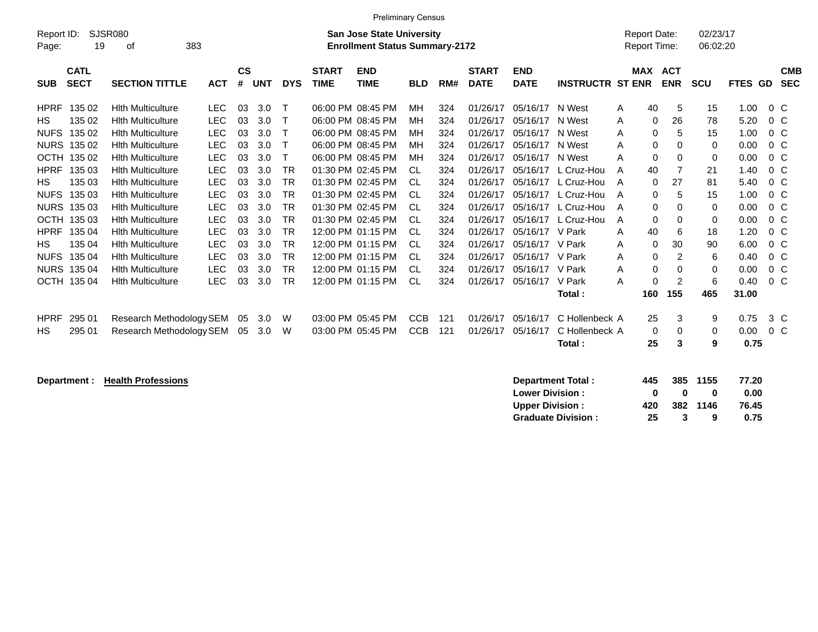|                                                                |                                    |            |               |            |            |              | <b>Preliminary Census</b>                                                 |            |     |              |             |                         |     |                                     |            |                      |             |                         |  |
|----------------------------------------------------------------|------------------------------------|------------|---------------|------------|------------|--------------|---------------------------------------------------------------------------|------------|-----|--------------|-------------|-------------------------|-----|-------------------------------------|------------|----------------------|-------------|-------------------------|--|
| Report ID:                                                     | <b>SJSR080</b><br>19               | 383        |               |            |            |              | <b>San Jose State University</b><br><b>Enrollment Status Summary-2172</b> |            |     |              |             |                         |     | <b>Report Date:</b><br>Report Time: |            | 02/23/17<br>06:02:20 |             |                         |  |
| Page:                                                          | οf                                 |            |               |            |            |              |                                                                           |            |     |              |             |                         |     |                                     |            |                      |             |                         |  |
| <b>CATL</b>                                                    |                                    |            | $\mathsf{cs}$ |            |            | <b>START</b> | <b>END</b>                                                                |            |     | <b>START</b> | <b>END</b>  |                         |     | MAX ACT                             |            |                      |             | <b>CMB</b>              |  |
| <b>SECT</b><br><b>SUB</b>                                      | <b>SECTION TITTLE</b>              | <b>ACT</b> | #             | <b>UNT</b> | <b>DYS</b> | <b>TIME</b>  | <b>TIME</b>                                                               | <b>BLD</b> | RM# | <b>DATE</b>  | <b>DATE</b> | <b>INSTRUCTR ST ENR</b> |     |                                     | <b>ENR</b> | <b>SCU</b>           | <b>FTES</b> | <b>SEC</b><br><b>GD</b> |  |
| <b>HPRF</b>                                                    | 135 02<br><b>Hith Multiculture</b> | <b>LEC</b> | 03            | 3.0        | Т          |              | 06:00 PM 08:45 PM                                                         | MН         | 324 | 01/26/17     | 05/16/17    | N West                  | A   | 40                                  | 5          | 15                   | 1.00        | $0\,C$                  |  |
| <b>HS</b>                                                      | 135 02<br><b>Hith Multiculture</b> | <b>LEC</b> | 03            | 3.0        | Т          |              | 06:00 PM 08:45 PM                                                         | MH         | 324 | 01/26/17     | 05/16/17    | N West                  | Α   | 0                                   | 26         | 78                   | 5.20        | 0 <sup>C</sup>          |  |
| <b>NUFS</b>                                                    | 135 02<br><b>Hith Multiculture</b> | <b>LEC</b> | 03            | 3.0        | Т          |              | 06:00 PM 08:45 PM                                                         | MH         | 324 | 01/26/17     | 05/16/17    | N West                  | A   | 0                                   | 5          | 15                   | 1.00        | 0 C                     |  |
| <b>NURS 135 02</b>                                             | <b>Hith Multiculture</b>           | <b>LEC</b> | 03            | 3.0        | Т          |              | 06:00 PM 08:45 PM                                                         | MН         | 324 | 01/26/17     | 05/16/17    | N West                  | A   | 0                                   | 0          | 0                    | 0.00        | $0\,C$                  |  |
| OCTH 135 02                                                    | <b>Hith Multiculture</b>           | <b>LEC</b> | 03            | 3.0        | Т          |              | 06:00 PM 08:45 PM                                                         | MН         | 324 | 01/26/17     | 05/16/17    | N West                  | А   | $\mathbf 0$                         | 0          | 0                    | 0.00        | $0\,C$                  |  |
| <b>HPRF</b>                                                    | 135 03<br><b>Hith Multiculture</b> | <b>LEC</b> | 03            | 3.0        | <b>TR</b>  |              | 01:30 PM 02:45 PM                                                         | CL.        | 324 | 01/26/17     | 05/16/17    | L Cruz-Hou              | A   | 40                                  | 7          | 21                   | 1.40        | 0 <sup>o</sup>          |  |
| НS                                                             | 135 03<br><b>Hith Multiculture</b> | <b>LEC</b> | 03            | 3.0        | <b>TR</b>  |              | 01:30 PM 02:45 PM                                                         | CL.        | 324 | 01/26/17     | 05/16/17    | L Cruz-Hou              | Α   | 0                                   | 27         | 81                   | 5.40        | 0 <sup>o</sup>          |  |
| <b>NUFS</b>                                                    | 135 03<br><b>Hith Multiculture</b> | <b>LEC</b> | 03            | 3.0        | TR         |              | 01:30 PM 02:45 PM                                                         | CL.        | 324 | 01/26/17     | 05/16/17    | L Cruz-Hou              | A   | 0                                   | 5          | 15                   | 1.00        | $0\,$ C                 |  |
| NURS 135 03                                                    | <b>Hith Multiculture</b>           | <b>LEC</b> | 03            | 3.0        | <b>TR</b>  |              | 01:30 PM 02:45 PM                                                         | CL.        | 324 | 01/26/17     | 05/16/17    | L Cruz-Hou              | A   | 0                                   | 0          | 0                    | 0.00        | 0 <sup>C</sup>          |  |
| <b>OCTH</b>                                                    | 135 03<br><b>Hith Multiculture</b> | <b>LEC</b> | 03            | 3.0        | <b>TR</b>  |              | 01:30 PM 02:45 PM                                                         | CL         | 324 | 01/26/17     | 05/16/17    | L Cruz-Hou              | Α   | $\mathbf 0$                         | 0          | 0                    | 0.00        | 0 <sup>o</sup>          |  |
| <b>HPRF</b>                                                    | 135 04<br><b>Hith Multiculture</b> | <b>LEC</b> | 03            | 3.0        | <b>TR</b>  |              | 12:00 PM 01:15 PM                                                         | CL.        | 324 | 01/26/17     | 05/16/17    | V Park                  | A   | 40                                  | 6          | 18                   | 1.20        | $0\,C$                  |  |
| <b>HS</b>                                                      | 135 04<br><b>Hith Multiculture</b> | <b>LEC</b> | 03            | 3.0        | <b>TR</b>  |              | 12:00 PM 01:15 PM                                                         | CL.        | 324 | 01/26/17     | 05/16/17    | V Park                  | Α   | 0                                   | 30         | 90                   | 6.00        | $0\,C$                  |  |
| <b>NUFS</b>                                                    | 135 04<br><b>Hith Multiculture</b> | <b>LEC</b> | 03            | 3.0        | <b>TR</b>  |              | 12:00 PM 01:15 PM                                                         | CL         | 324 | 01/26/17     | 05/16/17    | V Park                  | Α   | 0                                   | 2          | 6                    | 0.40        | 0 <sup>C</sup>          |  |
| <b>NURS 135 04</b>                                             | <b>Hith Multiculture</b>           | <b>LEC</b> | 03            | 3.0        | <b>TR</b>  |              | 12:00 PM 01:15 PM                                                         | CL.        | 324 | 01/26/17     | 05/16/17    | V Park                  | A   | $\mathbf 0$                         | 0          | $\mathbf 0$          | 0.00        | $0\,C$                  |  |
| OCTH 135 04                                                    | <b>Hith Multiculture</b>           | <b>LEC</b> | 03            | 3.0        | <b>TR</b>  |              | 12:00 PM 01:15 PM                                                         | <b>CL</b>  | 324 | 01/26/17     | 05/16/17    | V Park                  | A   | 0                                   | 2          | 6                    | 0.40        | $0\,C$                  |  |
|                                                                |                                    |            |               |            |            |              |                                                                           |            |     |              |             | Total:                  |     | 160                                 | 155        | 465                  | 31.00       |                         |  |
| <b>HPRF</b>                                                    | 295 01<br>Research Methodology SEM |            | 05            | 3.0        | W          |              | 03:00 PM 05:45 PM                                                         | <b>CCB</b> | 121 | 01/26/17     | 05/16/17    | C Hollenbeck A          |     | 25                                  | 3          | 9                    | 0.75        | $3\,C$                  |  |
| НS                                                             | 295 01<br>Research Methodology SEM |            | 05            | 3.0        | W          |              | 03:00 PM 05:45 PM                                                         | <b>CCB</b> | 121 | 01/26/17     | 05/16/17    | C Hollenbeck A          |     | 0                                   | 0          | 0                    | 0.00        | 0 <sup>C</sup>          |  |
|                                                                |                                    |            |               |            |            |              |                                                                           |            |     |              |             | Total:                  |     | 25                                  | 3          | 9                    | 0.75        |                         |  |
| <b>Health Professions</b><br>Department Total:<br>Department : |                                    |            |               |            |            |              |                                                                           |            |     |              |             | 445                     | 385 | 1155                                | 77.20      |                      |             |                         |  |

| Department Total:         | 445 |              | 385 1155 | 77.20 |
|---------------------------|-----|--------------|----------|-------|
| <b>Lower Division:</b>    | n   | $\mathbf{u}$ | 0        | 0.00  |
| <b>Upper Division:</b>    | 420 |              | 382 1146 | 76.45 |
| <b>Graduate Division:</b> | 25  | -3.          | 9        | 0.75  |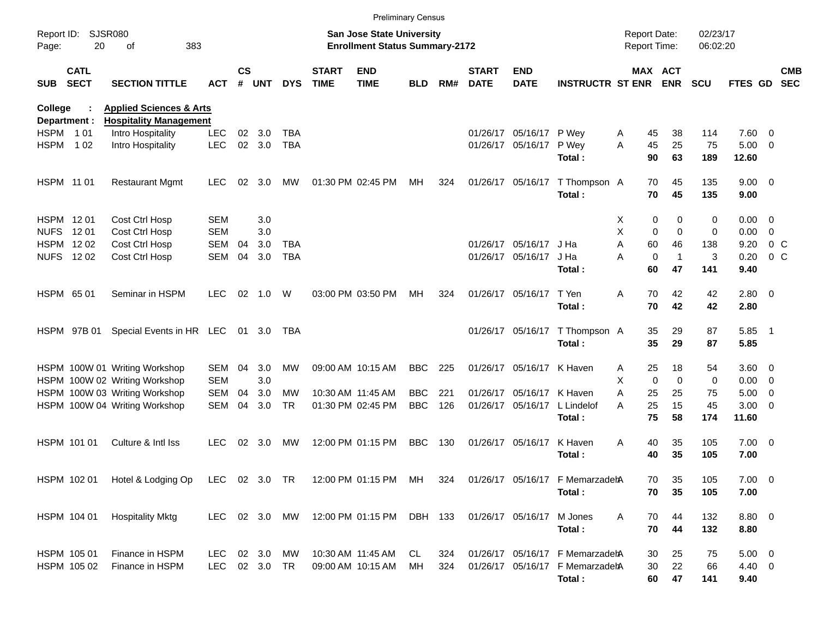|                |                            |                                                                     |               |                    |            |            |                             | <b>Preliminary Census</b>                                                 |            |     |                             |                           |                                 |                     |                             |                      |             |                |                          |
|----------------|----------------------------|---------------------------------------------------------------------|---------------|--------------------|------------|------------|-----------------------------|---------------------------------------------------------------------------|------------|-----|-----------------------------|---------------------------|---------------------------------|---------------------|-----------------------------|----------------------|-------------|----------------|--------------------------|
| Page:          | Report ID: SJSR080<br>20   | 383<br>of                                                           |               |                    |            |            |                             | <b>San Jose State University</b><br><b>Enrollment Status Summary-2172</b> |            |     |                             |                           |                                 | <b>Report Date:</b> | <b>Report Time:</b>         | 02/23/17<br>06:02:20 |             |                |                          |
| <b>SUB</b>     | <b>CATL</b><br><b>SECT</b> | <b>SECTION TITTLE</b>                                               | ACT           | $\mathsf{cs}$<br># | <b>UNT</b> | <b>DYS</b> | <b>START</b><br><b>TIME</b> | <b>END</b><br><b>TIME</b>                                                 | <b>BLD</b> | RM# | <b>START</b><br><b>DATE</b> | <b>END</b><br><b>DATE</b> | <b>INSTRUCTR ST ENR</b>         |                     | MAX ACT<br><b>ENR</b>       | <b>SCU</b>           | FTES GD     |                | <b>CMB</b><br><b>SEC</b> |
| <b>College</b> | Department :               | <b>Applied Sciences &amp; Arts</b><br><b>Hospitality Management</b> |               |                    |            |            |                             |                                                                           |            |     |                             |                           |                                 |                     |                             |                      |             |                |                          |
| HSPM 101       |                            | Intro Hospitality                                                   | <b>LEC</b>    | 02                 | 3.0        | TBA        |                             |                                                                           |            |     |                             | 01/26/17 05/16/17 P Wey   |                                 | A                   | 45<br>38                    | 114                  | 7.60 0      |                |                          |
| <b>HSPM</b>    | 1 0 2                      | Intro Hospitality                                                   | <b>LEC</b>    | 02                 | 3.0        | <b>TBA</b> |                             |                                                                           |            |     |                             | 01/26/17 05/16/17         | P Wey                           | A                   | 45<br>25                    | 75                   | $5.00 \t 0$ |                |                          |
|                |                            |                                                                     |               |                    |            |            |                             |                                                                           |            |     |                             |                           | Total:                          |                     | 90<br>63                    | 189                  | 12.60       |                |                          |
| HSPM 11 01     |                            | <b>Restaurant Mgmt</b>                                              | <b>LEC</b>    | 02                 | 3.0        | МW         |                             | 01:30 PM 02:45 PM                                                         | МH         | 324 |                             | 01/26/17 05/16/17         | T Thompson A                    |                     | 70<br>45                    | 135                  | $9.00 \t 0$ |                |                          |
|                |                            |                                                                     |               |                    |            |            |                             |                                                                           |            |     |                             |                           | Total:                          |                     | 70<br>45                    | 135                  | 9.00        |                |                          |
| HSPM 1201      |                            | Cost Ctrl Hosp                                                      | <b>SEM</b>    |                    | 3.0        |            |                             |                                                                           |            |     |                             |                           |                                 | X.                  | 0                           | 0<br>0               | $0.00 \t 0$ |                |                          |
| <b>NUFS</b>    | 12 01                      | Cost Ctrl Hosp                                                      | <b>SEM</b>    |                    | 3.0        |            |                             |                                                                           |            |     |                             |                           |                                 | X                   | 0                           | $\Omega$<br>0        | 0.00        | $\overline{0}$ |                          |
|                | HSPM 1202                  | Cost Ctrl Hosp                                                      | <b>SEM</b>    | 04                 | 3.0        | TBA        |                             |                                                                           |            |     |                             | 01/26/17 05/16/17         | J Ha                            | A                   | 46<br>60                    | 138                  | 9.20        | $0\,$ C        |                          |
|                | NUFS 1202                  | Cost Ctrl Hosp                                                      | <b>SEM</b>    | 04                 | 3.0        | <b>TBA</b> |                             |                                                                           |            |     |                             | 01/26/17 05/16/17         | J Ha                            | A                   | $\mathbf 0$<br>$\mathbf{1}$ | 3                    | 0.20        | $0\,C$         |                          |
|                |                            |                                                                     |               |                    |            |            |                             |                                                                           |            |     |                             |                           | Total:                          |                     | 47<br>60                    | 141                  | 9.40        |                |                          |
| HSPM 65 01     |                            | Seminar in HSPM                                                     | <b>LEC</b>    | 02                 | 1.0        | W          |                             | 03:00 PM 03:50 PM                                                         | MН         | 324 |                             | 01/26/17 05/16/17         | T Yen                           | Α                   | 70<br>42                    | 42                   | $2.80 \t 0$ |                |                          |
|                |                            |                                                                     |               |                    |            |            |                             |                                                                           |            |     |                             |                           | Total:                          |                     | 70<br>42                    | 42                   | 2.80        |                |                          |
|                | HSPM 97B 01                | Special Events in HR LEC 01 3.0                                     |               |                    |            | TBA        |                             |                                                                           |            |     |                             | 01/26/17 05/16/17         | T Thompson A                    |                     | 35<br>29                    | 87                   | $5.85$ 1    |                |                          |
|                |                            |                                                                     |               |                    |            |            |                             |                                                                           |            |     |                             |                           | Total:                          |                     | 35<br>29                    | 87                   | 5.85        |                |                          |
|                |                            | HSPM 100W 01 Writing Workshop                                       | <b>SEM</b>    | 04                 | 3.0        | МW         |                             | 09:00 AM 10:15 AM                                                         | <b>BBC</b> | 225 |                             | 01/26/17 05/16/17         | K Haven                         | Α                   | 18<br>25                    | 54                   | $3.60 \ 0$  |                |                          |
|                |                            | HSPM 100W 02 Writing Workshop                                       | <b>SEM</b>    |                    | 3.0        |            |                             |                                                                           |            |     |                             |                           |                                 | X                   | $\mathbf 0$                 | $\mathbf 0$<br>0     | $0.00 \t 0$ |                |                          |
|                |                            | HSPM 100W 03 Writing Workshop                                       | <b>SEM</b>    | 04                 | 3.0        | МW         |                             | 10:30 AM 11:45 AM                                                         | <b>BBC</b> | 221 |                             | 01/26/17 05/16/17         | K Haven                         | Α                   | 25<br>25                    | 75                   | $5.00 \t 0$ |                |                          |
|                |                            | HSPM 100W 04 Writing Workshop                                       | <b>SEM</b>    | 04                 | 3.0        | <b>TR</b>  |                             | 01:30 PM 02:45 PM                                                         | <b>BBC</b> | 126 |                             | 01/26/17 05/16/17         | L Lindelof                      | A                   | 25<br>15                    | 45                   | $3.00 \ 0$  |                |                          |
|                |                            |                                                                     |               |                    |            |            |                             |                                                                           |            |     |                             |                           | Total:                          |                     | 75<br>58                    | 174                  | 11.60       |                |                          |
|                | HSPM 101 01                | Culture & Intl Iss                                                  | LEC.          | 02                 | 3.0        | МW         |                             | 12:00 PM 01:15 PM                                                         | <b>BBC</b> | 130 |                             | 01/26/17 05/16/17         | K Haven                         | Α                   | 35<br>40                    | 105                  | $7.00 \t 0$ |                |                          |
|                |                            |                                                                     |               |                    |            |            |                             |                                                                           |            |     |                             |                           | Total:                          |                     | 35<br>40                    | 105                  | 7.00        |                |                          |
|                |                            | HSPM 102 01 Hotel & Lodging Op                                      | LEC 02 3.0 TR |                    |            |            |                             | 12:00 PM 01:15 PM MH 324                                                  |            |     |                             |                           | 01/26/17 05/16/17 F MemarzadehA |                     | 70<br>35                    | 105                  | $7.00 \t 0$ |                |                          |
|                |                            |                                                                     |               |                    |            |            |                             |                                                                           |            |     |                             |                           | Total:                          |                     | 70<br>35                    | 105                  | 7.00        |                |                          |
|                | HSPM 104 01                | <b>Hospitality Mktg</b>                                             | LEC 02 3.0 MW |                    |            |            |                             | 12:00 PM 01:15 PM DBH 133                                                 |            |     |                             | 01/26/17 05/16/17         | M Jones                         | Α                   | 70<br>44                    | 132                  | 8.80 0      |                |                          |
|                |                            |                                                                     |               |                    |            |            |                             |                                                                           |            |     |                             |                           | Total:                          |                     | 70<br>44                    | 132                  | 8.80        |                |                          |
|                | HSPM 105 01                | Finance in HSPM                                                     | LEC.          |                    | 02 3.0 MW  |            |                             | 10:30 AM 11:45 AM                                                         | CL.        | 324 |                             |                           | 01/26/17 05/16/17 F MemarzadehA |                     | 30<br>25                    | 75                   | $5.00 \t 0$ |                |                          |
|                | HSPM 105 02                | Finance in HSPM                                                     | LEC           |                    | 02 3.0 TR  |            |                             | 09:00 AM 10:15 AM                                                         | МH         | 324 |                             |                           | 01/26/17 05/16/17 F MemarzadehA |                     | 30<br>22                    | 66                   | 4.40 0      |                |                          |
|                |                            |                                                                     |               |                    |            |            |                             |                                                                           |            |     |                             |                           | Total:                          |                     | 60<br>47                    | 141                  | 9.40        |                |                          |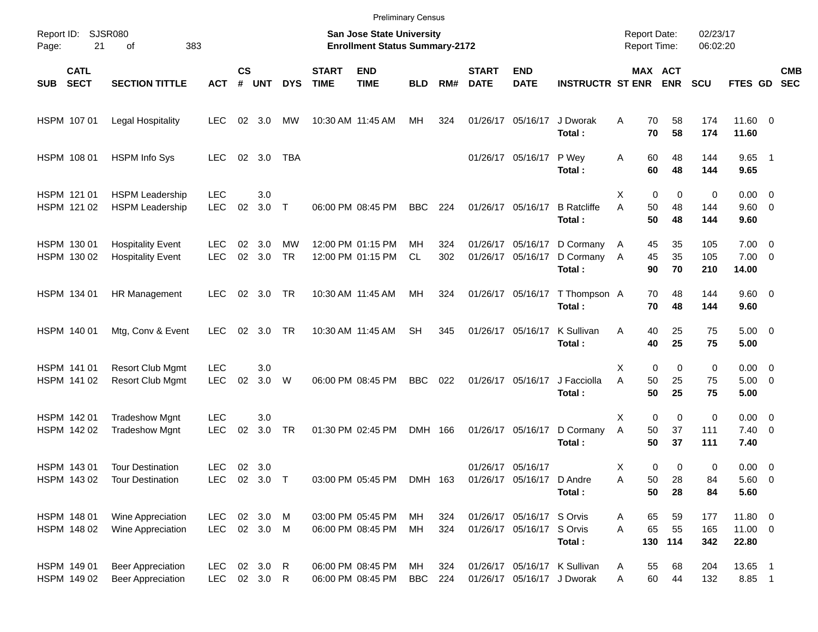|                     |                            |                                                      |                          |               |                    |                              |                             |                                                                    | <b>Preliminary Census</b> |            |                             |                                                        |                                                            |                                     |                         |                         |                      |                                       |                          |
|---------------------|----------------------------|------------------------------------------------------|--------------------------|---------------|--------------------|------------------------------|-----------------------------|--------------------------------------------------------------------|---------------------------|------------|-----------------------------|--------------------------------------------------------|------------------------------------------------------------|-------------------------------------|-------------------------|-------------------------|----------------------|---------------------------------------|--------------------------|
| Report ID:<br>Page: | 21                         | <b>SJSR080</b><br>of                                 | 383                      |               |                    |                              |                             | San Jose State University<br><b>Enrollment Status Summary-2172</b> |                           |            |                             |                                                        |                                                            | <b>Report Date:</b><br>Report Time: |                         |                         | 02/23/17<br>06:02:20 |                                       |                          |
| <b>SUB</b>          | <b>CATL</b><br><b>SECT</b> | <b>SECTION TITTLE</b>                                | <b>ACT</b>               | $\mathsf{cs}$ | # UNT              | <b>DYS</b>                   | <b>START</b><br><b>TIME</b> | <b>END</b><br><b>TIME</b>                                          | <b>BLD</b>                | RM#        | <b>START</b><br><b>DATE</b> | <b>END</b><br><b>DATE</b>                              | <b>INSTRUCTR ST ENR</b>                                    | MAX ACT                             |                         | <b>ENR</b>              | <b>SCU</b>           | FTES GD                               | <b>CMB</b><br><b>SEC</b> |
|                     | HSPM 107 01                | Legal Hospitality                                    | <b>LEC</b>               |               | 02 3.0             | МW                           |                             | 10:30 AM 11:45 AM                                                  | МH                        | 324        |                             | 01/26/17 05/16/17                                      | J Dworak<br>Total:                                         | A                                   | 70<br>70                | 58<br>58                | 174<br>174           | 11.60 0<br>11.60                      |                          |
|                     | HSPM 108 01                | <b>HSPM Info Sys</b>                                 | <b>LEC</b>               |               | 02 3.0             | <b>TBA</b>                   |                             |                                                                    |                           |            |                             | 01/26/17 05/16/17                                      | P Wey<br>Total:                                            | Α                                   | 60<br>60                | 48<br>48                | 144<br>144           | $9.65$ 1<br>9.65                      |                          |
|                     | HSPM 121 01<br>HSPM 121 02 | <b>HSPM Leadership</b><br><b>HSPM Leadership</b>     | <b>LEC</b><br><b>LEC</b> | 02            | 3.0<br>3.0         | $\top$                       |                             | 06:00 PM 08:45 PM                                                  | <b>BBC</b>                | 224        |                             | 01/26/17 05/16/17                                      | <b>B</b> Ratcliffe<br>Total:                               | X<br>A                              | 0<br>50<br>50           | 0<br>48<br>48           | 0<br>144<br>144      | $0.00 \t 0$<br>9.60 0<br>9.60         |                          |
|                     | HSPM 130 01<br>HSPM 130 02 | <b>Hospitality Event</b><br><b>Hospitality Event</b> | <b>LEC</b><br><b>LEC</b> | 02<br>02      | 3.0<br>3.0         | MW<br><b>TR</b>              |                             | 12:00 PM 01:15 PM<br>12:00 PM 01:15 PM                             | MН<br>CL                  | 324<br>302 |                             | 01/26/17 05/16/17<br>01/26/17 05/16/17                 | D Cormany<br>D Cormany<br>Total:                           | A<br>A                              | 45<br>45<br>90          | 35<br>35<br>70          | 105<br>105<br>210    | $7.00 \t 0$<br>$7.00 \t 0$<br>14.00   |                          |
|                     | HSPM 134 01                | HR Management                                        | <b>LEC</b>               | 02            | 3.0                | TR                           |                             | 10:30 AM 11:45 AM                                                  | МH                        | 324        |                             | 01/26/17 05/16/17                                      | T Thompson A<br>Total:                                     |                                     | 70<br>70                | 48<br>48                | 144<br>144           | 9.60 0<br>9.60                        |                          |
|                     | HSPM 140 01                | Mtg, Conv & Event                                    | <b>LEC</b>               | 02            | 3.0                | <b>TR</b>                    |                             | 10:30 AM 11:45 AM                                                  | <b>SH</b>                 | 345        |                             | 01/26/17 05/16/17                                      | K Sullivan<br>Total:                                       | Α                                   | 40<br>40                | 25<br>25                | 75<br>75             | $5.00 \t 0$<br>5.00                   |                          |
|                     | HSPM 141 01<br>HSPM 141 02 | <b>Resort Club Mgmt</b><br><b>Resort Club Mgmt</b>   | <b>LEC</b><br><b>LEC</b> | 02            | 3.0<br>3.0         | W                            |                             | 06:00 PM 08:45 PM                                                  | <b>BBC</b>                | 022        |                             | 01/26/17 05/16/17                                      | J Facciolla<br>Total:                                      | X<br>A                              | $\mathbf 0$<br>50<br>50 | $\mathbf 0$<br>25<br>25 | 0<br>75<br>75        | $0.00 \t 0$<br>$5.00 \t 0$<br>5.00    |                          |
|                     | HSPM 142 01<br>HSPM 142 02 | <b>Tradeshow Mgnt</b><br><b>Tradeshow Mgnt</b>       | <b>LEC</b><br><b>LEC</b> | 02            | 3.0<br>3.0         | <b>TR</b>                    |                             | 01:30 PM 02:45 PM                                                  | DMH 166                   |            |                             | 01/26/17 05/16/17                                      | D Cormany<br>Total:                                        | X<br>Α                              | $\mathbf 0$<br>50<br>50 | $\mathbf 0$<br>37<br>37 | 0<br>111<br>111      | $0.00 \t 0$<br>$7.40 \quad 0$<br>7.40 |                          |
|                     | HSPM 143 01<br>HSPM 143 02 | <b>Tour Destination</b><br><b>Tour Destination</b>   | <b>LEC</b><br>LEC.       |               | 02 3.0<br>02 3.0   |                              |                             | 03:00 PM 05:45 PM                                                  | DMH 163                   |            |                             | 01/26/17 05/16/17<br>01/26/17 05/16/17                 | D Andre<br>Total:                                          | X<br>Α                              | 0<br>50<br>50           | 0<br>28<br>28           | 0<br>84<br>84        | $0.00 \t 0$<br>5.60 0<br>5.60         |                          |
|                     | HSPM 148 01<br>HSPM 148 02 | Wine Appreciation<br>Wine Appreciation               | <b>LEC</b><br>LEC        |               | 02 3.0<br>02 3.0 M | M                            |                             | 03:00 PM 05:45 PM<br>06:00 PM 08:45 PM                             | МH<br>MH                  | 324<br>324 |                             | 01/26/17 05/16/17 S Orvis<br>01/26/17 05/16/17 S Orvis | Total:                                                     | A<br>A                              | 65<br>65                | 59<br>55<br>130 114     | 177<br>165<br>342    | 11.80 0<br>11.00 0<br>22.80           |                          |
|                     | HSPM 149 01<br>HSPM 149 02 | <b>Beer Appreciation</b><br><b>Beer Appreciation</b> | <b>LEC</b><br><b>LEC</b> |               | 02 3.0<br>02 3.0   | $\mathsf{R}$<br>$\mathsf{R}$ |                             | 06:00 PM 08:45 PM<br>06:00 PM 08:45 PM                             | МH<br><b>BBC</b>          | 324<br>224 |                             |                                                        | 01/26/17 05/16/17 K Sullivan<br>01/26/17 05/16/17 J Dworak | A<br>Α                              | 55<br>60                | 68<br>44                | 204<br>132           | 13.65 1<br>8.85 1                     |                          |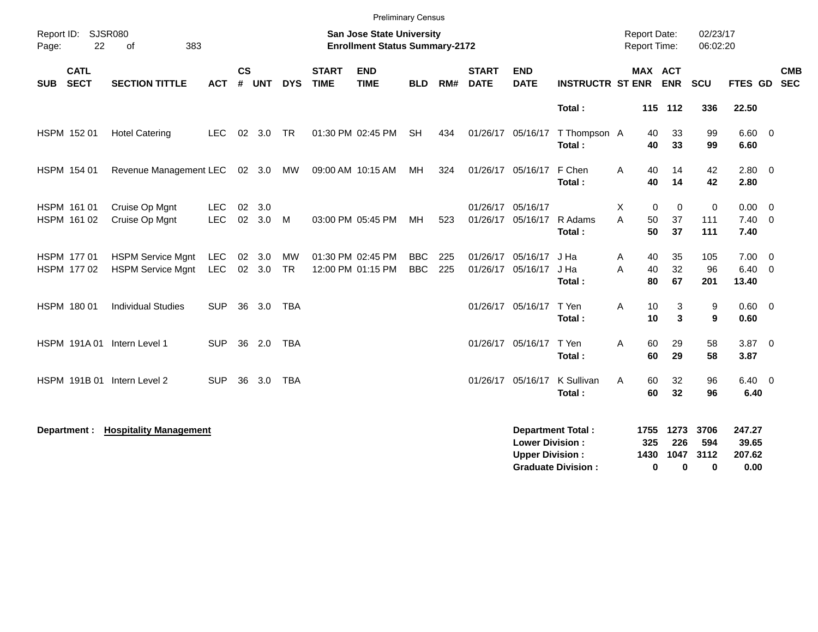|            |                            |                                                      |                          |                |            |                        |                             | <b>Preliminary Census</b>                                                 |                          |            |                             |                                                  |                                                       |                                            |                       |                                 |                          |                                   |                          |                          |
|------------|----------------------------|------------------------------------------------------|--------------------------|----------------|------------|------------------------|-----------------------------|---------------------------------------------------------------------------|--------------------------|------------|-----------------------------|--------------------------------------------------|-------------------------------------------------------|--------------------------------------------|-----------------------|---------------------------------|--------------------------|-----------------------------------|--------------------------|--------------------------|
| Page:      | Report ID: SJSR080<br>22   | 383<br>of                                            |                          |                |            |                        |                             | <b>San Jose State University</b><br><b>Enrollment Status Summary-2172</b> |                          |            |                             |                                                  |                                                       | <b>Report Date:</b><br><b>Report Time:</b> |                       |                                 | 02/23/17<br>06:02:20     |                                   |                          |                          |
| <b>SUB</b> | <b>CATL</b><br><b>SECT</b> | <b>SECTION TITTLE</b>                                | <b>ACT</b>               | <b>CS</b><br># | <b>UNT</b> | <b>DYS</b>             | <b>START</b><br><b>TIME</b> | <b>END</b><br><b>TIME</b>                                                 | <b>BLD</b>               | RM#        | <b>START</b><br><b>DATE</b> | <b>END</b><br><b>DATE</b>                        | <b>INSTRUCTR ST ENR</b>                               |                                            | MAX ACT<br><b>ENR</b> |                                 | SCU                      | FTES GD                           |                          | <b>CMB</b><br><b>SEC</b> |
|            |                            |                                                      |                          |                |            |                        |                             |                                                                           |                          |            |                             |                                                  | Total:                                                |                                            | 115 112               |                                 | 336                      | 22.50                             |                          |                          |
|            | HSPM 152 01                | <b>Hotel Catering</b>                                | <b>LEC</b>               |                | 02 3.0     | <b>TR</b>              |                             | 01:30 PM 02:45 PM                                                         | <b>SH</b>                | 434        |                             | 01/26/17 05/16/17                                | T Thompson A<br>Total:                                |                                            | 40<br>40              | 33<br>33                        | 99<br>99                 | $6.60$ 0<br>6.60                  |                          |                          |
|            | HSPM 154 01                | Revenue Management LEC 02 3.0                        |                          |                |            | MW                     |                             | 09:00 AM 10:15 AM                                                         | МH                       | 324        |                             | 01/26/17 05/16/17                                | F Chen<br>Total:                                      | A                                          | 40<br>40              | 14<br>14                        | 42<br>42                 | $2.80 \t 0$<br>2.80               |                          |                          |
|            | HSPM 161 01<br>HSPM 161 02 | Cruise Op Mgnt<br>Cruise Op Mgnt                     | <b>LEC</b><br><b>LEC</b> | 02<br>02       | 3.0<br>3.0 | M                      |                             | 03:00 PM 05:45 PM                                                         | МH                       | 523        | 01/26/17 05/16/17           | 01/26/17 05/16/17                                | R Adams<br>Total:                                     | X<br>A                                     | 0<br>50<br>50         | $\mathbf 0$<br>37<br>37         | 0<br>111<br>111          | $0.00 \t 0$<br>$7.40 \ 0$<br>7.40 |                          |                          |
|            | HSPM 177 01<br>HSPM 177 02 | <b>HSPM Service Mgnt</b><br><b>HSPM Service Mgnt</b> | LEC<br><b>LEC</b>        | 02<br>02       | 3.0<br>3.0 | <b>MW</b><br><b>TR</b> |                             | 01:30 PM 02:45 PM<br>12:00 PM 01:15 PM                                    | <b>BBC</b><br><b>BBC</b> | 225<br>225 |                             | 01/26/17 05/16/17<br>01/26/17 05/16/17           | J Ha<br>J Ha<br>Total:                                | Α<br>A                                     | 40<br>40<br>80        | 35<br>32<br>67                  | 105<br>96<br>201         | $7.00 \t 0$<br>6.40<br>13.40      | $\overline{\phantom{0}}$ |                          |
|            | HSPM 180 01                | <b>Individual Studies</b>                            | <b>SUP</b>               | 36             | 3.0        | <b>TBA</b>             |                             |                                                                           |                          |            |                             | 01/26/17 05/16/17                                | T Yen<br>Total:                                       | A                                          | 10<br>10              | 3<br>3                          | 9<br>9                   | $0.60 \quad 0$<br>0.60            |                          |                          |
|            |                            | HSPM 191A 01 Intern Level 1                          | <b>SUP</b>               | 36             | 2.0        | TBA                    |                             |                                                                           |                          |            |                             | 01/26/17 05/16/17                                | T Yen<br>Total:                                       | Α                                          | 60<br>60              | 29<br>29                        | 58<br>58                 | $3.87$ 0<br>3.87                  |                          |                          |
|            |                            | HSPM 191B 01 Intern Level 2                          | <b>SUP</b>               | 36             | 3.0        | <b>TBA</b>             |                             |                                                                           |                          |            | 01/26/17 05/16/17           |                                                  | K Sullivan<br>Total:                                  | A                                          | 60<br>60              | 32<br>32                        | 96<br>96                 | $6.40 \quad 0$<br>6.40            |                          |                          |
|            | Department :               | <b>Hospitality Management</b>                        |                          |                |            |                        |                             |                                                                           |                          |            |                             | <b>Lower Division:</b><br><b>Upper Division:</b> | <b>Department Total:</b><br><b>Graduate Division:</b> | 1755<br>1430                               | 325<br>$\bf{0}$       | 1273<br>226<br>1047<br>$\bf{0}$ | 3706<br>594<br>3112<br>0 | 247.27<br>39.65<br>207.62<br>0.00 |                          |                          |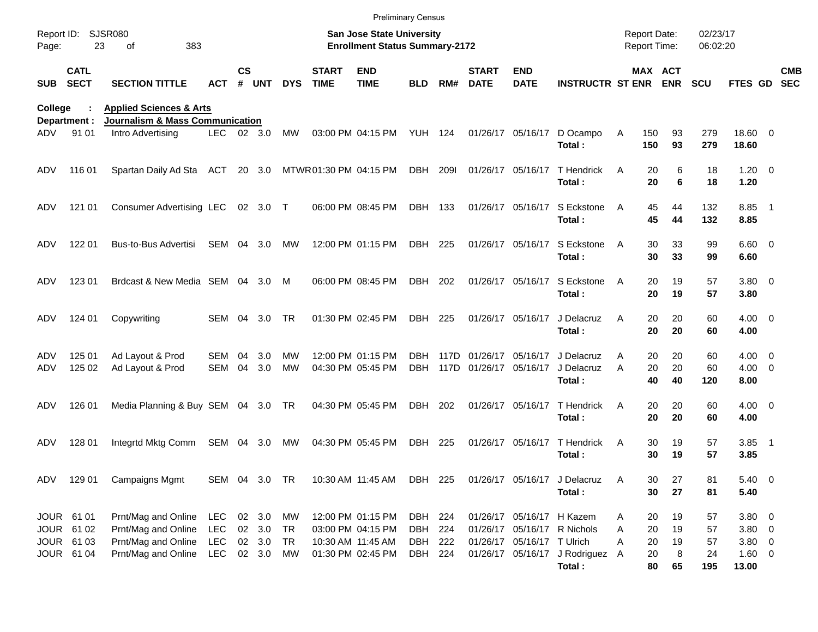|                     |                                        |                                                                                  |                                        |               |                            |                        |                             | <b>Preliminary Census</b>                                                 |                               |              |                                        |                                                         |                                           |             |                                            |                |                      |                                  |                          |
|---------------------|----------------------------------------|----------------------------------------------------------------------------------|----------------------------------------|---------------|----------------------------|------------------------|-----------------------------|---------------------------------------------------------------------------|-------------------------------|--------------|----------------------------------------|---------------------------------------------------------|-------------------------------------------|-------------|--------------------------------------------|----------------|----------------------|----------------------------------|--------------------------|
| Report ID:<br>Page: | 23                                     | <b>SJSR080</b><br>383<br>οf                                                      |                                        |               |                            |                        |                             | <b>San Jose State University</b><br><b>Enrollment Status Summary-2172</b> |                               |              |                                        |                                                         |                                           |             | <b>Report Date:</b><br><b>Report Time:</b> |                | 02/23/17<br>06:02:20 |                                  |                          |
| <b>SUB</b>          | <b>CATL</b><br><b>SECT</b>             | <b>SECTION TITTLE</b>                                                            | ACT                                    | $\mathsf{cs}$ | # UNT                      | <b>DYS</b>             | <b>START</b><br><b>TIME</b> | <b>END</b><br><b>TIME</b>                                                 | <b>BLD</b>                    | RM#          | <b>START</b><br><b>DATE</b>            | <b>END</b><br><b>DATE</b>                               | <b>INSTRUCTR ST ENR ENR</b>               |             | MAX ACT                                    |                | <b>SCU</b>           | <b>FTES GD</b>                   | <b>CMB</b><br><b>SEC</b> |
| College             | Department :                           | <b>Applied Sciences &amp; Arts</b><br><b>Journalism &amp; Mass Communication</b> |                                        |               |                            |                        |                             |                                                                           |                               |              |                                        |                                                         |                                           |             |                                            |                |                      |                                  |                          |
| ADV                 | 91 01                                  | Intro Advertising                                                                | LEC.                                   |               | 02 3.0                     | MW                     |                             | 03:00 PM 04:15 PM                                                         | YUH 124                       |              |                                        | 01/26/17 05/16/17                                       | D Ocampo<br>Total:                        | Α           | 150<br>150                                 | 93<br>93       | 279<br>279           | 18.60 0<br>18.60                 |                          |
| ADV                 | 116 01                                 | Spartan Daily Ad Sta                                                             | ACT                                    |               | 20 3.0                     |                        |                             | MTWR01:30 PM 04:15 PM                                                     | DBH                           | <b>2091</b>  |                                        | 01/26/17 05/16/17                                       | T Hendrick<br>Total:                      | A           | 20<br>20                                   | 6<br>6         | 18<br>18             | $1.20 \t 0$<br>1.20              |                          |
| ADV                 | 121 01                                 | <b>Consumer Advertising LEC</b>                                                  |                                        |               | 02 3.0 T                   |                        |                             | 06:00 PM 08:45 PM                                                         | DBH 133                       |              |                                        | 01/26/17 05/16/17                                       | S Eckstone<br>Total:                      | A           | 45<br>45                                   | 44<br>44       | 132<br>132           | 8.85 1<br>8.85                   |                          |
| ADV.                | 122 01                                 | <b>Bus-to-Bus Advertisi</b>                                                      | SEM                                    |               | 04 3.0                     | MW                     |                             | 12:00 PM 01:15 PM                                                         | DBH 225                       |              |                                        | 01/26/17 05/16/17                                       | S Eckstone<br>Total:                      | A           | 30<br>30                                   | 33<br>33       | 99<br>99             | $6.60$ 0<br>6.60                 |                          |
| ADV                 | 123 01                                 | Brdcast & New Media SEM 04 3.0                                                   |                                        |               |                            | M                      |                             | 06:00 PM 08:45 PM                                                         | DBH 202                       |              |                                        | 01/26/17 05/16/17                                       | S Eckstone<br>Total:                      | A           | 20<br>20                                   | 19<br>19       | 57<br>57             | $3.80\ 0$<br>3.80                |                          |
| ADV                 | 124 01                                 | Copywriting                                                                      | SEM 04                                 |               | 3.0                        | <b>TR</b>              |                             | 01:30 PM 02:45 PM                                                         | DBH 225                       |              |                                        | 01/26/17 05/16/17                                       | J Delacruz<br>Total:                      | A           | 20<br>20                                   | 20<br>20       | 60<br>60             | $4.00 \ 0$<br>4.00               |                          |
| ADV<br>ADV          | 125 01<br>125 02                       | Ad Layout & Prod<br>Ad Layout & Prod                                             | SEM<br>SEM                             | 04<br>04      | 3.0<br>3.0                 | <b>MW</b><br><b>MW</b> |                             | 12:00 PM 01:15 PM<br>04:30 PM 05:45 PM                                    | DBH<br><b>DBH</b>             | 117D<br>117D | 01/26/17 05/16/17<br>01/26/17 05/16/17 |                                                         | J Delacruz<br>J Delacruz<br>Total:        | A<br>A      | 20<br>20<br>40                             | 20<br>20<br>40 | 60<br>60<br>120      | $4.00 \ 0$<br>$4.00 \ 0$<br>8.00 |                          |
| ADV                 | 126 01                                 | Media Planning & Buy SEM 04 3.0 TR                                               |                                        |               |                            |                        |                             | 04:30 PM 05:45 PM                                                         | DBH                           | 202          |                                        | 01/26/17 05/16/17                                       | T Hendrick<br>Total:                      | A           | 20<br>20                                   | 20<br>20       | 60<br>60             | $4.00 \ 0$<br>4.00               |                          |
| ADV                 | 128 01                                 | Integrtd Mktg Comm                                                               | SEM 04                                 |               | 3.0                        | MW                     |                             | 04:30 PM 05:45 PM                                                         | DBH                           | 225          |                                        | 01/26/17 05/16/17                                       | T Hendrick<br>Total:                      | A           | 30<br>30                                   | 19<br>19       | 57<br>57             | $3.85$ 1<br>3.85                 |                          |
| ADV                 | 129 01                                 | <b>Campaigns Mgmt</b>                                                            | SEM 04 3.0 TR                          |               |                            |                        |                             | 10:30 AM 11:45 AM                                                         | DBH 225                       |              |                                        |                                                         | 01/26/17 05/16/17 J Delacruz<br>Total:    | A           | 30<br>30                                   | 27<br>27       | 81<br>81             | $5.40 \quad 0$<br>5.40           |                          |
|                     | JOUR 61 01<br>JOUR 61 02<br>JOUR 61 03 | Prnt/Mag and Online<br>Prnt/Mag and Online<br>Prnt/Mag and Online                | <b>LEC</b><br><b>LEC</b><br><b>LEC</b> |               | 02 3.0<br>02 3.0<br>02 3.0 | MW<br>TR<br>TR         |                             | 12:00 PM 01:15 PM<br>03:00 PM 04:15 PM<br>10:30 AM 11:45 AM               | DBH 224<br>DBH 224<br>DBH 222 |              |                                        | 01/26/17 05/16/17 H Kazem<br>01/26/17 05/16/17 T Ulrich | 01/26/17 05/16/17 R Nichols               | A<br>A<br>A | 20<br>20<br>20                             | 19<br>19<br>19 | 57<br>57<br>57       | 3.80 0<br>$3.80\ 0$<br>$3.80\ 0$ |                          |
|                     | JOUR 61 04                             | Prnt/Mag and Online                                                              | LEC                                    |               | 02 3.0                     | MW                     |                             | 01:30 PM 02:45 PM                                                         | DBH 224                       |              |                                        |                                                         | 01/26/17 05/16/17 J Rodriguez A<br>Total: |             | 20<br>80                                   | 8<br>65        | 24<br>195            | $1.60 \t 0$<br>13.00             |                          |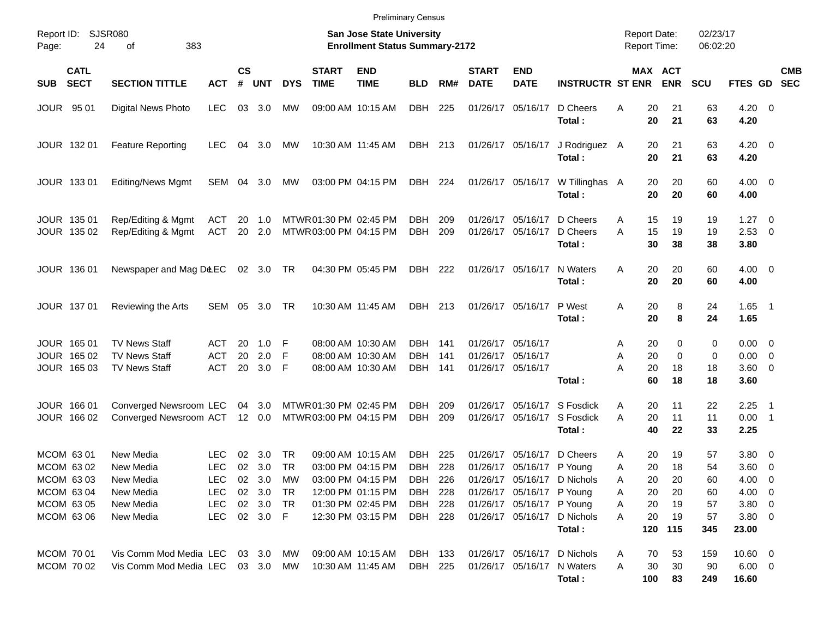| Report ID:<br>24<br>Page:                                                        | SJSR080<br>383<br>οf                                                       |                                                                           |                    |                                                      |                                                  |                                                 | <b>San Jose State University</b><br><b>Enrollment Status Summary-2172</b>                                                  |                                                                     | <b>Report Date:</b><br><b>Report Time:</b> |                             | 02/23/17<br>06:02:20                                                                   |                                                                                  |                                                                       |                                         |                                         |                                                                        |                                                        |
|----------------------------------------------------------------------------------|----------------------------------------------------------------------------|---------------------------------------------------------------------------|--------------------|------------------------------------------------------|--------------------------------------------------|-------------------------------------------------|----------------------------------------------------------------------------------------------------------------------------|---------------------------------------------------------------------|--------------------------------------------|-----------------------------|----------------------------------------------------------------------------------------|----------------------------------------------------------------------------------|-----------------------------------------------------------------------|-----------------------------------------|-----------------------------------------|------------------------------------------------------------------------|--------------------------------------------------------|
| <b>CATL</b><br><b>SECT</b><br><b>SUB</b>                                         | <b>SECTION TITTLE</b>                                                      | <b>ACT</b>                                                                | $\mathsf{cs}$<br># | <b>UNT</b>                                           | <b>DYS</b>                                       | <b>START</b><br><b>TIME</b>                     | <b>END</b><br><b>TIME</b>                                                                                                  | <b>BLD</b>                                                          | RM#                                        | <b>START</b><br><b>DATE</b> | <b>END</b><br><b>DATE</b>                                                              | <b>INSTRUCTR ST ENR</b>                                                          |                                                                       | MAX ACT<br><b>ENR</b>                   | <b>SCU</b>                              | FTES GD                                                                | <b>CMB</b><br><b>SEC</b>                               |
| 95 01<br>JOUR                                                                    | Digital News Photo                                                         | <b>LEC</b>                                                                | 03                 | 3.0                                                  | МW                                               |                                                 | 09:00 AM 10:15 AM                                                                                                          | DBH                                                                 | 225                                        |                             | 01/26/17 05/16/17                                                                      | D Cheers<br>Total:                                                               | 20<br>Α<br>20                                                         | 21<br>21                                | 63<br>63                                | $4.20 \ 0$<br>4.20                                                     |                                                        |
| JOUR 132 01                                                                      | <b>Feature Reporting</b>                                                   | <b>LEC</b>                                                                | 04                 | 3.0                                                  | МW                                               | 10:30 AM 11:45 AM                               |                                                                                                                            | DBH                                                                 | 213                                        |                             | 01/26/17 05/16/17                                                                      | J Rodriguez A<br>Total:                                                          | 20<br>20                                                              | 21<br>21                                | 63<br>63                                | $4.20 \ 0$<br>4.20                                                     |                                                        |
| JOUR 133 01                                                                      | <b>Editing/News Mgmt</b>                                                   | SEM                                                                       | 04                 | 3.0                                                  | МW                                               |                                                 | 03:00 PM 04:15 PM                                                                                                          | DBH                                                                 | 224                                        |                             | 01/26/17 05/16/17                                                                      | W Tillinghas A<br>Total:                                                         | 20<br>20                                                              | 20<br>20                                | 60<br>60                                | $4.00 \ 0$<br>4.00                                                     |                                                        |
| JOUR 135 01<br>JOUR 135 02                                                       | Rep/Editing & Mgmt<br>Rep/Editing & Mgmt                                   | ACT<br><b>ACT</b>                                                         | 20<br>20           | 1.0<br>2.0                                           |                                                  | MTWR 01:30 PM 02:45 PM<br>MTWR03:00 PM 04:15 PM |                                                                                                                            | <b>DBH</b><br><b>DBH</b>                                            | 209<br>209                                 |                             | 01/26/17 05/16/17<br>01/26/17 05/16/17                                                 | D Cheers<br>D Cheers<br>Total:                                                   | 15<br>A<br>A<br>15<br>30                                              | 19<br>19<br>38                          | 19<br>19<br>38                          | 1.27<br>2.53<br>3.80                                                   | $\overline{\phantom{0}}$<br>$\overline{0}$             |
| JOUR 136 01                                                                      | Newspaper and Mag D&EC                                                     |                                                                           |                    | 02 3.0                                               | TR                                               |                                                 | 04:30 PM 05:45 PM                                                                                                          | DBH                                                                 | 222                                        |                             | 01/26/17 05/16/17                                                                      | N Waters<br>Total:                                                               | 20<br>A<br>20                                                         | 20<br>20                                | 60<br>60                                | $4.00 \ 0$<br>4.00                                                     |                                                        |
| JOUR 137 01                                                                      | Reviewing the Arts                                                         | SEM                                                                       | 05                 | 3.0                                                  | TR                                               |                                                 | 10:30 AM 11:45 AM                                                                                                          | <b>DBH</b>                                                          | 213                                        |                             | 01/26/17 05/16/17                                                                      | P West<br>Total:                                                                 | 20<br>A<br>20                                                         | 8<br>8                                  | 24<br>24                                | $1.65$ 1<br>1.65                                                       |                                                        |
| JOUR 165 01<br>JOUR 165 02<br>JOUR 165 03                                        | <b>TV News Staff</b><br><b>TV News Staff</b><br><b>TV News Staff</b>       | ACT<br><b>ACT</b><br><b>ACT</b>                                           | 20<br>20<br>20     | 1.0<br>2.0<br>3.0                                    | -F<br>F.<br>- F                                  |                                                 | 08:00 AM 10:30 AM<br>08:00 AM 10:30 AM<br>08:00 AM 10:30 AM                                                                | <b>DBH</b><br><b>DBH</b><br><b>DBH</b>                              | 141<br>141<br>141                          |                             | 01/26/17 05/16/17<br>01/26/17 05/16/17<br>01/26/17 05/16/17                            | Total:                                                                           | 20<br>A<br>20<br>Α<br>A<br>20<br>60                                   | 0<br>0<br>18<br>18                      | 0<br>0<br>18<br>18                      | 0.00<br>0.00<br>3.60<br>3.60                                           | $\overline{\mathbf{0}}$<br>$\overline{0}$<br>- 0       |
| JOUR 166 01<br>JOUR 166 02                                                       | Converged Newsroom LEC<br>Converged Newsroom ACT                           |                                                                           |                    | 04 3.0<br>12 0.0                                     |                                                  | MTWR 01:30 PM 02:45 PM<br>MTWR03:00 PM 04:15 PM |                                                                                                                            | <b>DBH</b><br><b>DBH</b>                                            | 209<br>209                                 |                             | 01/26/17 05/16/17                                                                      | S Fosdick<br>01/26/17 05/16/17 S Fosdick<br>Total:                               | Α<br>20<br>A<br>20<br>40                                              | 11<br>11<br>22                          | 22<br>11<br>33                          | 2.25<br>0.00<br>2.25                                                   | $\overline{\phantom{1}}$<br>$\overline{\phantom{0}}$ 1 |
| MCOM 63 01<br>MCOM 63 02<br>MCOM 63 03<br>MCOM 63 04<br>MCOM 63 05<br>MCOM 63 06 | New Media<br>New Media<br>New Media<br>New Media<br>New Media<br>New Media | <b>LEC</b><br><b>LEC</b><br><b>LEC</b><br><b>LEC</b><br>LEC<br><b>LEC</b> | 02<br>02<br>02     | 3.0<br>3.0<br>3.0<br>02 3.0 TR<br>02 3.0<br>02 3.0 F | <b>TR</b><br><b>TR</b><br><b>MW</b><br><b>TR</b> |                                                 | 09:00 AM 10:15 AM<br>03:00 PM 04:15 PM<br>03:00 PM 04:15 PM<br>12:00 PM 01:15 PM<br>01:30 PM 02:45 PM<br>12:30 PM 03:15 PM | <b>DBH</b><br><b>DBH</b><br><b>DBH</b><br>DBH 228<br>DBH<br>DBH 228 | 225<br>228<br>226<br>228                   | 01/26/17<br>01/26/17        | 05/16/17<br>05/16/17 P Young<br>01/26/17 05/16/17 P Young<br>01/26/17 05/16/17 P Young | D Cheers<br>01/26/17 05/16/17 D Nichols<br>01/26/17 05/16/17 D Nichols<br>Total: | 20<br>A<br>20<br>A<br>20<br>A<br>20<br>A<br>20<br>Α<br>20<br>A<br>120 | 19<br>18<br>20<br>20<br>19<br>19<br>115 | 57<br>54<br>60<br>60<br>57<br>57<br>345 | 3.80<br>3.60<br>4.00<br>$4.00 \t 0$<br>$3.80\ 0$<br>$3.80\ 0$<br>23.00 | $\overline{\mathbf{0}}$<br>$\overline{0}$<br>0         |
| MCOM 70 01<br>MCOM 70 02                                                         | Vis Comm Mod Media LEC<br>Vis Comm Mod Media LEC 03 3.0 MW                 |                                                                           |                    | 03 3.0                                               | МW                                               | 10:30 AM 11:45 AM                               | 09:00 AM 10:15 AM                                                                                                          | DBH 133<br>DBH 225                                                  |                                            |                             |                                                                                        | 01/26/17 05/16/17 D Nichols<br>01/26/17 05/16/17 N Waters<br>Total:              | 70<br>A<br>30<br>A<br>100                                             | 53<br>30<br>83                          | 159<br>90<br>249                        | $10.60 \t 0$<br>$6.00 \t 0$<br>16.60                                   |                                                        |

Preliminary Census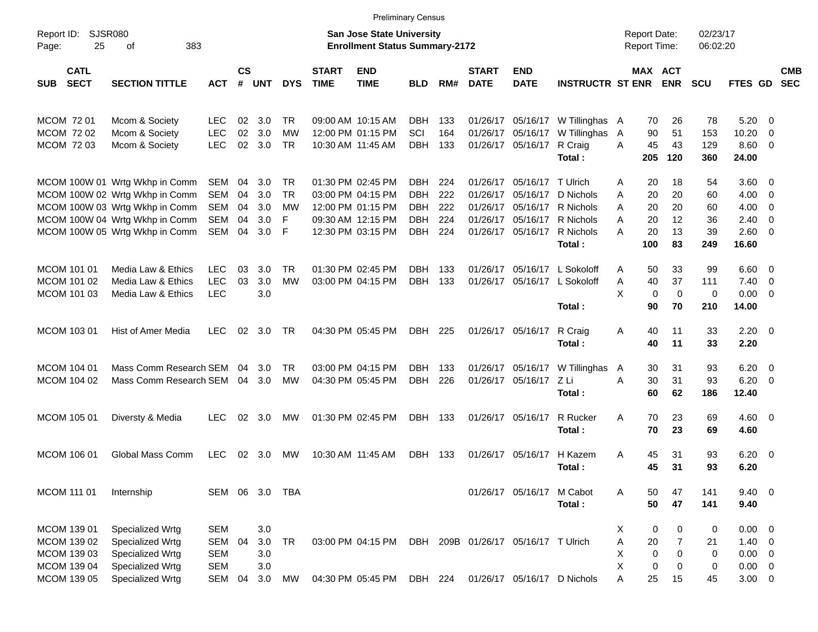|                                          |                                  |                          |                |            |                        |                             |                                                                           | <b>Preliminary Census</b> |            |                             |                                     |                                       |                                     |                            |                      |                            |                          |                          |
|------------------------------------------|----------------------------------|--------------------------|----------------|------------|------------------------|-----------------------------|---------------------------------------------------------------------------|---------------------------|------------|-----------------------------|-------------------------------------|---------------------------------------|-------------------------------------|----------------------------|----------------------|----------------------------|--------------------------|--------------------------|
| Report ID:<br>25<br>Page:                | <b>SJSR080</b><br>383<br>οf      |                          |                |            |                        |                             | <b>San Jose State University</b><br><b>Enrollment Status Summary-2172</b> |                           |            |                             |                                     |                                       | <b>Report Date:</b><br>Report Time: |                            | 02/23/17<br>06:02:20 |                            |                          |                          |
| <b>CATL</b><br><b>SECT</b><br><b>SUB</b> | <b>SECTION TITTLE</b>            | АСТ                      | <b>CS</b><br># | <b>UNT</b> | <b>DYS</b>             | <b>START</b><br><b>TIME</b> | <b>END</b><br><b>TIME</b>                                                 | <b>BLD</b>                | RM#        | <b>START</b><br><b>DATE</b> | <b>END</b><br><b>DATE</b>           | <b>INSTRUCTR ST ENR</b>               |                                     | MAX ACT<br><b>ENR</b>      | <b>SCU</b>           | FTES GD                    |                          | <b>CMB</b><br><b>SEC</b> |
| MCOM 72 01                               | Mcom & Society                   | <b>LEC</b>               | 02             | 3.0        | TR.                    |                             | 09:00 AM 10:15 AM                                                         | <b>DBH</b>                | 133        | 01/26/17                    |                                     | 05/16/17 W Tillinghas A               | 70                                  | 26                         | 78                   | 5.20                       | $\overline{\phantom{0}}$ |                          |
| MCOM 72 02<br>MCOM 72 03                 | Mcom & Society<br>Mcom & Society | <b>LEC</b><br><b>LEC</b> | 02<br>02       | 3.0<br>3.0 | <b>MW</b><br><b>TR</b> |                             | 12:00 PM 01:15 PM<br>10:30 AM 11:45 AM                                    | SCI<br><b>DBH</b>         | 164<br>133 | 01/26/17                    | 01/26/17 05/16/17 R Craig           | 05/16/17 W Tillinghas<br>Total:       | 90<br>A<br>45<br>A<br>205           | 51<br>43<br>120            | 153<br>129<br>360    | 10.20<br>$8.60$ 0<br>24.00 | - 0                      |                          |
|                                          | MCOM 100W 01 Wrtg Wkhp in Comm   | SEM                      | 04             | 3.0        | TR                     |                             | 01:30 PM 02:45 PM                                                         | DBH                       | 224        | 01/26/17                    | 05/16/17 T Ulrich                   |                                       | 20<br>Α                             | 18                         | 54                   | $3.60 \quad 0$             |                          |                          |
|                                          | MCOM 100W 02 Wrtg Wkhp in Comm   | <b>SEM</b>               | 04             | 3.0        | TR                     |                             | 03:00 PM 04:15 PM                                                         | <b>DBH</b>                | 222        | 01/26/17                    |                                     | 05/16/17 D Nichols                    | 20<br>A                             | 20                         | 60                   | $4.00 \ 0$                 |                          |                          |
|                                          | MCOM 100W 03 Wrtg Wkhp in Comm   | <b>SEM</b>               | 04             | 3.0        | MW                     |                             | 12:00 PM 01:15 PM                                                         | <b>DBH</b>                | 222        | 01/26/17                    |                                     | 05/16/17 R Nichols                    | A<br>20                             | 20                         | 60                   | $4.00 \ 0$                 |                          |                          |
|                                          | MCOM 100W 04 Wrtg Wkhp in Comm   | SEM                      | 04             | 3.0        | F                      |                             | 09:30 AM 12:15 PM                                                         | <b>DBH</b>                | 224        | 01/26/17                    |                                     | 05/16/17 R Nichols                    | 20<br>A                             | 12                         | 36                   | 2.40                       | $\overline{\phantom{0}}$ |                          |
|                                          | MCOM 100W 05 Wrtg Wkhp in Comm   | SEM                      | 04             | 3.0        | -F                     |                             | 12:30 PM 03:15 PM                                                         | DBH                       | 224        |                             |                                     | 01/26/17 05/16/17 R Nichols<br>Total: | A<br>20<br>100                      | 13<br>83                   | 39<br>249            | $2.60 \t 0$<br>16.60       |                          |                          |
| MCOM 101 01                              | Media Law & Ethics               | <b>LEC</b>               | 03             | 3.0        | TR                     |                             | 01:30 PM 02:45 PM                                                         | DBH                       | 133        | 01/26/17                    |                                     | 05/16/17 L Sokoloff                   | 50<br>A                             | 33                         | 99                   | $6.60$ 0                   |                          |                          |
| MCOM 101 02                              | Media Law & Ethics               | <b>LEC</b>               | 03             | 3.0        | MW                     |                             | 03:00 PM 04:15 PM                                                         | <b>DBH</b>                | 133        |                             |                                     | 01/26/17 05/16/17 L Sokoloff          | 40<br>Α                             | 37                         | 111                  | $7.40 \quad 0$             |                          |                          |
| MCOM 101 03                              | Media Law & Ethics               | <b>LEC</b>               |                | 3.0        |                        |                             |                                                                           |                           |            |                             |                                     |                                       | X                                   | $\mathbf 0$<br>$\mathbf 0$ | 0                    | $0.00 \t 0$                |                          |                          |
|                                          |                                  |                          |                |            |                        |                             |                                                                           |                           |            |                             |                                     | Total:                                | 90                                  | 70                         | 210                  | 14.00                      |                          |                          |
| MCOM 103 01                              | Hist of Amer Media               | <b>LEC</b>               |                | 02 3.0     | TR                     |                             | 04:30 PM 05:45 PM                                                         | DBH 225                   |            |                             | 01/26/17 05/16/17 R Craig           |                                       | Α<br>40                             | 11                         | 33                   | $2.20 \t 0$                |                          |                          |
|                                          |                                  |                          |                |            |                        |                             |                                                                           |                           |            |                             |                                     | Total:                                | 40                                  | 11                         | 33                   | 2.20                       |                          |                          |
| <b>MCOM 104 01</b>                       | Mass Comm Research SEM           |                          | 04             | 3.0        | TR.                    |                             | 03:00 PM 04:15 PM                                                         | DBH                       | 133        | 01/26/17                    |                                     | 05/16/17 W Tillinghas                 | 30<br>A                             | 31                         | 93                   | $6.20 \quad 0$             |                          |                          |
| MCOM 104 02                              | Mass Comm Research SEM           |                          |                | 04 3.0     | МW                     |                             | 04:30 PM 05:45 PM                                                         | <b>DBH</b>                | 226        |                             | 01/26/17 05/16/17 Z Li              |                                       | 30<br>A                             | 31                         | 93                   | $6.20 \quad 0$             |                          |                          |
|                                          |                                  |                          |                |            |                        |                             |                                                                           |                           |            |                             |                                     | Total:                                | 60                                  | 62                         | 186                  | 12.40                      |                          |                          |
| <b>MCOM 105 01</b>                       | Diversty & Media                 | <b>LEC</b>               | 02             | 3.0        | МW                     |                             | 01:30 PM 02:45 PM                                                         | DBH 133                   |            |                             | 01/26/17 05/16/17                   | R Rucker                              | A<br>70                             | 23                         | 69                   | $4.60 \ 0$                 |                          |                          |
|                                          |                                  |                          |                |            |                        |                             |                                                                           |                           |            |                             |                                     | Total:                                | 70                                  | 23                         | 69                   | 4.60                       |                          |                          |
| MCOM 106 01                              | Global Mass Comm                 | <b>LEC</b>               |                | 02 3.0     | МW                     |                             | 10:30 AM 11:45 AM                                                         | DBH 133                   |            |                             | 01/26/17 05/16/17                   | H Kazem                               | A<br>45                             | 31                         | 93                   | $6.20 \quad 0$             |                          |                          |
|                                          |                                  |                          |                |            |                        |                             |                                                                           |                           |            |                             |                                     | Total:                                | 45                                  | 31                         | 93                   | 6.20                       |                          |                          |
| MCOM 111 01                              | Internship                       |                          |                |            | SEM 06 3.0 TBA         |                             |                                                                           |                           |            |                             | 01/26/17 05/16/17 M Cabot           |                                       | 50<br>Α                             | 47                         | 141                  | $9.40 \quad 0$             |                          |                          |
|                                          |                                  |                          |                |            |                        |                             |                                                                           |                           |            |                             |                                     | Total:                                | 50                                  | 47                         | 141                  | 9.40                       |                          |                          |
| MCOM 139 01                              | Specialized Wrtg                 | <b>SEM</b>               |                | 3.0        |                        |                             |                                                                           |                           |            |                             |                                     |                                       | Х                                   | 0<br>0                     | 0                    | $0.00 \t 0$                |                          |                          |
| MCOM 139 02                              | Specialized Wrtg                 | <b>SEM</b>               | 04             | 3.0        | TR                     |                             | 03:00 PM 04:15 PM                                                         |                           |            |                             | DBH 209B 01/26/17 05/16/17 T Ulrich |                                       | Α<br>20                             | 7                          | 21                   | $1.40 \ 0$                 |                          |                          |
| MCOM 139 03                              | Specialized Wrtg                 | <b>SEM</b>               |                | 3.0        |                        |                             |                                                                           |                           |            |                             |                                     |                                       | Χ                                   | 0<br>0                     | 0                    | $0.00 \t 0$                |                          |                          |
| MCOM 139 04                              | Specialized Wrtg                 | SEM                      |                | 3.0        |                        |                             |                                                                           |                           |            |                             |                                     |                                       | X                                   | 0<br>0                     | 0                    | $0.00 \t 0$                |                          |                          |
| MCOM 139 05                              | Specialized Wrtg                 | SEM                      | 04             | 3.0        | MW                     |                             | 04:30 PM 05:45 PM                                                         | DBH 224                   |            |                             |                                     | 01/26/17 05/16/17 D Nichols           | Α<br>25                             | 15                         | 45                   | $3.00 \t 0$                |                          |                          |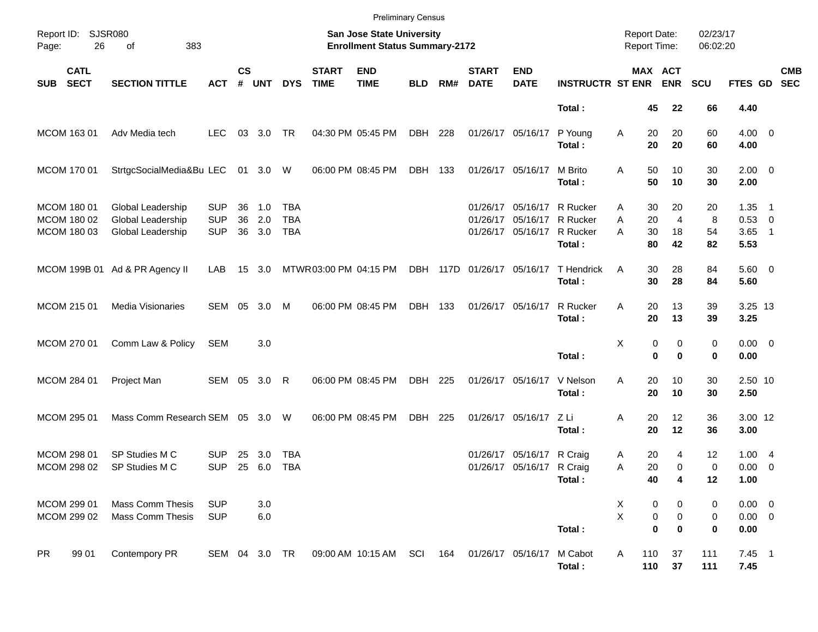|                                           |                            |                                                             |                                        |                    |                   |                                        |                             | <b>Preliminary Census</b>                                          |            |     |                             |                                                             |                                            |                                     |                                                          |                      |                                    |                            |                          |
|-------------------------------------------|----------------------------|-------------------------------------------------------------|----------------------------------------|--------------------|-------------------|----------------------------------------|-----------------------------|--------------------------------------------------------------------|------------|-----|-----------------------------|-------------------------------------------------------------|--------------------------------------------|-------------------------------------|----------------------------------------------------------|----------------------|------------------------------------|----------------------------|--------------------------|
| Page:                                     | Report ID: SJSR080<br>26   | 383<br>of                                                   |                                        |                    |                   |                                        |                             | San Jose State University<br><b>Enrollment Status Summary-2172</b> |            |     |                             |                                                             |                                            | <b>Report Date:</b><br>Report Time: |                                                          | 02/23/17<br>06:02:20 |                                    |                            |                          |
| <b>SUB</b>                                | <b>CATL</b><br><b>SECT</b> | <b>SECTION TITTLE</b>                                       | <b>ACT</b>                             | $\mathsf{cs}$<br># | <b>UNT</b>        | <b>DYS</b>                             | <b>START</b><br><b>TIME</b> | <b>END</b><br><b>TIME</b>                                          | <b>BLD</b> | RM# | <b>START</b><br><b>DATE</b> | <b>END</b><br><b>DATE</b>                                   | <b>INSTRUCTR ST ENR</b>                    |                                     | MAX ACT<br><b>ENR</b>                                    | <b>SCU</b>           | <b>FTES GD</b>                     |                            | <b>CMB</b><br><b>SEC</b> |
|                                           |                            |                                                             |                                        |                    |                   |                                        |                             |                                                                    |            |     |                             |                                                             | Total:                                     | 45                                  | 22                                                       | 66                   | 4.40                               |                            |                          |
| MCOM 163 01                               |                            | Adv Media tech                                              | <b>LEC</b>                             | 03                 | 3.0               | TR                                     |                             | 04:30 PM 05:45 PM                                                  | DBH 228    |     |                             | 01/26/17 05/16/17                                           | P Young<br>Total:                          | 20<br>Α<br>20                       | 20<br>20                                                 | 60<br>60             | $4.00 \ 0$<br>4.00                 |                            |                          |
| MCOM 170 01                               |                            | StrtgcSocialMedia&Bu LEC                                    |                                        |                    | 01 3.0 W          |                                        |                             | 06:00 PM 08:45 PM                                                  | DBH 133    |     |                             | 01/26/17 05/16/17                                           | M Brito<br>Total:                          | 50<br>A<br>50                       | 10<br>10                                                 | 30<br>30             | $2.00 \t 0$<br>2.00                |                            |                          |
| MCOM 180 01<br>MCOM 180 02<br>MCOM 180 03 |                            | Global Leadership<br>Global Leadership<br>Global Leadership | <b>SUP</b><br><b>SUP</b><br><b>SUP</b> | 36<br>36<br>36     | 1.0<br>2.0<br>3.0 | <b>TBA</b><br><b>TBA</b><br><b>TBA</b> |                             |                                                                    |            |     |                             | 01/26/17 05/16/17<br>01/26/17 05/16/17<br>01/26/17 05/16/17 | R Rucker<br>R Rucker<br>R Rucker<br>Total: | 30<br>A<br>A<br>20<br>A<br>30<br>80 | 20<br>$\overline{4}$<br>18<br>42                         | 20<br>8<br>54<br>82  | $1.35$ 1<br>0.53 0<br>3.65<br>5.53 | $\overline{\phantom{0}}$ 1 |                          |
|                                           |                            | MCOM 199B 01 Ad & PR Agency II                              | LAB                                    |                    | 15 3.0            |                                        | MTWR03:00 PM 04:15 PM       |                                                                    |            |     | DBH 117D 01/26/17 05/16/17  |                                                             | T Hendrick<br>Total:                       | 30<br>A<br>30                       | 28<br>28                                                 | 84<br>84             | $5.60$ 0<br>5.60                   |                            |                          |
| MCOM 215 01                               |                            | <b>Media Visionaries</b>                                    | SEM                                    | 05                 | 3.0               | M                                      |                             | 06:00 PM 08:45 PM                                                  | DBH 133    |     |                             | 01/26/17 05/16/17                                           | <b>R</b> Rucker<br>Total:                  | A<br>20<br>20                       | 13<br>13                                                 | 39<br>39             | 3.25 13<br>3.25                    |                            |                          |
| MCOM 270 01                               |                            | Comm Law & Policy                                           | SEM                                    |                    | 3.0               |                                        |                             |                                                                    |            |     |                             |                                                             | Total:                                     | Χ                                   | 0<br>0<br>$\mathbf 0$<br>$\bf{0}$                        | 0<br>0               | $0.00 \t 0$<br>0.00                |                            |                          |
| MCOM 284 01                               |                            | Project Man                                                 | SEM 05 3.0 R                           |                    |                   |                                        |                             | 06:00 PM 08:45 PM                                                  | DBH 225    |     |                             | 01/26/17 05/16/17                                           | V Nelson<br>Total:                         | A<br>20<br>20                       | 10<br>10                                                 | 30<br>30             | 2.50 10<br>2.50                    |                            |                          |
| MCOM 295 01                               |                            | Mass Comm Research SEM 05 3.0 W                             |                                        |                    |                   |                                        |                             | 06:00 PM 08:45 PM                                                  | DBH        | 225 |                             | 01/26/17 05/16/17                                           | ZLi<br>Total:                              | Α<br>20<br>20                       | 12<br>12                                                 | 36<br>36             | 3.00 12<br>3.00                    |                            |                          |
| MCOM 298 01<br>MCOM 298 02                |                            | SP Studies M C<br>SP Studies M C                            | <b>SUP</b><br><b>SUP</b>               | 25                 | 3.0<br>25 6.0     | TBA<br><b>TBA</b>                      |                             |                                                                    |            |     |                             | 01/26/17 05/16/17<br>01/26/17 05/16/17 R Craig              | R Craig<br>Total:                          | 20<br>A<br>Α<br>20<br>40            | 4<br>0<br>4                                              | 12<br>0<br>12        | 1.004<br>$0.00 \t 0$<br>1.00       |                            |                          |
| MCOM 299 01<br>MCOM 299 02                |                            | <b>Mass Comm Thesis</b><br><b>Mass Comm Thesis</b>          | <b>SUP</b><br><b>SUP</b>               |                    | 3.0<br>6.0        |                                        |                             |                                                                    |            |     |                             |                                                             | Total:                                     | X<br>X                              | $\boldsymbol{0}$<br>0<br>0<br>$\pmb{0}$<br>$\bf{0}$<br>0 | 0<br>0<br>0          | $0.00 \t 0$<br>$0.00 \t 0$<br>0.00 |                            |                          |
| <b>PR</b>                                 | 99 01                      | Contempory PR                                               | SEM 04 3.0 TR                          |                    |                   |                                        |                             | 09:00 AM 10:15 AM                                                  | SCI        | 164 |                             | 01/26/17 05/16/17                                           | M Cabot<br>Total:                          | Α<br>110<br>110                     | 37<br>37                                                 | 111<br>111           | $7.45$ 1<br>7.45                   |                            |                          |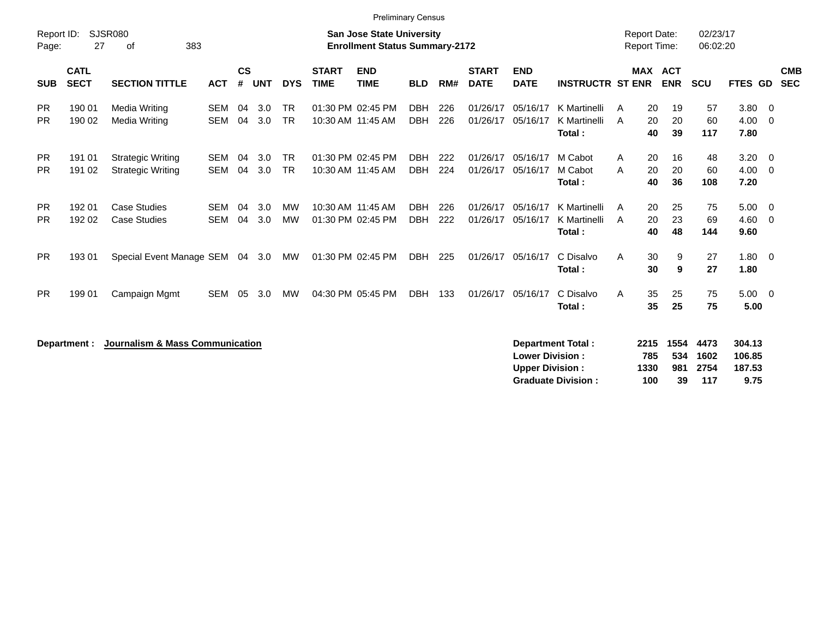|                        | <b>Preliminary Census</b>  |                                                      |                          |                    |            |                        |                             |                                                                           |                          |            |                             |                                                  |                                        |                                            |                                  |                      |                                       |                          |  |
|------------------------|----------------------------|------------------------------------------------------|--------------------------|--------------------|------------|------------------------|-----------------------------|---------------------------------------------------------------------------|--------------------------|------------|-----------------------------|--------------------------------------------------|----------------------------------------|--------------------------------------------|----------------------------------|----------------------|---------------------------------------|--------------------------|--|
| Report ID:<br>Page:    | 27                         | <b>SJSR080</b><br>383<br>οf                          |                          |                    |            |                        |                             | <b>San Jose State University</b><br><b>Enrollment Status Summary-2172</b> |                          |            |                             |                                                  |                                        | <b>Report Date:</b><br><b>Report Time:</b> |                                  | 02/23/17<br>06:02:20 |                                       |                          |  |
| <b>SUB</b>             | <b>CATL</b><br><b>SECT</b> | <b>SECTION TITTLE</b>                                | <b>ACT</b>               | $\mathsf{cs}$<br># | <b>UNT</b> | <b>DYS</b>             | <b>START</b><br><b>TIME</b> | <b>END</b><br><b>TIME</b>                                                 | <b>BLD</b>               | RM#        | <b>START</b><br><b>DATE</b> | <b>END</b><br><b>DATE</b>                        | <b>INSTRUCTR ST ENR</b>                |                                            | MAX ACT<br><b>ENR</b>            | <b>SCU</b>           | FTES GD                               | <b>CMB</b><br><b>SEC</b> |  |
| <b>PR</b><br><b>PR</b> | 190 01<br>190 02           | Media Writing<br>Media Writing                       | <b>SEM</b><br><b>SEM</b> | 04<br>04           | 3.0<br>3.0 | <b>TR</b><br><b>TR</b> |                             | 01:30 PM 02:45 PM<br>10:30 AM 11:45 AM                                    | <b>DBH</b><br><b>DBH</b> | 226<br>226 | 01/26/17<br>01/26/17        | 05/16/17<br>05/16/17                             | K Martinelli<br>K Martinelli<br>Total: | A<br>A                                     | 20<br>19<br>20<br>20<br>40<br>39 | 57<br>60<br>117      | $3.80 \quad 0$<br>4.00<br>7.80        | $\overline{\mathbf{0}}$  |  |
| <b>PR</b><br><b>PR</b> | 191 01<br>191 02           | <b>Strategic Writing</b><br><b>Strategic Writing</b> | <b>SEM</b><br><b>SEM</b> | 04<br>04           | 3.0<br>3.0 | <b>TR</b><br><b>TR</b> |                             | 01:30 PM 02:45 PM<br>10:30 AM 11:45 AM                                    | <b>DBH</b><br><b>DBH</b> | 222<br>224 | 01/26/17<br>01/26/17        | 05/16/17<br>05/16/17                             | M Cabot<br>M Cabot<br>Total:           | A<br>A                                     | 20<br>16<br>20<br>20<br>40<br>36 | 48<br>60<br>108      | $3.20 \ 0$<br>$4.00 \ 0$<br>7.20      |                          |  |
| <b>PR</b><br><b>PR</b> | 19201<br>192 02            | <b>Case Studies</b><br><b>Case Studies</b>           | <b>SEM</b><br><b>SEM</b> | 04<br>04           | 3.0<br>3.0 | MW<br>MW               |                             | 10:30 AM 11:45 AM<br>01:30 PM 02:45 PM                                    | <b>DBH</b><br><b>DBH</b> | 226<br>222 | 01/26/17<br>01/26/17        | 05/16/17<br>05/16/17                             | K Martinelli<br>K Martinelli<br>Total: | A<br>A                                     | 20<br>25<br>20<br>23<br>40<br>48 | 75<br>69<br>144      | $5.00 \t 0$<br>$4.60 \quad 0$<br>9.60 |                          |  |
| <b>PR</b>              | 193 01                     | Special Event Manage SEM                             |                          | 04                 | 3.0        | MW                     |                             | 01:30 PM 02:45 PM                                                         | <b>DBH</b>               | 225        | 01/26/17                    | 05/16/17                                         | C Disalvo<br>Total:                    | A                                          | 30<br>9<br>30<br>9               | 27<br>27             | $1.80 \ 0$<br>1.80                    |                          |  |
| <b>PR</b>              | 199 01                     | Campaign Mgmt                                        | <b>SEM</b>               | 05                 | 3.0        | <b>MW</b>              |                             | 04:30 PM 05:45 PM                                                         | <b>DBH</b>               | 133        | 01/26/17                    | 05/16/17                                         | C Disalvo<br>Total:                    | A                                          | 35<br>25<br>35<br>25             | 75<br>75             | $5.00 \t 0$<br>5.00                   |                          |  |
|                        | Department :               | Journalism & Mass Communication                      |                          |                    |            |                        |                             |                                                                           |                          |            |                             | <b>Lower Division:</b><br><b>Upper Division:</b> | <b>Department Total:</b>               | 2215<br>785<br>1330                        | 1554<br>534<br>981               | 4473<br>1602<br>2754 | 304.13<br>106.85<br>187.53            |                          |  |

**Graduate Division : 100 39 117 9.75**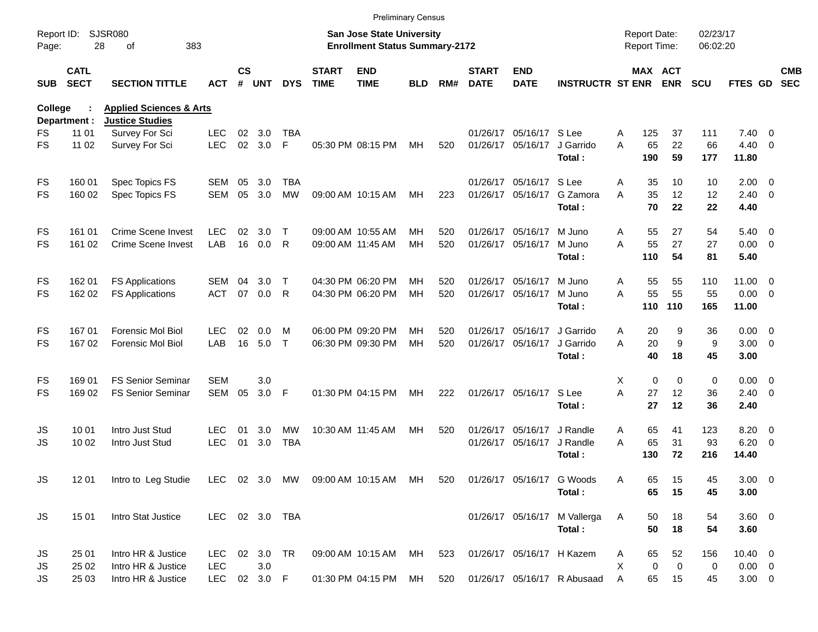| Report ID:<br><b>SJSR080</b><br><b>Report Date:</b><br>02/23/17<br><b>San Jose State University</b><br>28<br>383<br><b>Enrollment Status Summary-2172</b><br>Report Time:<br>06:02:20<br>Page:<br>of<br><b>CS</b><br><b>END</b><br><b>CATL</b><br><b>START</b><br><b>START</b><br><b>END</b><br>MAX ACT<br><b>SECT</b><br><b>SECTION TITTLE</b><br># UNT<br><b>DYS</b><br><b>TIME</b><br><b>DATE</b><br><b>ENR</b><br>FTES GD<br><b>SEC</b><br><b>TIME</b><br><b>BLD</b><br>RM#<br><b>DATE</b><br><b>INSTRUCTR ST ENR</b><br><b>SCU</b><br><b>SUB</b><br><b>ACT</b><br><b>Applied Sciences &amp; Arts</b><br><b>College</b><br><b>Justice Studies</b><br>Department :<br>11 01<br>Survey For Sci<br><b>LEC</b><br>02<br>3.0<br><b>TBA</b><br>01/26/17 05/16/17 S Lee<br>7.40<br>FS<br>125<br>37<br>111<br>$\overline{0}$<br>Α<br>02<br>3.0<br>F<br>A<br>65<br>22<br>66<br><b>FS</b><br>11 02<br><b>LEC</b><br>05:30 PM 08:15 PM<br>520<br>01/26/17 05/16/17<br>J Garrido<br>$4.40 \quad 0$<br>Survey For Sci<br>МH<br>190<br>59<br>Total:<br>177<br>11.80<br>Spec Topics FS<br><b>TBA</b><br>01/26/17 05/16/17 S Lee<br>35<br>10<br>$2.00 \t 0$<br>FS<br>160 01<br>SEM<br>05<br>3.0<br>Α<br>10<br>G Zamora<br>A<br>35<br>12<br>160 02<br>Spec Topics FS<br><b>SEM</b><br>05<br>3.0<br><b>MW</b><br>223<br>01/26/17 05/16/17<br>12<br>$2.40 \ 0$<br>FS<br>09:00 AM 10:15 AM<br>МH<br>70<br>22<br>Total:<br>22<br>4.40<br><b>Crime Scene Invest</b><br><b>LEC</b><br>01/26/17 05/16/17<br>M Juno<br>55<br>27<br>54<br>$5.40 \ 0$<br>FS<br>161 01<br>02<br>3.0<br>Т<br>09:00 AM 10:55 AM<br>MН<br>520<br>Α<br>16<br>A<br>55<br>27<br><b>FS</b><br>161 02<br><b>Crime Scene Invest</b><br>LAB<br>0.0<br>R<br>520<br>01/26/17 05/16/17<br>M Juno<br>27<br>$0.00 \t 0$<br>09:00 AM 11:45 AM<br>MН<br>110<br>54<br>81<br>Total:<br>5.40<br><b>FS Applications</b><br>04:30 PM 06:20 PM<br>01/26/17 05/16/17<br>M Juno<br>55<br>55<br>110<br>11.00 0<br>FS<br>162 01<br>SEM<br>04<br>3.0<br>Т<br>MН<br>520<br>Α<br>55<br>55<br>07<br>A<br>55<br><b>ACT</b><br>0.0<br>R<br>04:30 PM 06:20 PM<br>MH<br>520<br>01/26/17 05/16/17<br>M Juno<br>$0.00 \t 0$<br>FS<br>162 02<br><b>FS Applications</b><br>110<br>165<br>Total:<br>110<br>11.00<br>16701<br><b>Forensic Mol Biol</b><br><b>LEC</b><br>02<br>06:00 PM 09:20 PM<br>01/26/17 05/16/17<br>J Garrido<br>9<br>36<br>$0.00 \t 0$<br>FS<br>0.0<br>м<br>MН<br>520<br>20<br>Α<br>LAB<br>16<br>A<br>20<br>9<br><b>FS</b><br>167 02<br>Forensic Mol Biol<br>5.0<br>$\mathsf{T}$<br>06:30 PM 09:30 PM<br>MH<br>520<br>01/26/17 05/16/17<br>J Garrido<br>9<br>$3.00 \ 0$<br>40<br>18<br>45<br>Total:<br>3.00<br><b>FS Senior Seminar</b><br><b>SEM</b><br>3.0<br>Χ<br>$\Omega$<br>$\mathbf 0$<br>0<br>$0.00 \t 0$<br>FS<br>169 01<br>3.0<br>F<br>A<br>12<br>169 02<br><b>FS Senior Seminar</b><br>SEM<br>05<br>01:30 PM 04:15 PM<br>222<br>01/26/17 05/16/17<br>S Lee<br>27<br>36<br>$2.40 \ 0$<br>FS<br>MН<br>27<br>12<br>36<br>Total:<br>2.40<br>Intro Just Stud<br>10:30 AM 11:45 AM<br>01/26/17 05/16/17<br>J Randle<br>65<br>123<br>$8.20 \ 0$<br>JS<br>10 01<br><b>LEC</b><br>01<br>3.0<br>MW<br>MН<br>520<br>Α<br>41<br>65<br>$6.20 \quad 0$<br><b>JS</b><br>10 02<br><b>LEC</b><br>01<br>3.0<br><b>TBA</b><br>01/26/17 05/16/17<br>J Randle<br>A<br>31<br>93<br>Intro Just Stud<br>130<br>72<br>216<br>14.40<br>Total:<br>LEC 02 3.0 MW 09:00 AM 10:15 AM MH 520<br>01/26/17 05/16/17 G Woods<br>JS<br>12 01<br>Intro to Leg Studie<br>Α<br>65<br>15<br>45<br>$3.00 \ 0$<br>65<br>Total:<br>15<br>45<br>3.00<br><b>JS</b><br>15 01<br>Intro Stat Justice<br>LEC 02 3.0 TBA<br>01/26/17 05/16/17 M Vallerga<br>18<br>$3.60$ 0<br>A<br>50<br>54<br>50<br>54<br>Total:<br>18<br>3.60<br>Intro HR & Justice<br>01/26/17 05/16/17 H Kazem<br>65<br>52<br>$10.40 \ 0$<br>JS<br>25 01<br>LEC.<br>02 3.0 TR<br>09:00 AM 10:15 AM<br>MН<br>523<br>156<br>A<br>25 02<br>Intro HR & Justice<br><b>LEC</b><br>3.0<br>X<br>0<br>$\mathbf 0$<br>$0.00 \t 0$<br>JS<br>0<br>25 03<br>Intro HR & Justice<br><b>LEC</b><br>02 3.0 F<br>01:30 PM 04:15 PM<br>520<br>01/26/17 05/16/17 R Abusaad<br>65<br>15<br>$3.00 \ 0$<br>JS<br>MН<br>A<br>45 |  |  |  |  | <b>Preliminary Census</b> |  |  |  |  |  |            |
|--------------------------------------------------------------------------------------------------------------------------------------------------------------------------------------------------------------------------------------------------------------------------------------------------------------------------------------------------------------------------------------------------------------------------------------------------------------------------------------------------------------------------------------------------------------------------------------------------------------------------------------------------------------------------------------------------------------------------------------------------------------------------------------------------------------------------------------------------------------------------------------------------------------------------------------------------------------------------------------------------------------------------------------------------------------------------------------------------------------------------------------------------------------------------------------------------------------------------------------------------------------------------------------------------------------------------------------------------------------------------------------------------------------------------------------------------------------------------------------------------------------------------------------------------------------------------------------------------------------------------------------------------------------------------------------------------------------------------------------------------------------------------------------------------------------------------------------------------------------------------------------------------------------------------------------------------------------------------------------------------------------------------------------------------------------------------------------------------------------------------------------------------------------------------------------------------------------------------------------------------------------------------------------------------------------------------------------------------------------------------------------------------------------------------------------------------------------------------------------------------------------------------------------------------------------------------------------------------------------------------------------------------------------------------------------------------------------------------------------------------------------------------------------------------------------------------------------------------------------------------------------------------------------------------------------------------------------------------------------------------------------------------------------------------------------------------------------------------------------------------------------------------------------------------------------------------------------------------------------------------------------------------------------------------------------------------------------------------------------------------------------------------------------------------------------------------------------------------------------------------------------------------------------------------------------------------------------------------------------------------------------------------------------------------------------------------------------------------------------------------------------------------------------------------------------------------------------------------------------------------------------------------------------------------------------------------------------------------------------------------------------------------------------------------------------------------------------------------------------------------------------------------------------------------|--|--|--|--|---------------------------|--|--|--|--|--|------------|
|                                                                                                                                                                                                                                                                                                                                                                                                                                                                                                                                                                                                                                                                                                                                                                                                                                                                                                                                                                                                                                                                                                                                                                                                                                                                                                                                                                                                                                                                                                                                                                                                                                                                                                                                                                                                                                                                                                                                                                                                                                                                                                                                                                                                                                                                                                                                                                                                                                                                                                                                                                                                                                                                                                                                                                                                                                                                                                                                                                                                                                                                                                                                                                                                                                                                                                                                                                                                                                                                                                                                                                                                                                                                                                                                                                                                                                                                                                                                                                                                                                                                                                                                                                          |  |  |  |  |                           |  |  |  |  |  |            |
|                                                                                                                                                                                                                                                                                                                                                                                                                                                                                                                                                                                                                                                                                                                                                                                                                                                                                                                                                                                                                                                                                                                                                                                                                                                                                                                                                                                                                                                                                                                                                                                                                                                                                                                                                                                                                                                                                                                                                                                                                                                                                                                                                                                                                                                                                                                                                                                                                                                                                                                                                                                                                                                                                                                                                                                                                                                                                                                                                                                                                                                                                                                                                                                                                                                                                                                                                                                                                                                                                                                                                                                                                                                                                                                                                                                                                                                                                                                                                                                                                                                                                                                                                                          |  |  |  |  |                           |  |  |  |  |  | <b>CMB</b> |
|                                                                                                                                                                                                                                                                                                                                                                                                                                                                                                                                                                                                                                                                                                                                                                                                                                                                                                                                                                                                                                                                                                                                                                                                                                                                                                                                                                                                                                                                                                                                                                                                                                                                                                                                                                                                                                                                                                                                                                                                                                                                                                                                                                                                                                                                                                                                                                                                                                                                                                                                                                                                                                                                                                                                                                                                                                                                                                                                                                                                                                                                                                                                                                                                                                                                                                                                                                                                                                                                                                                                                                                                                                                                                                                                                                                                                                                                                                                                                                                                                                                                                                                                                                          |  |  |  |  |                           |  |  |  |  |  |            |
|                                                                                                                                                                                                                                                                                                                                                                                                                                                                                                                                                                                                                                                                                                                                                                                                                                                                                                                                                                                                                                                                                                                                                                                                                                                                                                                                                                                                                                                                                                                                                                                                                                                                                                                                                                                                                                                                                                                                                                                                                                                                                                                                                                                                                                                                                                                                                                                                                                                                                                                                                                                                                                                                                                                                                                                                                                                                                                                                                                                                                                                                                                                                                                                                                                                                                                                                                                                                                                                                                                                                                                                                                                                                                                                                                                                                                                                                                                                                                                                                                                                                                                                                                                          |  |  |  |  |                           |  |  |  |  |  |            |
|                                                                                                                                                                                                                                                                                                                                                                                                                                                                                                                                                                                                                                                                                                                                                                                                                                                                                                                                                                                                                                                                                                                                                                                                                                                                                                                                                                                                                                                                                                                                                                                                                                                                                                                                                                                                                                                                                                                                                                                                                                                                                                                                                                                                                                                                                                                                                                                                                                                                                                                                                                                                                                                                                                                                                                                                                                                                                                                                                                                                                                                                                                                                                                                                                                                                                                                                                                                                                                                                                                                                                                                                                                                                                                                                                                                                                                                                                                                                                                                                                                                                                                                                                                          |  |  |  |  |                           |  |  |  |  |  |            |
|                                                                                                                                                                                                                                                                                                                                                                                                                                                                                                                                                                                                                                                                                                                                                                                                                                                                                                                                                                                                                                                                                                                                                                                                                                                                                                                                                                                                                                                                                                                                                                                                                                                                                                                                                                                                                                                                                                                                                                                                                                                                                                                                                                                                                                                                                                                                                                                                                                                                                                                                                                                                                                                                                                                                                                                                                                                                                                                                                                                                                                                                                                                                                                                                                                                                                                                                                                                                                                                                                                                                                                                                                                                                                                                                                                                                                                                                                                                                                                                                                                                                                                                                                                          |  |  |  |  |                           |  |  |  |  |  |            |
|                                                                                                                                                                                                                                                                                                                                                                                                                                                                                                                                                                                                                                                                                                                                                                                                                                                                                                                                                                                                                                                                                                                                                                                                                                                                                                                                                                                                                                                                                                                                                                                                                                                                                                                                                                                                                                                                                                                                                                                                                                                                                                                                                                                                                                                                                                                                                                                                                                                                                                                                                                                                                                                                                                                                                                                                                                                                                                                                                                                                                                                                                                                                                                                                                                                                                                                                                                                                                                                                                                                                                                                                                                                                                                                                                                                                                                                                                                                                                                                                                                                                                                                                                                          |  |  |  |  |                           |  |  |  |  |  |            |
|                                                                                                                                                                                                                                                                                                                                                                                                                                                                                                                                                                                                                                                                                                                                                                                                                                                                                                                                                                                                                                                                                                                                                                                                                                                                                                                                                                                                                                                                                                                                                                                                                                                                                                                                                                                                                                                                                                                                                                                                                                                                                                                                                                                                                                                                                                                                                                                                                                                                                                                                                                                                                                                                                                                                                                                                                                                                                                                                                                                                                                                                                                                                                                                                                                                                                                                                                                                                                                                                                                                                                                                                                                                                                                                                                                                                                                                                                                                                                                                                                                                                                                                                                                          |  |  |  |  |                           |  |  |  |  |  |            |
|                                                                                                                                                                                                                                                                                                                                                                                                                                                                                                                                                                                                                                                                                                                                                                                                                                                                                                                                                                                                                                                                                                                                                                                                                                                                                                                                                                                                                                                                                                                                                                                                                                                                                                                                                                                                                                                                                                                                                                                                                                                                                                                                                                                                                                                                                                                                                                                                                                                                                                                                                                                                                                                                                                                                                                                                                                                                                                                                                                                                                                                                                                                                                                                                                                                                                                                                                                                                                                                                                                                                                                                                                                                                                                                                                                                                                                                                                                                                                                                                                                                                                                                                                                          |  |  |  |  |                           |  |  |  |  |  |            |
|                                                                                                                                                                                                                                                                                                                                                                                                                                                                                                                                                                                                                                                                                                                                                                                                                                                                                                                                                                                                                                                                                                                                                                                                                                                                                                                                                                                                                                                                                                                                                                                                                                                                                                                                                                                                                                                                                                                                                                                                                                                                                                                                                                                                                                                                                                                                                                                                                                                                                                                                                                                                                                                                                                                                                                                                                                                                                                                                                                                                                                                                                                                                                                                                                                                                                                                                                                                                                                                                                                                                                                                                                                                                                                                                                                                                                                                                                                                                                                                                                                                                                                                                                                          |  |  |  |  |                           |  |  |  |  |  |            |
|                                                                                                                                                                                                                                                                                                                                                                                                                                                                                                                                                                                                                                                                                                                                                                                                                                                                                                                                                                                                                                                                                                                                                                                                                                                                                                                                                                                                                                                                                                                                                                                                                                                                                                                                                                                                                                                                                                                                                                                                                                                                                                                                                                                                                                                                                                                                                                                                                                                                                                                                                                                                                                                                                                                                                                                                                                                                                                                                                                                                                                                                                                                                                                                                                                                                                                                                                                                                                                                                                                                                                                                                                                                                                                                                                                                                                                                                                                                                                                                                                                                                                                                                                                          |  |  |  |  |                           |  |  |  |  |  |            |
|                                                                                                                                                                                                                                                                                                                                                                                                                                                                                                                                                                                                                                                                                                                                                                                                                                                                                                                                                                                                                                                                                                                                                                                                                                                                                                                                                                                                                                                                                                                                                                                                                                                                                                                                                                                                                                                                                                                                                                                                                                                                                                                                                                                                                                                                                                                                                                                                                                                                                                                                                                                                                                                                                                                                                                                                                                                                                                                                                                                                                                                                                                                                                                                                                                                                                                                                                                                                                                                                                                                                                                                                                                                                                                                                                                                                                                                                                                                                                                                                                                                                                                                                                                          |  |  |  |  |                           |  |  |  |  |  |            |
|                                                                                                                                                                                                                                                                                                                                                                                                                                                                                                                                                                                                                                                                                                                                                                                                                                                                                                                                                                                                                                                                                                                                                                                                                                                                                                                                                                                                                                                                                                                                                                                                                                                                                                                                                                                                                                                                                                                                                                                                                                                                                                                                                                                                                                                                                                                                                                                                                                                                                                                                                                                                                                                                                                                                                                                                                                                                                                                                                                                                                                                                                                                                                                                                                                                                                                                                                                                                                                                                                                                                                                                                                                                                                                                                                                                                                                                                                                                                                                                                                                                                                                                                                                          |  |  |  |  |                           |  |  |  |  |  |            |
|                                                                                                                                                                                                                                                                                                                                                                                                                                                                                                                                                                                                                                                                                                                                                                                                                                                                                                                                                                                                                                                                                                                                                                                                                                                                                                                                                                                                                                                                                                                                                                                                                                                                                                                                                                                                                                                                                                                                                                                                                                                                                                                                                                                                                                                                                                                                                                                                                                                                                                                                                                                                                                                                                                                                                                                                                                                                                                                                                                                                                                                                                                                                                                                                                                                                                                                                                                                                                                                                                                                                                                                                                                                                                                                                                                                                                                                                                                                                                                                                                                                                                                                                                                          |  |  |  |  |                           |  |  |  |  |  |            |
|                                                                                                                                                                                                                                                                                                                                                                                                                                                                                                                                                                                                                                                                                                                                                                                                                                                                                                                                                                                                                                                                                                                                                                                                                                                                                                                                                                                                                                                                                                                                                                                                                                                                                                                                                                                                                                                                                                                                                                                                                                                                                                                                                                                                                                                                                                                                                                                                                                                                                                                                                                                                                                                                                                                                                                                                                                                                                                                                                                                                                                                                                                                                                                                                                                                                                                                                                                                                                                                                                                                                                                                                                                                                                                                                                                                                                                                                                                                                                                                                                                                                                                                                                                          |  |  |  |  |                           |  |  |  |  |  |            |
|                                                                                                                                                                                                                                                                                                                                                                                                                                                                                                                                                                                                                                                                                                                                                                                                                                                                                                                                                                                                                                                                                                                                                                                                                                                                                                                                                                                                                                                                                                                                                                                                                                                                                                                                                                                                                                                                                                                                                                                                                                                                                                                                                                                                                                                                                                                                                                                                                                                                                                                                                                                                                                                                                                                                                                                                                                                                                                                                                                                                                                                                                                                                                                                                                                                                                                                                                                                                                                                                                                                                                                                                                                                                                                                                                                                                                                                                                                                                                                                                                                                                                                                                                                          |  |  |  |  |                           |  |  |  |  |  |            |
|                                                                                                                                                                                                                                                                                                                                                                                                                                                                                                                                                                                                                                                                                                                                                                                                                                                                                                                                                                                                                                                                                                                                                                                                                                                                                                                                                                                                                                                                                                                                                                                                                                                                                                                                                                                                                                                                                                                                                                                                                                                                                                                                                                                                                                                                                                                                                                                                                                                                                                                                                                                                                                                                                                                                                                                                                                                                                                                                                                                                                                                                                                                                                                                                                                                                                                                                                                                                                                                                                                                                                                                                                                                                                                                                                                                                                                                                                                                                                                                                                                                                                                                                                                          |  |  |  |  |                           |  |  |  |  |  |            |
|                                                                                                                                                                                                                                                                                                                                                                                                                                                                                                                                                                                                                                                                                                                                                                                                                                                                                                                                                                                                                                                                                                                                                                                                                                                                                                                                                                                                                                                                                                                                                                                                                                                                                                                                                                                                                                                                                                                                                                                                                                                                                                                                                                                                                                                                                                                                                                                                                                                                                                                                                                                                                                                                                                                                                                                                                                                                                                                                                                                                                                                                                                                                                                                                                                                                                                                                                                                                                                                                                                                                                                                                                                                                                                                                                                                                                                                                                                                                                                                                                                                                                                                                                                          |  |  |  |  |                           |  |  |  |  |  |            |
|                                                                                                                                                                                                                                                                                                                                                                                                                                                                                                                                                                                                                                                                                                                                                                                                                                                                                                                                                                                                                                                                                                                                                                                                                                                                                                                                                                                                                                                                                                                                                                                                                                                                                                                                                                                                                                                                                                                                                                                                                                                                                                                                                                                                                                                                                                                                                                                                                                                                                                                                                                                                                                                                                                                                                                                                                                                                                                                                                                                                                                                                                                                                                                                                                                                                                                                                                                                                                                                                                                                                                                                                                                                                                                                                                                                                                                                                                                                                                                                                                                                                                                                                                                          |  |  |  |  |                           |  |  |  |  |  |            |
|                                                                                                                                                                                                                                                                                                                                                                                                                                                                                                                                                                                                                                                                                                                                                                                                                                                                                                                                                                                                                                                                                                                                                                                                                                                                                                                                                                                                                                                                                                                                                                                                                                                                                                                                                                                                                                                                                                                                                                                                                                                                                                                                                                                                                                                                                                                                                                                                                                                                                                                                                                                                                                                                                                                                                                                                                                                                                                                                                                                                                                                                                                                                                                                                                                                                                                                                                                                                                                                                                                                                                                                                                                                                                                                                                                                                                                                                                                                                                                                                                                                                                                                                                                          |  |  |  |  |                           |  |  |  |  |  |            |
|                                                                                                                                                                                                                                                                                                                                                                                                                                                                                                                                                                                                                                                                                                                                                                                                                                                                                                                                                                                                                                                                                                                                                                                                                                                                                                                                                                                                                                                                                                                                                                                                                                                                                                                                                                                                                                                                                                                                                                                                                                                                                                                                                                                                                                                                                                                                                                                                                                                                                                                                                                                                                                                                                                                                                                                                                                                                                                                                                                                                                                                                                                                                                                                                                                                                                                                                                                                                                                                                                                                                                                                                                                                                                                                                                                                                                                                                                                                                                                                                                                                                                                                                                                          |  |  |  |  |                           |  |  |  |  |  |            |
|                                                                                                                                                                                                                                                                                                                                                                                                                                                                                                                                                                                                                                                                                                                                                                                                                                                                                                                                                                                                                                                                                                                                                                                                                                                                                                                                                                                                                                                                                                                                                                                                                                                                                                                                                                                                                                                                                                                                                                                                                                                                                                                                                                                                                                                                                                                                                                                                                                                                                                                                                                                                                                                                                                                                                                                                                                                                                                                                                                                                                                                                                                                                                                                                                                                                                                                                                                                                                                                                                                                                                                                                                                                                                                                                                                                                                                                                                                                                                                                                                                                                                                                                                                          |  |  |  |  |                           |  |  |  |  |  |            |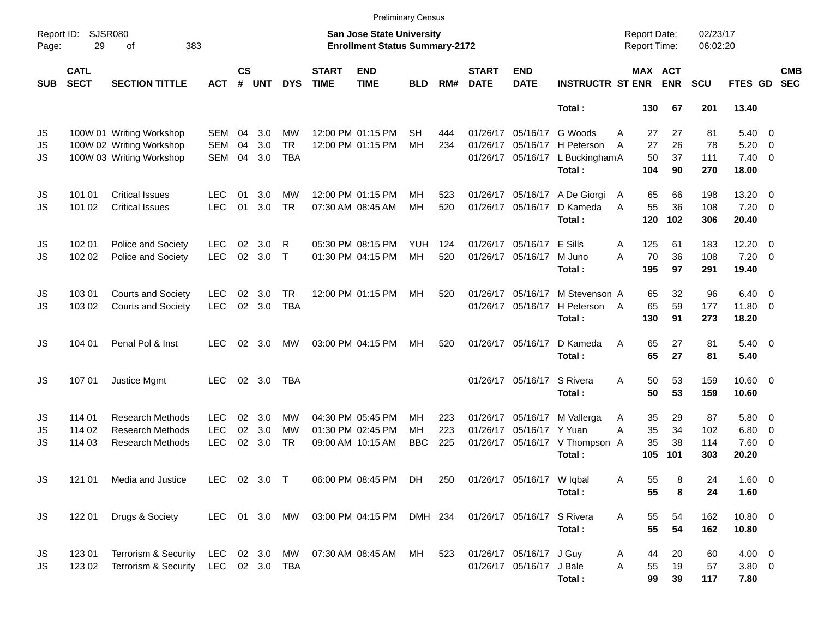|                       |                                                 |                                                                                  |                                        |                    |                   |                               |                             | <b>Preliminary Census</b>                                                 |                        |                   |                             |                                                             |                                                        |                                     |                       |                         |                                               |                          |                          |
|-----------------------|-------------------------------------------------|----------------------------------------------------------------------------------|----------------------------------------|--------------------|-------------------|-------------------------------|-----------------------------|---------------------------------------------------------------------------|------------------------|-------------------|-----------------------------|-------------------------------------------------------------|--------------------------------------------------------|-------------------------------------|-----------------------|-------------------------|-----------------------------------------------|--------------------------|--------------------------|
| Page:                 | <b>SJSR080</b><br>Report ID:<br>29<br>383<br>of |                                                                                  |                                        |                    |                   |                               |                             | <b>San Jose State University</b><br><b>Enrollment Status Summary-2172</b> |                        |                   |                             |                                                             |                                                        | <b>Report Date:</b><br>Report Time: |                       | 02/23/17<br>06:02:20    |                                               |                          |                          |
| <b>SUB</b>            | <b>CATL</b><br><b>SECT</b>                      | <b>SECTION TITTLE</b>                                                            | <b>ACT</b>                             | $\mathsf{cs}$<br># | UNT               | <b>DYS</b>                    | <b>START</b><br><b>TIME</b> | <b>END</b><br><b>TIME</b>                                                 | <b>BLD</b>             | RM#               | <b>START</b><br><b>DATE</b> | <b>END</b><br><b>DATE</b>                                   | <b>INSTRUCTR ST ENR</b>                                | MAX ACT                             | <b>ENR</b>            | <b>SCU</b>              | FTES GD                                       |                          | <b>CMB</b><br><b>SEC</b> |
|                       |                                                 |                                                                                  |                                        |                    |                   |                               |                             |                                                                           |                        |                   |                             |                                                             | Total:                                                 | 130                                 | 67                    | 201                     | 13.40                                         |                          |                          |
| JS<br>JS<br><b>JS</b> |                                                 | 100W 01 Writing Workshop<br>100W 02 Writing Workshop<br>100W 03 Writing Workshop | SEM<br><b>SEM</b><br><b>SEM</b>        | 04<br>04<br>04     | 3.0<br>3.0<br>3.0 | MW<br><b>TR</b><br><b>TBA</b> |                             | 12:00 PM 01:15 PM<br>12:00 PM 01:15 PM                                    | SН<br>MH               | 444<br>234        |                             | 01/26/17 05/16/17<br>01/26/17 05/16/17<br>01/26/17 05/16/17 | G Woods<br>H Peterson<br>L Buckingham A<br>Total:      | 27<br>A<br>27<br>A<br>50<br>104     | 27<br>26<br>37<br>90  | 81<br>78<br>111<br>270  | $5.40 \ 0$<br>5.20<br>$7.40 \quad 0$<br>18.00 | $\overline{\phantom{0}}$ |                          |
| JS<br><b>JS</b>       | 101 01<br>101 02                                | <b>Critical Issues</b><br><b>Critical Issues</b>                                 | LEC<br><b>LEC</b>                      | 01<br>01           | 3.0<br>3.0        | МW<br><b>TR</b>               |                             | 12:00 PM 01:15 PM<br>07:30 AM 08:45 AM                                    | MН<br>MH               | 523<br>520        |                             | 01/26/17 05/16/17<br>01/26/17 05/16/17                      | A De Giorgi<br>D Kameda<br>Total:                      | 65<br>A<br>55<br>A<br>120           | 66<br>36<br>102       | 198<br>108<br>306       | 13.20<br>$7.20 \t 0$<br>20.40                 | $\overline{\phantom{0}}$ |                          |
| JS<br>JS              | 102 01<br>102 02                                | Police and Society<br>Police and Society                                         | <b>LEC</b><br><b>LEC</b>               | 02<br>02           | 3.0<br>3.0        | R<br>$\top$                   |                             | 05:30 PM 08:15 PM<br>01:30 PM 04:15 PM                                    | YUH.<br>MH             | 124<br>520        |                             | 01/26/17 05/16/17<br>01/26/17 05/16/17                      | E Sills<br>M Juno<br>Total:                            | 125<br>Α<br>70<br>A<br>195          | 61<br>36<br>97        | 183<br>108<br>291       | 12.20<br>$7.20 \t 0$<br>19.40                 | $\overline{\phantom{0}}$ |                          |
| JS<br><b>JS</b>       | 103 01<br>103 02                                | <b>Courts and Society</b><br><b>Courts and Society</b>                           | <b>LEC</b><br><b>LEC</b>               | 02<br>02           | 3.0<br>3.0        | TR.<br><b>TBA</b>             |                             | 12:00 PM 01:15 PM                                                         | MН                     | 520               |                             | 01/26/17 05/16/17<br>01/26/17 05/16/17                      | M Stevenson A<br>H Peterson<br>Total:                  | 65<br>65<br>A<br>130                | 32<br>59<br>91        | 96<br>177<br>273        | $6.40 \quad 0$<br>11.80 0<br>18.20            |                          |                          |
| JS                    | 104 01                                          | Penal Pol & Inst                                                                 | <b>LEC</b>                             | 02                 | 3.0               | МW                            |                             | 03:00 PM 04:15 PM                                                         | MН                     | 520               |                             | 01/26/17 05/16/17                                           | D Kameda<br>Total:                                     | 65<br>A<br>65                       | 27<br>27              | 81<br>81                | $5.40 \ 0$<br>5.40                            |                          |                          |
| JS                    | 107 01                                          | Justice Mgmt                                                                     | <b>LEC</b>                             |                    | 02 3.0            | <b>TBA</b>                    |                             |                                                                           |                        |                   |                             | 01/26/17 05/16/17                                           | S Rivera<br>Total:                                     | 50<br>A<br>50                       | 53<br>53              | 159<br>159              | $10.60 \t 0$<br>10.60                         |                          |                          |
| JS<br>JS<br><b>JS</b> | 114 01<br>114 02<br>114 03                      | <b>Research Methods</b><br><b>Research Methods</b><br><b>Research Methods</b>    | <b>LEC</b><br><b>LEC</b><br><b>LEC</b> | 02<br>02<br>02     | 3.0<br>3.0<br>3.0 | МW<br>MW<br><b>TR</b>         |                             | 04:30 PM 05:45 PM<br>01:30 PM 02:45 PM<br>09:00 AM 10:15 AM               | MН<br>MH<br><b>BBC</b> | 223<br>223<br>225 |                             | 01/26/17 05/16/17<br>01/26/17 05/16/17 Y Yuan               | M Vallerga<br>01/26/17 05/16/17 V Thompson A<br>Total: | 35<br>Α<br>35<br>A<br>35<br>105     | 29<br>34<br>38<br>101 | 87<br>102<br>114<br>303 | 5.80 0<br>6.80<br>7.60 0<br>20.20             | $\overline{\phantom{0}}$ |                          |
| JS                    | 121 01                                          | Media and Justice                                                                | LEC 02 3.0 T                           |                    |                   |                               |                             | 06:00 PM 08:45 PM DH                                                      |                        |                   |                             | 250 01/26/17 05/16/17 W Iqbal                               | Total:                                                 | Α<br>55<br>55                       | 8<br>8                | 24<br>24                | $1.60 \t 0$<br>1.60                           |                          |                          |
| <b>JS</b>             | 122 01                                          | Drugs & Society                                                                  |                                        |                    |                   | LEC 01 3.0 MW                 |                             | 03:00 PM 04:15 PM DMH 234                                                 |                        |                   |                             | 01/26/17 05/16/17 S Rivera                                  | Total:                                                 | 55<br>Α<br>55                       | 54<br>54              | 162<br>162              | 10.80 0<br>10.80                              |                          |                          |
| JS<br>JS              | 123 01<br>123 02                                | Terrorism & Security<br>Terrorism & Security LEC 02 3.0 TBA                      | LEC                                    |                    |                   | 02 3.0 MW                     |                             | 07:30 AM_08:45 AM  MH                                                     |                        | 523               |                             | 01/26/17 05/16/17 J Guy<br>01/26/17 05/16/17 J Bale         | Total:                                                 | 44<br>A<br>A<br>55<br>99            | 20<br>19<br>39        | 60<br>57<br>117         | $4.00 \t 0$<br>$3.80\ 0$<br>7.80              |                          |                          |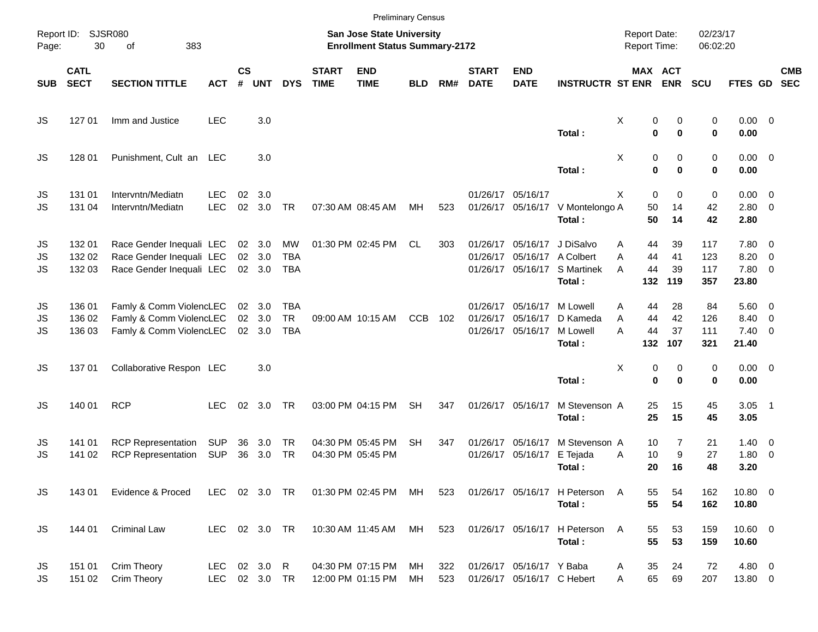|                       |                            |                                                                                  |                          |                    |                            |                                |                             |                                                                           | <b>Preliminary Census</b> |            |                             |                                                             |                                                     |                                      |                       |                          |                                             |                          |                          |
|-----------------------|----------------------------|----------------------------------------------------------------------------------|--------------------------|--------------------|----------------------------|--------------------------------|-----------------------------|---------------------------------------------------------------------------|---------------------------|------------|-----------------------------|-------------------------------------------------------------|-----------------------------------------------------|--------------------------------------|-----------------------|--------------------------|---------------------------------------------|--------------------------|--------------------------|
| Report ID:<br>Page:   | 30                         | <b>SJSR080</b><br>383<br>of                                                      |                          |                    |                            |                                |                             | <b>San Jose State University</b><br><b>Enrollment Status Summary-2172</b> |                           |            |                             |                                                             |                                                     | <b>Report Date:</b><br>Report Time:  |                       | 02/23/17<br>06:02:20     |                                             |                          |                          |
| <b>SUB</b>            | <b>CATL</b><br><b>SECT</b> | <b>SECTION TITTLE</b>                                                            | <b>ACT</b>               | $\mathsf{cs}$<br># | <b>UNT</b>                 | <b>DYS</b>                     | <b>START</b><br><b>TIME</b> | <b>END</b><br><b>TIME</b>                                                 | <b>BLD</b>                | RM#        | <b>START</b><br><b>DATE</b> | <b>END</b><br><b>DATE</b>                                   | <b>INSTRUCTR ST ENR</b>                             | MAX ACT                              | <b>ENR</b>            | <b>SCU</b>               | <b>FTES GD</b>                              |                          | <b>CMB</b><br><b>SEC</b> |
| <b>JS</b>             | 127 01                     | Imm and Justice                                                                  | <b>LEC</b>               |                    | 3.0                        |                                |                             |                                                                           |                           |            |                             |                                                             | Total:                                              | Χ<br>0<br>$\bf{0}$                   | 0<br>$\bf{0}$         | 0<br>0                   | $0.00 \t 0$<br>0.00                         |                          |                          |
| JS                    | 128 01                     | Punishment, Cult an LEC                                                          |                          |                    | 3.0                        |                                |                             |                                                                           |                           |            |                             |                                                             | Total:                                              | Χ<br>0<br>$\bf{0}$                   | 0<br>$\bf{0}$         | 0<br>0                   | $0.00 \t 0$<br>0.00                         |                          |                          |
| JS<br><b>JS</b>       | 131 01<br>131 04           | Intervntn/Mediatn<br>Intervntn/Mediatn                                           | <b>LEC</b><br><b>LEC</b> | 02<br>02           | 3.0<br>3.0                 | <b>TR</b>                      |                             | 07:30 AM 08:45 AM                                                         | МH                        | 523        |                             | 01/26/17 05/16/17                                           | 01/26/17 05/16/17 V Montelongo A<br>Total:          | $\mathbf 0$<br>X<br>50<br>50         | 0<br>14<br>14         | 0<br>42<br>42            | $0.00 \t 0$<br>2.80 0<br>2.80               |                          |                          |
| JS<br>JS<br><b>JS</b> | 132 01<br>132 02<br>132 03 | Race Gender Inequali LEC<br>Race Gender Inequali LEC<br>Race Gender Inequali LEC |                          |                    | 02 3.0<br>02 3.0<br>02 3.0 | MW<br><b>TBA</b><br>TBA        |                             | 01:30 PM 02:45 PM                                                         | CL                        | 303        |                             | 01/26/17 05/16/17<br>01/26/17 05/16/17 A Colbert            | J DiSalvo<br>01/26/17 05/16/17 S Martinek<br>Total: | 44<br>Α<br>A<br>44<br>44<br>A<br>132 | 39<br>41<br>39<br>119 | 117<br>123<br>117<br>357 | 7.80 0<br>8.20<br>7.80 0<br>23.80           | $\overline{\phantom{0}}$ |                          |
| JS<br>JS<br><b>JS</b> | 136 01<br>136 02<br>136 03 | Famly & Comm ViolencLEC<br>Famly & Comm ViolencLEC<br>Famly & Comm ViolencLEC    |                          |                    | 02 3.0<br>02 3.0<br>02 3.0 | TBA<br><b>TR</b><br><b>TBA</b> |                             | 09:00 AM 10:15 AM                                                         | <b>CCB</b>                | 102        |                             | 01/26/17 05/16/17<br>01/26/17 05/16/17<br>01/26/17 05/16/17 | M Lowell<br>D Kameda<br>M Lowell<br>Total:          | A<br>44<br>44<br>A<br>44<br>A<br>132 | 28<br>42<br>37<br>107 | 84<br>126<br>111<br>321  | $5.60$ 0<br>8.40<br>$7.40 \quad 0$<br>21.40 | $\overline{\phantom{0}}$ |                          |
| JS                    | 13701                      | Collaborative Respon LEC                                                         |                          |                    | 3.0                        |                                |                             |                                                                           |                           |            |                             |                                                             | Total:                                              | Χ<br>0<br>$\bf{0}$                   | 0<br>$\bf{0}$         | 0<br>0                   | $0.00 \t 0$<br>0.00                         |                          |                          |
| JS                    | 140 01                     | <b>RCP</b>                                                                       | <b>LEC</b>               | 02                 | 3.0                        | TR                             |                             | 03:00 PM 04:15 PM                                                         | <b>SH</b>                 | 347        |                             | 01/26/17 05/16/17                                           | M Stevenson A<br>Total:                             | 25<br>25                             | 15<br>15              | 45<br>45                 | $3.05$ 1<br>3.05                            |                          |                          |
| JS<br>JS              | 141 01<br>141 02           | <b>RCP Representation</b><br><b>RCP Representation</b>                           | SUP<br><b>SUP</b>        | 36<br>36           | 3.0<br>3.0                 | TR<br><b>TR</b>                |                             | 04:30 PM 05:45 PM<br>04:30 PM 05:45 PM                                    | <b>SH</b>                 | 347        |                             | 01/26/17 05/16/17<br>01/26/17 05/16/17                      | M Stevenson A<br>E Tejada<br>Total:                 | 10<br>10<br>Α<br>20                  | 7<br>9<br>16          | 21<br>27<br>48           | $1.40 \ 0$<br>1.80<br>3.20                  | $\overline{\phantom{0}}$ |                          |
| <b>JS</b>             | 143 01                     | Evidence & Proced                                                                | LEC 02 3.0 TR            |                    |                            |                                |                             | 01:30 PM 02:45 PM MH                                                      |                           | 523        |                             |                                                             | 01/26/17 05/16/17 H Peterson<br>Total:              | 55<br>A<br>55                        | 54<br>54              | 162<br>162               | 10.80 0<br>10.80                            |                          |                          |
| <b>JS</b>             | 144 01                     | <b>Criminal Law</b>                                                              | LEC 02 3.0 TR            |                    |                            |                                |                             | 10:30 AM 11:45 AM                                                         | МH                        | 523        |                             |                                                             | 01/26/17 05/16/17 H Peterson<br>Total:              | $\overline{A}$<br>55<br>55           | 53<br>53              | 159<br>159               | 10.60 0<br>10.60                            |                          |                          |
| JS<br>JS              | 151 01<br>151 02           | Crim Theory<br>Crim Theory                                                       | <b>LEC</b><br><b>LEC</b> |                    | 02 3.0 R<br>02 3.0 TR      |                                |                             | 04:30 PM 07:15 PM<br>12:00 PM 01:15 PM                                    | MН<br>МH                  | 322<br>523 |                             | 01/26/17 05/16/17 Y Baba<br>01/26/17 05/16/17 C Hebert      |                                                     | 35<br>Α<br>65<br>Α                   | 24<br>69              | 72<br>207                | 4.80 0<br>13.80 0                           |                          |                          |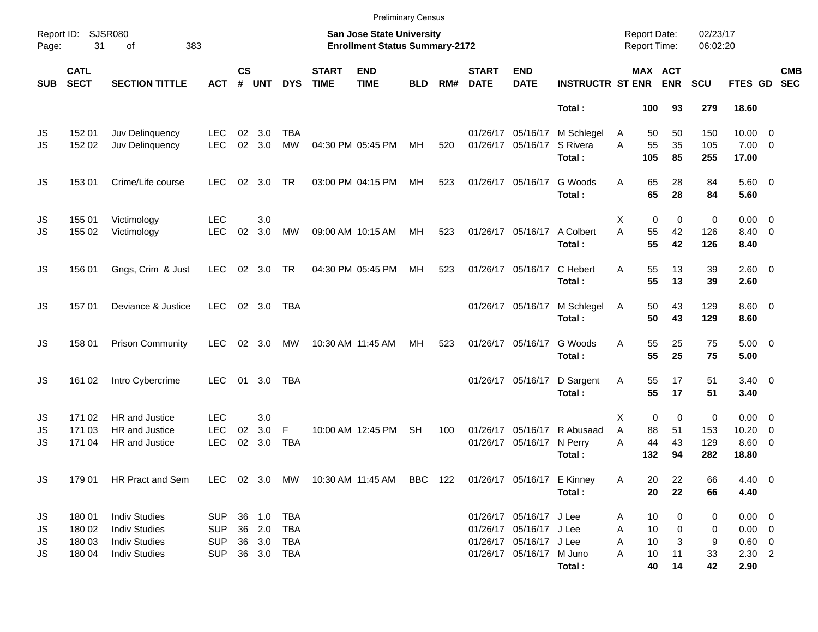|                       |                                      |                                                                                              |                                                      |                    |                                          |                          |                             | <b>Preliminary Census</b>                                          |            |     |                             |                                                                                                           |                                                    |                  |                                |                                            |                         |                                                               |                          |            |
|-----------------------|--------------------------------------|----------------------------------------------------------------------------------------------|------------------------------------------------------|--------------------|------------------------------------------|--------------------------|-----------------------------|--------------------------------------------------------------------|------------|-----|-----------------------------|-----------------------------------------------------------------------------------------------------------|----------------------------------------------------|------------------|--------------------------------|--------------------------------------------|-------------------------|---------------------------------------------------------------|--------------------------|------------|
| Page:                 | Report ID: SJSR080<br>31             | 383<br>of                                                                                    |                                                      |                    |                                          |                          |                             | San Jose State University<br><b>Enrollment Status Summary-2172</b> |            |     |                             |                                                                                                           |                                                    |                  |                                | <b>Report Date:</b><br><b>Report Time:</b> | 02/23/17<br>06:02:20    |                                                               |                          |            |
| <b>SUB</b>            | <b>CATL</b><br><b>SECT</b>           | <b>SECTION TITTLE</b>                                                                        | <b>ACT</b>                                           | $\mathsf{cs}$<br># | <b>UNT</b>                               | <b>DYS</b>               | <b>START</b><br><b>TIME</b> | <b>END</b><br><b>TIME</b>                                          | <b>BLD</b> | RM# | <b>START</b><br><b>DATE</b> | <b>END</b><br><b>DATE</b>                                                                                 | <b>INSTRUCTR ST ENR ENR</b>                        |                  |                                | <b>MAX ACT</b>                             | <b>SCU</b>              | FTES GD SEC                                                   |                          | <b>CMB</b> |
|                       |                                      |                                                                                              |                                                      |                    |                                          |                          |                             |                                                                    |            |     |                             |                                                                                                           | Total:                                             |                  | 100                            | 93                                         | 279                     | 18.60                                                         |                          |            |
| JS<br>JS              | 152 01<br>152 02                     | Juv Delinquency<br>Juv Delinquency                                                           | <b>LEC</b><br><b>LEC</b>                             | 02<br>$02\,$       | 3.0<br>3.0                               | <b>TBA</b><br><b>MW</b>  |                             | 04:30 PM 05:45 PM                                                  | МH         | 520 |                             | 01/26/17 05/16/17                                                                                         | 01/26/17 05/16/17 M Schlegel<br>S Rivera<br>Total: | A<br>A           | 50<br>55<br>105                | 50<br>35<br>85                             | 150<br>105<br>255       | $10.00 \t 0$<br>$7.00 \t 0$<br>17.00                          |                          |            |
| JS                    | 153 01                               | Crime/Life course                                                                            | <b>LEC</b>                                           | 02                 | 3.0                                      | <b>TR</b>                |                             | 03:00 PM 04:15 PM                                                  | МH         | 523 |                             | 01/26/17 05/16/17                                                                                         | G Woods<br>Total:                                  | A                | 65<br>65                       | 28<br>28                                   | 84<br>84                | $5.60$ 0<br>5.60                                              |                          |            |
| JS<br>JS              | 155 01<br>155 02                     | Victimology<br>Victimology                                                                   | <b>LEC</b><br><b>LEC</b>                             | 02                 | 3.0<br>3.0                               | MW                       |                             | 09:00 AM 10:15 AM                                                  | MH         | 523 |                             | 01/26/17 05/16/17                                                                                         | A Colbert<br>Total:                                | X<br>A           | $\mathbf 0$<br>55<br>55        | $\mathbf 0$<br>42<br>42                    | $\pmb{0}$<br>126<br>126 | $0.00 \t 0$<br>8.40 0<br>8.40                                 |                          |            |
| JS                    | 156 01                               | Gngs, Crim & Just                                                                            | <b>LEC</b>                                           |                    | 02 3.0 TR                                |                          |                             | 04:30 PM 05:45 PM                                                  | МH         | 523 |                             | 01/26/17 05/16/17                                                                                         | C Hebert<br>Total:                                 | A                | 55<br>55                       | 13<br>13                                   | 39<br>39                | $2.60 \t 0$<br>2.60                                           |                          |            |
| <b>JS</b>             | 157 01                               | Deviance & Justice                                                                           | <b>LEC</b>                                           |                    | 02 3.0                                   | TBA                      |                             |                                                                    |            |     |                             | 01/26/17 05/16/17                                                                                         | M Schlegel<br>Total:                               | Α                | 50<br>50                       | 43<br>43                                   | 129<br>129              | $8.60 \quad 0$<br>8.60                                        |                          |            |
| <b>JS</b>             | 158 01                               | <b>Prison Community</b>                                                                      | <b>LEC</b>                                           |                    | 02 3.0                                   | MW                       |                             | 10:30 AM 11:45 AM                                                  | MН         | 523 |                             | 01/26/17 05/16/17                                                                                         | G Woods<br>Total:                                  | A                | 55<br>55                       | 25<br>25                                   | 75<br>75                | $5.00 \t 0$<br>5.00                                           |                          |            |
| JS                    | 161 02                               | Intro Cybercrime                                                                             | <b>LEC</b>                                           | 01                 | 3.0                                      | <b>TBA</b>               |                             |                                                                    |            |     |                             | 01/26/17 05/16/17                                                                                         | D Sargent<br>Total:                                | Α                | 55<br>55                       | 17<br>17                                   | 51<br>51                | $3.40 \ 0$<br>3.40                                            |                          |            |
| JS<br>JS<br><b>JS</b> | 171 02<br>171 03<br>171 04           | <b>HR</b> and Justice<br>HR and Justice<br><b>HR</b> and Justice                             | <b>LEC</b><br><b>LEC</b><br><b>LEC</b>               | 02<br>02           | 3.0<br>3.0<br>3.0                        | F<br><b>TBA</b>          |                             | 10:00 AM 12:45 PM                                                  | <b>SH</b>  | 100 |                             | 01/26/17 05/16/17<br>01/26/17 05/16/17 N Perry                                                            | R Abusaad<br>Total:                                | X<br>A<br>A      | $\mathbf 0$<br>88<br>44<br>132 | 0<br>51<br>43<br>94                        | 0<br>153<br>129<br>282  | $0.00 \t 0$<br>10.20<br>$8.60$ 0<br>18.80                     | $\overline{\phantom{0}}$ |            |
| JS                    | 179 01                               | HR Pract and Sem                                                                             |                                                      |                    |                                          |                          |                             | LEC 02 3.0 MW 10:30 AM 11:45 AM BBC 122 01/26/17 05/16/17 E Kinney |            |     |                             |                                                                                                           | Total:                                             | Α                | 20<br>20                       | 22<br>22                                   | 66<br>66                | $4.40 \quad 0$<br>4.40                                        |                          |            |
| JS<br>JS<br>JS<br>JS  | 180 01<br>180 02<br>180 03<br>180 04 | <b>Indiv Studies</b><br><b>Indiv Studies</b><br><b>Indiv Studies</b><br><b>Indiv Studies</b> | <b>SUP</b><br><b>SUP</b><br><b>SUP</b><br><b>SUP</b> |                    | 36 1.0<br>36 2.0<br>36 3.0<br>36 3.0 TBA | TBA<br><b>TBA</b><br>TBA |                             |                                                                    |            |     |                             | 01/26/17 05/16/17 J Lee<br>01/26/17 05/16/17 J Lee<br>01/26/17 05/16/17 J Lee<br>01/26/17 05/16/17 M Juno | Total:                                             | Α<br>Α<br>A<br>A | 10<br>10<br>10<br>10<br>40     | 0<br>0<br>3<br>11<br>14                    | 0<br>0<br>9<br>33<br>42 | $0.00 \t 0$<br>$0.00 \t 0$<br>$0.60 \t 0$<br>$2.30$ 2<br>2.90 |                          |            |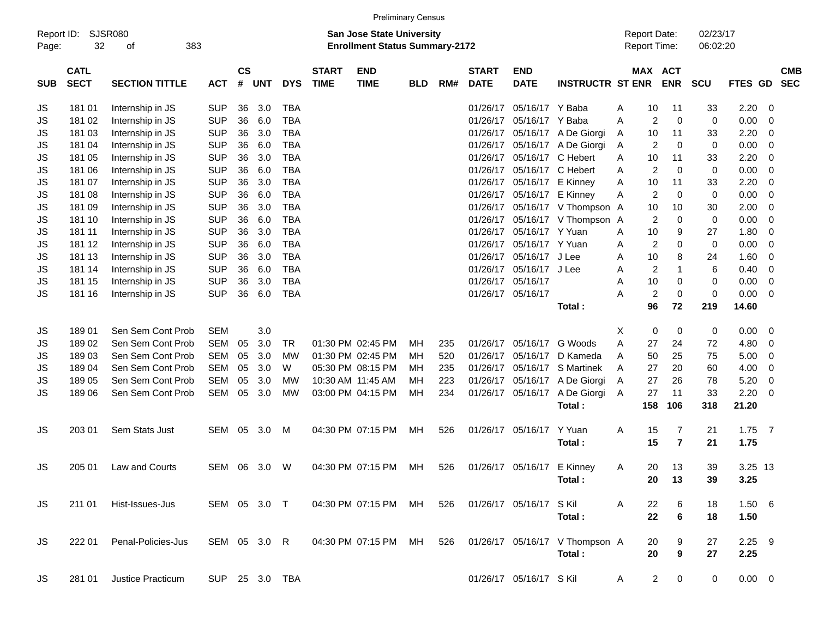|                     |                            |                       |              |                |            |                |                             |                                                                           | <b>Preliminary Census</b> |     |                             |                            |                                          |                                     |                                  |                      |                  |                          |                          |
|---------------------|----------------------------|-----------------------|--------------|----------------|------------|----------------|-----------------------------|---------------------------------------------------------------------------|---------------------------|-----|-----------------------------|----------------------------|------------------------------------------|-------------------------------------|----------------------------------|----------------------|------------------|--------------------------|--------------------------|
| Report ID:<br>Page: | 32                         | SJSR080<br>383<br>οf  |              |                |            |                |                             | <b>San Jose State University</b><br><b>Enrollment Status Summary-2172</b> |                           |     |                             |                            |                                          | <b>Report Date:</b><br>Report Time: |                                  | 02/23/17<br>06:02:20 |                  |                          |                          |
| <b>SUB</b>          | <b>CATL</b><br><b>SECT</b> | <b>SECTION TITTLE</b> | <b>ACT</b>   | <b>CS</b><br># | <b>UNT</b> | <b>DYS</b>     | <b>START</b><br><b>TIME</b> | <b>END</b><br><b>TIME</b>                                                 | <b>BLD</b>                | RM# | <b>START</b><br><b>DATE</b> | <b>END</b><br><b>DATE</b>  | <b>INSTRUCTR ST ENR</b>                  |                                     | MAX ACT<br><b>ENR</b>            | <b>SCU</b>           | <b>FTES GD</b>   |                          | <b>CMB</b><br><b>SEC</b> |
| JS                  | 181 01                     | Internship in JS      | <b>SUP</b>   | 36             | 3.0        | <b>TBA</b>     |                             |                                                                           |                           |     | 01/26/17                    | 05/16/17 Y Baba            |                                          | 10<br>Α                             | 11                               | 33                   | 2.20             | - 0                      |                          |
| JS                  | 181 02                     | Internship in JS      | <b>SUP</b>   | 36             | 6.0        | <b>TBA</b>     |                             |                                                                           |                           |     | 01/26/17                    | 05/16/17 Y Baba            |                                          | 2<br>Α                              | 0                                | 0                    | 0.00             | - 0                      |                          |
| JS                  | 181 03                     | Internship in JS      | <b>SUP</b>   | 36             | 3.0        | <b>TBA</b>     |                             |                                                                           |                           |     | 01/26/17                    |                            | 05/16/17 A De Giorgi                     | 10<br>A                             | 11                               | 33                   | 2.20             | - 0                      |                          |
| JS                  | 181 04                     | Internship in JS      | <b>SUP</b>   | 36             | 6.0        | <b>TBA</b>     |                             |                                                                           |                           |     | 01/26/17                    |                            | 05/16/17 A De Giorgi                     | 2<br>A                              | 0                                | 0                    | 0.00             | 0                        |                          |
| JS                  | 181 05                     | Internship in JS      | <b>SUP</b>   | 36             | 3.0        | <b>TBA</b>     |                             |                                                                           |                           |     | 01/26/17                    |                            | 05/16/17 C Hebert                        | 10<br>A                             | 11                               | 33                   | 2.20             | - 0                      |                          |
| JS                  | 181 06                     | Internship in JS      | <b>SUP</b>   | 36             | 6.0        | <b>TBA</b>     |                             |                                                                           |                           |     | 01/26/17                    |                            | 05/16/17 C Hebert                        | $\overline{2}$<br>A                 | 0                                | 0                    | 0.00             | 0                        |                          |
| JS                  | 181 07                     | Internship in JS      | <b>SUP</b>   | 36             | 3.0        | <b>TBA</b>     |                             |                                                                           |                           |     | 01/26/17                    |                            | 05/16/17 E Kinney                        | 10<br>Α                             | 11                               | 33                   | 2.20             | 0                        |                          |
| JS                  | 181 08                     | Internship in JS      | <b>SUP</b>   | 36             | 6.0        | <b>TBA</b>     |                             |                                                                           |                           |     |                             | 01/26/17 05/16/17 E Kinney |                                          | $\overline{2}$<br>Α                 | 0                                | 0                    | 0.00             | 0                        |                          |
| JS                  | 181 09                     | Internship in JS      | <b>SUP</b>   | 36             | 3.0        | <b>TBA</b>     |                             |                                                                           |                           |     |                             |                            | 01/26/17 05/16/17 V Thompson A           | 10                                  | 10                               | 30                   | 2.00             | - 0                      |                          |
| JS                  | 181 10                     | Internship in JS      | <b>SUP</b>   | 36             | 6.0        | <b>TBA</b>     |                             |                                                                           |                           |     | 01/26/17                    |                            | 05/16/17 V Thompson                      | 2<br>A                              | 0                                | 0                    | 0.00             | 0                        |                          |
| JS                  | 181 11                     | Internship in JS      | <b>SUP</b>   | 36             | 3.0        | <b>TBA</b>     |                             |                                                                           |                           |     | 01/26/17                    | 05/16/17 Y Yuan            |                                          | 10<br>Α                             | 9                                | 27                   | 1.80             | 0                        |                          |
| JS                  | 181 12                     | Internship in JS      | <b>SUP</b>   | 36             | 6.0        | <b>TBA</b>     |                             |                                                                           |                           |     | 01/26/17                    | 05/16/17 Y Yuan            |                                          | 2<br>Α                              | 0                                | 0                    | 0.00             | 0                        |                          |
| JS                  | 181 13                     | Internship in JS      | <b>SUP</b>   | 36             | 3.0        | <b>TBA</b>     |                             |                                                                           |                           |     | 01/26/17                    | 05/16/17 J Lee             |                                          | 10<br>Α                             | 8                                | 24                   | 1.60             | 0                        |                          |
| JS                  | 181 14                     | Internship in JS      | <b>SUP</b>   | 36             | 6.0        | <b>TBA</b>     |                             |                                                                           |                           |     | 01/26/17                    | 05/16/17 J Lee             |                                          | 2<br>Α                              | 1                                | 6                    | 0.40             | 0                        |                          |
| JS                  | 181 15                     | Internship in JS      | <b>SUP</b>   | 36             | 3.0        | <b>TBA</b>     |                             |                                                                           |                           |     |                             | 01/26/17 05/16/17          |                                          | 10<br>Α                             | 0                                | 0                    | 0.00             | $\overline{\mathbf{0}}$  |                          |
| JS                  | 181 16                     | Internship in JS      | <b>SUP</b>   | 36             | 6.0        | <b>TBA</b>     |                             |                                                                           |                           |     |                             | 01/26/17 05/16/17          |                                          | $\overline{c}$<br>Α                 | 0                                | 0                    | 0.00             | - 0                      |                          |
|                     |                            |                       |              |                |            |                |                             |                                                                           |                           |     |                             |                            | Total:                                   | 96                                  | 72                               | 219                  | 14.60            |                          |                          |
| JS                  | 189 01                     | Sen Sem Cont Prob     | <b>SEM</b>   |                | 3.0        |                |                             |                                                                           |                           |     |                             |                            |                                          | 0<br>Х                              | 0                                | 0                    | 0.00             | $\overline{\phantom{0}}$ |                          |
| JS                  | 18902                      | Sen Sem Cont Prob     | <b>SEM</b>   | 05             | 3.0        | TR             |                             | 01:30 PM 02:45 PM                                                         | ΜН                        | 235 | 01/26/17                    |                            | 05/16/17 G Woods                         | Α<br>27                             | 24                               | 72                   | 4.80             | $\overline{\mathbf{0}}$  |                          |
| JS                  | 18903                      | Sen Sem Cont Prob     | <b>SEM</b>   | 05             | 3.0        | МW             |                             | 01:30 PM 02:45 PM                                                         | ΜН                        | 520 | 01/26/17                    | 05/16/17                   | D Kameda                                 | 50<br>Α                             | 25                               | 75                   | 5.00             | $\overline{\mathbf{0}}$  |                          |
| JS                  | 18904                      | Sen Sem Cont Prob     | <b>SEM</b>   | 05             | 3.0        | W              |                             | 05:30 PM 08:15 PM                                                         | ΜН                        | 235 | 01/26/17                    |                            | 05/16/17 S Martinek                      | 27<br>A                             | 20                               | 60                   | 4.00             | $\overline{\mathbf{0}}$  |                          |
| JS                  | 18905                      | Sen Sem Cont Prob     | <b>SEM</b>   | 05             | 3.0        | МW             |                             | 10:30 AM 11:45 AM                                                         | ΜН                        | 223 | 01/26/17                    |                            | 05/16/17 A De Giorgi                     | 27<br>A                             | 26                               | 78                   | 5.20             | 0                        |                          |
| JS                  | 18906                      | Sen Sem Cont Prob     | SEM          | 05             | 3.0        | <b>MW</b>      |                             | 03:00 PM 04:15 PM                                                         | МH                        | 234 |                             |                            | 01/26/17 05/16/17 A De Giorgi            | 27<br>A                             | 11                               | 33                   | 2.20             | - 0                      |                          |
|                     |                            |                       |              |                |            |                |                             |                                                                           |                           |     |                             |                            | Total:                                   | 158                                 | 106                              | 318                  | 21.20            |                          |                          |
| JS                  | 203 01                     | Sem Stats Just        | SEM          | 05             | 3.0        | М              |                             | 04:30 PM 07:15 PM                                                         | МH                        | 526 |                             | 01/26/17 05/16/17          | Y Yuan<br>Total:                         | 15<br>A<br>15                       | 7<br>$\overline{7}$              | 21<br>21             | $1.75$ 7<br>1.75 |                          |                          |
| JS                  | 205 01                     | Law and Courts        | SEM          | 06             | 3.0        | W              |                             | 04:30 PM 07:15 PM                                                         | MН                        | 526 |                             | 01/26/17 05/16/17 E Kinney | Total:                                   | 20<br>A<br>20                       | 13<br>13                         | 39<br>39             | 3.25 13<br>3.25  |                          |                          |
| JS                  | 211 01                     | Hist-Issues-Jus       | SEM 05 3.0 T |                |            |                |                             | 04:30 PM 07:15 PM                                                         | MH                        | 526 |                             | 01/26/17 05/16/17 S Kil    | Total:                                   | 22<br>Α<br>22                       | 6<br>$6\phantom{1}$              | 18<br>18             | 1.50 6<br>1.50   |                          |                          |
| <b>JS</b>           | 222 01                     | Penal-Policies-Jus    | SEM 05 3.0 R |                |            |                |                             | 04:30 PM 07:15 PM                                                         | МH                        | 526 |                             |                            | 01/26/17 05/16/17 V Thompson A<br>Total: | 20<br>20                            | 9<br>$\boldsymbol{9}$            | 27<br>27             | $2.25$ 9<br>2.25 |                          |                          |
| JS                  | 281 01                     | Justice Practicum     |              |                |            | SUP 25 3.0 TBA |                             |                                                                           |                           |     |                             | 01/26/17 05/16/17 S Kil    |                                          | A                                   | 2 <sup>1</sup><br>$\overline{0}$ | 0                    | $0.00 \t 0$      |                          |                          |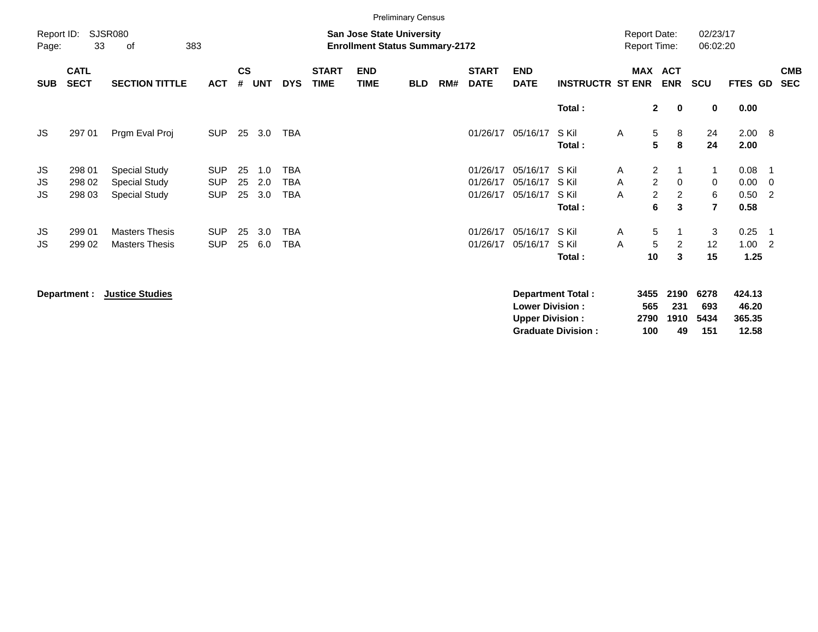|                     |                            |                                                                      |                                        |                    |                   |                                        |                             |                                                                    | <b>Preliminary Census</b> |     |                                  |                                  |                                   |                                            |                                                                                              |                               |                              |                                              |
|---------------------|----------------------------|----------------------------------------------------------------------|----------------------------------------|--------------------|-------------------|----------------------------------------|-----------------------------|--------------------------------------------------------------------|---------------------------|-----|----------------------------------|----------------------------------|-----------------------------------|--------------------------------------------|----------------------------------------------------------------------------------------------|-------------------------------|------------------------------|----------------------------------------------|
| Report ID:<br>Page: | 33                         | <b>SJSR080</b><br>383<br>of                                          |                                        |                    |                   |                                        |                             | San Jose State University<br><b>Enrollment Status Summary-2172</b> |                           |     |                                  |                                  |                                   | <b>Report Date:</b><br><b>Report Time:</b> |                                                                                              | 02/23/17<br>06:02:20          |                              |                                              |
| <b>SUB</b>          | <b>CATL</b><br><b>SECT</b> | <b>SECTION TITTLE</b>                                                | <b>ACT</b>                             | $\mathsf{cs}$<br># | <b>UNT</b>        | <b>DYS</b>                             | <b>START</b><br><b>TIME</b> | <b>END</b><br><b>TIME</b>                                          | <b>BLD</b>                | RM# | <b>START</b><br><b>DATE</b>      | <b>END</b><br><b>DATE</b>        | <b>INSTRUCTR ST ENR</b>           | <b>MAX</b>                                 | <b>ACT</b><br><b>ENR</b>                                                                     | SCU                           | FTES GD                      | <b>CMB</b><br><b>SEC</b>                     |
|                     |                            |                                                                      |                                        |                    |                   |                                        |                             |                                                                    |                           |     |                                  |                                  | Total:                            |                                            | $\mathbf{2}$<br>$\mathbf 0$                                                                  | 0                             | 0.00                         |                                              |
| JS.                 | 297 01                     | Prgm Eval Proj                                                       | <b>SUP</b>                             | 25                 | 3.0               | <b>TBA</b>                             |                             |                                                                    |                           |     | 01/26/17                         | 05/16/17                         | S Kil<br>Total:                   | A                                          | 5<br>8<br>5<br>8                                                                             | 24<br>24                      | $2.00\quad 8$<br>2.00        |                                              |
| JS<br>JS<br>JS.     | 298 01<br>298 02<br>298 03 | <b>Special Study</b><br><b>Special Study</b><br><b>Special Study</b> | <b>SUP</b><br><b>SUP</b><br><b>SUP</b> | 25<br>25<br>25     | 1.0<br>2.0<br>3.0 | <b>TBA</b><br><b>TBA</b><br><b>TBA</b> |                             |                                                                    |                           |     | 01/26/17<br>01/26/17<br>01/26/17 | 05/16/17<br>05/16/17<br>05/16/17 | S Kil<br>S Kil<br>S Kil<br>Total: | A<br>A<br>A                                | $\overline{2}$<br>$\mathbf 1$<br>$\overline{2}$<br>$\Omega$<br>$\overline{2}$<br>2<br>6<br>3 | 1<br>0<br>6<br>$\overline{7}$ | 0.08<br>0.00<br>0.50<br>0.58 | $\overline{\phantom{0}}$<br>$\overline{2}$   |
| JS.<br>JS           | 299 01<br>299 02           | <b>Masters Thesis</b><br><b>Masters Thesis</b>                       | <b>SUP</b><br><b>SUP</b>               | 25<br>25           | 3.0<br>6.0        | <b>TBA</b><br><b>TBA</b>               |                             |                                                                    |                           |     | 01/26/17<br>01/26/17             | 05/16/17<br>05/16/17             | S Kil<br>S Kil<br>Total:          | A<br>A<br>10                               | 5<br>-1<br>5<br>2<br>3                                                                       | 3<br>12<br>15                 | 0.25<br>1.00<br>1.25         | $\overline{\phantom{0}}$ 1<br>$\overline{2}$ |

**Department : Justice Studies Department Total : 3455 2190 6278 424.13 Lower Division : 565 231 693 46.20 Upper Division : 2790 1910 5434 365.35 Graduate Division : 100 49 151 12.58**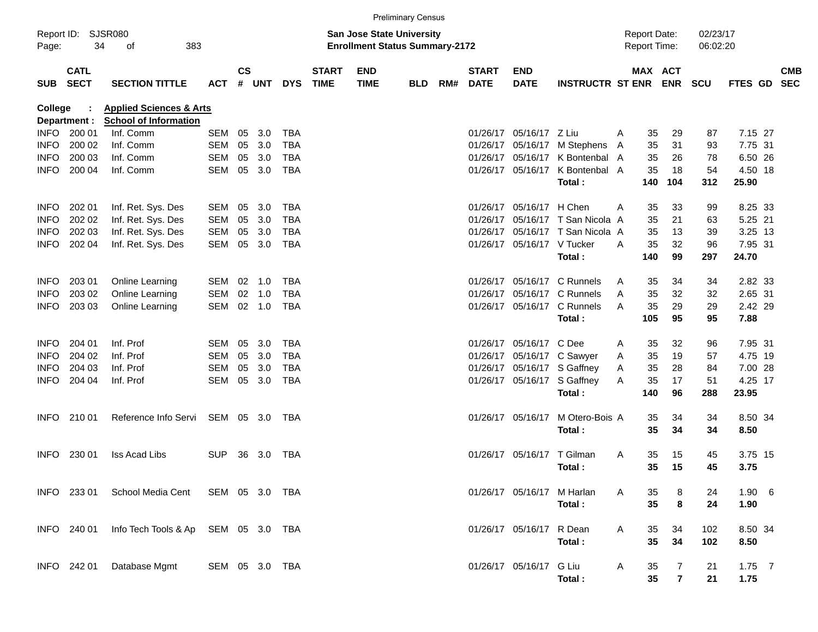|                |                            |                                              |                |               |        |            |                             |                                                                           | <b>Preliminary Census</b> |     |                             |                            |                                           |   |                                            |                |                      |                  |                          |
|----------------|----------------------------|----------------------------------------------|----------------|---------------|--------|------------|-----------------------------|---------------------------------------------------------------------------|---------------------------|-----|-----------------------------|----------------------------|-------------------------------------------|---|--------------------------------------------|----------------|----------------------|------------------|--------------------------|
| Page:          | Report ID: SJSR080<br>34   | 383<br>οf                                    |                |               |        |            |                             | <b>San Jose State University</b><br><b>Enrollment Status Summary-2172</b> |                           |     |                             |                            |                                           |   | <b>Report Date:</b><br><b>Report Time:</b> |                | 02/23/17<br>06:02:20 |                  |                          |
| SUB            | <b>CATL</b><br><b>SECT</b> | <b>SECTION TITTLE</b>                        | <b>ACT</b>     | $\mathsf{cs}$ | # UNT  | <b>DYS</b> | <b>START</b><br><b>TIME</b> | <b>END</b><br><b>TIME</b>                                                 | <b>BLD</b>                | RM# | <b>START</b><br><b>DATE</b> | <b>END</b><br><b>DATE</b>  | <b>INSTRUCTR ST ENR</b>                   |   | MAX ACT                                    | <b>ENR</b>     | <b>SCU</b>           | FTES GD          | <b>CMB</b><br><b>SEC</b> |
| <b>College</b> |                            | <b>Applied Sciences &amp; Arts</b>           |                |               |        |            |                             |                                                                           |                           |     |                             |                            |                                           |   |                                            |                |                      |                  |                          |
|                | Department :               | <b>School of Information</b>                 |                |               |        |            |                             |                                                                           |                           |     |                             |                            |                                           |   |                                            |                |                      |                  |                          |
| <b>INFO</b>    | 200 01                     | Inf. Comm                                    | SEM            | 05            | 3.0    | <b>TBA</b> |                             |                                                                           |                           |     | 01/26/17                    | 05/16/17 Z Liu             |                                           | A | 35                                         | 29             | 87                   | 7.15 27          |                          |
| <b>INFO</b>    | 200 02                     | Inf. Comm                                    | <b>SEM</b>     | 05            | 3.0    | <b>TBA</b> |                             |                                                                           |                           |     | 01/26/17                    |                            | 05/16/17 M Stephens                       | A | 35                                         | 31             | 93                   | 7.75 31          |                          |
| INFO           | 200 03                     | Inf. Comm                                    | <b>SEM</b>     | 05            | 3.0    | TBA        |                             |                                                                           |                           |     | 01/26/17                    |                            | 05/16/17 K Bontenbal A                    |   | 35                                         | 26             | 78                   | 6.50 26          |                          |
| <b>INFO</b>    | 200 04                     | Inf. Comm                                    | SEM            |               | 05 3.0 | <b>TBA</b> |                             |                                                                           |                           |     |                             |                            | 01/26/17 05/16/17 K Bontenbal A<br>Total: |   | 35<br>140                                  | 18<br>104      | 54<br>312            | 4.50 18<br>25.90 |                          |
| <b>INFO</b>    | 202 01                     | Inf. Ret. Sys. Des                           | SEM            | 05            | 3.0    | <b>TBA</b> |                             |                                                                           |                           |     | 01/26/17                    | 05/16/17 H Chen            |                                           | A | 35                                         | 33             | 99                   | 8.25 33          |                          |
| <b>INFO</b>    | 202 02                     | Inf. Ret. Sys. Des                           | SEM            | 05            | 3.0    | <b>TBA</b> |                             |                                                                           |                           |     | 01/26/17                    |                            | 05/16/17 T San Nicola A                   |   | 35                                         | 21             | 63                   | 5.25 21          |                          |
| <b>INFO</b>    | 202 03                     | Inf. Ret. Sys. Des                           | SEM            | 05            | 3.0    | <b>TBA</b> |                             |                                                                           |                           |     | 01/26/17                    |                            | 05/16/17 T San Nicola A                   |   | 35                                         | 13             | 39                   | 3.25 13          |                          |
| <b>INFO</b>    | 202 04                     | Inf. Ret. Sys. Des                           | SEM            |               | 05 3.0 | TBA        |                             |                                                                           |                           |     |                             | 01/26/17 05/16/17 V Tucker |                                           | A | 35                                         | 32             | 96                   | 7.95 31          |                          |
|                |                            |                                              |                |               |        |            |                             |                                                                           |                           |     |                             |                            | Total:                                    |   | 140                                        | 99             | 297                  | 24.70            |                          |
| <b>INFO</b>    | 203 01                     | Online Learning                              | SEM            | 02            | 1.0    | TBA        |                             |                                                                           |                           |     | 01/26/17                    |                            | 05/16/17 C Runnels                        | A | 35                                         | 34             | 34                   | 2.82 33          |                          |
| <b>INFO</b>    | 203 02                     | Online Learning                              | <b>SEM</b>     | 02            | 1.0    | <b>TBA</b> |                             |                                                                           |                           |     | 01/26/17                    |                            | 05/16/17 C Runnels                        | A | 35                                         | 32             | 32                   | 2.65 31          |                          |
| <b>INFO</b>    | 203 03                     | Online Learning                              | SEM            |               | 02 1.0 | <b>TBA</b> |                             |                                                                           |                           |     |                             |                            | 01/26/17 05/16/17 C Runnels               | A | 35                                         | 29             | 29                   | 2.42 29          |                          |
|                |                            |                                              |                |               |        |            |                             |                                                                           |                           |     |                             |                            | Total:                                    |   | 105                                        | 95             | 95                   | 7.88             |                          |
| <b>INFO</b>    | 204 01                     | Inf. Prof                                    | SEM            | 05            | 3.0    | TBA        |                             |                                                                           |                           |     | 01/26/17                    | 05/16/17 C Dee             |                                           | A | 35                                         | 32             | 96                   | 7.95 31          |                          |
| <b>INFO</b>    | 204 02                     | Inf. Prof                                    | <b>SEM</b>     | 05            | 3.0    | <b>TBA</b> |                             |                                                                           |                           |     | 01/26/17                    |                            | 05/16/17 C Sawyer                         | A | 35                                         | 19             | 57                   | 4.75 19          |                          |
| INFO           | 204 03                     | Inf. Prof                                    | <b>SEM</b>     | 05            | 3.0    | TBA        |                             |                                                                           |                           |     | 01/26/17                    |                            | 05/16/17 S Gaffney                        | A | 35                                         | 28             | 84                   | 7.00 28          |                          |
| <b>INFO</b>    | 204 04                     | Inf. Prof                                    | SEM            |               | 05 3.0 | TBA        |                             |                                                                           |                           |     |                             |                            | 01/26/17 05/16/17 S Gaffney               | A | 35                                         | 17             | 51                   | 4.25 17          |                          |
|                |                            |                                              |                |               |        |            |                             |                                                                           |                           |     |                             |                            | Total:                                    |   | 140                                        | 96             | 288                  | 23.95            |                          |
| <b>INFO</b>    | 210 01                     | Reference Info Servi                         | SEM 05 3.0     |               |        | TBA        |                             |                                                                           |                           |     |                             | 01/26/17 05/16/17          | M Otero-Bois A                            |   | 35                                         | 34             | 34                   | 8.50 34          |                          |
|                |                            |                                              |                |               |        |            |                             |                                                                           |                           |     |                             |                            | Total:                                    |   | 35                                         | 34             | 34                   | 8.50             |                          |
| <b>INFO</b>    | 230 01                     | <b>Iss Acad Libs</b>                         | <b>SUP</b>     | 36            | 3.0    | TBA        |                             |                                                                           |                           |     |                             | 01/26/17 05/16/17 T Gilman |                                           | A | 35                                         | 15             | 45                   | 3.75 15          |                          |
|                |                            |                                              |                |               |        |            |                             |                                                                           |                           |     |                             |                            | Total:                                    |   | 35                                         | 15             | 45                   | 3.75             |                          |
|                |                            | INFO 233 01 School Media Cent SEM 05 3.0 TBA |                |               |        |            |                             |                                                                           |                           |     |                             | 01/26/17 05/16/17 M Harlan |                                           | A | 35                                         | 8              | 24                   | $1.90\quad 6$    |                          |
|                |                            |                                              |                |               |        |            |                             |                                                                           |                           |     |                             |                            | Total:                                    |   | 35                                         | 8              | 24                   | 1.90             |                          |
|                | INFO 240 01                | Info Tech Tools & Ap SEM 05 3.0 TBA          |                |               |        |            |                             |                                                                           |                           |     |                             | 01/26/17 05/16/17 R Dean   |                                           | A | 35                                         | 34             | 102                  | 8.50 34          |                          |
|                |                            |                                              |                |               |        |            |                             |                                                                           |                           |     |                             |                            | Total:                                    |   | 35                                         | 34             | 102                  | 8.50             |                          |
|                | INFO 242 01                | Database Mgmt                                | SEM 05 3.0 TBA |               |        |            |                             |                                                                           |                           |     |                             | 01/26/17 05/16/17 G Liu    |                                           | A | 35                                         | 7              | 21                   | $1.75$ 7         |                          |
|                |                            |                                              |                |               |        |            |                             |                                                                           |                           |     |                             |                            | Total:                                    |   | 35                                         | $\overline{7}$ | 21                   | 1.75             |                          |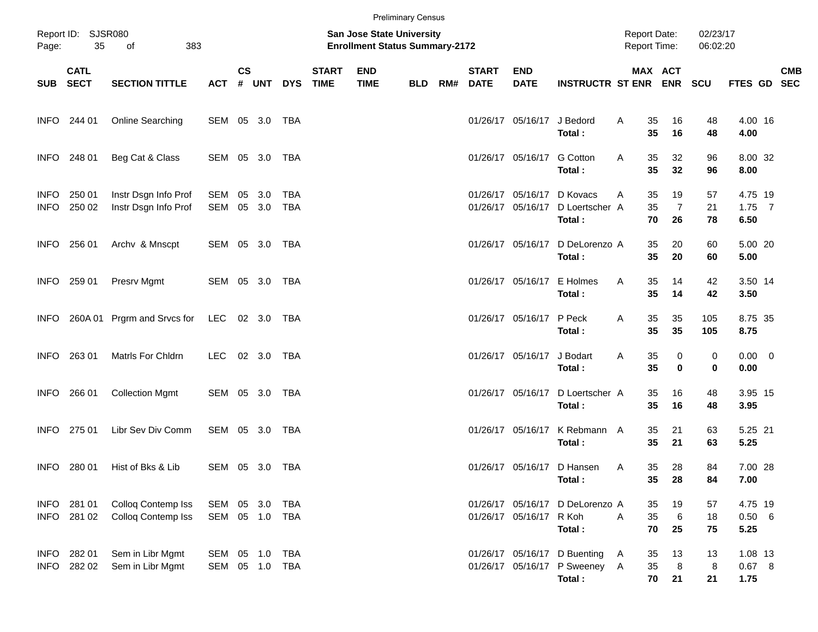|                            |                          |                                              |                                  |                    |               |                   |                             |                                                                           | <b>Preliminary Census</b> |     |                             |                                        |                                                                         |                                            |                            |                      |                             |            |
|----------------------------|--------------------------|----------------------------------------------|----------------------------------|--------------------|---------------|-------------------|-----------------------------|---------------------------------------------------------------------------|---------------------------|-----|-----------------------------|----------------------------------------|-------------------------------------------------------------------------|--------------------------------------------|----------------------------|----------------------|-----------------------------|------------|
| Page:                      | Report ID: SJSR080<br>35 | 383<br>of                                    |                                  |                    |               |                   |                             | <b>San Jose State University</b><br><b>Enrollment Status Summary-2172</b> |                           |     |                             |                                        |                                                                         | <b>Report Date:</b><br><b>Report Time:</b> |                            | 02/23/17<br>06:02:20 |                             |            |
|                            | <b>CATL</b><br>SUB SECT  | <b>SECTION TITTLE</b>                        | <b>ACT</b>                       | $\mathsf{cs}$<br># | <b>UNT</b>    | <b>DYS</b>        | <b>START</b><br><b>TIME</b> | <b>END</b><br><b>TIME</b>                                                 | <b>BLD</b>                | RM# | <b>START</b><br><b>DATE</b> | <b>END</b><br><b>DATE</b>              | <b>INSTRUCTR ST ENR ENR</b>                                             |                                            | MAX ACT                    | <b>SCU</b>           | FTES GD SEC                 | <b>CMB</b> |
|                            | INFO 244 01              | Online Searching                             | SEM 05 3.0 TBA                   |                    |               |                   |                             |                                                                           |                           |     |                             | 01/26/17 05/16/17                      | J Bedord<br>Total:                                                      | 35<br>Α<br>35                              | 16<br>16                   | 48<br>48             | 4.00 16<br>4.00             |            |
|                            | INFO 248 01              | Beg Cat & Class                              | SEM 05 3.0 TBA                   |                    |               |                   |                             |                                                                           |                           |     |                             | 01/26/17 05/16/17                      | <b>G</b> Cotton<br>Total:                                               | 35<br>A<br>35                              | 32<br>32                   | 96<br>96             | 8.00 32<br>8.00             |            |
| <b>INFO</b><br><b>INFO</b> | 250 01<br>250 02         | Instr Dsgn Info Prof<br>Instr Dsgn Info Prof | SEM<br>SEM                       | 05                 | 3.0<br>05 3.0 | TBA<br><b>TBA</b> |                             |                                                                           |                           |     |                             | 01/26/17 05/16/17<br>01/26/17 05/16/17 | D Kovacs<br>D Loertscher A<br>Total:                                    | 35<br>A<br>35<br>70                        | 19<br>$\overline{7}$<br>26 | 57<br>21<br>78       | 4.75 19<br>$1.75$ 7<br>6.50 |            |
|                            | INFO 256 01              | Archv & Mnscpt                               | SEM 05 3.0 TBA                   |                    |               |                   |                             |                                                                           |                           |     |                             | 01/26/17 05/16/17                      | D DeLorenzo A<br>Total:                                                 | 35<br>35                                   | 20<br>20                   | 60<br>60             | 5.00 20<br>5.00             |            |
|                            | INFO 259 01              | Presrv Mgmt                                  | SEM 05 3.0 TBA                   |                    |               |                   |                             |                                                                           |                           |     |                             | 01/26/17 05/16/17                      | E Holmes<br>Total:                                                      | 35<br>Α<br>35                              | 14<br>14                   | 42<br>42             | 3.50 14<br>3.50             |            |
| <b>INFO</b>                |                          | 260A 01 Prgrm and Srvcs for                  | LEC 02 3.0 TBA                   |                    |               |                   |                             |                                                                           |                           |     |                             | 01/26/17 05/16/17                      | P Peck<br>Total:                                                        | 35<br>Α<br>35                              | 35<br>35                   | 105<br>105           | 8.75 35<br>8.75             |            |
| <b>INFO</b>                | 263 01                   | Matrls For Chldrn                            | <b>LEC</b>                       |                    | 02 3.0        | TBA               |                             |                                                                           |                           |     |                             | 01/26/17 05/16/17                      | J Bodart<br>Total:                                                      | 35<br>Α<br>35                              | 0<br>$\mathbf 0$           | 0<br>0               | $0.00 \t 0$<br>0.00         |            |
| <b>INFO</b>                | 266 01                   | <b>Collection Mgmt</b>                       | SEM 05 3.0 TBA                   |                    |               |                   |                             |                                                                           |                           |     |                             | 01/26/17 05/16/17                      | D Loertscher A<br>Total:                                                | 35<br>35                                   | 16<br>16                   | 48<br>48             | 3.95 15<br>3.95             |            |
|                            | INFO 275 01              | Libr Sev Div Comm                            | SEM 05 3.0                       |                    |               | TBA               |                             |                                                                           |                           |     |                             | 01/26/17 05/16/17                      | K Rebmann A<br>Total:                                                   | 35<br>35                                   | 21<br>21                   | 63<br>63             | 5.25 21<br>5.25             |            |
| INFO                       | 280 01                   | Hist of Bks & Lib                            | SEM 05 3.0 TBA                   |                    |               |                   |                             |                                                                           |                           |     |                             |                                        | 01/26/17 05/16/17 D Hansen<br>Total:                                    | 35<br>Α<br>35                              | 28<br>28                   | 84<br>84             | 7.00 28<br>7.00             |            |
| <b>INFO</b>                | INFO 281 01<br>281 02    | Colloq Contemp Iss<br>Colloq Contemp Iss     | SEM<br>SEM 05 1.0 TBA            |                    | 05 3.0        | TBA               |                             |                                                                           |                           |     |                             | 01/26/17 05/16/17                      | 01/26/17 05/16/17 D DeLorenzo A<br>R Koh<br>Total:                      | 35<br>35<br>A<br>70                        | 19<br>6<br>25              | 57<br>18<br>75       | 4.75 19<br>0.50 6<br>5.25   |            |
| <b>INFO</b>                | INFO 282 01<br>282 02    | Sem in Libr Mgmt<br>Sem in Libr Mgmt         | SEM 05 1.0 TBA<br>SEM 05 1.0 TBA |                    |               |                   |                             |                                                                           |                           |     |                             |                                        | 01/26/17 05/16/17 D Buenting<br>01/26/17 05/16/17 P Sweeney A<br>Total: | 35<br>A<br>35                              | 13<br>8<br>70<br>21        | 13<br>8<br>21        | 1.08 13<br>0.67 8<br>1.75   |            |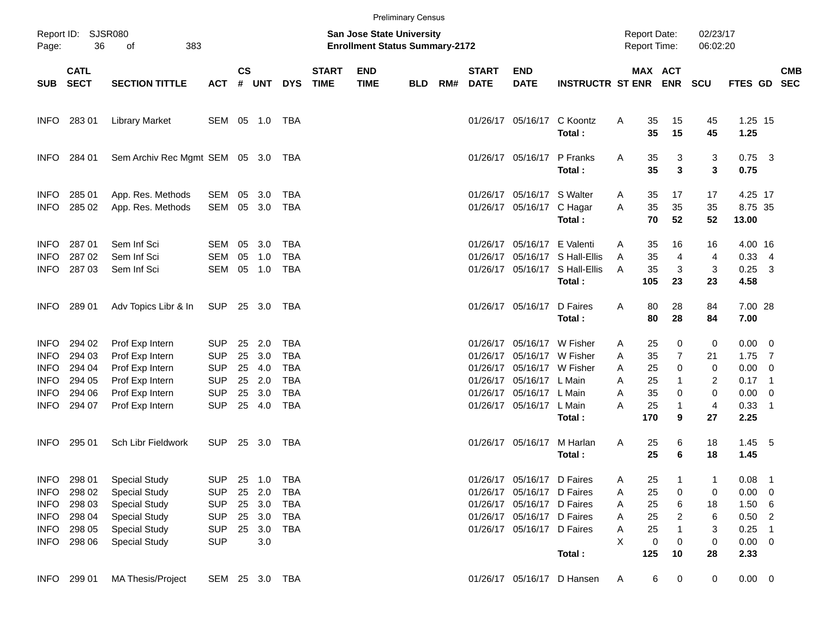|                                                                                 |                                                          |                                                                                                                                              |                                                                                  |                            |                                                    |                                                                           |                             |                                                                           | <b>Preliminary Census</b> |     |                             |                                                                                                                                                                            |                                                                            |                            |                                                                                        |                             |                                                                               |                            |            |
|---------------------------------------------------------------------------------|----------------------------------------------------------|----------------------------------------------------------------------------------------------------------------------------------------------|----------------------------------------------------------------------------------|----------------------------|----------------------------------------------------|---------------------------------------------------------------------------|-----------------------------|---------------------------------------------------------------------------|---------------------------|-----|-----------------------------|----------------------------------------------------------------------------------------------------------------------------------------------------------------------------|----------------------------------------------------------------------------|----------------------------|----------------------------------------------------------------------------------------|-----------------------------|-------------------------------------------------------------------------------|----------------------------|------------|
| Page:                                                                           | Report ID: SJSR080<br>36                                 | 383<br>of                                                                                                                                    |                                                                                  |                            |                                                    |                                                                           |                             | <b>San Jose State University</b><br><b>Enrollment Status Summary-2172</b> |                           |     |                             |                                                                                                                                                                            |                                                                            |                            | <b>Report Date:</b><br>Report Time:                                                    | 02/23/17<br>06:02:20        |                                                                               |                            |            |
| SUB                                                                             | <b>CATL</b><br><b>SECT</b>                               | <b>SECTION TITTLE</b>                                                                                                                        | <b>ACT</b>                                                                       | $\mathsf{cs}$              | # UNT                                              | <b>DYS</b>                                                                | <b>START</b><br><b>TIME</b> | <b>END</b><br><b>TIME</b>                                                 | <b>BLD</b>                | RM# | <b>START</b><br><b>DATE</b> | <b>END</b><br><b>DATE</b>                                                                                                                                                  | <b>INSTRUCTR ST ENR ENR</b>                                                |                            | MAX ACT                                                                                | <b>SCU</b>                  | FTES GD SEC                                                                   |                            | <b>CMB</b> |
| <b>INFO</b>                                                                     | 28301                                                    | <b>Library Market</b>                                                                                                                        | SEM 05 1.0 TBA                                                                   |                            |                                                    |                                                                           |                             |                                                                           |                           |     |                             | 01/26/17 05/16/17                                                                                                                                                          | C Koontz<br>Total:                                                         | Α                          | 35<br>15<br>35<br>15                                                                   | 45<br>45                    | 1.25 15<br>1.25                                                               |                            |            |
| <b>INFO</b>                                                                     | 284 01                                                   | Sem Archiv Rec Mgmt SEM 05 3.0 TBA                                                                                                           |                                                                                  |                            |                                                    |                                                                           |                             |                                                                           |                           |     |                             | 01/26/17 05/16/17 P Franks                                                                                                                                                 | Total:                                                                     | Α                          | 35<br>3<br>3<br>35                                                                     | 3<br>3                      | $0.75$ 3<br>0.75                                                              |                            |            |
| <b>INFO</b><br><b>INFO</b>                                                      | 285 01<br>285 02                                         | App. Res. Methods<br>App. Res. Methods                                                                                                       | SEM<br>SEM                                                                       | 05                         | 3.0<br>05 3.0                                      | TBA<br>TBA                                                                |                             |                                                                           |                           |     |                             | 01/26/17 05/16/17 S Walter<br>01/26/17 05/16/17 C Hagar                                                                                                                    | Total:                                                                     | A<br>A                     | 35<br>17<br>35<br>35<br>70<br>52                                                       | 17<br>35<br>52              | 4.25 17<br>8.75 35<br>13.00                                                   |                            |            |
| <b>INFO</b><br><b>INFO</b><br><b>INFO</b>                                       | 287 01<br>287 02<br>287 03                               | Sem Inf Sci<br>Sem Inf Sci<br>Sem Inf Sci                                                                                                    | SEM<br><b>SEM</b><br>SEM                                                         | 05<br>05                   | 3.0<br>1.0<br>05 1.0                               | TBA<br><b>TBA</b><br><b>TBA</b>                                           |                             |                                                                           |                           |     |                             | 01/26/17 05/16/17 E Valenti                                                                                                                                                | 01/26/17 05/16/17 S Hall-Ellis<br>01/26/17 05/16/17 S Hall-Ellis<br>Total: | Α<br>A<br>A<br>105         | 35<br>16<br>35<br>$\overline{4}$<br>35<br>3<br>23                                      | 16<br>4<br>3<br>23          | 4.00 16<br>$0.33$ 4<br>$0.25$ 3<br>4.58                                       |                            |            |
| <b>INFO</b>                                                                     | 289 01                                                   | Adv Topics Libr & In                                                                                                                         | SUP                                                                              |                            | 25 3.0                                             | TBA                                                                       |                             |                                                                           |                           |     |                             | 01/26/17 05/16/17                                                                                                                                                          | D Faires<br>Total:                                                         | A                          | 80<br>28<br>80<br>28                                                                   | 84<br>84                    | 7.00 28<br>7.00                                                               |                            |            |
| <b>INFO</b><br><b>INFO</b><br><b>INFO</b><br><b>INFO</b><br><b>INFO</b><br>INFO | 294 02<br>294 03<br>294 04<br>294 05<br>294 06<br>294 07 | Prof Exp Intern<br>Prof Exp Intern<br>Prof Exp Intern<br>Prof Exp Intern<br>Prof Exp Intern<br>Prof Exp Intern                               | <b>SUP</b><br><b>SUP</b><br><b>SUP</b><br><b>SUP</b><br><b>SUP</b><br><b>SUP</b> | 25<br>25<br>25<br>25<br>25 | 2.0<br>3.0<br>4.0<br>2.0<br>3.0<br>25 4.0          | TBA<br><b>TBA</b><br><b>TBA</b><br><b>TBA</b><br><b>TBA</b><br><b>TBA</b> |                             |                                                                           |                           |     |                             | 01/26/17 05/16/17 W Fisher<br>01/26/17 05/16/17 W Fisher<br>01/26/17 05/16/17 W Fisher<br>01/26/17 05/16/17 L Main<br>01/26/17 05/16/17 L Main<br>01/26/17 05/16/17 L Main |                                                                            | Α<br>A<br>A<br>A<br>A<br>A | 25<br>0<br>35<br>$\overline{7}$<br>25<br>0<br>25<br>1<br>35<br>0<br>25<br>$\mathbf{1}$ | 0<br>21<br>0<br>2<br>0<br>4 | $0.00 \t 0$<br>$1.75$ 7<br>$0.00 \t 0$<br>$0.17$ 1<br>$0.00 \t 0$<br>$0.33$ 1 |                            |            |
| INFO.                                                                           | 295 01                                                   | Sch Libr Fieldwork                                                                                                                           | <b>SUP</b>                                                                       |                            | 25 3.0                                             | TBA                                                                       |                             |                                                                           |                           |     |                             | 01/26/17 05/16/17                                                                                                                                                          | Total:<br>M Harlan<br>Total:                                               | 170<br>Α                   | 9<br>25<br>6<br>25<br>6                                                                | 27<br>18<br>18              | 2.25<br>$1.45$ 5<br>1.45                                                      |                            |            |
| <b>INFO</b><br><b>INFO</b><br><b>INFO</b><br>INFO<br>INFO<br><b>INFO</b>        | 298 01<br>298 02<br>298 03<br>298 04<br>298 05<br>298 06 | <b>Special Study</b><br><b>Special Study</b><br><b>Special Study</b><br><b>Special Study</b><br><b>Special Study</b><br><b>Special Study</b> | <b>SUP</b><br><b>SUP</b><br><b>SUP</b><br><b>SUP</b><br><b>SUP</b><br><b>SUP</b> | 25                         | 25 1.0<br>25 2.0<br>25 3.0<br>25 3.0<br>3.0<br>3.0 | TBA<br>TBA<br>TBA<br>TBA<br>TBA                                           |                             |                                                                           |                           |     |                             | 01/26/17 05/16/17 D Faires<br>01/26/17 05/16/17 D Faires<br>01/26/17 05/16/17 D Faires<br>01/26/17 05/16/17 D Faires<br>01/26/17 05/16/17 D Faires                         |                                                                            | A<br>Α<br>Α<br>Α<br>Α<br>X | 25<br>25<br>0<br>25<br>6<br>25<br>2<br>25<br>0<br>0                                    | 1<br>0<br>18<br>6<br>3<br>0 | 0.08<br>$0.00 \t 0$<br>1.50 6<br>$0.50$ 2<br>$0.25$ 1<br>$0.00 \t 0$          | $\overline{\phantom{0}}$ 1 |            |
| INFO                                                                            | 299 01                                                   | <b>MA Thesis/Project</b>                                                                                                                     |                                                                                  |                            |                                                    | SEM 25 3.0 TBA                                                            |                             |                                                                           |                           |     |                             |                                                                                                                                                                            | Total:<br>01/26/17 05/16/17 D Hansen                                       | 125<br>A                   | 10<br>6<br>0                                                                           | 28<br>0                     | 2.33<br>$0.00 \t 0$                                                           |                            |            |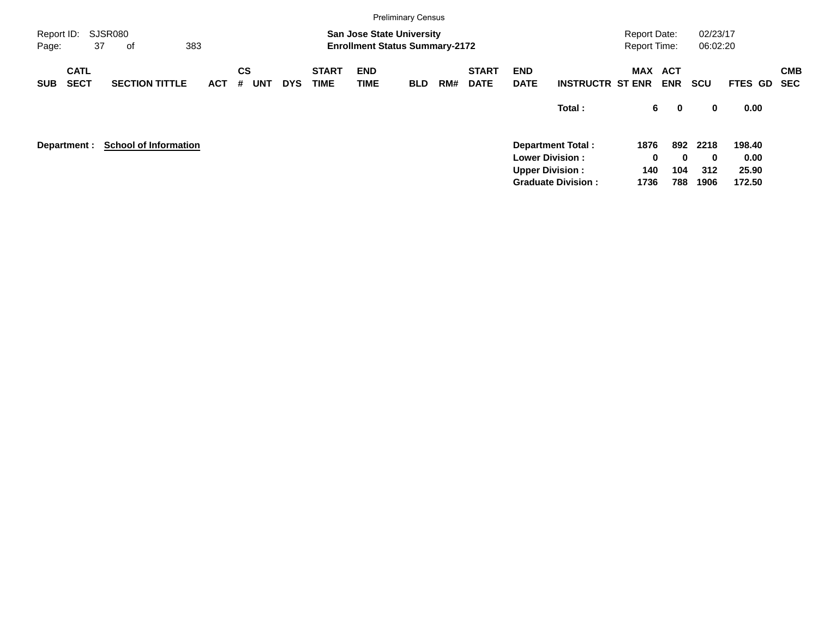| оf                    |                      |                                     |            |                             |                           |            |     |                                                               |                                       |        |                                                                                                           |                          |                                                                                    |                                   |                      |
|-----------------------|----------------------|-------------------------------------|------------|-----------------------------|---------------------------|------------|-----|---------------------------------------------------------------|---------------------------------------|--------|-----------------------------------------------------------------------------------------------------------|--------------------------|------------------------------------------------------------------------------------|-----------------------------------|----------------------|
| <b>SECTION TITTLE</b> | ACT                  | <b>CS</b><br><b>UNT</b><br>#        | <b>DYS</b> | <b>START</b><br><b>TIME</b> | <b>END</b><br><b>TIME</b> | <b>BLD</b> | RM# | <b>START</b><br><b>DATE</b>                                   | <b>END</b><br><b>DATE</b>             |        |                                                                                                           | <b>ACT</b><br><b>ENR</b> | <b>SCU</b>                                                                         | FTES GD SEC                       | <b>CMB</b>           |
|                       |                      |                                     |            |                             |                           |            |     |                                                               |                                       | Total: |                                                                                                           | $\mathbf 0$              | 0                                                                                  | 0.00                              |                      |
|                       |                      |                                     |            |                             |                           |            |     |                                                               |                                       |        |                                                                                                           |                          | 2218<br>0<br>312<br>1906                                                           | 198.40<br>0.00<br>25.90<br>172.50 |                      |
|                       | <b>SJSR080</b><br>37 | 383<br><b>School of Information</b> |            |                             |                           |            |     | <b>Preliminary Census</b><br><b>San Jose State University</b> | <b>Enrollment Status Summary-2172</b> |        | <b>Department Total:</b><br><b>Lower Division:</b><br><b>Upper Division:</b><br><b>Graduate Division:</b> | <b>INSTRUCTR ST ENR</b>  | <b>Report Date:</b><br><b>Report Time:</b><br>MAX<br>6<br>1876<br>0<br>140<br>1736 | 892<br>$\bf{0}$<br>104<br>788     | 02/23/17<br>06:02:20 |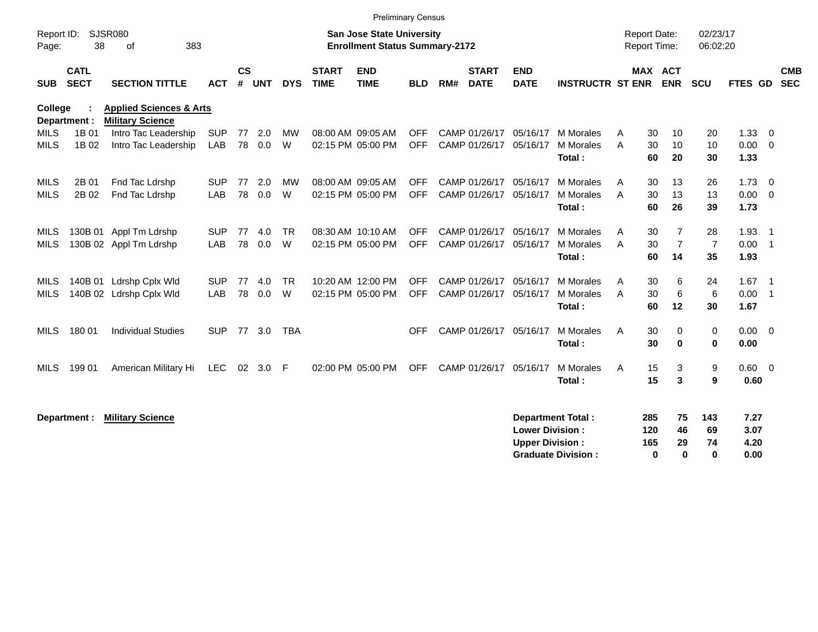|                     |                            |                                                               |            |                    |            |            |                             |                                                                           | <b>Preliminary Census</b> |     |                             |                           |                           |                                     |     |                |                      |         |                            |                          |
|---------------------|----------------------------|---------------------------------------------------------------|------------|--------------------|------------|------------|-----------------------------|---------------------------------------------------------------------------|---------------------------|-----|-----------------------------|---------------------------|---------------------------|-------------------------------------|-----|----------------|----------------------|---------|----------------------------|--------------------------|
| Report ID:<br>Page: | 38                         | SJSR080<br>383<br>0f                                          |            |                    |            |            |                             | <b>San Jose State University</b><br><b>Enrollment Status Summary-2172</b> |                           |     |                             |                           |                           | <b>Report Date:</b><br>Report Time: |     |                | 02/23/17<br>06:02:20 |         |                            |                          |
| <b>SUB</b>          | <b>CATL</b><br><b>SECT</b> | <b>SECTION TITTLE</b>                                         | <b>ACT</b> | $\mathsf{cs}$<br># | <b>UNT</b> | <b>DYS</b> | <b>START</b><br><b>TIME</b> | <b>END</b><br><b>TIME</b>                                                 | <b>BLD</b>                | RM# | <b>START</b><br><b>DATE</b> | <b>END</b><br><b>DATE</b> | <b>INSTRUCTR ST ENR</b>   | <b>MAX ACT</b>                      |     | <b>ENR</b>     | <b>SCU</b>           | FTES GD |                            | <b>CMB</b><br><b>SEC</b> |
| <b>College</b>      | Department :               | <b>Applied Sciences &amp; Arts</b><br><b>Military Science</b> |            |                    |            |            |                             |                                                                           |                           |     |                             |                           |                           |                                     |     |                |                      |         |                            |                          |
| <b>MILS</b>         | 1B 01                      | Intro Tac Leadership                                          | <b>SUP</b> | 77                 | 2.0        | <b>MW</b>  |                             | 08:00 AM 09:05 AM                                                         | <b>OFF</b>                |     | CAMP 01/26/17               | 05/16/17                  | M Morales                 | A                                   | 30  | 10             | 20                   | 1.33    | $\overline{\mathbf{0}}$    |                          |
| <b>MILS</b>         | 1B 02                      | Intro Tac Leadership                                          | LAB        | 78                 | 0.0        | W          |                             | 02:15 PM 05:00 PM                                                         | <b>OFF</b>                |     | CAMP 01/26/17               | 05/16/17                  | M Morales                 | A                                   | 30  | 10             | 10                   | 0.00    | $\overline{\mathbf{0}}$    |                          |
|                     |                            |                                                               |            |                    |            |            |                             |                                                                           |                           |     |                             |                           | Total:                    |                                     | 60  | 20             | 30                   | 1.33    |                            |                          |
| MILS                | 2B 01                      | Fnd Tac Ldrshp                                                | <b>SUP</b> | 77                 | 2.0        | <b>MW</b>  |                             | 08:00 AM 09:05 AM                                                         | <b>OFF</b>                |     | CAMP 01/26/17               | 05/16/17                  | M Morales                 | Α                                   | 30  | 13             | 26                   | 1.73    | $\overline{\mathbf{0}}$    |                          |
| <b>MILS</b>         | 2B 02                      | Fnd Tac Ldrshp                                                | LAB        | 78                 | 0.0        | W          |                             | 02:15 PM 05:00 PM                                                         | <b>OFF</b>                |     | CAMP 01/26/17               | 05/16/17                  | M Morales                 | A                                   | 30  | 13             | 13                   | 0.00    | $\overline{\mathbf{0}}$    |                          |
|                     |                            |                                                               |            |                    |            |            |                             |                                                                           |                           |     |                             |                           | Total:                    |                                     | 60  | 26             | 39                   | 1.73    |                            |                          |
| MILS                |                            | 130B 01 Appl Tm Ldrshp                                        | <b>SUP</b> | 77                 | 4.0        | <b>TR</b>  |                             | 08:30 AM 10:10 AM                                                         | <b>OFF</b>                |     | CAMP 01/26/17               | 05/16/17                  | M Morales                 | A                                   | 30  | 7              | 28                   | 1.93    | $\overline{\phantom{0}}$ 1 |                          |
| <b>MILS</b>         |                            | 130B 02 Appl Tm Ldrshp                                        | <b>LAB</b> | 78                 | 0.0        | W          |                             | 02:15 PM 05:00 PM                                                         | <b>OFF</b>                |     | CAMP 01/26/17               | 05/16/17                  | <b>M</b> Morales          | A                                   | 30  | $\overline{7}$ | $\overline{7}$       | 0.00    | $\overline{\phantom{0}}$ 1 |                          |
|                     |                            |                                                               |            |                    |            |            |                             |                                                                           |                           |     |                             |                           | Total:                    |                                     | 60  | 14             | 35                   | 1.93    |                            |                          |
| MILS                |                            | 140B 01 Ldrshp Cplx Wld                                       | <b>SUP</b> | 77                 | 4.0        | <b>TR</b>  |                             | 10:20 AM 12:00 PM                                                         | <b>OFF</b>                |     | CAMP 01/26/17               | 05/16/17                  | <b>M</b> Morales          | Α                                   | 30  | 6              | 24                   | 1.67    | - 1                        |                          |
| <b>MILS</b>         |                            | 140B 02 Ldrshp Cplx Wld                                       | LAB        | 78                 | 0.0        | W          |                             | 02:15 PM 05:00 PM                                                         | <b>OFF</b>                |     | CAMP 01/26/17               | 05/16/17                  | <b>M</b> Morales          | A                                   | 30  | 6              | 6                    | 0.00    | $\overline{\phantom{0}}$   |                          |
|                     |                            |                                                               |            |                    |            |            |                             |                                                                           |                           |     |                             |                           | Total:                    |                                     | 60  | 12             | 30                   | 1.67    |                            |                          |
| MILS                | 180 01                     | <b>Individual Studies</b>                                     | <b>SUP</b> | 77                 | 3.0        | <b>TBA</b> |                             |                                                                           | <b>OFF</b>                |     | CAMP 01/26/17               | 05/16/17                  | <b>M</b> Morales          | A                                   | 30  | 0              | 0                    | 0.00    | $\overline{\mathbf{0}}$    |                          |
|                     |                            |                                                               |            |                    |            |            |                             |                                                                           |                           |     |                             |                           | Total:                    |                                     | 30  | $\bf{0}$       | $\mathbf 0$          | 0.00    |                            |                          |
| <b>MILS</b>         | 199 01                     | American Military Hi                                          | <b>LEC</b> | 02                 | 3.0        | F          |                             | 02:00 PM 05:00 PM                                                         | <b>OFF</b>                |     | CAMP 01/26/17               | 05/16/17                  | <b>M</b> Morales          | A                                   | 15  | 3              | 9                    | 0.60    | $\overline{\mathbf{0}}$    |                          |
|                     |                            |                                                               |            |                    |            |            |                             |                                                                           |                           |     |                             |                           | Total:                    |                                     | 15  | 3              | 9                    | 0.60    |                            |                          |
|                     |                            |                                                               |            |                    |            |            |                             |                                                                           |                           |     |                             |                           |                           |                                     |     |                |                      |         |                            |                          |
|                     | Department :               | <b>Military Science</b>                                       |            |                    |            |            |                             |                                                                           |                           |     |                             |                           | <b>Department Total:</b>  |                                     | 285 | 75             | 143                  | 7.27    |                            |                          |
|                     |                            |                                                               |            |                    |            |            |                             |                                                                           |                           |     |                             | <b>Lower Division:</b>    |                           |                                     | 120 | 46             | 69                   | 3.07    |                            |                          |
|                     |                            |                                                               |            |                    |            |            |                             |                                                                           |                           |     |                             | <b>Upper Division:</b>    |                           |                                     | 165 | 29             | 74                   | 4.20    |                            |                          |
|                     |                            |                                                               |            |                    |            |            |                             |                                                                           |                           |     |                             |                           | <b>Graduate Division:</b> |                                     | 0   | $\bf{0}$       | 0                    | 0.00    |                            |                          |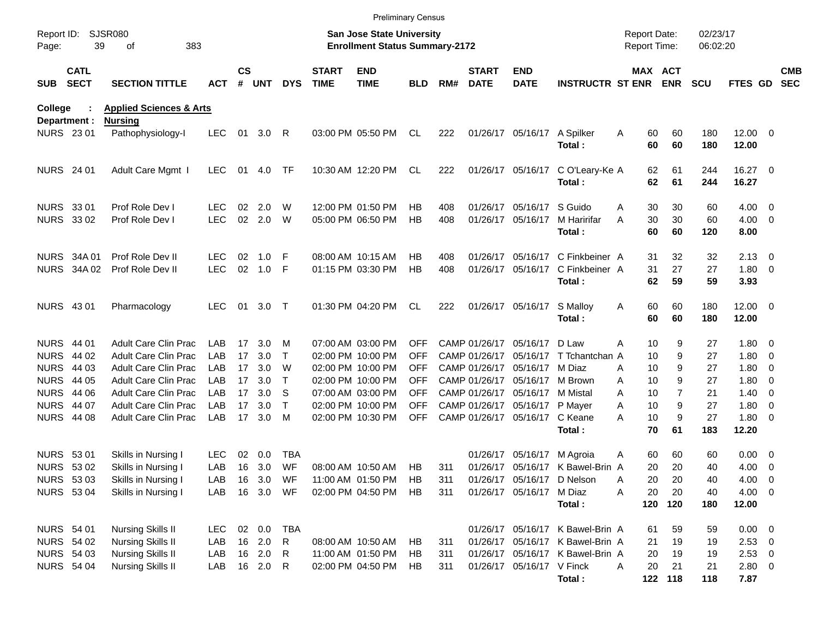|                     |                            |                                    |            |               |           |            |                             | <b>Preliminary Census</b>                                                 |            |     |                             |                            |                                  |                                            |                |                      |                       |                          |                          |
|---------------------|----------------------------|------------------------------------|------------|---------------|-----------|------------|-----------------------------|---------------------------------------------------------------------------|------------|-----|-----------------------------|----------------------------|----------------------------------|--------------------------------------------|----------------|----------------------|-----------------------|--------------------------|--------------------------|
| Report ID:<br>Page: | 39                         | <b>SJSR080</b><br>383<br>of        |            |               |           |            |                             | <b>San Jose State University</b><br><b>Enrollment Status Summary-2172</b> |            |     |                             |                            |                                  | <b>Report Date:</b><br><b>Report Time:</b> |                | 02/23/17<br>06:02:20 |                       |                          |                          |
| <b>SUB</b>          | <b>CATL</b><br><b>SECT</b> | <b>SECTION TITTLE</b>              | <b>ACT</b> | $\mathsf{cs}$ | # UNT     | <b>DYS</b> | <b>START</b><br><b>TIME</b> | <b>END</b><br><b>TIME</b>                                                 | <b>BLD</b> | RM# | <b>START</b><br><b>DATE</b> | <b>END</b><br><b>DATE</b>  | <b>INSTRUCTR ST ENR ENR</b>      |                                            | MAX ACT        | <b>SCU</b>           | FTES GD               |                          | <b>CMB</b><br><b>SEC</b> |
| <b>College</b>      |                            | <b>Applied Sciences &amp; Arts</b> |            |               |           |            |                             |                                                                           |            |     |                             |                            |                                  |                                            |                |                      |                       |                          |                          |
| Department :        |                            | <b>Nursing</b>                     |            |               |           |            |                             |                                                                           |            |     |                             |                            |                                  |                                            |                |                      |                       |                          |                          |
| <b>NURS 2301</b>    |                            | Pathophysiology-I                  | LEC.       | 01            | 3.0       | -R         |                             | 03:00 PM 05:50 PM                                                         | CL         | 222 |                             | 01/26/17 05/16/17          | A Spilker<br>Total:              | 60<br>A<br>60                              | 60<br>60       | 180<br>180           | $12.00 \t 0$<br>12.00 |                          |                          |
| <b>NURS</b> 24 01   |                            | Adult Care Mgmt I                  | <b>LEC</b> | 01            | 4.0       | TF         |                             | 10:30 AM 12:20 PM                                                         | CL         | 222 |                             | 01/26/17 05/16/17          | C O'Leary-Ke A                   | 62                                         | 61             | 244                  | 16.27 0               |                          |                          |
|                     |                            |                                    |            |               |           |            |                             |                                                                           |            |     |                             |                            | Total:                           | 62                                         | 61             | 244                  | 16.27                 |                          |                          |
| <b>NURS 3301</b>    |                            | Prof Role Dev I                    | LEC        | 02            | 2.0       | W          |                             | 12:00 PM 01:50 PM                                                         | НB         | 408 |                             | 01/26/17 05/16/17 S Guido  |                                  | 30<br>A                                    | 30             | 60                   | $4.00 \ 0$            |                          |                          |
| NURS 33 02          |                            | Prof Role Dev I                    | <b>LEC</b> | 02            | 2.0       | W          |                             | 05:00 PM 06:50 PM                                                         | HB         | 408 |                             | 01/26/17 05/16/17          | M Haririfar                      | 30<br>Α                                    | 30             | 60                   | $4.00 \ 0$            |                          |                          |
|                     |                            |                                    |            |               |           |            |                             |                                                                           |            |     |                             |                            | Total:                           | 60                                         | 60             | 120                  | 8.00                  |                          |                          |
|                     | NURS 34A 01                | Prof Role Dev II                   | <b>LEC</b> | 02            | 1.0       | F          |                             | 08:00 AM 10:15 AM                                                         | НB         | 408 |                             | 01/26/17 05/16/17          | C Finkbeiner A                   | 31                                         | 32             | 32                   | $2.13 \quad 0$        |                          |                          |
|                     | NURS 34A 02                | Prof Role Dev II                   | <b>LEC</b> | 02            | 1.0       | F          |                             | 01:15 PM 03:30 PM                                                         | <b>HB</b>  | 408 |                             | 01/26/17 05/16/17          | C Finkbeiner A                   | 31                                         | 27             | 27                   | $1.80 \ 0$            |                          |                          |
|                     |                            |                                    |            |               |           |            |                             |                                                                           |            |     |                             |                            | Total:                           | 62                                         | 59             | 59                   | 3.93                  |                          |                          |
| NURS 43 01          |                            | Pharmacology                       | <b>LEC</b> | 01            | 3.0       | $\top$     |                             | 01:30 PM 04:20 PM                                                         | CL         | 222 |                             | 01/26/17 05/16/17          | S Malloy                         | 60<br>A                                    | 60             | 180                  | $12.00 \t 0$          |                          |                          |
|                     |                            |                                    |            |               |           |            |                             |                                                                           |            |     |                             |                            | Total:                           | 60                                         | 60             | 180                  | 12.00                 |                          |                          |
| NURS 44 01          |                            | <b>Adult Care Clin Prac</b>        | LAB.       | 17            | 3.0       | м          |                             | 07:00 AM 03:00 PM                                                         | <b>OFF</b> |     | CAMP 01/26/17               | 05/16/17                   | D Law                            | 10<br>A                                    | 9              | 27                   | $1.80 \ 0$            |                          |                          |
| <b>NURS</b>         | 44 02                      | <b>Adult Care Clin Prac</b>        | LAB        | 17            | 3.0       | Т          |                             | 02:00 PM 10:00 PM                                                         | <b>OFF</b> |     | CAMP 01/26/17               | 05/16/17                   | T Tchantchan A                   | 10                                         | 9              | 27                   | $1.80 \ 0$            |                          |                          |
| <b>NURS</b>         | 44 03                      | <b>Adult Care Clin Prac</b>        | <b>LAB</b> | 17            | 3.0       | W          |                             | 02:00 PM 10:00 PM                                                         | <b>OFF</b> |     |                             | CAMP 01/26/17 05/16/17     | M Diaz                           | 10<br>A                                    | 9              | 27                   | $1.80 \ 0$            |                          |                          |
| <b>NURS</b>         | 44 05                      | <b>Adult Care Clin Prac</b>        | <b>LAB</b> | 17            | 3.0       | т          |                             | 02:00 PM 10:00 PM                                                         | <b>OFF</b> |     |                             | CAMP 01/26/17 05/16/17     | M Brown                          | 10<br>A                                    | 9              | 27                   | 1.80                  | $\overline{\phantom{0}}$ |                          |
| <b>NURS</b>         | 44 06                      | <b>Adult Care Clin Prac</b>        | <b>LAB</b> | 17            | 3.0       | S          |                             | 07:00 AM 03:00 PM                                                         | <b>OFF</b> |     |                             | CAMP 01/26/17 05/16/17     | M Mistal                         | A<br>10                                    | $\overline{7}$ | 21                   | $1.40 \ 0$            |                          |                          |
| <b>NURS</b>         | 44 07                      | <b>Adult Care Clin Prac</b>        | LAB        | 17            | 3.0       | T          |                             | 02:00 PM 10:00 PM                                                         | <b>OFF</b> |     |                             | CAMP 01/26/17 05/16/17     | P Mayer                          | 10<br>Α                                    | 9              | 27                   | 1.80 0                |                          |                          |
| <b>NURS 44 08</b>   |                            | Adult Care Clin Prac               | <b>LAB</b> | 17            | 3.0       | M          |                             | 02:00 PM 10:30 PM                                                         | <b>OFF</b> |     |                             | CAMP 01/26/17 05/16/17     | C Keane                          | 10<br>Α                                    | 9              | 27                   | $1.80 \ 0$            |                          |                          |
|                     |                            |                                    |            |               |           |            |                             |                                                                           |            |     |                             |                            | Total:                           | 70                                         | 61             | 183                  | 12.20                 |                          |                          |
| <b>NURS 5301</b>    |                            | Skills in Nursing I                | <b>LEC</b> | 02            | 0.0       | <b>TBA</b> |                             |                                                                           |            |     |                             | 01/26/17 05/16/17          | M Agroia                         | 60<br>Α                                    | 60             | 60                   | $0.00 \t 0$           |                          |                          |
| NURS 53 02          |                            | Skills in Nursing I                | LAB        | 16            | 3.0       | WF         |                             | 08:00 AM 10:50 AM                                                         | HB         | 311 |                             |                            | 01/26/17 05/16/17 K Bawel-Brin A | 20                                         | 20             | 40                   | 4.00                  | $\overline{\phantom{0}}$ |                          |
| NURS 53 03          |                            | Skills in Nursing I                | LAB        |               | 16 3.0    | WF         |                             | 11:00 AM 01:50 PM                                                         | HB         | 311 |                             | 01/26/17 05/16/17 D Nelson |                                  | 20<br>Α                                    | 20             | 40                   | $4.00 \ 0$            |                          |                          |
| <b>NURS 5304</b>    |                            | Skills in Nursing I                | LAB        |               | 16 3.0 WF |            |                             | 02:00 PM 04:50 PM                                                         | HB         | 311 |                             | 01/26/17 05/16/17 M Diaz   |                                  | 20<br>A                                    | 20             | 40                   | $4.00 \ 0$            |                          |                          |
|                     |                            |                                    |            |               |           |            |                             |                                                                           |            |     |                             |                            | Total:                           | 120                                        | 120            | 180                  | 12.00                 |                          |                          |
| <b>NURS 54 01</b>   |                            | <b>Nursing Skills II</b>           | LEC.       |               | 02 0.0    | TBA        |                             |                                                                           |            |     |                             |                            | 01/26/17 05/16/17 K Bawel-Brin A | 61                                         | 59             | 59                   | $0.00 \t 0$           |                          |                          |
| <b>NURS 54 02</b>   |                            | <b>Nursing Skills II</b>           | LAB        |               | 16 2.0    | R.         |                             | 08:00 AM 10:50 AM                                                         | HB.        | 311 |                             |                            | 01/26/17 05/16/17 K Bawel-Brin A | 21                                         | 19             | 19                   | $2.53$ 0              |                          |                          |
| <b>NURS 54 03</b>   |                            | <b>Nursing Skills II</b>           | LAB        |               | 16 2.0    | R          |                             | 11:00 AM 01:50 PM                                                         | HB         | 311 |                             |                            | 01/26/17 05/16/17 K Bawel-Brin A | 20                                         | 19             | 19                   | 2.53 0                |                          |                          |
| <b>NURS 54 04</b>   |                            | <b>Nursing Skills II</b>           | LAB        |               | 16 2.0    | R          |                             | 02:00 PM 04:50 PM                                                         | HB         | 311 |                             | 01/26/17 05/16/17 V Finck  |                                  | 20<br>Α                                    | 21             | 21                   | 2.80 0                |                          |                          |
|                     |                            |                                    |            |               |           |            |                             |                                                                           |            |     |                             |                            | Total:                           |                                            | 122 118        | 118                  | 7.87                  |                          |                          |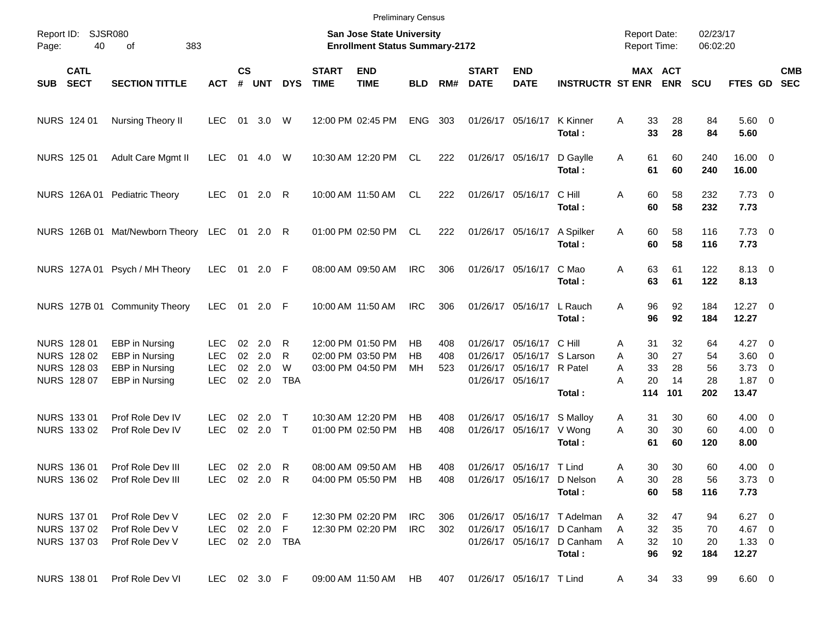|       |                                                          |                                                                      |                                                |                    |                                                |                           |                             | <b>Preliminary Census</b>                                          |                |                   |                             |                                                                                                   |                                                                                                   |                                            |                       |                        |                                                            |            |
|-------|----------------------------------------------------------|----------------------------------------------------------------------|------------------------------------------------|--------------------|------------------------------------------------|---------------------------|-----------------------------|--------------------------------------------------------------------|----------------|-------------------|-----------------------------|---------------------------------------------------------------------------------------------------|---------------------------------------------------------------------------------------------------|--------------------------------------------|-----------------------|------------------------|------------------------------------------------------------|------------|
| Page: | Report ID: SJSR080<br>40                                 | 383<br>of                                                            |                                                |                    |                                                |                           |                             | San Jose State University<br><b>Enrollment Status Summary-2172</b> |                |                   |                             |                                                                                                   |                                                                                                   | <b>Report Date:</b><br><b>Report Time:</b> |                       | 02/23/17<br>06:02:20   |                                                            |            |
| SUB   | <b>CATL</b><br><b>SECT</b>                               | <b>SECTION TITTLE</b>                                                | <b>ACT</b>                                     | $\mathsf{cs}$<br># | <b>UNT</b>                                     | <b>DYS</b>                | <b>START</b><br><b>TIME</b> | <b>END</b><br><b>TIME</b>                                          | <b>BLD</b>     | RM#               | <b>START</b><br><b>DATE</b> | <b>END</b><br><b>DATE</b>                                                                         | <b>INSTRUCTR ST ENR</b>                                                                           | MAX ACT                                    | <b>ENR</b>            | <b>SCU</b>             | FTES GD SEC                                                | <b>CMB</b> |
|       | NURS 124 01                                              | Nursing Theory II                                                    | <b>LEC</b>                                     | 01                 | 3.0                                            | W                         |                             | 12:00 PM 02:45 PM                                                  | <b>ENG</b>     | 303               |                             | 01/26/17 05/16/17                                                                                 | K Kinner<br>Total:                                                                                | 33<br>A<br>33                              | 28<br>28              | 84<br>84               | $5.60$ 0<br>5.60                                           |            |
|       | NURS 125 01                                              | Adult Care Mgmt II                                                   | <b>LEC</b>                                     | 01                 | 4.0                                            | W                         |                             | 10:30 AM 12:20 PM                                                  | CL.            | 222               |                             | 01/26/17 05/16/17                                                                                 | D Gaylle<br>Total:                                                                                | 61<br>Α<br>61                              | 60<br>60              | 240<br>240             | 16.00 0<br>16.00                                           |            |
|       |                                                          | NURS 126A 01 Pediatric Theory                                        | <b>LEC</b>                                     |                    | 01 2.0 R                                       |                           |                             | 10:00 AM 11:50 AM                                                  | CL.            | 222               |                             | 01/26/17 05/16/17                                                                                 | C Hill<br>Total:                                                                                  | 60<br>A<br>60                              | 58<br>58              | 232<br>232             | $7.73 \t 0$<br>7.73                                        |            |
|       |                                                          | NURS 126B 01 Mat/Newborn Theory LEC 01 2.0 R                         |                                                |                    |                                                |                           |                             | 01:00 PM 02:50 PM                                                  | CL             | 222               |                             | 01/26/17 05/16/17                                                                                 | A Spilker<br>Total:                                                                               | A<br>60<br>60                              | 58<br>58              | 116<br>116             | $7.73 \t 0$<br>7.73                                        |            |
|       |                                                          | NURS 127A 01 Psych / MH Theory                                       | <b>LEC</b>                                     |                    | 01 2.0 F                                       |                           |                             | 08:00 AM 09:50 AM                                                  | <b>IRC</b>     | 306               |                             | 01/26/17 05/16/17                                                                                 | C Mao<br>Total:                                                                                   | 63<br>A<br>63                              | 61<br>61              | 122<br>122             | 8.13 0<br>8.13                                             |            |
|       |                                                          | NURS 127B 01 Community Theory                                        | <b>LEC</b>                                     |                    | 01 2.0 F                                       |                           |                             | 10:00 AM 11:50 AM                                                  | <b>IRC</b>     | 306               |                             | 01/26/17 05/16/17                                                                                 | L Rauch<br>Total:                                                                                 | 96<br>A<br>96                              | 92<br>92              | 184<br>184             | $12.27$ 0<br>12.27                                         |            |
|       | NURS 128 01<br>NURS 128 02<br>NURS 128 03<br>NURS 128 07 | EBP in Nursing<br>EBP in Nursing<br>EBP in Nursing<br>EBP in Nursing | LEC.<br><b>LEC</b><br><b>LEC</b><br><b>LEC</b> | 02<br>02<br>02     | 2.0<br>2.0<br>2.0<br>02 2.0                    | R<br>R<br>W<br><b>TBA</b> |                             | 12:00 PM 01:50 PM<br>02:00 PM 03:50 PM<br>03:00 PM 04:50 PM        | НB<br>НB<br>МH | 408<br>408<br>523 |                             | 01/26/17 05/16/17<br>01/26/17 05/16/17 S Larson<br>01/26/17 05/16/17 R Patel<br>01/26/17 05/16/17 | C Hill                                                                                            | 31<br>Α<br>30<br>A<br>A<br>33<br>А<br>20   | 32<br>27<br>28<br>14  | 64<br>54<br>56<br>28   | $4.27 \t 0$<br>$3.60 \ 0$<br>$3.73 \quad 0$<br>$1.87 \t 0$ |            |
|       | NURS 133 01<br>NURS 133 02                               | Prof Role Dev IV<br>Prof Role Dev IV                                 | LEC.<br><b>LEC</b>                             | 02<br>$02\,$       | 2.0<br>$2.0$ T                                 | $\top$                    |                             | 10:30 AM 12:20 PM<br>01:00 PM 02:50 PM                             | НB<br>HB       | 408<br>408        |                             | 01/26/17 05/16/17 S Mallov<br>01/26/17 05/16/17                                                   | Total:<br>V Wong<br>Total:                                                                        | 114<br>31<br>A<br>A<br>30<br>61            | 101<br>30<br>30<br>60 | 202<br>60<br>60<br>120 | 13.47<br>$4.00 \ 0$<br>$4.00 \ 0$<br>8.00                  |            |
|       | NURS 136 01                                              | Prof Role Dev III<br>NURS 136 02 Prof Role Dev III                   | <b>LEC</b>                                     |                    | 02 2.0 R<br>LEC 02 2.0 R                       |                           |                             | 08:00 AM 09:50 AM<br>04:00 PM 05:50 PM HB                          | HB             | 408<br>408        |                             | 01/26/17 05/16/17 T Lind                                                                          | 01/26/17 05/16/17 D Nelson<br>Total:                                                              | 30<br>Α<br>30<br>Α<br>60                   | 30<br>28<br>58        | 60<br>56<br>116        | $4.00 \ 0$<br>$3.73 \quad 0$<br>7.73                       |            |
|       | NURS 137 01<br>NURS 137 02<br>NURS 137 03                | Prof Role Dev V<br>Prof Role Dev V<br>Prof Role Dev V                |                                                |                    | LEC 02 2.0 F<br>LEC 02 2.0 F<br>LEC 02 2.0 TBA |                           |                             | 12:30 PM 02:20 PM<br>12:30 PM 02:20 PM                             | IRC<br>IRC.    | 306<br>302        |                             |                                                                                                   | 01/26/17 05/16/17 T Adelman<br>01/26/17 05/16/17 D Canham<br>01/26/17 05/16/17 D Canham<br>Total: | 32<br>A<br>32<br>A<br>32<br>A<br>96        | 47<br>35<br>10<br>92  | 94<br>70<br>20<br>184  | $6.27$ 0<br>4.67 0<br>$1.33 \ 0$<br>12.27                  |            |
|       | NURS 138 01                                              | Prof Role Dev VI                                                     |                                                |                    | LEC 02 3.0 F                                   |                           |                             | 09:00 AM 11:50 AM                                                  | HB             | 407               |                             | 01/26/17 05/16/17 T Lind                                                                          |                                                                                                   | 34<br>A                                    | 33                    | 99                     | $6.60$ 0                                                   |            |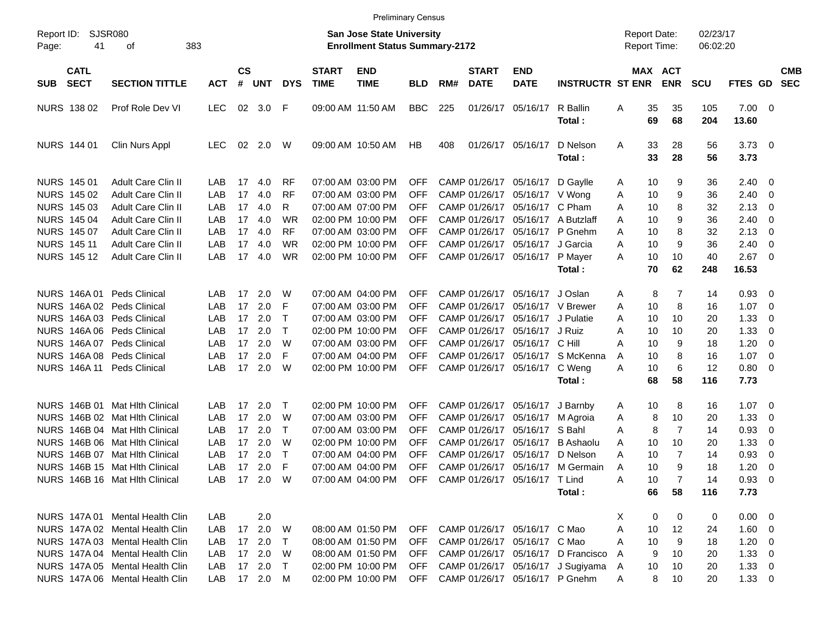|                     |                            |                                 |              |                    |            |              |                             | <b>Preliminary Census</b>                                                 |            |     |                             |                                  |                                    |                                     |                       |                      |                |                         |                          |
|---------------------|----------------------------|---------------------------------|--------------|--------------------|------------|--------------|-----------------------------|---------------------------------------------------------------------------|------------|-----|-----------------------------|----------------------------------|------------------------------------|-------------------------------------|-----------------------|----------------------|----------------|-------------------------|--------------------------|
| Report ID:<br>Page: | 41                         | SJSR080<br>383<br>оf            |              |                    |            |              |                             | <b>San Jose State University</b><br><b>Enrollment Status Summary-2172</b> |            |     |                             |                                  |                                    | <b>Report Date:</b><br>Report Time: |                       | 02/23/17<br>06:02:20 |                |                         |                          |
| SUB                 | <b>CATL</b><br><b>SECT</b> | <b>SECTION TITTLE</b>           | <b>ACT</b>   | $\mathsf{cs}$<br># | <b>UNT</b> | <b>DYS</b>   | <b>START</b><br><b>TIME</b> | <b>END</b><br><b>TIME</b>                                                 | <b>BLD</b> | RM# | <b>START</b><br><b>DATE</b> | <b>END</b><br><b>DATE</b>        | <b>INSTRUCTR ST ENR</b>            |                                     | MAX ACT<br><b>ENR</b> | <b>SCU</b>           | <b>FTES GD</b> |                         | <b>CMB</b><br><b>SEC</b> |
|                     | NURS 138 02                | Prof Role Dev VI                | <b>LEC</b>   | 02                 | 3.0        | - F          |                             | 09:00 AM 11:50 AM                                                         | <b>BBC</b> | 225 |                             | 01/26/17 05/16/17                | R Ballin                           | Α<br>35                             | 35                    | 105                  | $7.00 \t 0$    |                         |                          |
|                     |                            |                                 |              |                    |            |              |                             |                                                                           |            |     |                             |                                  | Total:                             | 69                                  | 68                    | 204                  | 13.60          |                         |                          |
|                     | NURS 144 01                | Clin Nurs Appl                  | <b>LEC</b>   | 02                 | 2.0        | W            |                             | 09:00 AM 10:50 AM                                                         | HB         | 408 |                             | 01/26/17 05/16/17                | D Nelson                           | 33<br>Α                             | 28                    | 56                   | $3.73 \quad 0$ |                         |                          |
|                     |                            |                                 |              |                    |            |              |                             |                                                                           |            |     |                             |                                  | Total:                             | 33                                  | 28                    | 56                   | 3.73           |                         |                          |
|                     | NURS 145 01                | <b>Adult Care Clin II</b>       | LAB          | 17                 | 4.0        | <b>RF</b>    |                             | 07:00 AM 03:00 PM                                                         | <b>OFF</b> |     |                             | CAMP 01/26/17 05/16/17           | D Gaylle                           | 10<br>A                             | 9                     | 36                   | 2.40           | 0                       |                          |
|                     | NURS 145 02                | <b>Adult Care Clin II</b>       | LAB          | 17                 | 4.0        | <b>RF</b>    |                             | 07:00 AM 03:00 PM                                                         | <b>OFF</b> |     |                             | CAMP 01/26/17 05/16/17 V Wong    |                                    | 10<br>Α                             | 9                     | 36                   | 2.40           | 0                       |                          |
|                     | NURS 145 03                | <b>Adult Care Clin II</b>       | LAB          | 17                 | 4.0        | R            |                             | 07:00 AM 07:00 PM                                                         | <b>OFF</b> |     |                             | CAMP 01/26/17 05/16/17 C Pham    |                                    | 10<br>A                             | 8                     | 32                   | 2.13           | 0                       |                          |
|                     | <b>NURS 145 04</b>         | <b>Adult Care Clin II</b>       | LAB          | 17                 | 4.0        | <b>WR</b>    |                             | 02:00 PM 10:00 PM                                                         | <b>OFF</b> |     |                             |                                  | CAMP 01/26/17 05/16/17 A Butzlaff  | 10<br>A                             | 9                     | 36                   | 2.40           | 0                       |                          |
|                     | NURS 145 07                | <b>Adult Care Clin II</b>       | LAB          | 17                 | 4.0        | <b>RF</b>    |                             | 07:00 AM 03:00 PM                                                         | <b>OFF</b> |     |                             | CAMP 01/26/17 05/16/17 P Gnehm   |                                    | A<br>10                             | 8                     | 32                   | 2.13           | 0                       |                          |
|                     | <b>NURS 14511</b>          | <b>Adult Care Clin II</b>       | LAB          | 17                 | 4.0        | <b>WR</b>    |                             | 02:00 PM 10:00 PM                                                         | <b>OFF</b> |     |                             | CAMP 01/26/17 05/16/17           | J Garcia                           | 10<br>A                             | 9                     | 36                   | 2.40           | 0                       |                          |
|                     | NURS 145 12                | <b>Adult Care Clin II</b>       | LAB          | 17                 | 4.0        | <b>WR</b>    |                             | 02:00 PM 10:00 PM                                                         | <b>OFF</b> |     |                             | CAMP 01/26/17 05/16/17           | P Mayer                            | 10<br>Α                             | 10                    | 40                   | 2.67           | $\overline{\mathbf{0}}$ |                          |
|                     |                            |                                 |              |                    |            |              |                             |                                                                           |            |     |                             |                                  | Total:                             | 70                                  | 62                    | 248                  | 16.53          |                         |                          |
|                     | NURS 146A 01               | <b>Peds Clinical</b>            | LAB          | 17                 | 2.0        | W            |                             | 07:00 AM 04:00 PM                                                         | <b>OFF</b> |     |                             | CAMP 01/26/17 05/16/17           | J Oslan                            | 8<br>A                              | 7                     | 14                   | 0.93           | 0                       |                          |
|                     |                            | NURS 146A 02 Peds Clinical      | LAB          | 17                 | 2.0        | F            |                             | 07:00 AM 03:00 PM                                                         | <b>OFF</b> |     |                             | CAMP 01/26/17 05/16/17 V Brewer  |                                    | 10<br>A                             | 8                     | 16                   | 1.07           | 0                       |                          |
|                     |                            | NURS 146A 03 Peds Clinical      | LAB          | 17                 | 2.0        | $\mathsf{T}$ |                             | 07:00 AM 03:00 PM                                                         | <b>OFF</b> |     |                             | CAMP 01/26/17 05/16/17 J Pulatie |                                    | A<br>10                             | 10                    | 20                   | 1.33           | 0                       |                          |
|                     |                            | NURS 146A 06 Peds Clinical      | LAB          | 17                 | 2.0        | $\mathsf{T}$ |                             | 02:00 PM 10:00 PM                                                         | <b>OFF</b> |     |                             | CAMP 01/26/17 05/16/17 J Ruiz    |                                    | A<br>10                             | 10                    | 20                   | 1.33           | 0                       |                          |
|                     |                            | NURS 146A 07 Peds Clinical      | LAB          | 17                 | 2.0        | W            |                             | 07:00 AM 03:00 PM                                                         | <b>OFF</b> |     |                             | CAMP 01/26/17 05/16/17 C Hill    |                                    | A<br>10                             | 9                     | 18                   | 1.20           | 0                       |                          |
|                     |                            | NURS 146A 08 Peds Clinical      | LAB          | 17                 | 2.0        | E            |                             | 07:00 AM 04:00 PM                                                         | OFF        |     |                             |                                  | CAMP 01/26/17 05/16/17 S McKenna   | 10<br>A                             | 8                     | 16                   | 1.07           | 0                       |                          |
|                     |                            | NURS 146A 11 Peds Clinical      | LAB          | 17                 | 2.0        | W            |                             | 02:00 PM 10:00 PM                                                         | <b>OFF</b> |     |                             | CAMP 01/26/17 05/16/17           | C Weng                             | 10<br>Α                             | 6                     | 12                   | 0.80           | 0                       |                          |
|                     |                            |                                 |              |                    |            |              |                             |                                                                           |            |     |                             |                                  | Total:                             | 68                                  | 58                    | 116                  | 7.73           |                         |                          |
|                     | <b>NURS 146B 01</b>        | <b>Mat Hith Clinical</b>        | LAB          | 17                 | 2.0        | T            |                             | 02:00 PM 10:00 PM                                                         | <b>OFF</b> |     |                             | CAMP 01/26/17 05/16/17           | J Barnby                           | 10<br>A                             | 8                     | 16                   | 1.07           | $\overline{\mathbf{0}}$ |                          |
|                     | NURS 146B 02               | <b>Mat Hith Clinical</b>        | LAB          | 17                 | 2.0        | W            |                             | 07:00 AM 03:00 PM                                                         | <b>OFF</b> |     |                             | CAMP 01/26/17 05/16/17           | M Agroia                           | 8<br>Α                              | 10                    | 20                   | 1.33           | 0                       |                          |
|                     | <b>NURS 146B 04</b>        | <b>Mat Hith Clinical</b>        | LAB          | 17                 | 2.0        | $\mathsf{T}$ |                             | 07:00 AM 03:00 PM                                                         | <b>OFF</b> |     |                             | CAMP 01/26/17 05/16/17 S Bahl    |                                    | 8<br>A                              | 7                     | 14                   | 0.93           | 0                       |                          |
|                     |                            | NURS 146B 06 Mat Hlth Clinical  | LAB          | 17                 | 2.0        | W            |                             | 02:00 PM 10:00 PM                                                         | <b>OFF</b> |     |                             | CAMP 01/26/17 05/16/17           | B Ashaolu                          | 10<br>A                             | 10                    | 20                   | 1.33           | 0                       |                          |
|                     | <b>NURS 146B 07</b>        | Mat Hith Clinical               | LAB          | 17                 | 2.0        | $\mathsf{T}$ |                             | 07:00 AM 04:00 PM                                                         | OFF        |     |                             | CAMP 01/26/17 05/16/17           | D Nelson                           | Α<br>10                             | $\overline{7}$        | 14                   | 0.93           | 0                       |                          |
|                     |                            | NURS 146B 15 Mat Hith Clinical  | LAB          |                    | 17 2.0     | E            |                             | 07:00 AM 04:00 PM                                                         | <b>OFF</b> |     |                             |                                  | CAMP 01/26/17 05/16/17 M Germain   | 10<br>A                             | 9                     | 18                   | 1.20           | 0                       |                          |
|                     |                            | NURS 146B 16 Mat Hlth Clinical  | LAB 17 2.0 W |                    |            |              |                             | 07:00 AM 04:00 PM OFF CAMP 01/26/17 05/16/17 T Lind                       |            |     |                             |                                  |                                    | 10<br>Α                             |                       | 14                   | $0.93 \ 0$     |                         |                          |
|                     |                            |                                 |              |                    |            |              |                             |                                                                           |            |     |                             |                                  | Total:                             | 66                                  | 58                    | 116                  | 7.73           |                         |                          |
|                     |                            |                                 |              |                    |            |              |                             |                                                                           |            |     |                             |                                  |                                    |                                     |                       |                      |                |                         |                          |
|                     |                            | NURS 147A 01 Mental Health Clin | LAB          |                    | 2.0        |              |                             |                                                                           |            |     |                             |                                  |                                    | X<br>0                              | 0                     | 0                    | $0.00 \t 0$    |                         |                          |
|                     |                            | NURS 147A 02 Mental Health Clin | LAB          |                    | 17 2.0 W   |              |                             | 08:00 AM 01:50 PM                                                         | <b>OFF</b> |     |                             | CAMP 01/26/17 05/16/17 C Mao     |                                    | A<br>10                             | 12                    | 24                   | $1.60 \t 0$    |                         |                          |
|                     |                            | NURS 147A 03 Mental Health Clin | LAB          |                    | 17 2.0     | $\top$       |                             | 08:00 AM 01:50 PM                                                         | <b>OFF</b> |     |                             | CAMP 01/26/17 05/16/17 C Mao     |                                    | 10<br>A                             | 9                     | 18                   | $1.20 \t 0$    |                         |                          |
|                     |                            | NURS 147A 04 Mental Health Clin | LAB          |                    | 17 2.0     | - W          |                             | 08:00 AM 01:50 PM                                                         | <b>OFF</b> |     |                             |                                  | CAMP 01/26/17 05/16/17 D Francisco | 9<br>A                              | 10                    | 20                   | $1.33 \ 0$     |                         |                          |
|                     |                            | NURS 147A 05 Mental Health Clin | LAB          |                    | 17 2.0 T   |              |                             | 02:00 PM 10:00 PM                                                         | <b>OFF</b> |     |                             |                                  | CAMP 01/26/17 05/16/17 J Sugiyama  | 10<br>A                             | 10                    | 20                   | $1.33 \ 0$     |                         |                          |
|                     |                            | NURS 147A 06 Mental Health Clin | LAB          |                    | 17 2.0 M   |              |                             | 02:00 PM 10:00 PM                                                         | OFF        |     |                             |                                  | CAMP 01/26/17 05/16/17 P Gnehm     | 8<br>A                              | 10                    | 20                   | $1.33 \t 0$    |                         |                          |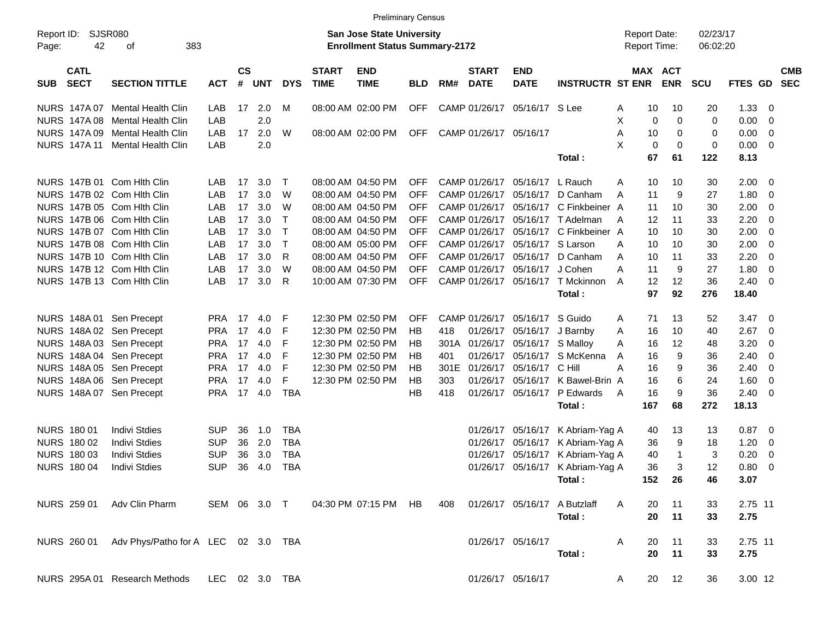|                     |                            |                                                              |            |                       |            |              |                             | <b>Preliminary Census</b>                                                 |            |     |                             |                           |                              |                                     |                       |                      |         |                         |                          |
|---------------------|----------------------------|--------------------------------------------------------------|------------|-----------------------|------------|--------------|-----------------------------|---------------------------------------------------------------------------|------------|-----|-----------------------------|---------------------------|------------------------------|-------------------------------------|-----------------------|----------------------|---------|-------------------------|--------------------------|
| Report ID:<br>Page: | 42                         | <b>SJSR080</b><br>383<br>of                                  |            |                       |            |              |                             | <b>San Jose State University</b><br><b>Enrollment Status Summary-2172</b> |            |     |                             |                           |                              | <b>Report Date:</b><br>Report Time: |                       | 02/23/17<br>06:02:20 |         |                         |                          |
| <b>SUB</b>          | <b>CATL</b><br><b>SECT</b> | <b>SECTION TITTLE</b>                                        | <b>ACT</b> | $\mathsf{cs}$<br>$\#$ | <b>UNT</b> | <b>DYS</b>   | <b>START</b><br><b>TIME</b> | <b>END</b><br><b>TIME</b>                                                 | <b>BLD</b> | RM# | <b>START</b><br><b>DATE</b> | <b>END</b><br><b>DATE</b> | <b>INSTRUCTR ST ENR</b>      |                                     | MAX ACT<br><b>ENR</b> | <b>SCU</b>           | FTES GD |                         | <b>CMB</b><br><b>SEC</b> |
|                     | NURS 147A 07               | Mental Health Clin                                           | LAB        | 17                    | 2.0        | М            |                             | 08:00 AM 02:00 PM                                                         | <b>OFF</b> |     | CAMP 01/26/17               | 05/16/17 S Lee            |                              | A                                   | 10<br>10              | 20                   | 1.33    | $\overline{\mathbf{0}}$ |                          |
|                     | <b>NURS 147A08</b>         | <b>Mental Health Clin</b>                                    | LAB        |                       | 2.0        |              |                             |                                                                           |            |     |                             |                           |                              | X                                   | 0<br>0                | 0                    | 0.00    | 0                       |                          |
|                     | NURS 147A 09               | <b>Mental Health Clin</b>                                    | LAB        | 17                    | 2.0        | W            |                             | 08:00 AM 02:00 PM                                                         | <b>OFF</b> |     | CAMP 01/26/17               | 05/16/17                  |                              | Α                                   | 10<br>0               | 0                    | 0.00    | 0                       |                          |
|                     | <b>NURS 147A11</b>         | Mental Health Clin                                           | LAB        |                       | 2.0        |              |                             |                                                                           |            |     |                             |                           |                              | X                                   | 0<br>0                | 0                    | 0.00    | $\overline{\mathbf{0}}$ |                          |
|                     |                            |                                                              |            |                       |            |              |                             |                                                                           |            |     |                             |                           | Total:                       | 67                                  | 61                    | 122                  | 8.13    |                         |                          |
|                     |                            | NURS 147B 01 Com Hith Clin                                   | LAB        | 17                    | 3.0        | $\top$       |                             | 08:00 AM 04:50 PM                                                         | <b>OFF</b> |     | CAMP 01/26/17               | 05/16/17                  | L Rauch                      | A                                   | 10<br>10              | 30                   | 2.00    | $\overline{\mathbf{0}}$ |                          |
|                     |                            | NURS 147B 02 Com Hith Clin                                   | LAB        | 17                    | 3.0        | W            |                             | 08:00 AM 04:50 PM                                                         | <b>OFF</b> |     | CAMP 01/26/17               | 05/16/17                  | D Canham                     | 11<br>A                             | 9                     | 27                   | 1.80    | 0                       |                          |
|                     |                            | NURS 147B 05 Com Hith Clin                                   | LAB        | 17                    | 3.0        | W            |                             | 08:00 AM 04:50 PM                                                         | <b>OFF</b> |     | CAMP 01/26/17               | 05/16/17                  | C Finkbeiner A               | 11                                  | 10                    | 30                   | 2.00    | $\mathbf 0$             |                          |
|                     |                            | NURS 147B 06 Com Hith Clin                                   | LAB        | 17                    | 3.0        | $\mathsf{T}$ |                             | 08:00 AM 04:50 PM                                                         | <b>OFF</b> |     | CAMP 01/26/17               | 05/16/17                  | T Adelman                    | 12<br>A                             | 11                    | 33                   | 2.20    | $\overline{\mathbf{0}}$ |                          |
|                     |                            | NURS 147B 07 Com Hith Clin                                   | LAB        | 17                    | 3.0        | $\top$       |                             | 08:00 AM 04:50 PM                                                         | <b>OFF</b> |     | CAMP 01/26/17               | 05/16/17                  | C Finkbeiner A               |                                     | 10<br>10              | 30                   | 2.00    | 0                       |                          |
|                     |                            | NURS 147B 08 Com Hith Clin                                   | LAB        | 17                    | 3.0        | $\top$       |                             | 08:00 AM 05:00 PM                                                         | <b>OFF</b> |     | CAMP 01/26/17               | 05/16/17                  | S Larson                     | Α<br>10                             | 10                    | 30                   | 2.00    | $\overline{0}$          |                          |
|                     |                            | NURS 147B 10 Com Hith Clin                                   | LAB        | 17                    | 3.0        | $\mathsf{R}$ |                             | 08:00 AM 04:50 PM                                                         | <b>OFF</b> |     | CAMP 01/26/17               | 05/16/17                  | D Canham                     | 10<br>A                             | 11                    | 33                   | 2.20    | $\overline{0}$          |                          |
|                     |                            | NURS 147B 12 Com Hith Clin                                   | LAB        | 17                    | 3.0        | W            |                             | 08:00 AM 04:50 PM                                                         | <b>OFF</b> |     | CAMP 01/26/17               | 05/16/17                  | J Cohen                      | 11<br>А                             | 9                     | 27                   | 1.80    | $\overline{0}$          |                          |
|                     |                            | NURS 147B 13 Com Hith Clin                                   | LAB        | 17                    | 3.0        | R            |                             | 10:00 AM 07:30 PM                                                         | <b>OFF</b> |     | CAMP 01/26/17               | 05/16/17                  | T Mckinnon                   | A                                   | 12<br>12              | 36                   | 2.40    | $\overline{0}$          |                          |
|                     |                            |                                                              |            |                       |            |              |                             |                                                                           |            |     |                             |                           | Total:                       | 97                                  | 92                    | 276                  | 18.40   |                         |                          |
|                     |                            | NURS 148A 01 Sen Precept                                     | <b>PRA</b> | 17                    | 4.0        | F            |                             | 12:30 PM 02:50 PM                                                         | <b>OFF</b> |     | CAMP 01/26/17               | 05/16/17                  | S Guido                      | 71<br>A                             | 13                    | 52                   | 3.47    | $\overline{\mathbf{0}}$ |                          |
|                     |                            | NURS 148A 02 Sen Precept                                     | <b>PRA</b> | 17                    | 4.0        | F            |                             | 12:30 PM 02:50 PM                                                         | HB         | 418 | 01/26/17                    | 05/16/17                  | J Barnby                     | 16<br>Α                             | 10                    | 40                   | 2.67    | $\overline{\mathbf{0}}$ |                          |
|                     |                            | NURS 148A 03 Sen Precept                                     | <b>PRA</b> | 17                    | 4.0        | F            |                             | 12:30 PM 02:50 PM                                                         | HB         |     | 301A 01/26/17               | 05/16/17                  | S Malloy                     | Α                                   | 16<br>12              | 48                   | 3.20    | 0                       |                          |
|                     |                            | NURS 148A 04 Sen Precept                                     | <b>PRA</b> | 17                    | 4.0        | F            |                             | 12:30 PM 02:50 PM                                                         | HB         | 401 | 01/26/17                    | 05/16/17                  | S McKenna                    | 16<br>A                             | 9                     | 36                   | 2.40    | 0                       |                          |
|                     |                            | NURS 148A 05 Sen Precept                                     | <b>PRA</b> | 17                    | 4.0        | F            |                             | 12:30 PM 02:50 PM                                                         | HB         |     | 301E 01/26/17               | 05/16/17                  | C Hill                       | A<br>16                             | 9                     | 36                   | 2.40    | $\overline{0}$          |                          |
|                     |                            | NURS 148A 06 Sen Precept                                     | <b>PRA</b> | 17                    | 4.0        | F            |                             | 12:30 PM 02:50 PM                                                         | HB         | 303 | 01/26/17                    | 05/16/17                  | K Bawel-Brin A               | 16                                  | 6                     | 24                   | 1.60    | $\overline{0}$          |                          |
|                     |                            | NURS 148A 07 Sen Precept                                     | <b>PRA</b> | 17                    | 4.0        | <b>TBA</b>   |                             |                                                                           | НB         | 418 |                             | 01/26/17 05/16/17         | P Edwards                    | 16<br>A                             | 9                     | 36                   | 2.40    | $\overline{0}$          |                          |
|                     |                            |                                                              |            |                       |            |              |                             |                                                                           |            |     |                             |                           | Total:                       | 167                                 | 68                    | 272                  | 18.13   |                         |                          |
|                     | <b>NURS 180 01</b>         | <b>Indivi Stdies</b>                                         | <b>SUP</b> | 36                    | 1.0        | <b>TBA</b>   |                             |                                                                           |            |     |                             | 01/26/17 05/16/17         | K Abriam-Yag A               |                                     | 13<br>40              | 13                   | 0.87    | $\overline{\mathbf{0}}$ |                          |
|                     | NURS 180 02                | <b>Indivi Stdies</b>                                         | <b>SUP</b> | 36                    | 2.0        | <b>TBA</b>   |                             |                                                                           |            |     | 01/26/17                    | 05/16/17                  | K Abriam-Yag A               | 36                                  | 9                     | 18                   | 1.20    | $\mathbf 0$             |                          |
|                     | NURS 180 03                | <b>Indivi Stdies</b>                                         | <b>SUP</b> | 36                    | 3.0        | <b>TBA</b>   |                             |                                                                           |            |     | 01/26/17                    | 05/16/17                  | K Abriam-Yag A               | 40                                  | $\mathbf{1}$          | 3                    | 0.20    | $\mathbf 0$             |                          |
|                     | <b>NURS 180 04</b>         | <b>Indivi Stdies</b>                                         | <b>SUP</b> | 36                    | 4.0        | <b>TBA</b>   |                             |                                                                           |            |     |                             | 01/26/17 05/16/17         | K Abriam-Yag A               |                                     | 36<br>3               | 12                   | 0.80    | $\overline{0}$          |                          |
|                     |                            |                                                              |            |                       |            |              |                             |                                                                           |            |     |                             |                           | Total:                       |                                     | 152 26                | 46                   | 3.07    |                         |                          |
|                     |                            | NURS 259 01 Adv Clin Pharm SEM 06 3.0 T 04:30 PM 07:15 PM HB |            |                       |            |              |                             |                                                                           |            | 408 |                             |                           | 01/26/17 05/16/17 A Butzlaff | $\mathsf{A}$<br>20                  | 11                    | 33                   | 2.75 11 |                         |                          |
|                     |                            |                                                              |            |                       |            |              |                             |                                                                           |            |     |                             |                           | Total:                       |                                     | 20<br>11              | 33                   | 2.75    |                         |                          |
|                     |                            | NURS 260 01 Adv Phys/Patho for A LEC 02 3.0 TBA              |            |                       |            |              |                             |                                                                           |            |     |                             | 01/26/17 05/16/17         |                              | $\mathsf{A}$                        | 11<br>20              | 33                   | 2.75 11 |                         |                          |
|                     |                            |                                                              |            |                       |            |              |                             |                                                                           |            |     |                             |                           | Total:                       |                                     | 20<br>11              | 33                   | 2.75    |                         |                          |
|                     |                            | NURS 295A 01 Research Methods LEC 02 3.0 TBA                 |            |                       |            |              |                             |                                                                           |            |     |                             | 01/26/17 05/16/17         |                              | $\mathsf{A}$                        | 12<br>20              | 36                   | 3.00 12 |                         |                          |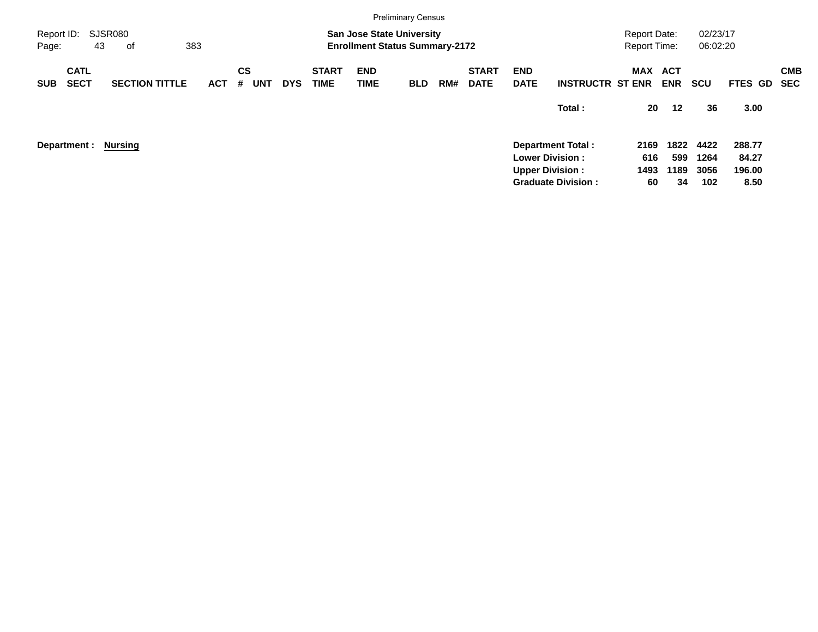|                     |                            |                       |     |                |            |            |                             |                           | <b>Preliminary Census</b>                                                 |     |                             |                           |                           |                                            |            |                      |                |                          |
|---------------------|----------------------------|-----------------------|-----|----------------|------------|------------|-----------------------------|---------------------------|---------------------------------------------------------------------------|-----|-----------------------------|---------------------------|---------------------------|--------------------------------------------|------------|----------------------|----------------|--------------------------|
| Report ID:<br>Page: |                            | SJSR080<br>43<br>оf   | 383 |                |            |            |                             |                           | <b>San Jose State University</b><br><b>Enrollment Status Summary-2172</b> |     |                             |                           |                           | <b>Report Date:</b><br><b>Report Time:</b> |            | 02/23/17<br>06:02:20 |                |                          |
| <b>SUB</b>          | <b>CATL</b><br><b>SECT</b> | <b>SECTION TITTLE</b> | ACT | <b>CS</b><br># | <b>UNT</b> | <b>DYS</b> | <b>START</b><br><b>TIME</b> | <b>END</b><br><b>TIME</b> | <b>BLD</b>                                                                | RM# | <b>START</b><br><b>DATE</b> | <b>END</b><br><b>DATE</b> | <b>INSTRUCTR ST ENR</b>   | MAX ACT                                    | <b>ENR</b> | <b>SCU</b>           | <b>FTES GD</b> | <b>CMB</b><br><b>SEC</b> |
|                     |                            |                       |     |                |            |            |                             |                           |                                                                           |     |                             |                           | Total:                    | 20                                         | 12         | 36                   | 3.00           |                          |
|                     | Department :               | <b>Nursing</b>        |     |                |            |            |                             |                           |                                                                           |     |                             |                           | <b>Department Total:</b>  | 2169                                       | 1822       | 4422                 | 288.77         |                          |
|                     |                            |                       |     |                |            |            |                             |                           |                                                                           |     |                             |                           | <b>Lower Division:</b>    | 616                                        | 599        | 1264                 | 84.27          |                          |
|                     |                            |                       |     |                |            |            |                             |                           |                                                                           |     |                             |                           | <b>Upper Division:</b>    | 1493                                       | 1189       | 3056                 | 196.00         |                          |
|                     |                            |                       |     |                |            |            |                             |                           |                                                                           |     |                             |                           | <b>Graduate Division:</b> | 60                                         | 34         | 102                  | 8.50           |                          |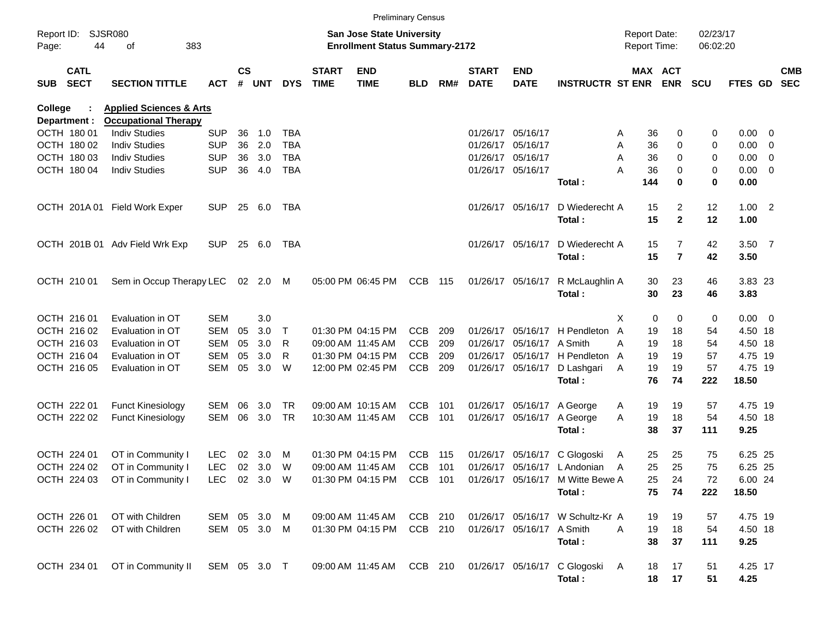|                |                            |                                                      |              |                    |            |            |                             |                                                                    | <b>Preliminary Census</b> |     |                             |                           |                                                            |                                            |                       |                      |                     |                          |
|----------------|----------------------------|------------------------------------------------------|--------------|--------------------|------------|------------|-----------------------------|--------------------------------------------------------------------|---------------------------|-----|-----------------------------|---------------------------|------------------------------------------------------------|--------------------------------------------|-----------------------|----------------------|---------------------|--------------------------|
| Page:          | Report ID: SJSR080<br>44   | 383<br>of                                            |              |                    |            |            |                             | San Jose State University<br><b>Enrollment Status Summary-2172</b> |                           |     |                             |                           |                                                            | <b>Report Date:</b><br><b>Report Time:</b> |                       | 02/23/17<br>06:02:20 |                     |                          |
| SUB            | <b>CATL</b><br><b>SECT</b> | <b>SECTION TITTLE</b>                                | ACT          | $\mathsf{cs}$<br># | <b>UNT</b> | <b>DYS</b> | <b>START</b><br><b>TIME</b> | <b>END</b><br><b>TIME</b>                                          | <b>BLD</b>                | RM# | <b>START</b><br><b>DATE</b> | <b>END</b><br><b>DATE</b> | <b>INSTRUCTR ST ENR</b>                                    |                                            | MAX ACT<br><b>ENR</b> | <b>SCU</b>           | FTES GD             | <b>CMB</b><br><b>SEC</b> |
| <b>College</b> |                            | <b>Applied Sciences &amp; Arts</b>                   |              |                    |            |            |                             |                                                                    |                           |     |                             |                           |                                                            |                                            |                       |                      |                     |                          |
|                | Department :               | <b>Occupational Therapy</b>                          |              |                    |            |            |                             |                                                                    |                           |     |                             |                           |                                                            |                                            |                       |                      |                     |                          |
|                | OCTH 180 01                | <b>Indiv Studies</b>                                 | <b>SUP</b>   | 36                 | 1.0        | TBA        |                             |                                                                    |                           |     |                             | 01/26/17 05/16/17         |                                                            | 36<br>A                                    | 0                     | 0                    | $0.00 \t 0$         |                          |
|                | OCTH 180 02                | <b>Indiv Studies</b>                                 | <b>SUP</b>   | 36                 | 2.0        | <b>TBA</b> |                             |                                                                    |                           |     |                             | 01/26/17 05/16/17         |                                                            | 36<br>Α                                    | 0                     | 0                    | $0.00 \t 0$         |                          |
|                | OCTH 180 03                | <b>Indiv Studies</b>                                 | <b>SUP</b>   | 36                 | 3.0        | <b>TBA</b> |                             |                                                                    |                           |     |                             | 01/26/17 05/16/17         |                                                            | 36<br>Α                                    | 0                     | 0                    | $0.00 \t 0$         |                          |
|                | OCTH 180 04                | <b>Indiv Studies</b>                                 | <b>SUP</b>   | 36                 | 4.0        | <b>TBA</b> |                             |                                                                    |                           |     |                             | 01/26/17 05/16/17         | Total:                                                     | 36<br>А<br>144                             | 0<br>$\bf{0}$         | 0<br>0               | $0.00 \t 0$<br>0.00 |                          |
|                |                            | OCTH 201A 01 Field Work Exper                        | <b>SUP</b>   |                    | 25 6.0     | TBA        |                             |                                                                    |                           |     |                             | 01/26/17 05/16/17         | D Wiederecht A                                             | 15                                         | $\overline{2}$        | 12                   | $1.00$ 2            |                          |
|                |                            |                                                      |              |                    |            |            |                             |                                                                    |                           |     |                             |                           | Total:                                                     | 15                                         | $\mathbf{2}$          | 12                   | 1.00                |                          |
|                |                            | OCTH 201B 01 Adv Field Wrk Exp                       | <b>SUP</b>   |                    | 25 6.0     | TBA        |                             |                                                                    |                           |     |                             | 01/26/17 05/16/17         | D Wiederecht A                                             | 15                                         | $\overline{7}$        | 42                   | $3.50$ 7            |                          |
|                |                            |                                                      |              |                    |            |            |                             |                                                                    |                           |     |                             |                           | Total:                                                     | 15                                         | $\overline{7}$        | 42                   | 3.50                |                          |
|                | OCTH 210 01                | Sem in Occup Therapy LEC                             |              |                    | 02 2.0 M   |            |                             | 05:00 PM 06:45 PM                                                  | CCB                       | 115 |                             | 01/26/17 05/16/17         | R McLaughlin A                                             | 30                                         | 23                    | 46                   | 3.83 23             |                          |
|                |                            |                                                      |              |                    |            |            |                             |                                                                    |                           |     |                             |                           | Total:                                                     | 30                                         | 23                    | 46                   | 3.83                |                          |
|                | OCTH 216 01                | Evaluation in OT                                     | SEM          |                    | 3.0        |            |                             |                                                                    |                           |     |                             |                           |                                                            | 0<br>X                                     | 0                     | 0                    | $0.00 \t 0$         |                          |
|                | OCTH 216 02                | Evaluation in OT                                     | <b>SEM</b>   | 05                 | 3.0        | $\top$     |                             | 01:30 PM 04:15 PM                                                  | <b>CCB</b>                | 209 |                             | 01/26/17 05/16/17         | H Pendleton                                                | A<br>19                                    | 18                    | 54                   | 4.50 18             |                          |
|                | OCTH 216 03                | Evaluation in OT                                     | <b>SEM</b>   | 05                 | 3.0        | R          |                             | 09:00 AM 11:45 AM                                                  | <b>CCB</b>                | 209 |                             | 01/26/17 05/16/17 A Smith |                                                            | 19<br>А                                    | 18                    | 54                   | 4.50 18             |                          |
|                | OCTH 216 04                | Evaluation in OT                                     | <b>SEM</b>   | 05                 | 3.0        | R          |                             | 01:30 PM 04:15 PM                                                  | <b>CCB</b>                | 209 |                             | 01/26/17 05/16/17         | H Pendleton A                                              | 19                                         | 19                    | 57                   | 4.75 19             |                          |
|                | OCTH 216 05                | Evaluation in OT                                     | <b>SEM</b>   | 05                 | 3.0        | W          |                             | 12:00 PM 02:45 PM                                                  | <b>CCB</b>                | 209 |                             | 01/26/17 05/16/17         | D Lashgari<br>Total:                                       | 19<br>Α<br>76                              | 19<br>74              | 57<br>222            | 4.75 19<br>18.50    |                          |
|                | OCTH 222 01                |                                                      | <b>SEM</b>   | 06                 | 3.0        | TR.        |                             | 09:00 AM 10:15 AM                                                  | CCB                       | 101 |                             | 01/26/17 05/16/17         |                                                            | 19                                         | 19                    | 57                   | 4.75 19             |                          |
|                | OCTH 222 02                | <b>Funct Kinesiology</b><br><b>Funct Kinesiology</b> | <b>SEM</b>   | 06                 | 3.0        | <b>TR</b>  |                             | 10:30 AM 11:45 AM                                                  | <b>CCB</b>                | 101 |                             | 01/26/17 05/16/17         | A George<br>A George                                       | Α<br>19<br>A                               | 18                    | 54                   | 4.50 18             |                          |
|                |                            |                                                      |              |                    |            |            |                             |                                                                    |                           |     |                             |                           | Total:                                                     | 38                                         | 37                    | 111                  | 9.25                |                          |
|                | OCTH 224 01                | OT in Community I                                    | <b>LEC</b>   | 02                 | 3.0        | M          |                             | 01:30 PM 04:15 PM                                                  | <b>CCB</b>                | 115 |                             | 01/26/17 05/16/17         | C Glogoski                                                 | 25<br>A                                    | 25                    | 75                   | 6.25 25             |                          |
|                | OCTH 224 02                | OT in Community I                                    | <b>LEC</b>   | $02\,$             | 3.0        | W          |                             | 09:00 AM 11:45 AM                                                  | <b>CCB</b>                | 101 |                             |                           | 01/26/17 05/16/17 L Andonian                               | 25<br>A                                    | 25                    | 75                   | 6.25 25             |                          |
|                |                            | OCTH 224 03 OT in Community I                        | LEC 02 3.0 W |                    |            |            |                             |                                                                    |                           |     |                             |                           | 01:30 PM 04:15 PM CCB 101 01/26/17 05/16/17 M Witte Bewe A | 25                                         | 24                    | 72                   | 6.00 24             |                          |
|                |                            |                                                      |              |                    |            |            |                             |                                                                    |                           |     |                             |                           | Total:                                                     | 75                                         | 74                    | 222                  | 18.50               |                          |
|                | OCTH 226 01                | OT with Children                                     | SEM 05 3.0 M |                    |            |            |                             | 09:00 AM 11:45 AM                                                  | CCB 210                   |     |                             |                           | 01/26/17 05/16/17 W Schultz-Kr A                           | 19                                         | 19                    | 57                   | 4.75 19             |                          |
|                | OCTH 226 02                | OT with Children                                     | SEM 05 3.0 M |                    |            |            |                             | 01:30 PM 04:15 PM                                                  | CCB 210                   |     |                             | 01/26/17 05/16/17 A Smith |                                                            | 19<br>A                                    | 18                    | 54                   | 4.50 18             |                          |
|                |                            |                                                      |              |                    |            |            |                             |                                                                    |                           |     |                             |                           | Total:                                                     | 38                                         | 37                    | 111                  | 9.25                |                          |
|                | OCTH 234 01                | OT in Community II                                   | SEM 05 3.0 T |                    |            |            |                             |                                                                    |                           |     |                             |                           | 09:00 AM 11:45 AM CCB 210 01/26/17 05/16/17 C Glogoski A   | 18                                         | 17                    | 51                   | 4.25 17             |                          |
|                |                            |                                                      |              |                    |            |            |                             |                                                                    |                           |     |                             |                           | Total:                                                     |                                            | 18 17                 | 51                   | 4.25                |                          |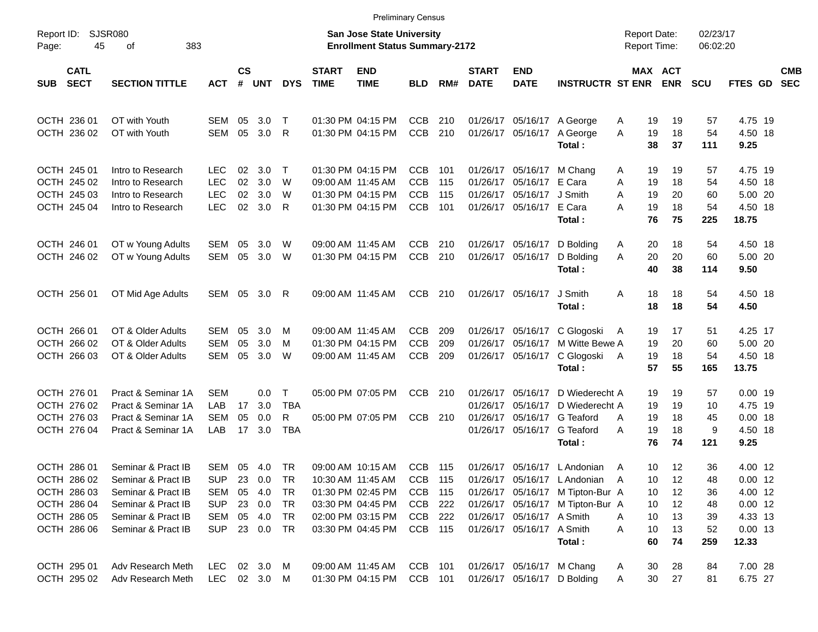|                     |                            |                       |              |                    |            |              |                             |                                                                    | <b>Preliminary Census</b> |     |                             |                            |                                  |                                            |                       |                      |                    |                          |
|---------------------|----------------------------|-----------------------|--------------|--------------------|------------|--------------|-----------------------------|--------------------------------------------------------------------|---------------------------|-----|-----------------------------|----------------------------|----------------------------------|--------------------------------------------|-----------------------|----------------------|--------------------|--------------------------|
| Report ID:<br>Page: | 45                         | SJSR080<br>383<br>оf  |              |                    |            |              |                             | San Jose State University<br><b>Enrollment Status Summary-2172</b> |                           |     |                             |                            |                                  | <b>Report Date:</b><br><b>Report Time:</b> |                       | 02/23/17<br>06:02:20 |                    |                          |
| SUB                 | <b>CATL</b><br><b>SECT</b> | <b>SECTION TITTLE</b> | <b>ACT</b>   | $\mathsf{cs}$<br># | <b>UNT</b> | <b>DYS</b>   | <b>START</b><br><b>TIME</b> | <b>END</b><br><b>TIME</b>                                          | <b>BLD</b>                | RM# | <b>START</b><br><b>DATE</b> | <b>END</b><br><b>DATE</b>  | <b>INSTRUCTR ST ENR</b>          |                                            | MAX ACT<br><b>ENR</b> | <b>SCU</b>           | <b>FTES GD</b>     | <b>CMB</b><br><b>SEC</b> |
| OCTH 236 01         |                            | OT with Youth         | SEM          | 05                 | 3.0        | Т            |                             | 01:30 PM 04:15 PM                                                  | <b>CCB</b>                | 210 |                             | 01/26/17 05/16/17 A George |                                  | 19<br>A                                    | 19                    | 57                   | 4.75 19            |                          |
| OCTH 236 02         |                            | OT with Youth         | <b>SEM</b>   | 05                 | 3.0        | R            |                             | 01:30 PM 04:15 PM                                                  | <b>CCB</b>                | 210 |                             | 01/26/17 05/16/17          | A George<br>Total:               | 19<br>A<br>38                              | 18<br>37              | 54<br>111            | 4.50 18<br>9.25    |                          |
| OCTH 245 01         |                            | Intro to Research     | LEC.         | 02                 | 3.0        | $\top$       |                             | 01:30 PM 04:15 PM                                                  | <b>CCB</b>                | 101 |                             | 01/26/17 05/16/17          | M Chang                          | 19<br>A                                    | 19                    | 57                   | 4.75 19            |                          |
| OCTH 245 02         |                            | Intro to Research     | <b>LEC</b>   | 02                 | 3.0        | W            |                             | 09:00 AM 11:45 AM                                                  | <b>CCB</b>                | 115 | 01/26/17                    | 05/16/17                   | E Cara                           | A<br>19                                    | 18                    | 54                   | 4.50 18            |                          |
| OCTH 245 03         |                            | Intro to Research     | <b>LEC</b>   | 02                 | 3.0        | W            |                             | 01:30 PM 04:15 PM                                                  | <b>CCB</b>                | 115 | 01/26/17                    | 05/16/17                   | J Smith                          | 19<br>A                                    | 20                    | 60                   | 5.00 20            |                          |
| OCTH 245 04         |                            | Intro to Research     | <b>LEC</b>   | 02                 | 3.0        | R            |                             | 01:30 PM 04:15 PM                                                  | <b>CCB</b>                | 101 |                             | 01/26/17 05/16/17          | E Cara<br>Total:                 | 19<br>А<br>76                              | 18<br>75              | 54<br>225            | 4.50 18<br>18.75   |                          |
| OCTH 246 01         |                            | OT w Young Adults     | SEM          | 05                 | 3.0        | W            |                             | 09:00 AM 11:45 AM                                                  | <b>CCB</b>                | 210 |                             | 01/26/17 05/16/17          | D Bolding                        | 20<br>A                                    | 18                    | 54                   | 4.50 18            |                          |
| OCTH 246 02         |                            | OT w Young Adults     | SEM          | 05                 | 3.0        | W            |                             | 01:30 PM 04:15 PM                                                  | <b>CCB</b>                | 210 |                             | 01/26/17 05/16/17          | D Bolding<br>Total:              | 20<br>A<br>40                              | 20<br>38              | 60<br>114            | 5.00 20<br>9.50    |                          |
| OCTH 256 01         |                            | OT Mid Age Adults     | SEM 05       |                    | 3.0        | R            |                             | 09:00 AM 11:45 AM                                                  | <b>CCB</b>                | 210 |                             | 01/26/17 05/16/17          | J Smith<br>Total:                | 18<br>Α<br>18                              | 18<br>18              | 54<br>54             | 4.50 18<br>4.50    |                          |
|                     |                            |                       |              |                    |            |              |                             |                                                                    |                           |     |                             |                            |                                  |                                            |                       |                      |                    |                          |
| OCTH 266 01         |                            | OT & Older Adults     | SEM          | 05                 | 3.0        | M            |                             | 09:00 AM 11:45 AM                                                  | <b>CCB</b>                | 209 |                             | 01/26/17 05/16/17          | C Glogoski                       | 19<br>A                                    | 17                    | 51                   | 4.25 17            |                          |
| OCTH 266 02         |                            | OT & Older Adults     | <b>SEM</b>   | 05                 | 3.0        | M            |                             | 01:30 PM 04:15 PM                                                  | <b>CCB</b>                | 209 | 01/26/17                    | 05/16/17                   | M Witte Bewe A                   | 19                                         | 20                    | 60                   | 5.00 20            |                          |
| OCTH 266 03         |                            | OT & Older Adults     | <b>SEM</b>   | 05                 | 3.0        | W            |                             | 09:00 AM 11:45 AM                                                  | <b>CCB</b>                | 209 |                             | 01/26/17 05/16/17          | C Glogoski                       | 19<br>A                                    | 18                    | 54                   | 4.50 18            |                          |
|                     |                            |                       |              |                    |            |              |                             |                                                                    |                           |     |                             |                            | Total:                           | 57                                         | 55                    | 165                  | 13.75              |                          |
| OCTH 276 01         |                            | Pract & Seminar 1A    | <b>SEM</b>   |                    | 0.0        | $\mathsf{T}$ |                             | 05:00 PM 07:05 PM                                                  | <b>CCB</b>                | 210 | 01/26/17                    | 05/16/17                   | D Wiederecht A                   | 19                                         | 19                    | 57                   | $0.00$ 19          |                          |
| OCTH 276 02         |                            | Pract & Seminar 1A    | LAB          | 17                 | 3.0        | <b>TBA</b>   |                             |                                                                    |                           |     | 01/26/17                    | 05/16/17                   | D Wiederecht A                   | 19                                         | 19                    | 10                   | 4.75 19            |                          |
| OCTH 276 03         |                            | Pract & Seminar 1A    | <b>SEM</b>   | 05                 | 0.0        | R            |                             | 05:00 PM 07:05 PM                                                  | <b>CCB</b>                | 210 | 01/26/17                    | 05/16/17                   | G Teaford                        | 19<br>A                                    | 18                    | 45                   | $0.00$ 18          |                          |
| OCTH 276 04         |                            | Pract & Seminar 1A    | LAB          | 17                 | 3.0        | <b>TBA</b>   |                             |                                                                    |                           |     |                             | 01/26/17 05/16/17          | G Teaford<br>Total:              | 19<br>A<br>76                              | 18<br>74              | 9<br>121             | 4.50 18<br>9.25    |                          |
| OCTH 286 01         |                            | Seminar & Pract IB    | SEM          | 05                 | 4.0        | TR           |                             | 09:00 AM 10:15 AM                                                  | CCB                       | 115 |                             |                            | 01/26/17 05/16/17 L Andonian     | 10<br>A                                    | 12                    | 36                   | 4.00 12            |                          |
| OCTH 286 02         |                            | Seminar & Pract IB    | <b>SUP</b>   | 23                 | 0.0        | TR           |                             | 10:30 AM 11:45 AM                                                  | <b>CCB</b>                | 115 |                             |                            | 01/26/17 05/16/17 L Andonian     | A<br>10                                    | 12                    | 48                   | $0.00$ 12          |                          |
| OCTH 286 03         |                            | Seminar & Pract IB    | SEM          | 05                 | 4.0        | <b>TR</b>    |                             | 01:30 PM 02:45 PM                                                  | <b>CCB</b>                | 115 |                             |                            | 01/26/17 05/16/17 M Tipton-Bur A | 10                                         | 12                    | 36                   | 4.00 12            |                          |
| OCTH 286 04         |                            | Seminar & Pract IB    | <b>SUP</b>   | 23                 | 0.0        | TR           |                             | 03:30 PM 04:45 PM                                                  | <b>CCB</b>                | 222 |                             |                            | 01/26/17 05/16/17 M Tipton-Bur A | 10                                         | 12                    | 48                   | $0.00$ 12          |                          |
| OCTH 286 05         |                            | Seminar & Pract IB    | SEM          |                    | 05 4.0     | TR           |                             | 02:00 PM 03:15 PM                                                  | CCB                       | 222 |                             | 01/26/17 05/16/17 A Smith  |                                  | 10<br>Α                                    | 13                    | 39                   | 4.33 13            |                          |
| OCTH 286 06         |                            | Seminar & Pract IB    | <b>SUP</b>   |                    | 23 0.0 TR  |              |                             | 03:30 PM 04:45 PM                                                  | CCB 115                   |     |                             | 01/26/17 05/16/17 A Smith  | Total:                           | 10<br>Α<br>60                              | 13<br>74              | 52<br>259            | $0.00$ 13<br>12.33 |                          |
| OCTH 295 01         |                            | Adv Research Meth     | <b>LEC</b>   |                    | 02 3.0 M   |              |                             | 09:00 AM 11:45 AM                                                  | CCB 101                   |     |                             | 01/26/17 05/16/17 M Chang  |                                  | 30<br>A                                    | 28                    | 84                   | 7.00 28            |                          |
| OCTH 295 02         |                            | Adv Research Meth     | LEC 02 3.0 M |                    |            |              |                             | 01:30 PM 04:15 PM                                                  | CCB 101                   |     |                             |                            | 01/26/17 05/16/17 D Bolding      | 30<br>Α                                    | 27                    | 81                   | 6.75 27            |                          |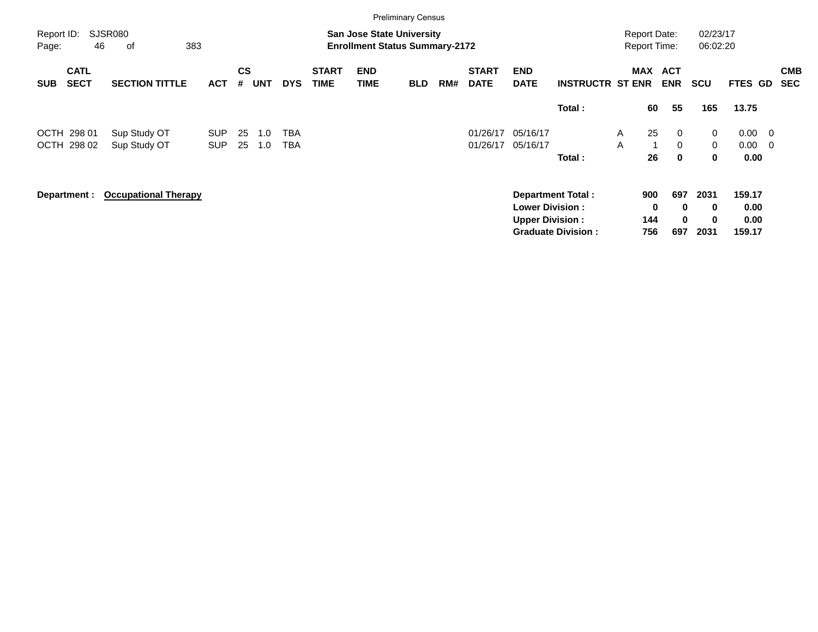| Report ID:<br>46           | 383<br>оf   |                                                                                                        |            |     |                   |                             |                           |            |     |                                                               |                                                   |          |                                                                                                                     |                          |                                                                                                                                                         |                                                                |                              |                                                                                   |
|----------------------------|-------------|--------------------------------------------------------------------------------------------------------|------------|-----|-------------------|-----------------------------|---------------------------|------------|-----|---------------------------------------------------------------|---------------------------------------------------|----------|---------------------------------------------------------------------------------------------------------------------|--------------------------|---------------------------------------------------------------------------------------------------------------------------------------------------------|----------------------------------------------------------------|------------------------------|-----------------------------------------------------------------------------------|
| <b>CATL</b><br><b>SECT</b> |             | <b>ACT</b>                                                                                             | CS<br>#    |     | <b>DYS</b>        | <b>START</b><br><b>TIME</b> | <b>END</b><br><b>TIME</b> | <b>BLD</b> | RM# | <b>START</b><br><b>DATE</b>                                   | <b>END</b><br><b>DATE</b>                         |          |                                                                                                                     | <b>ACT</b><br><b>ENR</b> | <b>SCU</b>                                                                                                                                              |                                                                |                              | <b>CMB</b><br><b>SEC</b>                                                          |
|                            |             |                                                                                                        |            |     |                   |                             |                           |            |     |                                                               |                                                   | Total:   |                                                                                                                     | 55                       | 165                                                                                                                                                     | 13.75                                                          |                              |                                                                                   |
| 298 01                     |             | <b>SUP</b>                                                                                             | 25         | 1.0 | TBA               |                             |                           |            |     | 01/26/17                                                      | 05/16/17                                          |          | $\mathsf{A}$                                                                                                        | $\overline{0}$           | 0                                                                                                                                                       | 0.00                                                           |                              |                                                                                   |
|                            |             |                                                                                                        |            |     |                   |                             |                           |            |     |                                                               |                                                   |          |                                                                                                                     |                          |                                                                                                                                                         |                                                                |                              |                                                                                   |
| Department :               |             |                                                                                                        |            |     |                   |                             |                           |            |     |                                                               |                                                   |          |                                                                                                                     |                          | 2031<br>0<br>0                                                                                                                                          | 159.17<br>0.00<br>0.00                                         |                              |                                                                                   |
|                            | OCTH 298 02 | <b>SJSR080</b><br><b>SECTION TITTLE</b><br>Sup Study OT<br>Sup Study OT<br><b>Occupational Therapy</b> | <b>SUP</b> | 25  | <b>UNT</b><br>1.0 | TBA                         |                           |            |     | <b>Preliminary Census</b><br><b>San Jose State University</b> | <b>Enrollment Status Summary-2172</b><br>01/26/17 | 05/16/17 | Total:<br><b>Department Total:</b><br><b>Lower Division:</b><br><b>Upper Division:</b><br><b>Graduate Division:</b> | A                        | <b>Report Date:</b><br><b>Report Time:</b><br>MAX<br><b>INSTRUCTR ST ENR</b><br>60<br>25<br>$\mathbf{0}$<br>26<br>$\mathbf 0$<br>900<br>0<br>144<br>756 | $\mathbf 0$<br>0<br>697<br>$\bf{0}$<br>$\bf{0}$<br>697<br>2031 | 02/23/17<br>06:02:20<br>0.00 | FTES GD<br>$\overline{\phantom{0}}$<br>$\overline{\phantom{0}}$<br>0.00<br>159.17 |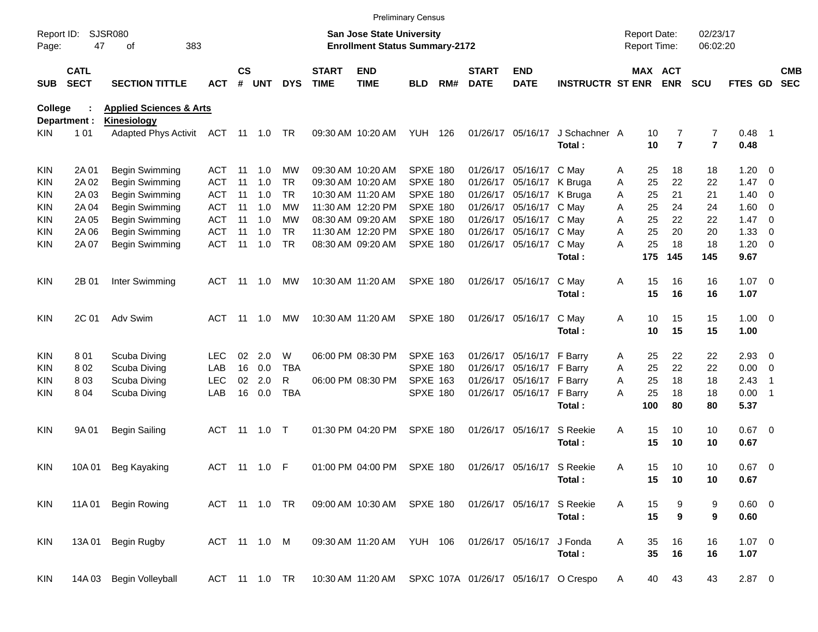|                     |                            |                                                          |               |                    |            |            |                             |                                                                           | <b>Preliminary Census</b> |     |                             |                            |                         |                                     |                              |                              |                     |                          |                          |
|---------------------|----------------------------|----------------------------------------------------------|---------------|--------------------|------------|------------|-----------------------------|---------------------------------------------------------------------------|---------------------------|-----|-----------------------------|----------------------------|-------------------------|-------------------------------------|------------------------------|------------------------------|---------------------|--------------------------|--------------------------|
| Report ID:<br>Page: | 47                         | <b>SJSR080</b><br>383<br>οf                              |               |                    |            |            |                             | <b>San Jose State University</b><br><b>Enrollment Status Summary-2172</b> |                           |     |                             |                            |                         | <b>Report Date:</b><br>Report Time: |                              | 02/23/17<br>06:02:20         |                     |                          |                          |
| <b>SUB</b>          | <b>CATL</b><br><b>SECT</b> | <b>SECTION TITTLE</b>                                    | <b>ACT</b>    | $\mathsf{cs}$<br># | <b>UNT</b> | <b>DYS</b> | <b>START</b><br><b>TIME</b> | <b>END</b><br><b>TIME</b>                                                 | <b>BLD</b>                | RM# | <b>START</b><br><b>DATE</b> | <b>END</b><br><b>DATE</b>  | <b>INSTRUCTR ST ENR</b> |                                     | <b>MAX ACT</b><br><b>ENR</b> | <b>SCU</b>                   | <b>FTES GD</b>      |                          | <b>CMB</b><br><b>SEC</b> |
| <b>College</b>      |                            | <b>Applied Sciences &amp; Arts</b>                       |               |                    |            |            |                             |                                                                           |                           |     |                             |                            |                         |                                     |                              |                              |                     |                          |                          |
|                     | Department :               | <b>Kinesiology</b><br>Adapted Phys Activit ACT 11 1.0 TR |               |                    |            |            |                             |                                                                           |                           |     |                             |                            | J Schachner A           |                                     |                              |                              |                     |                          |                          |
| KIN.                | 101                        |                                                          |               |                    |            |            |                             | 09:30 AM 10:20 AM                                                         | <b>YUH 126</b>            |     |                             | 01/26/17 05/16/17          | Total:                  | 10<br>10                            | 7<br>$\overline{7}$          | 7<br>$\overline{\mathbf{r}}$ | 0.48<br>0.48        | $\blacksquare$ 1         |                          |
| KIN                 | 2A 01                      | Begin Swimming                                           | ACT           | -11                | 1.0        | MW         |                             | 09:30 AM 10:20 AM                                                         | <b>SPXE 180</b>           |     |                             | 01/26/17 05/16/17          | C May                   | 25<br>Α                             | 18                           | 18                           | 1.20                | $\overline{\phantom{0}}$ |                          |
| KIN                 | 2A 02                      | Begin Swimming                                           | ACT           | 11                 | 1.0        | TR.        |                             | 09:30 AM 10:20 AM                                                         | SPXE 180                  |     |                             | 01/26/17 05/16/17 K Bruga  |                         | 25<br>Α                             | 22                           | 22                           | 1.47                | $\overline{\phantom{0}}$ |                          |
| KIN                 | 2A 03                      | Begin Swimming                                           | <b>ACT</b>    | 11                 | 1.0        | <b>TR</b>  |                             | 10:30 AM 11:20 AM                                                         | SPXE 180                  |     |                             | 01/26/17 05/16/17 K Bruga  |                         | 25<br>Α                             | 21                           | 21                           | 1.40                | $\overline{\phantom{0}}$ |                          |
| KIN                 | 2A 04                      | Begin Swimming                                           | <b>ACT</b>    | 11                 | 1.0        | МW         |                             | 11:30 AM 12:20 PM                                                         | <b>SPXE 180</b>           |     |                             | 01/26/17 05/16/17          | C May                   | 25<br>Α                             | 24                           | 24                           | 1.60                | $\overline{\phantom{0}}$ |                          |
| KIN                 | 2A 05                      | Begin Swimming                                           | <b>ACT</b>    | 11                 | 1.0        | МW         |                             | 08:30 AM 09:20 AM                                                         | <b>SPXE 180</b>           |     |                             | 01/26/17 05/16/17 C May    |                         | 25<br>Α                             | 22                           | 22                           | 1.47                | $\overline{\phantom{0}}$ |                          |
| KIN                 | 2A 06                      | Begin Swimming                                           | <b>ACT</b>    | 11                 | 1.0        | <b>TR</b>  |                             | 11:30 AM 12:20 PM                                                         | <b>SPXE 180</b>           |     |                             | 01/26/17 05/16/17          | C May                   | 25<br>A                             | 20                           | 20                           | 1.33                | - 0                      |                          |
| KIN                 | 2A 07                      | Begin Swimming                                           | <b>ACT</b>    | 11                 | 1.0        | <b>TR</b>  |                             | 08:30 AM 09:20 AM                                                         | <b>SPXE 180</b>           |     |                             | 01/26/17 05/16/17          | C May<br>Total:         | 25<br>А<br>175                      | 18<br>145                    | 18<br>145                    | 1.20<br>9.67        | $\overline{\phantom{0}}$ |                          |
| KIN                 | 2B 01                      | Inter Swimming                                           | <b>ACT</b>    | -11                | 1.0        | МW         |                             | 10:30 AM 11:20 AM                                                         | <b>SPXE 180</b>           |     |                             | 01/26/17 05/16/17          | C May<br>Total:         | 15<br>Α<br>15                       | 16<br>16                     | 16<br>16                     | $1.07 \t 0$<br>1.07 |                          |                          |
| <b>KIN</b>          | 2C 01                      | Adv Swim                                                 | ACT           | -11                | 1.0        | MW         |                             | 10:30 AM 11:20 AM                                                         | <b>SPXE 180</b>           |     |                             | 01/26/17 05/16/17          | C May                   | Α<br>10                             | 15                           | 15                           | $1.00 \t 0$         |                          |                          |
|                     |                            |                                                          |               |                    |            |            |                             |                                                                           |                           |     |                             |                            | Total:                  | 10                                  | 15                           | 15                           | 1.00                |                          |                          |
| KIN                 | 801                        | Scuba Diving                                             | LEC           | 02                 | 2.0        | W          |                             | 06:00 PM 08:30 PM                                                         | <b>SPXE 163</b>           |     |                             | 01/26/17 05/16/17 F Barry  |                         | 25<br>Α                             | 22                           | 22                           | $2.93$ 0            |                          |                          |
| KIN                 | 802                        | Scuba Diving                                             | LAB           | 16                 | 0.0        | <b>TBA</b> |                             |                                                                           | SPXE 180                  |     |                             | 01/26/17 05/16/17 F Barry  |                         | 25<br>Α                             | 22                           | 22                           | $0.00 \t 0$         |                          |                          |
| KIN                 | 803                        | Scuba Diving                                             | <b>LEC</b>    | 02                 | 2.0        | R          |                             | 06:00 PM 08:30 PM                                                         | <b>SPXE 163</b>           |     |                             | 01/26/17 05/16/17 F Barry  |                         | 25<br>Α                             | 18                           | 18                           | 2.43                | $\overline{1}$           |                          |
| KIN                 | 804                        | Scuba Diving                                             | LAB           | 16                 | 0.0        | <b>TBA</b> |                             |                                                                           | SPXE 180                  |     |                             | 01/26/17 05/16/17 F Barry  |                         | 25<br>Α                             | 18                           | 18                           | 0.00                | $\overline{\phantom{0}}$ |                          |
|                     |                            |                                                          |               |                    |            |            |                             |                                                                           |                           |     |                             |                            | Total:                  | 100                                 | 80                           | 80                           | 5.37                |                          |                          |
| KIN.                | 9A 01                      | <b>Begin Sailing</b>                                     | <b>ACT</b>    | - 11               | 1.0        | $\top$     |                             | 01:30 PM 04:20 PM                                                         | <b>SPXE 180</b>           |     |                             | 01/26/17 05/16/17          | S Reekie<br>Total:      | Α<br>15<br>15                       | 10<br>10                     | 10<br>10                     | $0.67$ 0<br>0.67    |                          |                          |
| KIN                 | 10A 01                     | Beg Kayaking                                             | <b>ACT</b>    |                    |            |            |                             | 01:00 PM 04:00 PM                                                         | <b>SPXE 180</b>           |     |                             | 01/26/17 05/16/17 S Reekie | Total :                 | 15<br>Α<br>15                       | 10<br>10                     | 10<br>10                     | $0.67$ 0<br>0.67    |                          |                          |
| <b>KIN</b>          | 11A 01                     | <b>Begin Rowing</b>                                      | ACT 11 1.0 TR |                    |            |            |                             | 09:00 AM 10:30 AM                                                         | <b>SPXE 180</b>           |     |                             | 01/26/17 05/16/17          | S Reekie<br>Total:      | Α<br>15<br>15                       | 9<br>$\boldsymbol{9}$        | 9<br>9                       | 0.60 0<br>0.60      |                          |                          |
| KIN                 | 13A 01                     | Begin Rugby                                              | ACT 11 1.0 M  |                    |            |            |                             | 09:30 AM 11:20 AM YUH 106                                                 |                           |     |                             | 01/26/17 05/16/17          | J Fonda<br>Total:       | Α<br>35<br>35                       | 16<br>16                     | 16<br>16                     | $1.07 \t 0$<br>1.07 |                          |                          |
| KIN                 | 14A 03                     | Begin Volleyball                                         | ACT 11 1.0 TR |                    |            |            |                             | 10:30 AM 11:20 AM SPXC 107A 01/26/17 05/16/17 O Crespo                    |                           |     |                             |                            |                         | 40<br>A                             | 43                           | 43                           | $2.87$ 0            |                          |                          |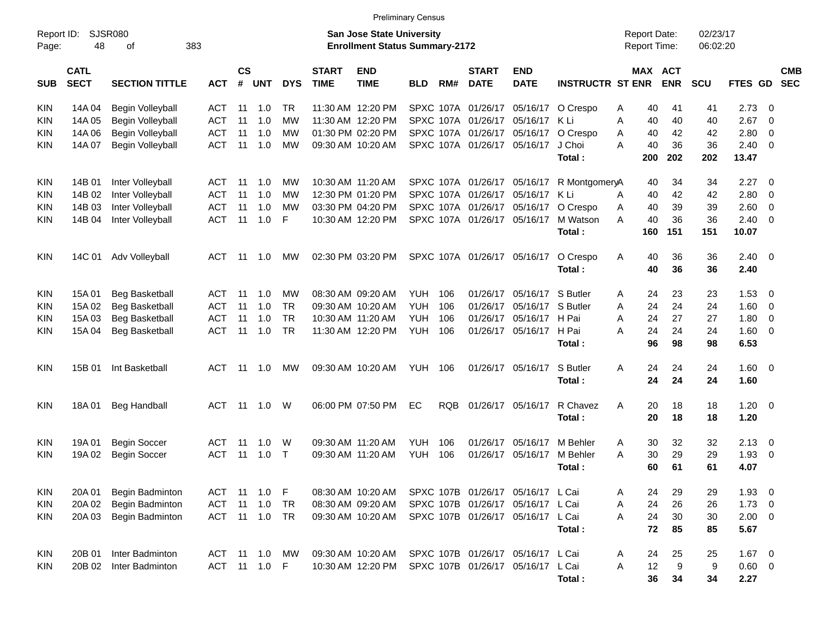KIN 14A 04 Begin Volleyball ACT 11 1.0 TR 11:30 AM 12:20 PM SPXC 107A 01/26/17 05/16/17 O Crespo A 40 41 41 2.73 0 KIN 14A 05 Begin Volleyball ACT 11 1.0 MW 11:30 AM 12:20 PM SPXC 107A 01/26/17 05/16/17 K Li A 40 40 40 2.67 0 KIN 14A 06 Begin Volleyball ACT 11 1.0 MW 01:30 PM 02:20 PM SPXC 107A 01/26/17 05/16/17 O Crespo A 40 42 42 2.80 0 KIN 14A 07 Begin Volleyball ACT 11 1.0 MW 09:30 AM 10:20 AM SPXC 107A 01/26/17 05/16/17 J Choi A 40 36 36 2.40 0 **Total : 200 202 202 13.47** KIN 14B 01 Inter Volleyball ACT 11 1.0 MW 10:30 AM 11:20 AM SPXC 107A 01/26/17 05/16/17 R MontgomeryA 40 34 34 2.27 0 KIN 14B 02 Inter Volleyball ACT 11 1.0 MW 12:30 PM 01:20 PM SPXC 107A 01/26/17 05/16/17 K Li A 40 42 42 2.80 0 KIN 14B 03 Inter Volleyball ACT 11 1.0 MW 03:30 PM 04:20 PM SPXC 107A 01/26/17 05/16/17 O Crespo A 40 39 39 2.60 0 KIN 14B 04 Inter Volleyball ACT 11 1.0 F 10:30 AM 12:20 PM SPXC 107A 01/26/17 05/16/17 M Watson A 40 36 36 2.40 0 **Total : 160 151 151 10.07** KIN 14C 01 Adv Volleyball ACT 11 1.0 MW 02:30 PM 03:20 PM SPXC 107A 01/26/17 05/16/17 O Crespo A 40 36 36 2.40 0 **Total : 40 36 36 2.40** KIN 15A 01 Beg Basketball ACT 11 1.0 MW 08:30 AM 09:20 AM YUH 106 01/26/17 05/16/17 S Butler A 24 23 23 1.53 0 KIN 15A 02 Beg Basketball ACT 11 1.0 TR 09:30 AM 10:20 AM YUH 106 01/26/17 05/16/17 S Butler A 24 24 24 1.60 0 KIN 15A 03 Beg Basketball ACT 11 1.0 TR 10:30 AM 11:20 AM YUH 106 01/26/17 05/16/17 H Pai A 24 27 27 1.80 0 KIN 15A 04 Beg Basketball ACT 11 1.0 TR 11:30 AM 12:20 PM YUH 106 01/26/17 05/16/17 H Pai A 24 24 24 1.60 0 **Total : 96 98 98 6.53** KIN 15B 01 Int Basketball ACT 11 1.0 MW 09:30 AM 10:20 AM YUH 106 01/26/17 05/16/17 S Butler A 24 24 24 1.60 0 **Total : 24 24 24 1.60** KIN 18A 01 Beg Handball ACT 11 1.0 W 06:00 PM 07:50 PM EC RQB 01/26/17 05/16/17 R Chavez A 20 18 18 1.20 0 **Total : 20 18 18 1.20** KIN 19A 01 Begin Soccer ACT 11 1.0 W 09:30 AM 11:20 AM YUH 106 01/26/17 05/16/17 M Behler A 30 32 32 2.13 0 KIN 19A 02 Begin Soccer ACT 11 1.0 T 09:30 AM 11:20 AM YUH 106 01/26/17 05/16/17 M Behler A 30 29 29 1.93 0 **Total : 60 61 61 4.07** KIN 20A 01 Begin Badminton ACT 11 1.0 F 08:30 AM 10:20 AM SPXC 107B 01/26/17 05/16/17 L Cai A 24 29 29 1.93 0 KIN 20A 02 Begin Badminton ACT 11 1.0 TR 08:30 AM 09:20 AM SPXC 107B 01/26/17 05/16/17 L Cai A 24 26 26 1.73 0 KIN 20A 03 Begin Badminton ACT 11 1.0 TR 09:30 AM 10:20 AM SPXC 107B 01/26/17 05/16/17 L Cai A 24 30 30 2.00 0 **Total : 72 85 85 5.67** KIN 20B 01 Inter Badminton ACT 11 1.0 MW 09:30 AM 10:20 AM SPXC 107B 01/26/17 05/16/17 L Cai A 24 25 25 1.67 0 KIN 20B 02 Inter Badminton ACT 11 1.0 F 10:30 AM 12:20 PM SPXC 107B 01/26/17 05/16/17 L Cai A 12 9 9 0.60 0 Report ID: SJSR080 **San Jose State University San Jose State University San Jose State University Report Date:** 02/23/17 Page: 48 of 383 **Enrollment Status Summary-2172** Report Time: 06:02:20 **CATL CS START END START END MAX ACT CMB** SUB SECT SECTION TITTLE ACT # UNT DYS TIME TIME BLD RM# DATE DATE INSTRUCTR ST ENR ENR SCU FTES GD SEC

Preliminary Census

**Total : 36 34 34 2.27**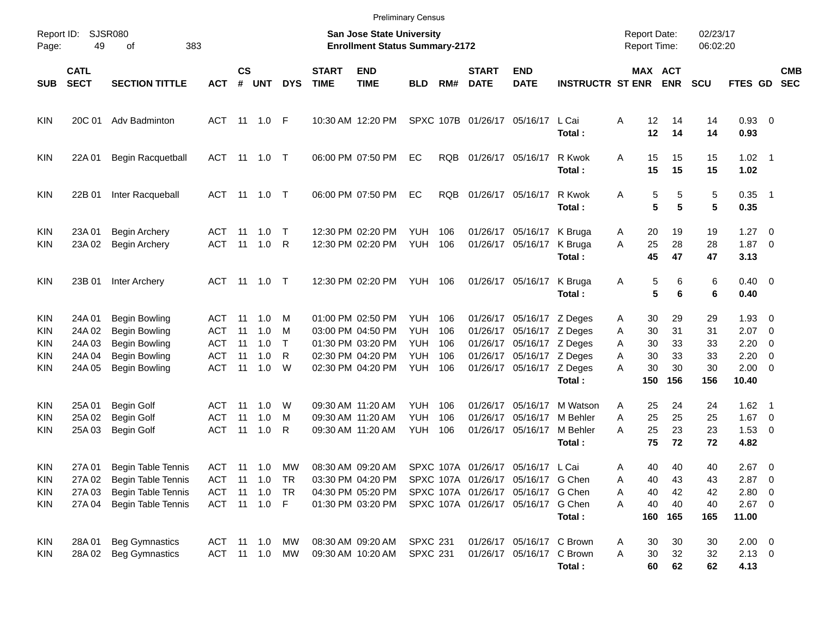|                                                      |                                                |                                                                                                    |                                                      |                            |                                                             |                                  |                             |                                                                                                       | <b>Preliminary Census</b>                            |                                 |                                                                                                                                                     |                                                                                                                                               |                                            |                                                            |                                         |                                   |                                                                       |                          |                          |
|------------------------------------------------------|------------------------------------------------|----------------------------------------------------------------------------------------------------|------------------------------------------------------|----------------------------|-------------------------------------------------------------|----------------------------------|-----------------------------|-------------------------------------------------------------------------------------------------------|------------------------------------------------------|---------------------------------|-----------------------------------------------------------------------------------------------------------------------------------------------------|-----------------------------------------------------------------------------------------------------------------------------------------------|--------------------------------------------|------------------------------------------------------------|-----------------------------------------|-----------------------------------|-----------------------------------------------------------------------|--------------------------|--------------------------|
| Report ID:<br>Page:                                  | 49                                             | SJSR080<br>383<br>of                                                                               |                                                      |                            |                                                             |                                  |                             | San Jose State University<br><b>Enrollment Status Summary-2172</b>                                    |                                                      |                                 |                                                                                                                                                     |                                                                                                                                               |                                            | <b>Report Date:</b><br><b>Report Time:</b>                 |                                         | 02/23/17<br>06:02:20              |                                                                       |                          |                          |
| SUB                                                  | <b>CATL</b><br><b>SECT</b>                     | <b>SECTION TITTLE</b>                                                                              | <b>ACT</b>                                           | $\mathsf{cs}$<br>#         | <b>UNT</b>                                                  | <b>DYS</b>                       | <b>START</b><br><b>TIME</b> | <b>END</b><br><b>TIME</b>                                                                             | <b>BLD</b>                                           | RM#                             | <b>START</b><br><b>DATE</b>                                                                                                                         | <b>END</b><br><b>DATE</b>                                                                                                                     | <b>INSTRUCTR ST ENR</b>                    |                                                            | MAX ACT<br><b>ENR</b>                   | <b>SCU</b>                        | <b>FTES GD</b>                                                        |                          | <b>CMB</b><br><b>SEC</b> |
| <b>KIN</b>                                           | 20C 01                                         | Adv Badminton                                                                                      |                                                      |                            | ACT 11 1.0 F                                                |                                  |                             | 10:30 AM 12:20 PM                                                                                     |                                                      |                                 | SPXC 107B 01/26/17 05/16/17                                                                                                                         |                                                                                                                                               | L Cai<br>Total:                            | Α                                                          | 12<br>14<br>12<br>14                    | 14<br>14                          | 0.93 0<br>0.93                                                        |                          |                          |
| <b>KIN</b>                                           | 22A 01                                         | Begin Racquetball                                                                                  |                                                      |                            | ACT 11 1.0 T                                                |                                  |                             | 06:00 PM 07:50 PM                                                                                     | EC                                                   | <b>RQB</b>                      | 01/26/17 05/16/17                                                                                                                                   |                                                                                                                                               | R Kwok<br>Total:                           | 15<br>A<br>15                                              | 15<br>15                                | 15<br>15                          | $1.02 \quad 1$<br>1.02                                                |                          |                          |
| <b>KIN</b>                                           | 22B 01                                         | Inter Racqueball                                                                                   |                                                      |                            | ACT 11 1.0 T                                                |                                  |                             | 06:00 PM 07:50 PM                                                                                     | EC                                                   | <b>RQB</b>                      | 01/26/17 05/16/17                                                                                                                                   |                                                                                                                                               | R Kwok<br>Total:                           | Α                                                          | 5<br>5<br>5<br>5                        | 5<br>5                            | $0.35$ 1<br>0.35                                                      |                          |                          |
| <b>KIN</b><br><b>KIN</b>                             | 23A 01<br>23A 02                               | <b>Begin Archery</b><br><b>Begin Archery</b>                                                       | ACT<br><b>ACT</b>                                    | 11<br>11                   | 1.0<br>1.0                                                  | $\top$<br>R                      |                             | 12:30 PM 02:20 PM<br>12:30 PM 02:20 PM                                                                | <b>YUH</b><br><b>YUH</b>                             | 106<br>106                      |                                                                                                                                                     | 01/26/17 05/16/17<br>01/26/17 05/16/17                                                                                                        | K Bruga<br>K Bruga<br>Total:               | 20<br>A<br>25<br>A<br>45                                   | 19<br>28<br>47                          | 19<br>28<br>47                    | $1.27 \t 0$<br>$1.87 \t 0$<br>3.13                                    |                          |                          |
| <b>KIN</b>                                           | 23B 01                                         | Inter Archery                                                                                      |                                                      |                            | ACT 11 1.0 T                                                |                                  |                             | 12:30 PM 02:20 PM                                                                                     | YUH                                                  | 106                             |                                                                                                                                                     | 01/26/17 05/16/17                                                                                                                             | K Bruga<br>Total:                          | Α                                                          | 5<br>6<br>5<br>6                        | 6<br>6                            | $0.40 \quad 0$<br>0.40                                                |                          |                          |
| <b>KIN</b><br><b>KIN</b><br><b>KIN</b><br>KIN<br>KIN | 24A 01<br>24A 02<br>24A 03<br>24A 04<br>24A 05 | <b>Begin Bowling</b><br>Begin Bowling<br>Begin Bowling<br>Begin Bowling<br>Begin Bowling           | ACT<br>ACT<br><b>ACT</b><br><b>ACT</b><br><b>ACT</b> | 11<br>11<br>11<br>11<br>11 | 1.0<br>1.0<br>1.0<br>1.0<br>1.0                             | M<br>M<br>$\mathsf{T}$<br>R<br>W |                             | 01:00 PM 02:50 PM<br>03:00 PM 04:50 PM<br>01:30 PM 03:20 PM<br>02:30 PM 04:20 PM<br>02:30 PM 04:20 PM | YUH<br><b>YUH</b><br><b>YUH</b><br><b>YUH</b><br>YUH | 106<br>106<br>106<br>106<br>106 |                                                                                                                                                     | 01/26/17 05/16/17 Z Deges<br>01/26/17 05/16/17 Z Deges<br>01/26/17 05/16/17 Z Deges<br>01/26/17 05/16/17 Z Deges<br>01/26/17 05/16/17 Z Deges | Total:                                     | 30<br>A<br>30<br>A<br>A<br>30<br>30<br>A<br>30<br>А<br>150 | 29<br>31<br>33<br>33<br>30<br>156       | 29<br>31<br>33<br>33<br>30<br>156 | $1.93 \ 0$<br>$2.07$ 0<br>2.20<br>$2.20 \t 0$<br>$2.00 \t 0$<br>10.40 | $\overline{\phantom{0}}$ |                          |
| <b>KIN</b><br><b>KIN</b><br>KIN                      | 25A 01<br>25A 02<br>25A 03                     | <b>Begin Golf</b><br>Begin Golf<br><b>Begin Golf</b>                                               | ACT<br>ACT<br>ACT                                    | 11<br>11<br>11             | 1.0<br>1.0<br>1.0                                           | W<br>M<br>R                      |                             | 09:30 AM 11:20 AM<br>09:30 AM 11:20 AM<br>09:30 AM 11:20 AM                                           | <b>YUH</b><br><b>YUH</b><br><b>YUH</b>               | 106<br>106<br>106               | 01/26/17                                                                                                                                            | 01/26/17 05/16/17<br>05/16/17<br>01/26/17 05/16/17                                                                                            | M Watson<br>M Behler<br>M Behler<br>Total: | A<br>25<br>Α<br>25<br>A<br>75                              | 25<br>24<br>25<br>23<br>72              | 24<br>25<br>23<br>72              | $1.62$ 1<br>$1.67$ 0<br>$1.53 \t 0$<br>4.82                           |                          |                          |
| <b>KIN</b><br><b>KIN</b><br><b>KIN</b><br><b>KIN</b> | 27A 01<br>27A 02<br>27A 03<br>27A 04           | Begin Table Tennis<br><b>Begin Table Tennis</b><br><b>Begin Table Tennis</b><br>Begin Table Tennis | ACT<br>ACT                                           |                            | ACT 11 1.0<br>$11 \quad 1.0$<br>11  1.0  TR<br>ACT 11 1.0 F | MW<br>TR                         |                             | 08:30 AM 09:20 AM<br>03:30 PM 04:20 PM<br>04:30 PM 05:20 PM<br>01:30 PM 03:20 PM                      |                                                      |                                 | SPXC 107A 01/26/17 05/16/17 L Cai<br>SPXC 107A 01/26/17 05/16/17 G Chen<br>SPXC 107A 01/26/17 05/16/17 G Chen<br>SPXC 107A 01/26/17 05/16/17 G Chen |                                                                                                                                               | Total:                                     | Α<br>A<br>40<br>Α<br>40<br>A<br>160                        | 40<br>40<br>43<br>40<br>42<br>40<br>165 | 40<br>43<br>42<br>40<br>165       | $2.67$ 0<br>$2.87$ 0<br>2.80 0<br>$2.67$ 0<br>11.00                   |                          |                          |
| KIN<br><b>KIN</b>                                    | 28A 01<br>28A 02                               | <b>Beg Gymnastics</b><br><b>Beg Gymnastics</b>                                                     |                                                      |                            | ACT 11 1.0 MW<br>ACT 11 1.0 MW                              |                                  |                             | 08:30 AM 09:20 AM<br>09:30 AM 10:20 AM                                                                | <b>SPXC 231</b><br><b>SPXC 231</b>                   |                                 |                                                                                                                                                     | 01/26/17 05/16/17 C Brown<br>01/26/17 05/16/17 C Brown                                                                                        | Total:                                     | 30<br>A<br>30<br>A                                         | 30<br>32<br>60<br>62                    | 30<br>32<br>62                    | $2.00 \t 0$<br>$2.13 \t 0$<br>4.13                                    |                          |                          |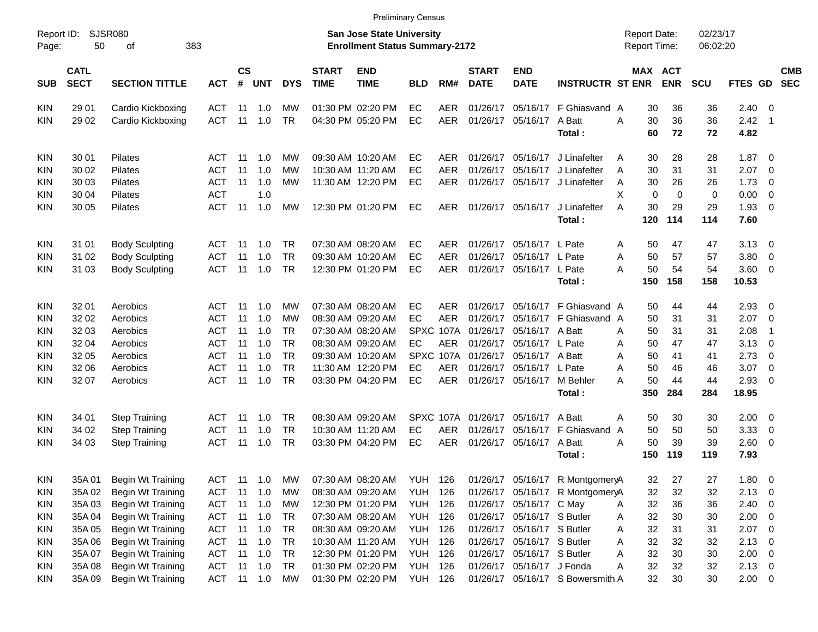| Report ID:<br>Page: | 50                         | SJSR080<br>383<br>οf     |            |                |            |            |                             | <b>San Jose State University</b><br><b>Enrollment Status Summary-2172</b> |                |            |                             |                            |                                  | <b>Report Date:</b><br><b>Report Time:</b> |                       | 02/23/17<br>06:02:20 |                |                            |                          |
|---------------------|----------------------------|--------------------------|------------|----------------|------------|------------|-----------------------------|---------------------------------------------------------------------------|----------------|------------|-----------------------------|----------------------------|----------------------------------|--------------------------------------------|-----------------------|----------------------|----------------|----------------------------|--------------------------|
| <b>SUB</b>          | <b>CATL</b><br><b>SECT</b> | <b>SECTION TITTLE</b>    | <b>ACT</b> | <b>CS</b><br># | <b>UNT</b> | <b>DYS</b> | <b>START</b><br><b>TIME</b> | <b>END</b><br><b>TIME</b>                                                 | <b>BLD</b>     | RM#        | <b>START</b><br><b>DATE</b> | <b>END</b><br><b>DATE</b>  | <b>INSTRUCTR ST ENR</b>          |                                            | MAX ACT<br><b>ENR</b> | <b>SCU</b>           | FTES GD        |                            | <b>CMB</b><br><b>SEC</b> |
| KIN                 | 29 01                      | Cardio Kickboxing        | <b>ACT</b> | 11             | 1.0        | МW         |                             | 01:30 PM 02:20 PM                                                         | EC             | <b>AER</b> | 01/26/17                    | 05/16/17                   | F Ghiasvand A                    | 30                                         | 36                    | 36                   | 2.40           | - 0                        |                          |
| <b>KIN</b>          | 29 02                      | Cardio Kickboxing        | <b>ACT</b> | 11             | 1.0        | <b>TR</b>  |                             | 04:30 PM 05:20 PM                                                         | EC             | <b>AER</b> | 01/26/17                    | 05/16/17                   | A Batt<br>Total:                 | 30<br>A<br>60                              | 36<br>72              | 36<br>72             | 2.42<br>4.82   | $\overline{\phantom{0}}$ 1 |                          |
| KIN                 | 30 01                      | Pilates                  | ACT        | -11            | 1.0        | МW         |                             | 09:30 AM 10:20 AM                                                         | EC             | AER        |                             | 01/26/17 05/16/17          | J Linafelter                     | 30<br>A                                    | 28                    | 28                   | 1.87           | $\overline{\mathbf{0}}$    |                          |
| <b>KIN</b>          | 30 02                      | Pilates                  | <b>ACT</b> | 11             | 1.0        | <b>MW</b>  |                             | 10:30 AM 11:20 AM                                                         | EC             | <b>AER</b> | 01/26/17                    | 05/16/17                   | J Linafelter                     | 30<br>A                                    | 31                    | 31                   | 2.07           | 0                          |                          |
| <b>KIN</b>          | 30 03                      | Pilates                  | <b>ACT</b> | 11             | 1.0        | <b>MW</b>  |                             | 11:30 AM 12:20 PM                                                         | EC             | <b>AER</b> |                             | 01/26/17 05/16/17          | J Linafelter                     | 30<br>Α                                    | 26                    | 26                   | 1.73           | 0                          |                          |
| <b>KIN</b>          | 30 04                      | Pilates                  | <b>ACT</b> |                | 1.0        |            |                             |                                                                           |                |            |                             |                            |                                  | X<br>0                                     | 0                     | 0                    | 0.00           | $\mathbf 0$                |                          |
| <b>KIN</b>          | 30 05                      | Pilates                  | <b>ACT</b> | 11             | 1.0        | МW         |                             | 12:30 PM 01:20 PM                                                         | EC             | AER.       |                             | 01/26/17 05/16/17          | J Linafelter                     | 30<br>A                                    | 29                    | 29                   | 1.93           | 0                          |                          |
|                     |                            |                          |            |                |            |            |                             |                                                                           |                |            |                             |                            | Total:                           | 120                                        | 114                   | 114                  | 7.60           |                            |                          |
| KIN                 | 31 01                      | <b>Body Sculpting</b>    | <b>ACT</b> | -11            | 1.0        | TR         |                             | 07:30 AM 08:20 AM                                                         | EC             | AER        |                             | 01/26/17 05/16/17          | L Pate                           | 50<br>Α                                    | 47                    | 47                   | 3.13           | $\overline{\mathbf{0}}$    |                          |
| <b>KIN</b>          | 31 02                      | <b>Body Sculpting</b>    | <b>ACT</b> | 11             | 1.0        | <b>TR</b>  |                             | 09:30 AM 10:20 AM                                                         | EC             | <b>AER</b> | 01/26/17                    | 05/16/17                   | L Pate                           | 50<br>A                                    | 57                    | 57                   | 3.80           | 0                          |                          |
| <b>KIN</b>          | 31 03                      | <b>Body Sculpting</b>    | <b>ACT</b> | 11             | 1.0        | <b>TR</b>  |                             | 12:30 PM 01:20 PM                                                         | EC             | <b>AER</b> |                             | 01/26/17 05/16/17          | L Pate                           | 50<br>Α                                    | 54                    | 54                   | 3.60           | 0                          |                          |
|                     |                            |                          |            |                |            |            |                             |                                                                           |                |            |                             |                            | Total:                           | 150                                        | 158                   | 158                  | 10.53          |                            |                          |
| KIN                 | 32 01                      | Aerobics                 | <b>ACT</b> | 11             | 1.0        | МW         |                             | 07:30 AM 08:20 AM                                                         | EC             | AER.       | 01/26/17                    | 05/16/17                   | F Ghiasvand A                    | 50                                         | 44                    | 44                   | 2.93           | $\overline{\mathbf{0}}$    |                          |
| <b>KIN</b>          | 32 02                      | Aerobics                 | <b>ACT</b> | 11             | 1.0        | МW         |                             | 08:30 AM 09:20 AM                                                         | EC             | <b>AER</b> | 01/26/17                    | 05/16/17                   | F Ghiasvand A                    | 50                                         | 31                    | 31                   | 2.07           | $\overline{0}$             |                          |
| <b>KIN</b>          | 32 03                      | Aerobics                 | <b>ACT</b> | 11             | 1.0        | <b>TR</b>  |                             | 07:30 AM 08:20 AM                                                         |                | SPXC 107A  | 01/26/17                    | 05/16/17                   | A Batt                           | 50<br>Α                                    | 31                    | 31                   | 2.08           | $\overline{1}$             |                          |
| <b>KIN</b>          | 32 04                      | Aerobics                 | <b>ACT</b> | 11             | 1.0        | <b>TR</b>  |                             | 08:30 AM 09:20 AM                                                         | EC             | <b>AER</b> | 01/26/17                    | 05/16/17                   | L Pate                           | 50<br>Α                                    | 47                    | 47                   | 3.13           | 0                          |                          |
| <b>KIN</b>          | 32 05                      | Aerobics                 | <b>ACT</b> | 11             | 1.0        | <b>TR</b>  |                             | 09:30 AM 10:20 AM                                                         |                | SPXC 107A  | 01/26/17                    | 05/16/17                   | A Batt                           | 50<br>Α                                    | 41                    | 41                   | 2.73           | $\overline{0}$             |                          |
| <b>KIN</b>          | 32 06                      | Aerobics                 | <b>ACT</b> | 11             | 1.0        | <b>TR</b>  |                             | 11:30 AM 12:20 PM                                                         | EC             | <b>AER</b> | 01/26/17                    | 05/16/17                   | L Pate                           | 50<br>Α                                    | 46                    | 46                   | 3.07           | $\overline{0}$             |                          |
| <b>KIN</b>          | 32 07                      | Aerobics                 | <b>ACT</b> | 11             | 1.0        | <b>TR</b>  |                             | 03:30 PM 04:20 PM                                                         | EC             | <b>AER</b> |                             | 01/26/17 05/16/17 M Behler |                                  | 50<br>A                                    | 44                    | 44                   | 2.93           | 0                          |                          |
|                     |                            |                          |            |                |            |            |                             |                                                                           |                |            |                             |                            | Total:                           | 350                                        | 284                   | 284                  | 18.95          |                            |                          |
| <b>KIN</b>          | 34 01                      | <b>Step Training</b>     | <b>ACT</b> | 11             | 1.0        | TR         |                             | 08:30 AM 09:20 AM                                                         |                | SPXC 107A  | 01/26/17                    | 05/16/17                   | A Batt                           | Α<br>50                                    | 30                    | 30                   | 2.00           | 0                          |                          |
| <b>KIN</b>          | 34 02                      | <b>Step Training</b>     | <b>ACT</b> | 11             | 1.0        | <b>TR</b>  |                             | 10:30 AM 11:20 AM                                                         | EC             | <b>AER</b> | 01/26/17                    | 05/16/17                   | F Ghiasvand                      | 50<br>A                                    | 50                    | 50                   | 3.33           | $\overline{0}$             |                          |
| <b>KIN</b>          | 34 03                      | <b>Step Training</b>     | <b>ACT</b> | 11             | 1.0        | <b>TR</b>  |                             | 03:30 PM 04:20 PM                                                         | EC             | <b>AER</b> |                             | 01/26/17 05/16/17          | A Batt                           | 50<br>A                                    | 39                    | 39                   | 2.60           | 0                          |                          |
|                     |                            |                          |            |                |            |            |                             |                                                                           |                |            |                             |                            | Total:                           | 150                                        | 119                   | 119                  | 7.93           |                            |                          |
| KIN                 | 35A 01                     | Begin Wt Training        | ACT        | -11            | 1.0        | МW         |                             | 07:30 AM 08:20 AM                                                         | <b>YUH 126</b> |            |                             |                            | 01/26/17 05/16/17 R MontgomeryA  | 32                                         | 27                    | 27                   | 1.80           | $\overline{\mathbf{0}}$    |                          |
| KIN                 | 35A 02                     | Begin Wt Training        | ACT        | 11             | 1.0        | MW         |                             | 08:30 AM 09:20 AM                                                         | <b>YUH</b>     | 126        |                             |                            | 01/26/17 05/16/17 R MontgomeryA  | 32                                         | 32                    | 32                   | $2.13 \quad 0$ |                            |                          |
| KIN                 | 35A03                      | <b>Begin Wt Training</b> | <b>ACT</b> | 11             | 1.0        | МW         |                             | 12:30 PM 01:20 PM                                                         | <b>YUH</b>     | 126        |                             | 01/26/17 05/16/17 C May    |                                  | 32<br>A                                    | 36                    | 36                   | $2.40 \ 0$     |                            |                          |
| KIN                 | 35A 04                     | Begin Wt Training        | <b>ACT</b> | 11             | 1.0        | TR         |                             | 07:30 AM 08:20 AM                                                         | <b>YUH 126</b> |            |                             | 01/26/17 05/16/17 S Butler |                                  | 32<br>Α                                    | 30                    | 30                   | $2.00 \t 0$    |                            |                          |
| KIN                 | 35A 05                     | Begin Wt Training        | <b>ACT</b> | 11             | 1.0        | TR         |                             | 08:30 AM 09:20 AM                                                         | <b>YUH 126</b> |            |                             | 01/26/17 05/16/17 S Butler |                                  | 32<br>Α                                    | 31                    | 31                   | $2.07$ 0       |                            |                          |
| KIN                 | 35A 06                     | <b>Begin Wt Training</b> | <b>ACT</b> | 11             | 1.0        | TR         |                             | 10:30 AM 11:20 AM                                                         | <b>YUH 126</b> |            |                             | 01/26/17 05/16/17 S Butler |                                  | 32<br>Α                                    | 32                    | 32                   | $2.13 \t 0$    |                            |                          |
| KIN                 | 35A 07                     | Begin Wt Training        | <b>ACT</b> | 11             | 1.0        | TR         |                             | 12:30 PM 01:20 PM                                                         | <b>YUH 126</b> |            |                             | 01/26/17 05/16/17 S Butler |                                  | 32<br>Α                                    | 30                    | 30                   | $2.00 \t 0$    |                            |                          |
| KIN                 | 35A08                      | <b>Begin Wt Training</b> | <b>ACT</b> | 11             | 1.0        | TR         |                             | 01:30 PM 02:20 PM                                                         | <b>YUH 126</b> |            |                             | 01/26/17 05/16/17 J Fonda  |                                  | 32<br>Α                                    | 32                    | 32                   | $2.13 \quad 0$ |                            |                          |
| KIN                 | 35A 09                     | <b>Begin Wt Training</b> | ACT 11 1.0 |                |            | MW         |                             | 01:30 PM 02:20 PM                                                         | <b>YUH 126</b> |            |                             |                            | 01/26/17 05/16/17 S Bowersmith A | 32                                         | 30                    | 30                   | $2.00 \t 0$    |                            |                          |

Preliminary Census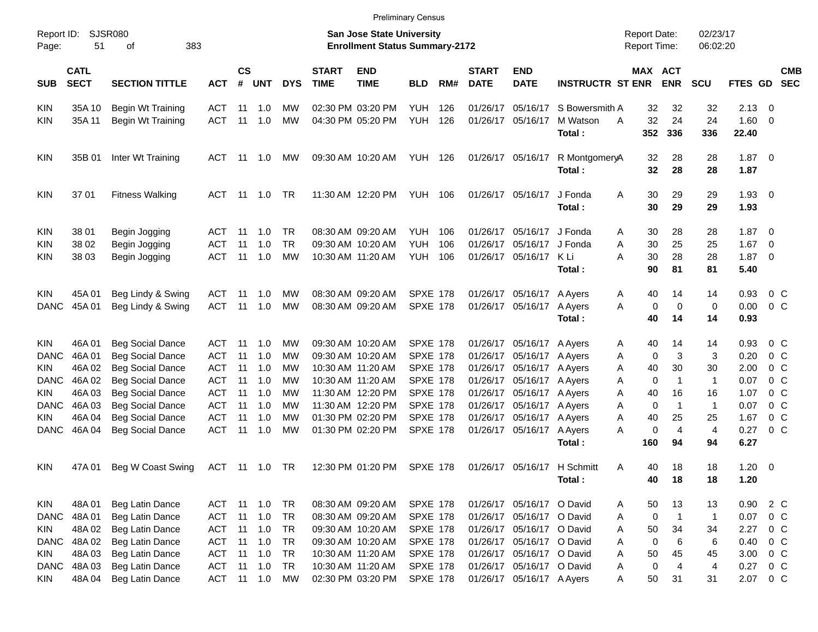| Report ID:<br>Page:                                                                                        | SJSR080<br>51                                                            | 383<br>of                                                                                                                                                                                                            |                                                                                                       |                                              |                                                      |                                                                                  |                             | <b>San Jose State University</b><br><b>Enrollment Status Summary-2172</b>                                                                                            |                                                                                                                                                      |                   |                                                                                  |                                                                                                                                                                                                         |                                      | <b>Report Date:</b><br><b>Report Time:</b>                                              |                                                                                   | 02/23/17<br>06:02:20                                               |                                                                      |                                                                                                                                   |                          |
|------------------------------------------------------------------------------------------------------------|--------------------------------------------------------------------------|----------------------------------------------------------------------------------------------------------------------------------------------------------------------------------------------------------------------|-------------------------------------------------------------------------------------------------------|----------------------------------------------|------------------------------------------------------|----------------------------------------------------------------------------------|-----------------------------|----------------------------------------------------------------------------------------------------------------------------------------------------------------------|------------------------------------------------------------------------------------------------------------------------------------------------------|-------------------|----------------------------------------------------------------------------------|---------------------------------------------------------------------------------------------------------------------------------------------------------------------------------------------------------|--------------------------------------|-----------------------------------------------------------------------------------------|-----------------------------------------------------------------------------------|--------------------------------------------------------------------|----------------------------------------------------------------------|-----------------------------------------------------------------------------------------------------------------------------------|--------------------------|
| <b>SUB</b>                                                                                                 | <b>CATL</b><br><b>SECT</b>                                               | <b>SECTION TITTLE</b>                                                                                                                                                                                                | <b>ACT</b>                                                                                            | $\mathsf{cs}$<br>#                           | UNT                                                  | <b>DYS</b>                                                                       | <b>START</b><br><b>TIME</b> | <b>END</b><br><b>TIME</b>                                                                                                                                            | <b>BLD</b>                                                                                                                                           | RM#               | <b>START</b><br><b>DATE</b>                                                      | <b>END</b><br><b>DATE</b>                                                                                                                                                                               | <b>INSTRUCTR ST ENR</b>              | MAX ACT                                                                                 | <b>ENR</b>                                                                        | <b>SCU</b>                                                         | <b>FTES GD</b>                                                       |                                                                                                                                   | <b>CMB</b><br><b>SEC</b> |
| <b>KIN</b><br><b>KIN</b>                                                                                   | 35A 10<br>35A 11                                                         | <b>Begin Wt Training</b><br>Begin Wt Training                                                                                                                                                                        | ACT<br><b>ACT</b>                                                                                     | 11<br>11                                     | 1.0<br>1.0                                           | MW<br>MW                                                                         |                             | 02:30 PM 03:20 PM<br>04:30 PM 05:20 PM                                                                                                                               | YUH<br><b>YUH</b>                                                                                                                                    | 126<br>126        | 01/26/17<br>01/26/17                                                             | 05/16/17<br>05/16/17                                                                                                                                                                                    | S Bowersmith A<br>M Watson<br>Total: | 32<br>32<br>A<br>352                                                                    | 32<br>24<br>336                                                                   | 32<br>24<br>336                                                    | $2.13 \quad 0$<br>1.60<br>22.40                                      | $\overline{\phantom{0}}$                                                                                                          |                          |
| <b>KIN</b>                                                                                                 | 35B 01                                                                   | Inter Wt Training                                                                                                                                                                                                    | ACT                                                                                                   | -11                                          | 1.0                                                  | МW                                                                               |                             | 09:30 AM 10:20 AM                                                                                                                                                    | YUH                                                                                                                                                  | 126               |                                                                                  | 01/26/17 05/16/17                                                                                                                                                                                       | R MontgomeryA<br>Total:              | 32<br>32                                                                                | 28<br>28                                                                          | 28<br>28                                                           | $1.87 \t 0$<br>1.87                                                  |                                                                                                                                   |                          |
| <b>KIN</b>                                                                                                 | 3701                                                                     | <b>Fitness Walking</b>                                                                                                                                                                                               | ACT                                                                                                   | - 11                                         | 1.0                                                  | TR                                                                               |                             | 11:30 AM 12:20 PM                                                                                                                                                    | YUH                                                                                                                                                  | 106               |                                                                                  | 01/26/17 05/16/17                                                                                                                                                                                       | J Fonda<br>Total:                    | 30<br>A<br>30                                                                           | 29<br>29                                                                          | 29<br>29                                                           | $1.93$ 0<br>1.93                                                     |                                                                                                                                   |                          |
| <b>KIN</b><br><b>KIN</b><br>KIN                                                                            | 38 01<br>38 02<br>38 03                                                  | Begin Jogging<br>Begin Jogging<br>Begin Jogging                                                                                                                                                                      | ACT<br><b>ACT</b><br><b>ACT</b>                                                                       | - 11<br>11<br>11                             | 1.0<br>1.0<br>1.0                                    | TR<br><b>TR</b><br>MW                                                            |                             | 08:30 AM 09:20 AM<br>09:30 AM 10:20 AM<br>10:30 AM 11:20 AM                                                                                                          | <b>YUH</b><br><b>YUH</b><br><b>YUH</b>                                                                                                               | 106<br>106<br>106 | 01/26/17                                                                         | 01/26/17 05/16/17<br>05/16/17<br>01/26/17 05/16/17                                                                                                                                                      | J Fonda<br>J Fonda<br>K Li<br>Total: | 30<br>A<br>Α<br>30<br>Α<br>30<br>90                                                     | 28<br>25<br>28<br>81                                                              | 28<br>25<br>28<br>81                                               | 1.87<br>1.67<br>$1.87 \ 0$<br>5.40                                   | $\overline{\phantom{0}}$<br>$\overline{\phantom{0}}$                                                                              |                          |
| <b>KIN</b><br><b>DANC</b>                                                                                  | 45A 01<br>45A 01                                                         | Beg Lindy & Swing<br>Beg Lindy & Swing                                                                                                                                                                               | ACT<br><b>ACT</b>                                                                                     | 11<br>11                                     | 1.0<br>1.0                                           | МW<br>MW                                                                         |                             | 08:30 AM 09:20 AM<br>08:30 AM 09:20 AM                                                                                                                               | <b>SPXE 178</b><br><b>SPXE 178</b>                                                                                                                   |                   |                                                                                  | 01/26/17 05/16/17<br>01/26/17 05/16/17 A Ayers                                                                                                                                                          | A Ayers<br>Total:                    | 40<br>A<br>0<br>Α<br>40                                                                 | 14<br>0<br>14                                                                     | 14<br>0<br>14                                                      | 0.93<br>0.00<br>0.93                                                 | 0 <sup>o</sup><br>0 <sup>o</sup>                                                                                                  |                          |
| <b>KIN</b><br><b>DANC</b><br><b>KIN</b><br><b>DANC</b><br><b>KIN</b><br><b>DANC</b><br>KIN.<br><b>DANC</b> | 46A 01<br>46A01<br>46A 02<br>46A 02<br>46A03<br>46A03<br>46A 04<br>46A04 | <b>Beg Social Dance</b><br><b>Beg Social Dance</b><br><b>Beg Social Dance</b><br><b>Beg Social Dance</b><br><b>Beg Social Dance</b><br><b>Beg Social Dance</b><br><b>Beg Social Dance</b><br><b>Beg Social Dance</b> | ACT<br><b>ACT</b><br><b>ACT</b><br><b>ACT</b><br><b>ACT</b><br><b>ACT</b><br><b>ACT</b><br><b>ACT</b> | 11<br>11<br>11<br>11<br>11<br>11<br>11<br>11 | 1.0<br>1.0<br>1.0<br>1.0<br>1.0<br>1.0<br>1.0<br>1.0 | МW<br>MW<br>МW<br>МW<br>МW<br>МW<br>MW<br>MW                                     |                             | 09:30 AM 10:20 AM<br>09:30 AM 10:20 AM<br>10:30 AM 11:20 AM<br>10:30 AM 11:20 AM<br>11:30 AM 12:20 PM<br>11:30 AM 12:20 PM<br>01:30 PM 02:20 PM<br>01:30 PM 02:20 PM | <b>SPXE 178</b><br><b>SPXE 178</b><br><b>SPXE 178</b><br><b>SPXE 178</b><br><b>SPXE 178</b><br><b>SPXE 178</b><br><b>SPXE 178</b><br><b>SPXE 178</b> |                   | 01/26/17<br>01/26/17<br>01/26/17<br>01/26/17<br>01/26/17<br>01/26/17<br>01/26/17 | 01/26/17 05/16/17 A Ayers<br>05/16/17 A Ayers<br>05/16/17 A Ayers<br>05/16/17 A Ayers<br>05/16/17 A Ayers<br>05/16/17 A Ayers<br>05/16/17 A Ayers<br>05/16/17 A Ayers                                   | Total:                               | 40<br>A<br>0<br>Α<br>40<br>Α<br>0<br>Α<br>40<br>Α<br>0<br>Α<br>40<br>Α<br>0<br>Α<br>160 | 14<br>3<br>30<br>$\mathbf{1}$<br>16<br>$\mathbf{1}$<br>25<br>$\overline{4}$<br>94 | 14<br>3<br>30<br>$\mathbf 1$<br>16<br>$\mathbf 1$<br>25<br>4<br>94 | 0.93<br>0.20<br>2.00<br>0.07<br>1.07<br>0.07<br>1.67<br>0.27<br>6.27 | 0 C<br>0 <sup>o</sup><br>0 <sup>o</sup><br>0 <sup>o</sup><br>0 <sup>o</sup><br>0 <sup>o</sup><br>0 <sup>o</sup><br>0 <sup>o</sup> |                          |
| <b>KIN</b>                                                                                                 | 47A 01                                                                   | Beg W Coast Swing                                                                                                                                                                                                    | ACT                                                                                                   | 11                                           | 1.0                                                  | TR                                                                               |                             | 12:30 PM 01:20 PM                                                                                                                                                    | <b>SPXE 178</b>                                                                                                                                      |                   |                                                                                  | 01/26/17 05/16/17                                                                                                                                                                                       | H Schmitt<br>Total:                  | 40<br>Α<br>40                                                                           | 18<br>18                                                                          | 18<br>18                                                           | 1.20<br>1.20                                                         | $\overline{\phantom{0}}$                                                                                                          |                          |
| KIN<br><b>DANC</b><br><b>KIN</b><br>DANC<br><b>KIN</b><br>DANC<br><b>KIN</b>                               | 48A01<br>48A01<br>48A02<br>48A 02<br>48A03<br>48A03<br>48A 04            | Beg Latin Dance<br>Beg Latin Dance<br>Beg Latin Dance<br>Beg Latin Dance<br>Beg Latin Dance<br>Beg Latin Dance<br>Beg Latin Dance                                                                                    | ACT<br><b>ACT</b><br><b>ACT</b><br><b>ACT</b><br><b>ACT</b><br><b>ACT</b><br>ACT 11 1.0               | 11<br>11<br>11<br>11<br>11<br>11             | 1.0<br>1.0<br>1.0<br>1.0<br>1.0<br>1.0               | <b>TR</b><br><b>TR</b><br><b>TR</b><br><b>TR</b><br><b>TR</b><br><b>TR</b><br>MW |                             | 08:30 AM 09:20 AM<br>08:30 AM 09:20 AM<br>09:30 AM 10:20 AM<br>09:30 AM 10:20 AM<br>10:30 AM 11:20 AM<br>10:30 AM 11:20 AM<br>02:30 PM 03:20 PM                      | <b>SPXE 178</b><br><b>SPXE 178</b><br><b>SPXE 178</b><br><b>SPXE 178</b><br><b>SPXE 178</b><br><b>SPXE 178</b><br><b>SPXE 178</b>                    |                   |                                                                                  | 01/26/17 05/16/17 O David<br>01/26/17 05/16/17 O David<br>01/26/17 05/16/17 O David<br>01/26/17 05/16/17 O David<br>01/26/17 05/16/17 O David<br>01/26/17 05/16/17 O David<br>01/26/17 05/16/17 A Ayers |                                      | 50<br>A<br>0<br>A<br>50<br>A<br>0<br>Α<br>50<br>A<br>0<br>A<br>50<br>A                  | 13<br>$\mathbf{1}$<br>34<br>$\,6$<br>45<br>4<br>31                                | 13<br>$\mathbf 1$<br>34<br>6<br>45<br>4<br>31                      | 0.90<br>0.07<br>2.27<br>0.40<br>3.00<br>0.27<br>2.07                 | 2 C<br>$0\,C$<br>$0\,C$<br>$0\,C$<br>0 <sup>o</sup><br>$0\,C$<br>$0\,$ C                                                          |                          |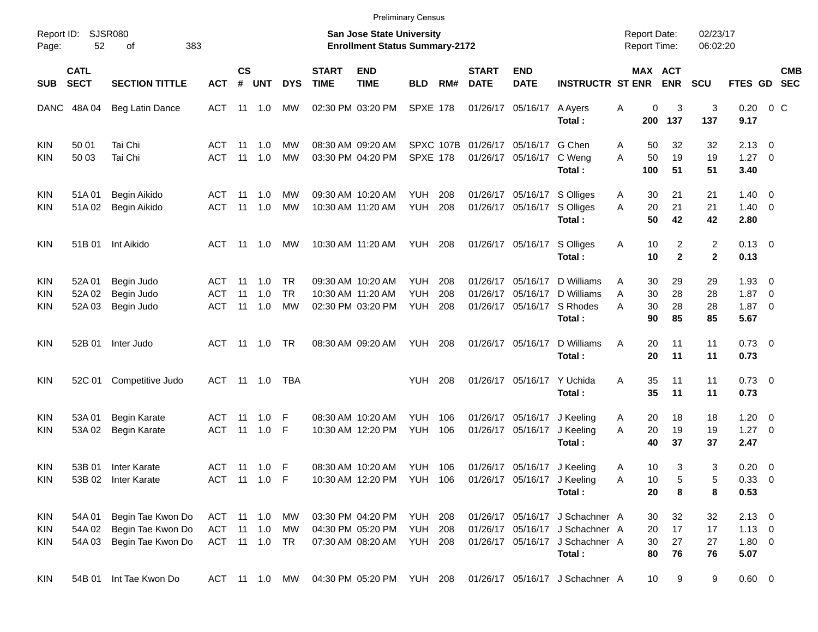|                                 |                            |                                                             |                                 |                             |                              |                       |                             |                                                                           | <b>Preliminary Census</b>               |                   |                             |                                                            |                                                                                                                 |                                            |                                        |                      |                                            |                          |            |
|---------------------------------|----------------------------|-------------------------------------------------------------|---------------------------------|-----------------------------|------------------------------|-----------------------|-----------------------------|---------------------------------------------------------------------------|-----------------------------------------|-------------------|-----------------------------|------------------------------------------------------------|-----------------------------------------------------------------------------------------------------------------|--------------------------------------------|----------------------------------------|----------------------|--------------------------------------------|--------------------------|------------|
| Page:                           | Report ID: SJSR080<br>52   | 383<br>οf                                                   |                                 |                             |                              |                       |                             | <b>San Jose State University</b><br><b>Enrollment Status Summary-2172</b> |                                         |                   |                             |                                                            |                                                                                                                 | <b>Report Date:</b><br><b>Report Time:</b> |                                        | 02/23/17<br>06:02:20 |                                            |                          |            |
| <b>SUB</b>                      | <b>CATL</b><br><b>SECT</b> | <b>SECTION TITTLE</b>                                       | <b>ACT</b>                      | $\mathsf{cs}$<br>$\pmb{\#}$ | <b>UNT</b>                   | <b>DYS</b>            | <b>START</b><br><b>TIME</b> | <b>END</b><br><b>TIME</b>                                                 | <b>BLD</b>                              | RM#               | <b>START</b><br><b>DATE</b> | <b>END</b><br><b>DATE</b>                                  | <b>INSTRUCTR ST ENR</b>                                                                                         |                                            | MAX ACT<br><b>ENR</b>                  | <b>SCU</b>           | FTES GD SEC                                |                          | <b>CMB</b> |
|                                 | DANC 48A 04                | Beg Latin Dance                                             | ACT                             |                             |                              | МW                    |                             | 02:30 PM 03:20 PM                                                         | <b>SPXE 178</b>                         |                   |                             | 01/26/17 05/16/17                                          | A Ayers<br>Total:                                                                                               | Α<br>200                                   | 0<br>3<br>137                          | 3<br>137             | 0.20<br>9.17                               | $0\,C$                   |            |
| <b>KIN</b><br>KIN               | 50 01<br>50 03             | Tai Chi<br>Tai Chi                                          | ACT<br><b>ACT</b>               | - 11<br>11                  | 1.0<br>1.0                   | МW<br><b>MW</b>       |                             | 08:30 AM 09:20 AM<br>03:30 PM 04:20 PM                                    | <b>SPXE 178</b>                         | SPXC 107B         |                             | 01/26/17 05/16/17<br>01/26/17 05/16/17                     | G Chen<br>C Weng<br>Total:                                                                                      | A<br>50<br>A<br>100                        | 32<br>50<br>19<br>51                   | 32<br>19<br>51       | $2.13 \quad 0$<br>$1.27 \t 0$<br>3.40      |                          |            |
| <b>KIN</b><br>KIN               | 51A01<br>51A02             | Begin Aikido<br>Begin Aikido                                | ACT<br><b>ACT</b>               | - 11<br>11                  | 1.0<br>1.0                   | MW<br><b>MW</b>       |                             | 09:30 AM 10:20 AM<br>10:30 AM 11:20 AM                                    | YUH<br><b>YUH</b>                       | 208<br>208        |                             | 01/26/17 05/16/17<br>01/26/17 05/16/17                     | S Olliges<br>S Olliges<br>Total:                                                                                | A<br>20<br>A<br>50                         | 21<br>30<br>21<br>42                   | 21<br>21<br>42       | $1.40 \quad 0$<br>$1.40 \ 0$<br>2.80       |                          |            |
| <b>KIN</b>                      | 51B 01                     | Int Aikido                                                  | ACT                             | - 11                        | 1.0                          | МW                    |                             | 10:30 AM 11:20 AM                                                         | <b>YUH 208</b>                          |                   |                             | 01/26/17 05/16/17                                          | S Olliges<br>Total:                                                                                             | A<br>10                                    | 10<br>2<br>$\mathbf{2}$                | 2<br>$\mathbf{2}$    | $0.13 \quad 0$<br>0.13                     |                          |            |
| <b>KIN</b><br><b>KIN</b><br>KIN | 52A 01<br>52A 02<br>52A 03 | Begin Judo<br>Begin Judo<br>Begin Judo                      | ACT<br><b>ACT</b><br><b>ACT</b> | - 11<br>11<br>11            | 1.0<br>1.0<br>1.0            | TR<br><b>TR</b><br>МW |                             | 09:30 AM 10:20 AM<br>10:30 AM 11:20 AM<br>02:30 PM 03:20 PM               | <b>YUH</b><br><b>YUH</b><br><b>YUH</b>  | 208<br>208<br>208 | 01/26/17<br>01/26/17        | 05/16/17<br>05/16/17<br>01/26/17 05/16/17                  | D Williams<br>D Williams<br>S Rhodes<br>Total:                                                                  | A<br>30<br>A<br>30<br>A<br>90              | 29<br>30<br>28<br>28<br>85             | 29<br>28<br>28<br>85 | $1.93 \ 0$<br>1.87<br>$1.87 \t 0$<br>5.67  | $\overline{\phantom{0}}$ |            |
| <b>KIN</b>                      | 52B 01                     | Inter Judo                                                  |                                 |                             | ACT 11 1.0                   | TR                    |                             | 08:30 AM 09:20 AM                                                         | <b>YUH 208</b>                          |                   |                             | 01/26/17 05/16/17                                          | D Williams<br>Total:                                                                                            | Α<br>20                                    | 20<br>11<br>11                         | 11<br>11             | $0.73 \quad 0$<br>0.73                     |                          |            |
| <b>KIN</b>                      | 52C 01                     | Competitive Judo                                            |                                 |                             | ACT 11 1.0                   | TBA                   |                             |                                                                           | YUH                                     | 208               |                             | 01/26/17 05/16/17                                          | Y Uchida<br>Total:                                                                                              | Α                                          | 35<br>11<br>35<br>11                   | 11<br>11             | $0.73 \ 0$<br>0.73                         |                          |            |
| <b>KIN</b><br>KIN               | 53A 01<br>53A 02           | <b>Begin Karate</b><br><b>Begin Karate</b>                  | ACT 11<br><b>ACT</b>            | 11                          | 1.0<br>1.0                   | F<br>F                |                             | 08:30 AM 10:20 AM<br>10:30 AM 12:20 PM                                    | <b>YUH</b><br><b>YUH</b>                | 106<br>106        |                             | 01/26/17 05/16/17<br>01/26/17 05/16/17                     | J Keeling<br>J Keeling<br>Total:                                                                                | A<br>20<br>A<br>40                         | 20<br>18<br>19<br>37                   | 18<br>19<br>37       | $1.20 \t 0$<br>$1.27 \t 0$<br>2.47         |                          |            |
| <b>KIN</b><br>KIN               | 53B 01                     | Inter Karate<br>53B 02 Inter Karate                         |                                 |                             | ACT 11 1.0 F<br>ACT 11 1.0 F |                       |                             | 08:30 AM 10:20 AM<br>10:30 AM 12:20 PM YUH 106                            | <b>YUH 106</b>                          |                   |                             | 01/26/17 05/16/17 J Keeling<br>01/26/17 05/16/17 J Keeling | Total:                                                                                                          | A<br>Α                                     | 10<br>3<br>5<br>10<br>20<br>8          | 3<br>5<br>8          | $0.20 \ 0$<br>0.33 0<br>0.53               |                          |            |
| KIN<br><b>KIN</b><br><b>KIN</b> | 54A 01<br>54A 02<br>54A 03 | Begin Tae Kwon Do<br>Begin Tae Kwon Do<br>Begin Tae Kwon Do | ACT 11 1.0                      |                             | ACT 11 1.0<br>ACT 11 1.0 TR  | МW<br>MW              |                             | 03:30 PM 04:20 PM<br>04:30 PM 05:20 PM<br>07:30 AM 08:20 AM               | <b>YUH 208</b><br>YUH<br><b>YUH 208</b> | 208               |                             |                                                            | 01/26/17 05/16/17 J Schachner A<br>01/26/17 05/16/17 J Schachner A<br>01/26/17 05/16/17 J Schachner A<br>Total: | 80                                         | 32<br>30<br>17<br>20<br>30<br>27<br>76 | 32<br>17<br>27<br>76 | $2.13 \ 0$<br>$1.13 \ 0$<br>1.80 0<br>5.07 |                          |            |
| KIN                             | 54B 01                     | Int Tae Kwon Do                                             |                                 |                             | ACT 11 1.0 MW                |                       |                             | 04:30 PM 05:20 PM YUH 208                                                 |                                         |                   |                             |                                                            | 01/26/17 05/16/17 J Schachner A                                                                                 |                                            | 10<br>9                                | 9                    | $0.60 \t 0$                                |                          |            |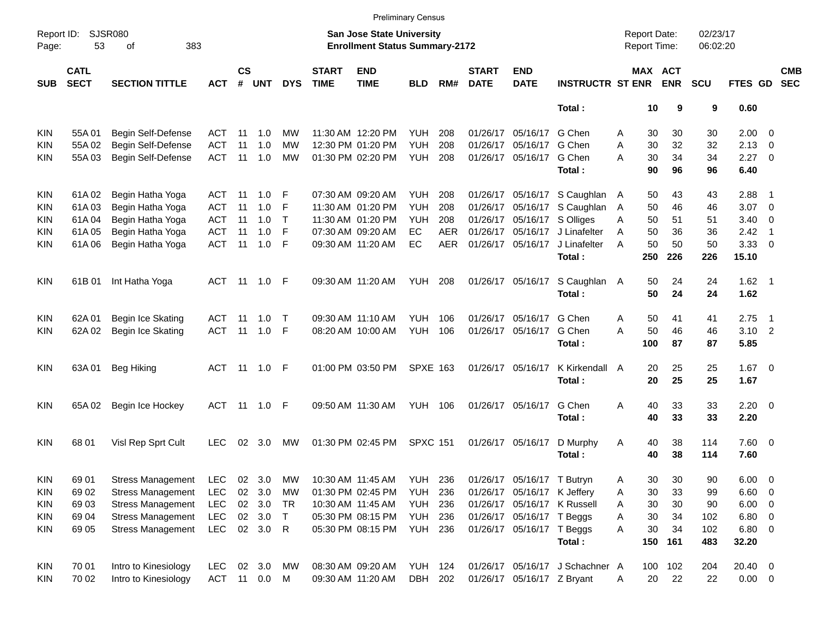|                     |                            |                             |            |               |         |            |                             |                                                                           | <b>Preliminary Census</b> |            |                             |                             |                                 |                                     |                       |                      |                     |                          |                          |
|---------------------|----------------------------|-----------------------------|------------|---------------|---------|------------|-----------------------------|---------------------------------------------------------------------------|---------------------------|------------|-----------------------------|-----------------------------|---------------------------------|-------------------------------------|-----------------------|----------------------|---------------------|--------------------------|--------------------------|
| Report ID:<br>Page: | 53                         | <b>SJSR080</b><br>383<br>оf |            |               |         |            |                             | <b>San Jose State University</b><br><b>Enrollment Status Summary-2172</b> |                           |            |                             |                             |                                 | <b>Report Date:</b><br>Report Time: |                       | 02/23/17<br>06:02:20 |                     |                          |                          |
| <b>SUB</b>          | <b>CATL</b><br><b>SECT</b> | <b>SECTION TITTLE</b>       | <b>ACT</b> | $\mathsf{cs}$ | # UNT   | <b>DYS</b> | <b>START</b><br><b>TIME</b> | <b>END</b><br><b>TIME</b>                                                 | <b>BLD</b>                | RM#        | <b>START</b><br><b>DATE</b> | <b>END</b><br><b>DATE</b>   | <b>INSTRUCTR ST ENR</b>         |                                     | MAX ACT<br><b>ENR</b> | <b>SCU</b>           | <b>FTES GD</b>      |                          | <b>CMB</b><br><b>SEC</b> |
|                     |                            |                             |            |               |         |            |                             |                                                                           |                           |            |                             |                             | Total:                          |                                     | 10<br>9               | 9                    | 0.60                |                          |                          |
| KIN                 | 55A01                      | Begin Self-Defense          | ACT        | -11           | 1.0     | МW         |                             | 11:30 AM 12:20 PM                                                         | YUH                       | 208        |                             | 01/26/17 05/16/17           | G Chen                          | Α                                   | 30<br>30              | 30                   | $2.00 \t 0$         |                          |                          |
| KIN                 | 55A 02                     | Begin Self-Defense          | ACT        | 11            | 1.0     | MW         |                             | 12:30 PM 01:20 PM                                                         | <b>YUH</b>                | 208        |                             | 01/26/17 05/16/17           | G Chen                          | 30<br>A                             | 32                    | 32                   | $2.13 \quad 0$      |                          |                          |
| KIN                 | 55A03                      | Begin Self-Defense          | <b>ACT</b> | 11            | 1.0     | MW         |                             | 01:30 PM 02:20 PM                                                         | YUH                       | 208        |                             | 01/26/17 05/16/17           | G Chen                          | 30<br>А                             | 34                    | 34                   | $2.27 \t 0$         |                          |                          |
|                     |                            |                             |            |               |         |            |                             |                                                                           |                           |            |                             |                             | Total:                          | 90                                  | 96                    | 96                   | 6.40                |                          |                          |
| KIN                 | 61A 02                     | Begin Hatha Yoga            | ACT        | 11            | 1.0     | F          |                             | 07:30 AM 09:20 AM                                                         | YUH                       | 208        |                             |                             | 01/26/17 05/16/17 S Caughlan A  |                                     | 50<br>43              | 43                   | 2.88                | - 1                      |                          |
| KIN                 | 61A03                      | Begin Hatha Yoga            | ACT        | 11            | 1.0     | F          |                             | 11:30 AM 01:20 PM                                                         | <b>YUH</b>                | 208        |                             | 01/26/17 05/16/17           | S Caughlan                      | $\overline{A}$                      | 46<br>50              | 46                   | 3.07                | $\overline{\phantom{0}}$ |                          |
| KIN                 | 61A04                      | Begin Hatha Yoga            | ACT        | 11            | 1.0     | Т          |                             | 11:30 AM 01:20 PM                                                         | YUH                       | 208        |                             | 01/26/17 05/16/17 S Olliges |                                 | 50<br>A                             | 51                    | 51                   | $3.40 \ 0$          |                          |                          |
| KIN                 | 61A05                      | Begin Hatha Yoga            | <b>ACT</b> | 11            | 1.0     | F          |                             | 07:30 AM 09:20 AM                                                         | <b>EC</b>                 | <b>AER</b> |                             | 01/26/17 05/16/17           | J Linafelter                    | 50<br>A                             | 36                    | 36                   | 2.42                | $\overline{\phantom{1}}$ |                          |
| KIN                 | 61A06                      | Begin Hatha Yoga            | <b>ACT</b> | 11            | 1.0     | F          |                             | 09:30 AM 11:20 AM                                                         | EC                        | <b>AER</b> |                             | 01/26/17 05/16/17           | J Linafelter                    | 50<br>A                             | 50                    | 50                   | $3.33 \ 0$          |                          |                          |
|                     |                            |                             |            |               |         |            |                             |                                                                           |                           |            |                             |                             | Total:                          | 250                                 | 226                   | 226                  | 15.10               |                          |                          |
| KIN                 | 61B 01                     | Int Hatha Yoga              | ACT        |               | 11  1.0 | F          |                             | 09:30 AM 11:20 AM                                                         | <b>YUH 208</b>            |            |                             | 01/26/17 05/16/17           | S Caughlan A<br>Total:          |                                     | 50<br>24<br>50<br>24  | 24<br>24             | $1.62$ 1<br>1.62    |                          |                          |
| KIN                 | 62A 01                     | Begin Ice Skating           | ACT        | -11           | 1.0     | Т          |                             | 09:30 AM 11:10 AM                                                         | <b>YUH</b>                | 106        |                             | 01/26/17 05/16/17           | G Chen                          | Α                                   | 50<br>41              | 41                   | 2.75                | $\overline{\phantom{1}}$ |                          |
| KIN                 | 62A 02                     | Begin Ice Skating           | <b>ACT</b> | 11            | 1.0     | F          |                             | 08:20 AM 10:00 AM                                                         | YUH                       | 106        |                             | 01/26/17 05/16/17           | G Chen                          | 50<br>A                             | 46                    | 46                   | $3.10$ 2            |                          |                          |
|                     |                            |                             |            |               |         |            |                             |                                                                           |                           |            |                             |                             | Total:                          | 100                                 | 87                    | 87                   | 5.85                |                          |                          |
| KIN                 | 63A01                      | Beg Hiking                  | ACT        |               |         |            |                             | 01:00 PM 03:50 PM                                                         | <b>SPXE 163</b>           |            |                             | 01/26/17 05/16/17           | K Kirkendall A                  | 20                                  | 25                    | 25                   | $1.67$ 0            |                          |                          |
|                     |                            |                             |            |               |         |            |                             |                                                                           |                           |            |                             |                             | Total:                          | 20                                  | 25                    | 25                   | 1.67                |                          |                          |
| KIN                 | 65A 02                     | Begin Ice Hockey            | <b>ACT</b> | $-11$         | 1.0     | F          |                             | 09:50 AM 11:30 AM                                                         | <b>YUH 106</b>            |            |                             | 01/26/17 05/16/17           | G Chen                          | Α                                   | 33<br>40              | 33                   | $2.20 \t 0$         |                          |                          |
|                     |                            |                             |            |               |         |            |                             |                                                                           |                           |            |                             |                             | Total:                          | 40                                  | 33                    | 33                   | 2.20                |                          |                          |
| KIN                 | 68 01                      | Visl Rep Sprt Cult          | <b>LEC</b> | 02            | 3.0     | МW         |                             | 01:30 PM 02:45 PM                                                         | <b>SPXC 151</b>           |            |                             | 01/26/17 05/16/17           | D Murphy<br>Total:              | 40<br>A<br>40                       | 38<br>38              | 114<br>114           | $7.60 \t 0$<br>7.60 |                          |                          |
| KIN                 | 69 01                      | <b>Stress Management</b>    | <b>LEC</b> |               | 02 3.0  | МW         |                             | 10:30 AM 11:45 AM                                                         | YUH                       | 236        |                             | 01/26/17 05/16/17 T Butryn  |                                 | Α                                   | 30<br>30              | 90                   | 6.00                | $\overline{\phantom{0}}$ |                          |
| KIN                 | 69 02                      | <b>Stress Management</b>    | <b>LEC</b> |               | 02 3.0  | МW         |                             | 01:30 PM 02:45 PM                                                         | YUH                       | 236        |                             | 01/26/17 05/16/17 K Jeffery |                                 | 30<br>Α                             | 33                    | 99                   | $6.60$ 0            |                          |                          |
| KIN                 | 69 03                      | <b>Stress Management</b>    | <b>LEC</b> |               | 02 3.0  | TR         |                             | 10:30 AM 11:45 AM                                                         | YUH                       | 236        |                             |                             | 01/26/17 05/16/17 K Russell     | 30<br>Α                             | 30                    | 90                   | $6.00 \t 0$         |                          |                          |
| KIN                 | 69 04                      | <b>Stress Management</b>    | <b>LEC</b> |               | 02 3.0  | $\top$     |                             | 05:30 PM 08:15 PM                                                         | YUH                       | 236        |                             | 01/26/17 05/16/17 T Beggs   |                                 | 30<br>Α                             | 34                    | 102                  | $6.80$ 0            |                          |                          |
| KIN                 | 69 05                      | <b>Stress Management</b>    | <b>LEC</b> |               | 02 3.0  | R          |                             | 05:30 PM 08:15 PM                                                         | <b>YUH 236</b>            |            |                             | 01/26/17 05/16/17 T Beggs   |                                 | 30<br>Α                             | 34                    | 102                  | $6.80$ 0            |                          |                          |
|                     |                            |                             |            |               |         |            |                             |                                                                           |                           |            |                             |                             | Total:                          | 150                                 | 161                   | 483                  | 32.20               |                          |                          |
| <b>KIN</b>          | 70 01                      | Intro to Kinesiology        | LEC.       |               | 02 3.0  | МW         |                             | 08:30 AM 09:20 AM                                                         | <b>YUH 124</b>            |            |                             |                             | 01/26/17 05/16/17 J Schachner A |                                     | 100 102               | 204                  | 20.40 0             |                          |                          |
| KIN                 | 70 02                      | Intro to Kinesiology        | ACT 11 0.0 |               |         | M          |                             | 09:30 AM 11:20 AM                                                         | DBH 202                   |            |                             | 01/26/17 05/16/17 Z Bryant  |                                 | A                                   | 20<br>22              | 22                   | $0.00 \t 0$         |                          |                          |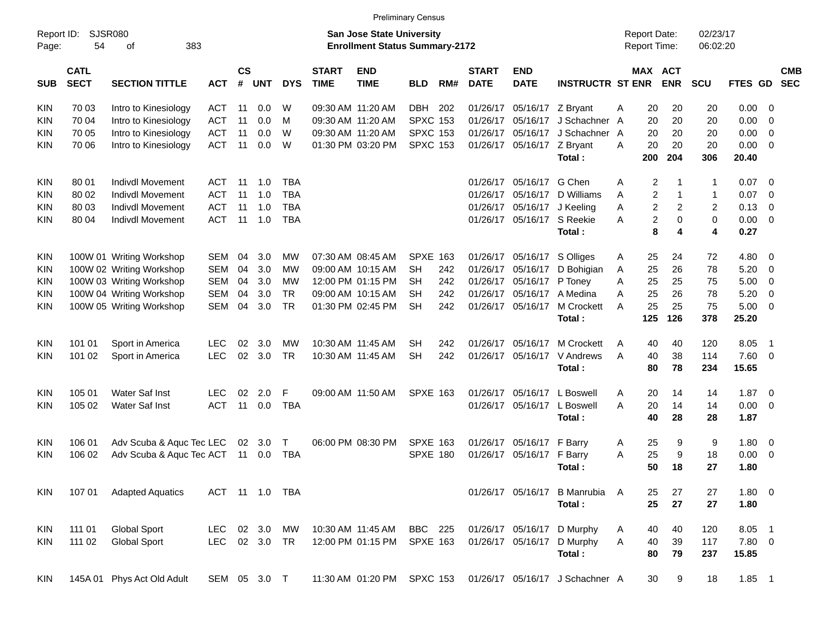|                     |                            |                                                |                          |                    |        |            |                             |                                                                           | <b>Preliminary Census</b> |     |                             |                            |                                                            |                                            |                              |                      |                            |                          |            |
|---------------------|----------------------------|------------------------------------------------|--------------------------|--------------------|--------|------------|-----------------------------|---------------------------------------------------------------------------|---------------------------|-----|-----------------------------|----------------------------|------------------------------------------------------------|--------------------------------------------|------------------------------|----------------------|----------------------------|--------------------------|------------|
| Report ID:<br>Page: | 54                         | <b>SJSR080</b><br>383<br>оf                    |                          |                    |        |            |                             | <b>San Jose State University</b><br><b>Enrollment Status Summary-2172</b> |                           |     |                             |                            |                                                            | <b>Report Date:</b><br><b>Report Time:</b> |                              | 02/23/17<br>06:02:20 |                            |                          |            |
| <b>SUB</b>          | <b>CATL</b><br><b>SECT</b> | <b>SECTION TITTLE</b>                          | <b>ACT</b>               | $\mathsf{cs}$<br># | UNT    | <b>DYS</b> | <b>START</b><br><b>TIME</b> | <b>END</b><br><b>TIME</b>                                                 | <b>BLD</b>                | RM# | <b>START</b><br><b>DATE</b> | <b>END</b><br><b>DATE</b>  | <b>INSTRUCTR ST ENR</b>                                    |                                            | <b>MAX ACT</b><br><b>ENR</b> | <b>SCU</b>           | FTES GD SEC                |                          | <b>CMB</b> |
| <b>KIN</b>          | 70 03                      | Intro to Kinesiology                           | ACT                      | 11                 | 0.0    | W          |                             | 09:30 AM 11:20 AM                                                         | <b>DBH</b>                | 202 | 01/26/17                    | 05/16/17 Z Bryant          |                                                            | 20<br>Α                                    | 20                           | 20                   | $0.00 \t 0$                |                          |            |
| <b>KIN</b>          | 70 04                      | Intro to Kinesiology                           | <b>ACT</b>               | 11                 | 0.0    | M          |                             | 09:30 AM 11:20 AM                                                         | <b>SPXC 153</b>           |     | 01/26/17                    |                            | 05/16/17 J Schachner                                       | 20<br>A                                    | 20                           | 20                   | 0.00                       | - 0                      |            |
| <b>KIN</b>          | 70 05                      | Intro to Kinesiology                           | <b>ACT</b>               | 11                 | 0.0    | W          |                             | 09:30 AM 11:20 AM                                                         | <b>SPXC 153</b>           |     | 01/26/17                    |                            | 05/16/17 J Schachner                                       | 20<br>A                                    | 20                           | 20                   | 0.00                       | $\overline{\phantom{0}}$ |            |
| <b>KIN</b>          | 70 06                      | Intro to Kinesiology                           | <b>ACT</b>               | 11                 | 0.0    | W          |                             | 01:30 PM 03:20 PM                                                         | <b>SPXC 153</b>           |     | 01/26/17                    | 05/16/17 Z Bryant          |                                                            | 20<br>A                                    | 20                           | 20                   | $0.00 \t 0$                |                          |            |
|                     |                            |                                                |                          |                    |        |            |                             |                                                                           |                           |     |                             |                            | Total:                                                     | 200                                        | 204                          | 306                  | 20.40                      |                          |            |
| KIN                 | 80 01                      | <b>Indivdl Movement</b>                        | ACT                      | -11                | 1.0    | <b>TBA</b> |                             |                                                                           |                           |     | 01/26/17                    | 05/16/17 G Chen            |                                                            | 2<br>A                                     |                              | 1                    | $0.07 \quad 0$             |                          |            |
| <b>KIN</b>          | 80 02                      | <b>Indivdl Movement</b>                        | <b>ACT</b>               | -11                | 1.0    | <b>TBA</b> |                             |                                                                           |                           |     | 01/26/17                    |                            | 05/16/17 D Williams                                        | $\overline{c}$<br>A                        | 1                            | 1                    | 0.07                       | $\overline{\phantom{0}}$ |            |
| <b>KIN</b>          | 80 03                      | <b>Indivdl Movement</b>                        | <b>ACT</b>               | -11                | 1.0    | <b>TBA</b> |                             |                                                                           |                           |     | 01/26/17                    |                            | 05/16/17 J Keeling                                         | $\boldsymbol{2}$<br>Α                      | $\overline{c}$               | 2                    | 0.13                       | 0                        |            |
| <b>KIN</b>          | 80 04                      | <b>Indivdl Movement</b>                        | <b>ACT</b>               | 11                 | 1.0    | <b>TBA</b> |                             |                                                                           |                           |     |                             | 01/26/17 05/16/17 S Reekie |                                                            | $\overline{c}$<br>A                        | $\mathbf 0$                  | $\mathbf 0$          | $0.00 \ 0$                 |                          |            |
|                     |                            |                                                |                          |                    |        |            |                             |                                                                           |                           |     |                             |                            | Total:                                                     | 8                                          | 4                            | 4                    | 0.27                       |                          |            |
| KIN                 |                            | 100W 01 Writing Workshop                       | SEM                      | 04                 | 3.0    | МW         |                             | 07:30 AM 08:45 AM                                                         | <b>SPXE 163</b>           |     | 01/26/17                    |                            | 05/16/17 S Olliges                                         | 25<br>A                                    | 24                           | 72                   | $4.80\ 0$                  |                          |            |
| KIN                 |                            | 100W 02 Writing Workshop                       | <b>SEM</b>               | 04                 | 3.0    | МW         |                             | 09:00 AM 10:15 AM                                                         | SН                        | 242 | 01/26/17                    |                            | 05/16/17 D Bohigian                                        | 25<br>A                                    | 26                           | 78                   | 5.20                       | $\overline{\phantom{0}}$ |            |
| <b>KIN</b>          |                            | 100W 03 Writing Workshop                       | <b>SEM</b>               | 04                 | 3.0    | МW         |                             | 12:00 PM 01:15 PM                                                         | SН                        | 242 | 01/26/17                    | 05/16/17 P Toney           |                                                            | 25<br>A                                    | 25                           | 75                   | 5.00                       | $\overline{\mathbf{0}}$  |            |
| <b>KIN</b>          |                            | 100W 04 Writing Workshop                       | <b>SEM</b>               | 04                 | 3.0    | <b>TR</b>  |                             | 09:00 AM 10:15 AM                                                         | SН                        | 242 | 01/26/17                    |                            | 05/16/17 A Medina                                          | 25<br>A                                    | 26                           | 78                   | 5.20                       | $\overline{\mathbf{0}}$  |            |
| <b>KIN</b>          |                            | 100W 05 Writing Workshop                       | <b>SEM</b>               | 04                 | 3.0    | <b>TR</b>  |                             | 01:30 PM 02:45 PM                                                         | <b>SH</b>                 | 242 |                             |                            | 01/26/17 05/16/17 M Crockett                               | 25<br>A                                    | 25                           | 75                   | $5.00 \t 0$                |                          |            |
|                     |                            |                                                |                          |                    |        |            |                             |                                                                           |                           |     |                             |                            | Total:                                                     | 125                                        | 126                          | 378                  | 25.20                      |                          |            |
| KIN                 | 101 01                     | Sport in America                               | LEC                      | 02                 | 3.0    | МW         |                             | 10:30 AM 11:45 AM                                                         | SН                        | 242 | 01/26/17                    | 05/16/17                   | <b>M Crockett</b>                                          | 40<br>Α                                    | 40                           | 120                  | 8.05                       | - 1                      |            |
| <b>KIN</b>          | 101 02                     | Sport in America                               | <b>LEC</b>               | 02                 | 3.0    | <b>TR</b>  |                             | 10:30 AM 11:45 AM                                                         | <b>SH</b>                 | 242 | 01/26/17                    |                            | 05/16/17 V Andrews                                         | 40<br>A                                    | 38                           | 114                  | 7.60 0                     |                          |            |
|                     |                            |                                                |                          |                    |        |            |                             |                                                                           |                           |     |                             |                            | Total:                                                     | 80                                         | 78                           | 234                  | 15.65                      |                          |            |
|                     |                            |                                                |                          |                    | 2.0    | F          |                             | 09:00 AM 11:50 AM                                                         | <b>SPXE 163</b>           |     |                             |                            | 05/16/17 L Boswell                                         |                                            |                              |                      |                            |                          |            |
| KIN<br><b>KIN</b>   | 105 01<br>105 02           | <b>Water Saf Inst</b><br><b>Water Saf Inst</b> | <b>LEC</b><br><b>ACT</b> | 02<br>11           | 0.0    | <b>TBA</b> |                             |                                                                           |                           |     | 01/26/17<br>01/26/17        |                            | 05/16/17 L Boswell                                         | 20<br>A<br>A<br>20                         | 14<br>14                     | 14<br>14             | $1.87 \t 0$<br>$0.00 \t 0$ |                          |            |
|                     |                            |                                                |                          |                    |        |            |                             |                                                                           |                           |     |                             |                            | Total:                                                     | 40                                         | 28                           | 28                   | 1.87                       |                          |            |
|                     |                            |                                                |                          |                    |        |            |                             |                                                                           |                           |     |                             |                            |                                                            |                                            |                              |                      |                            |                          |            |
| KIN                 | 106 01                     | Adv Scuba & Aquc Tec LEC                       |                          |                    | 02 3.0 | Т          |                             | 06:00 PM 08:30 PM                                                         | <b>SPXE 163</b>           |     | 01/26/17                    | 05/16/17 F Barry           |                                                            | 25<br>A                                    | 9                            | 9                    | 1.80 0                     |                          |            |
| <b>KIN</b>          | 106 02                     | Adv Scuba & Aquc Tec ACT                       |                          | 11                 | 0.0    | TBA        |                             |                                                                           | <b>SPXE 180</b>           |     | 01/26/17                    | 05/16/17 F Barry           |                                                            | 25<br>Α                                    | 9                            | 18                   | 0.00                       | $\overline{\phantom{0}}$ |            |
|                     |                            |                                                |                          |                    |        |            |                             |                                                                           |                           |     |                             |                            | Total :                                                    | 50                                         | 18                           | 27                   | 1.80                       |                          |            |
| KIN                 | 107 01                     | <b>Adapted Aquatics</b>                        | ACT 11 1.0 TBA           |                    |        |            |                             |                                                                           |                           |     |                             |                            | 01/26/17 05/16/17 B Manrubia A                             | 25                                         | 27                           | 27                   | 1.80 0                     |                          |            |
|                     |                            |                                                |                          |                    |        |            |                             |                                                                           |                           |     |                             |                            | Total:                                                     | 25                                         | 27                           | 27                   | 1.80                       |                          |            |
| KIN                 | 111 01                     | <b>Global Sport</b>                            | LEC                      |                    | 02 3.0 | МW         |                             | 10:30 AM 11:45 AM                                                         | BBC 225                   |     |                             |                            | 01/26/17 05/16/17 D Murphy                                 | 40<br>A                                    | 40                           | 120                  | 8.05 1                     |                          |            |
| KIN                 | 111 02                     | <b>Global Sport</b>                            | LEC 02 3.0 TR            |                    |        |            |                             | 12:00 PM 01:15 PM                                                         | <b>SPXE 163</b>           |     |                             |                            | 01/26/17 05/16/17 D Murphy                                 | A<br>40                                    | 39                           | 117                  | 7.80 0                     |                          |            |
|                     |                            |                                                |                          |                    |        |            |                             |                                                                           |                           |     |                             |                            | Total:                                                     | 80                                         | 79                           | 237                  | 15.85                      |                          |            |
| KIN                 |                            | 145A 01 Phys Act Old Adult                     | SEM 05 3.0 T             |                    |        |            |                             |                                                                           |                           |     |                             |                            | 11:30 AM 01:20 PM SPXC 153 01/26/17 05/16/17 J Schachner A | 30                                         | 9                            | 18                   | $1.85$ 1                   |                          |            |
|                     |                            |                                                |                          |                    |        |            |                             |                                                                           |                           |     |                             |                            |                                                            |                                            |                              |                      |                            |                          |            |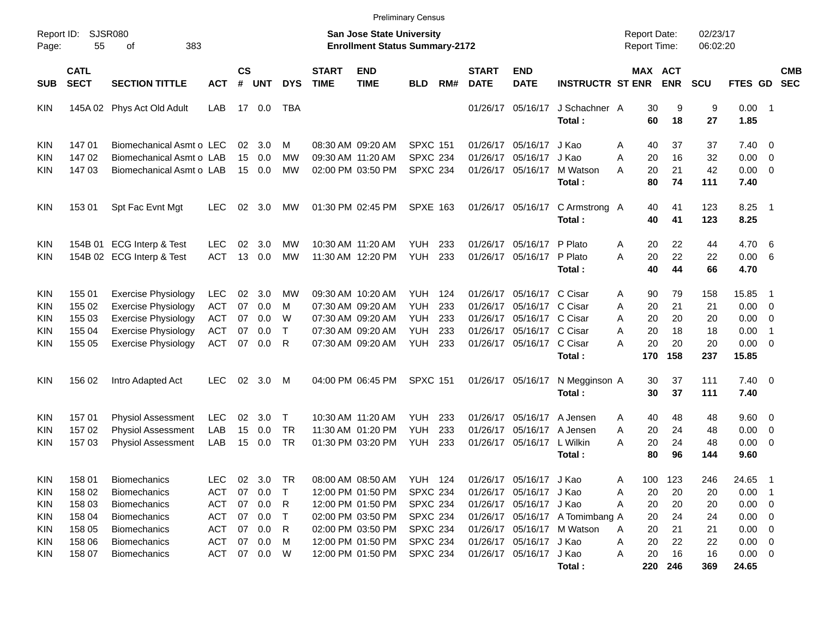|                     |                            |                             |            |                    |              |              |                             |                                                                    | <b>Preliminary Census</b> |     |                             |                           |                                 |   |          |                                            |                      |                        |                          |                          |
|---------------------|----------------------------|-----------------------------|------------|--------------------|--------------|--------------|-----------------------------|--------------------------------------------------------------------|---------------------------|-----|-----------------------------|---------------------------|---------------------------------|---|----------|--------------------------------------------|----------------------|------------------------|--------------------------|--------------------------|
| Report ID:<br>Page: | 55                         | <b>SJSR080</b><br>383<br>of |            |                    |              |              |                             | San Jose State University<br><b>Enrollment Status Summary-2172</b> |                           |     |                             |                           |                                 |   |          | <b>Report Date:</b><br><b>Report Time:</b> | 02/23/17<br>06:02:20 |                        |                          |                          |
| <b>SUB</b>          | <b>CATL</b><br><b>SECT</b> | <b>SECTION TITTLE</b>       | <b>ACT</b> | $\mathsf{cs}$<br># | <b>UNT</b>   | <b>DYS</b>   | <b>START</b><br><b>TIME</b> | <b>END</b><br><b>TIME</b>                                          | <b>BLD</b>                | RM# | <b>START</b><br><b>DATE</b> | <b>END</b><br><b>DATE</b> | <b>INSTRUCTR ST ENR</b>         |   |          | MAX ACT<br><b>ENR</b>                      | <b>SCU</b>           | FTES GD                |                          | <b>CMB</b><br><b>SEC</b> |
| <b>KIN</b>          |                            | 145A 02 Phys Act Old Adult  | LAB        |                    | 17 0.0       | TBA          |                             |                                                                    |                           |     |                             | 01/26/17 05/16/17         | J Schachner A<br>Total:         |   | 30<br>60 | 9<br>18                                    | 9<br>27              | $0.00$ 1<br>1.85       |                          |                          |
| <b>KIN</b>          | 14701                      | Biomechanical Asmt o LEC    |            | 02                 | 3.0          | м            |                             | 08:30 AM 09:20 AM                                                  | <b>SPXC 151</b>           |     |                             | 01/26/17 05/16/17         | J Kao                           | Α | 40       | 37                                         | 37                   | $7.40 \quad 0$         |                          |                          |
| KIN                 | 14702                      | Biomechanical Asmt o LAB    |            | 15                 | 0.0          | <b>MW</b>    |                             | 09:30 AM 11:20 AM                                                  | <b>SPXC 234</b>           |     | 01/26/17                    | 05/16/17                  | J Kao                           | A | 20       | 16                                         | 32                   | $0.00 \t 0$            |                          |                          |
| <b>KIN</b>          | 14703                      | Biomechanical Asmt o LAB    |            |                    | 15 0.0       | <b>MW</b>    |                             | 02:00 PM 03:50 PM                                                  | <b>SPXC 234</b>           |     |                             | 01/26/17 05/16/17         | M Watson                        | A | 20       | 21                                         | 42                   | $0.00 \t 0$            |                          |                          |
|                     |                            |                             |            |                    |              |              |                             |                                                                    |                           |     |                             |                           | Total:                          |   | 80       | 74                                         | 111                  | 7.40                   |                          |                          |
| <b>KIN</b>          | 153 01                     | Spt Fac Evnt Mgt            | LEC.       | 02                 | 3.0          | MW.          |                             | 01:30 PM 02:45 PM                                                  | <b>SPXE 163</b>           |     |                             | 01/26/17 05/16/17         | C Armstrong A<br>Total:         |   | 40<br>40 | 41<br>41                                   | 123<br>123           | 8.25<br>8.25           | $\blacksquare$ 1         |                          |
| <b>KIN</b>          |                            | 154B 01 ECG Interp & Test   | LEC.       | 02                 | 3.0          | <b>MW</b>    |                             | 10:30 AM 11:20 AM                                                  | YUH                       | 233 |                             | 01/26/17 05/16/17         | P Plato                         | Α | 20       | 22                                         | 44                   | 4.70 6                 |                          |                          |
| <b>KIN</b>          |                            | 154B 02 ECG Interp & Test   | <b>ACT</b> | 13                 | 0.0          | MW           |                             | 11:30 AM 12:20 PM                                                  | YUH                       | 233 |                             | 01/26/17 05/16/17         | P Plato                         | A | 20       | 22                                         | 22                   | 0.00 6                 |                          |                          |
|                     |                            |                             |            |                    |              |              |                             |                                                                    |                           |     |                             |                           | Total:                          |   | 40       | 44                                         | 66                   | 4.70                   |                          |                          |
| <b>KIN</b>          | 155 01                     | <b>Exercise Physiology</b>  | <b>LEC</b> | 02                 | 3.0          | MW           |                             | 09:30 AM 10:20 AM                                                  | YUH                       | 124 |                             | 01/26/17 05/16/17 C Cisar |                                 | Α | 90       | 79                                         | 158                  | 15.85                  | - 1                      |                          |
| KIN                 | 155 02                     | <b>Exercise Physiology</b>  | <b>ACT</b> | 07                 | 0.0          | м            |                             | 07:30 AM 09:20 AM                                                  | <b>YUH</b>                | 233 | 01/26/17                    | 05/16/17 C Cisar          |                                 | A | 20       | 21                                         | 21                   | $0.00 \t 0$            |                          |                          |
| KIN                 | 155 03                     | <b>Exercise Physiology</b>  | <b>ACT</b> | 07                 | 0.0          | W            |                             | 07:30 AM 09:20 AM                                                  | <b>YUH</b>                | 233 |                             | 01/26/17 05/16/17 C Cisar |                                 | A | 20       | 20                                         | 20                   | $0.00 \t 0$            |                          |                          |
| KIN                 | 155 04                     | <b>Exercise Physiology</b>  | <b>ACT</b> | 07                 | 0.0          | $\mathsf{T}$ |                             | 07:30 AM 09:20 AM                                                  | <b>YUH</b>                | 233 |                             | 01/26/17 05/16/17 C Cisar |                                 | A | 20       | 18                                         | 18                   | 0.00                   | $\overline{1}$           |                          |
| <b>KIN</b>          | 155 05                     | <b>Exercise Physiology</b>  | <b>ACT</b> | 07                 | 0.0          | R            |                             | 07:30 AM 09:20 AM                                                  | YUH                       | 233 |                             | 01/26/17 05/16/17 C Cisar |                                 | А | 20       | 20                                         | 20                   | $0.00 \t 0$            |                          |                          |
|                     |                            |                             |            |                    |              |              |                             |                                                                    |                           |     |                             |                           | Total:                          |   | 170      | 158                                        | 237                  | 15.85                  |                          |                          |
| <b>KIN</b>          | 156 02                     | Intro Adapted Act           | <b>LEC</b> | 02                 | 3.0          | M            |                             | 04:00 PM 06:45 PM                                                  | <b>SPXC 151</b>           |     |                             | 01/26/17 05/16/17         | N Megginson A<br>Total:         |   | 30<br>30 | 37<br>37                                   | 111<br>111           | $7.40 \quad 0$<br>7.40 |                          |                          |
| <b>KIN</b>          | 157 01                     | <b>Physiol Assessment</b>   | <b>LEC</b> | 02                 | 3.0          | $\mathsf{T}$ |                             | 10:30 AM 11:20 AM                                                  | <b>YUH</b>                | 233 |                             | 01/26/17 05/16/17         | A Jensen                        | A | 40       | 48                                         | 48                   | $9.60 \quad 0$         |                          |                          |
| <b>KIN</b>          | 15702                      | <b>Physiol Assessment</b>   | LAB        | 15                 | 0.0          | <b>TR</b>    |                             | 11:30 AM 01:20 PM                                                  | <b>YUH</b>                | 233 | 01/26/17                    | 05/16/17                  | A Jensen                        | A | 20       | 24                                         | 48                   | 0.00                   | $\overline{\phantom{0}}$ |                          |
| <b>KIN</b>          | 157 03                     | <b>Physiol Assessment</b>   | LAB        | 15                 | 0.0          | <b>TR</b>    |                             | 01:30 PM 03:20 PM                                                  | YUH                       | 233 |                             | 01/26/17 05/16/17         | L Wilkin                        | А | 20       | 24                                         | 48                   | $0.00 \t 0$            |                          |                          |
|                     |                            |                             |            |                    |              |              |                             |                                                                    |                           |     |                             |                           | Total:                          |   | 80       | 96                                         | 144                  | 9.60                   |                          |                          |
| KIN                 | 158 01                     | Biomechanics                | <b>LEC</b> | 02                 | 3.0          | TR           |                             | 08:00 AM 08:50 AM                                                  | <b>YUH 124</b>            |     |                             | 01/26/17 05/16/17 J Kao   |                                 | A | 100      | 123                                        | 246                  | 24.65                  |                          |                          |
| <b>KIN</b>          | 158 02                     | <b>Biomechanics</b>         | ACT        | 07                 | 0.0          | $\top$       |                             | 12:00 PM 01:50 PM                                                  | <b>SPXC 234</b>           |     |                             | 01/26/17 05/16/17 J Kao   |                                 | Α | 20       | 20                                         | 20                   | 0.00                   |                          |                          |
| <b>KIN</b>          | 158 03                     | <b>Biomechanics</b>         | ACT        |                    | 07 0.0       | R            |                             | 12:00 PM 01:50 PM                                                  | <b>SPXC 234</b>           |     |                             | 01/26/17 05/16/17 J Kao   |                                 | Α | 20       | 20                                         | 20                   | $0.00 \t 0$            |                          |                          |
| <b>KIN</b>          | 158 04                     | <b>Biomechanics</b>         | ACT        |                    | 07 0.0       | $\top$       |                             | 02:00 PM 03:50 PM                                                  | <b>SPXC 234</b>           |     |                             |                           | 01/26/17 05/16/17 A Tomimbang A |   | 20       | 24                                         | 24                   | $0.00 \t 0$            |                          |                          |
| <b>KIN</b>          | 158 05                     | <b>Biomechanics</b>         | ACT        | 07                 | 0.0          | R            |                             | 02:00 PM 03:50 PM                                                  | <b>SPXC 234</b>           |     |                             |                           | 01/26/17 05/16/17 M Watson      | Α | 20       | 21                                         | 21                   | $0.00 \t 0$            |                          |                          |
| <b>KIN</b>          | 158 06                     | <b>Biomechanics</b>         | ACT        | 07                 | 0.0          | M            |                             | 12:00 PM 01:50 PM                                                  | <b>SPXC 234</b>           |     |                             | 01/26/17 05/16/17 J Kao   |                                 | Α | 20       | 22                                         | 22                   | $0.00 \t 0$            |                          |                          |
| <b>KIN</b>          | 158 07                     | <b>Biomechanics</b>         |            |                    | ACT 07 0.0 W |              |                             | 12:00 PM 01:50 PM                                                  | <b>SPXC 234</b>           |     |                             | 01/26/17 05/16/17 J Kao   |                                 | Α | 20       | 16                                         | 16                   | $0.00 \t 0$            |                          |                          |
|                     |                            |                             |            |                    |              |              |                             |                                                                    |                           |     |                             |                           | Total:                          |   | 220      | 246                                        | 369                  | 24.65                  |                          |                          |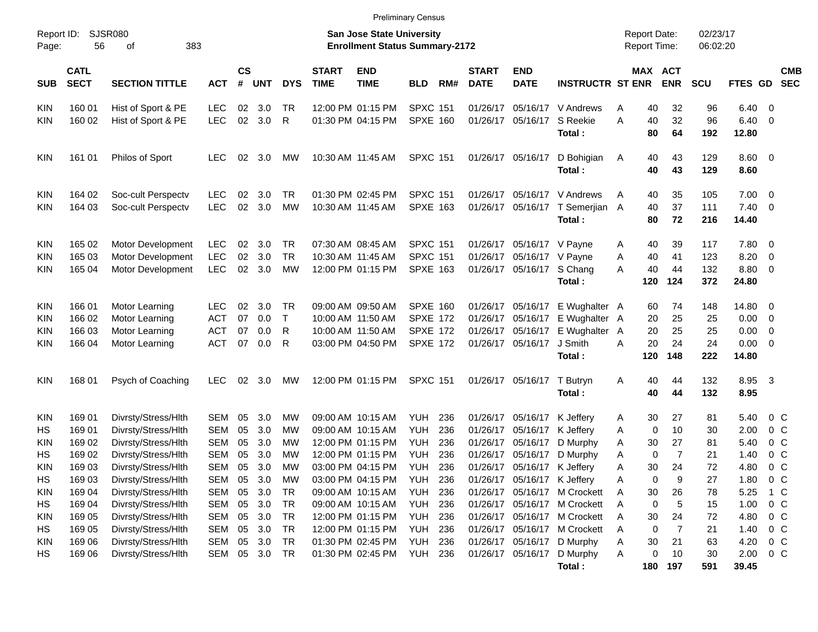| <b>Preliminary Census</b> |  |
|---------------------------|--|
|---------------------------|--|

| Report ID:<br>Page: | 56                         | <b>SJSR080</b><br>383<br>of |            |                    |            |            |                             | San Jose State University<br><b>Enrollment Status Summary-2172</b> |                 |     |                             |                           |                                 |   | <b>Report Date:</b> | <b>Report Time:</b>   | 02/23/17<br>06:02:20 |                         |                         |                          |
|---------------------|----------------------------|-----------------------------|------------|--------------------|------------|------------|-----------------------------|--------------------------------------------------------------------|-----------------|-----|-----------------------------|---------------------------|---------------------------------|---|---------------------|-----------------------|----------------------|-------------------------|-------------------------|--------------------------|
| <b>SUB</b>          | <b>CATL</b><br><b>SECT</b> | <b>SECTION TITTLE</b>       | <b>ACT</b> | $\mathsf{cs}$<br># | <b>UNT</b> | <b>DYS</b> | <b>START</b><br><b>TIME</b> | <b>END</b><br><b>TIME</b>                                          | <b>BLD</b>      | RM# | <b>START</b><br><b>DATE</b> | <b>END</b><br><b>DATE</b> | <b>INSTRUCTR ST ENR</b>         |   |                     | MAX ACT<br><b>ENR</b> | <b>SCU</b>           | FTES GD                 |                         | <b>CMB</b><br><b>SEC</b> |
| <b>KIN</b>          | 160 01                     | Hist of Sport & PE          | <b>LEC</b> | 02                 | 3.0        | TR         |                             | 12:00 PM 01:15 PM                                                  | <b>SPXC 151</b> |     |                             |                           | 01/26/17 05/16/17 V Andrews     | A | 40                  | 32                    | 96                   | $6.40\quad 0$           |                         |                          |
| <b>KIN</b>          | 160 02                     | Hist of Sport & PE          | <b>LEC</b> | 02                 | 3.0        | R          |                             | 01:30 PM 04:15 PM                                                  | <b>SPXE 160</b> |     |                             | 01/26/17 05/16/17         | S Reekie<br>Total:              | A | 40<br>80            | 32<br>64              | 96<br>192            | $6.40 \quad 0$<br>12.80 |                         |                          |
| <b>KIN</b>          | 161 01                     | <b>Philos of Sport</b>      | <b>LEC</b> | 02                 | 3.0        | <b>MW</b>  |                             | 10:30 AM 11:45 AM                                                  | <b>SPXC 151</b> |     |                             | 01/26/17 05/16/17         | D Bohigian<br>Total:            | A | 40<br>40            | 43<br>43              | 129<br>129           | $8.60$ 0<br>8.60        |                         |                          |
| <b>KIN</b>          | 164 02                     | Soc-cult Perspectv          | <b>LEC</b> | 02                 | 3.0        | TR         |                             | 01:30 PM 02:45 PM                                                  | <b>SPXC 151</b> |     |                             |                           | 01/26/17 05/16/17 V Andrews     | A | 40                  | 35                    | 105                  | $7.00 \t 0$             |                         |                          |
| <b>KIN</b>          | 164 03                     | Soc-cult Perspectv          | <b>LEC</b> | 02                 | 3.0        | <b>MW</b>  |                             | 10:30 AM 11:45 AM                                                  | <b>SPXE 163</b> |     |                             |                           | 01/26/17 05/16/17 T Semerjian A |   | 40                  | 37                    | 111                  | $7.40 \quad 0$          |                         |                          |
|                     |                            |                             |            |                    |            |            |                             |                                                                    |                 |     |                             |                           | Total:                          |   | 80                  | 72                    | 216                  | 14.40                   |                         |                          |
| <b>KIN</b>          | 165 02                     | Motor Development           | <b>LEC</b> | 02                 | 3.0        | TR         |                             | 07:30 AM 08:45 AM                                                  | <b>SPXC 151</b> |     |                             | 01/26/17 05/16/17 V Payne |                                 | A | 40                  | 39                    | 117                  | 7.80 0                  |                         |                          |
| <b>KIN</b>          | 165 03                     | Motor Development           | <b>LEC</b> | 02                 | 3.0        | <b>TR</b>  |                             | 10:30 AM 11:45 AM                                                  | <b>SPXC 151</b> |     |                             | 01/26/17 05/16/17 V Payne |                                 | A | 40                  | 41                    | 123                  | 8.20 0                  |                         |                          |
| KIN                 | 165 04                     | Motor Development           | <b>LEC</b> | 02                 | 3.0        | MW         |                             | 12:00 PM 01:15 PM                                                  | <b>SPXE 163</b> |     |                             | 01/26/17 05/16/17 S Chang |                                 | A | 40                  | 44                    | 132                  | 8.80 0                  |                         |                          |
|                     |                            |                             |            |                    |            |            |                             |                                                                    |                 |     |                             |                           | Total:                          |   | 120                 | 124                   | 372                  | 24.80                   |                         |                          |
| <b>KIN</b>          | 166 01                     | Motor Learning              | <b>LEC</b> | 02                 | 3.0        | TR         |                             | 09:00 AM 09:50 AM                                                  | <b>SPXE 160</b> |     |                             | 01/26/17 05/16/17         | E Wughalter A                   |   | 60                  | 74                    | 148                  | 14.80 0                 |                         |                          |
| <b>KIN</b>          | 166 02                     | Motor Learning              | <b>ACT</b> | 07                 | 0.0        | $\top$     |                             | 10:00 AM 11:50 AM                                                  | <b>SPXE 172</b> |     |                             | 01/26/17 05/16/17         | E Wughalter A                   |   | 20                  | 25                    | 25                   | $0.00 \t 0$             |                         |                          |
| <b>KIN</b>          | 166 03                     | Motor Learning              | <b>ACT</b> | 07                 | 0.0        | R          |                             | 10:00 AM 11:50 AM                                                  | <b>SPXE 172</b> |     |                             | 01/26/17 05/16/17         | E Wughalter                     | A | 20                  | 25                    | 25                   | $0.00 \t 0$             |                         |                          |
| KIN                 | 166 04                     | Motor Learning              | <b>ACT</b> | 07                 | 0.0        | R          |                             | 03:00 PM 04:50 PM                                                  | <b>SPXE 172</b> |     |                             | 01/26/17 05/16/17         | J Smith                         | A | 20                  | 24                    | 24                   | $0.00 \t 0$             |                         |                          |
|                     |                            |                             |            |                    |            |            |                             |                                                                    |                 |     |                             |                           | Total:                          |   | 120                 | 148                   | 222                  | 14.80                   |                         |                          |
| <b>KIN</b>          | 168 01                     | Psych of Coaching           | LEC.       | 02                 | 3.0        | MW         |                             | 12:00 PM 01:15 PM                                                  | <b>SPXC 151</b> |     |                             | 01/26/17 05/16/17         | T Butryn                        | A | 40                  | 44                    | 132                  | 8.95                    | $\overline{\mathbf{3}}$ |                          |
|                     |                            |                             |            |                    |            |            |                             |                                                                    |                 |     |                             |                           | Total:                          |   | 40                  | 44                    | 132                  | 8.95                    |                         |                          |
| <b>KIN</b>          | 169 01                     | Divrsty/Stress/Hlth         | <b>SEM</b> | 05                 | 3.0        | MW         |                             | 09:00 AM 10:15 AM                                                  | YUH             | 236 |                             | 01/26/17 05/16/17         | K Jeffery                       | A | 30                  | 27                    | 81                   | 5.40                    |                         | 0 C                      |
| HS                  | 169 01                     | Divrsty/Stress/Hlth         | <b>SEM</b> | 05                 | 3.0        | MW         |                             | 09:00 AM 10:15 AM                                                  | <b>YUH</b>      | 236 |                             | 01/26/17 05/16/17         | K Jeffery                       | A | 0                   | 10                    | 30                   | 2.00                    |                         | 0 <sup>o</sup>           |
| <b>KIN</b>          | 169 02                     | Divrsty/Stress/Hlth         | <b>SEM</b> | 05                 | 3.0        | MW         |                             | 12:00 PM 01:15 PM                                                  | <b>YUH</b>      | 236 |                             | 01/26/17 05/16/17         | D Murphy                        | Α | 30                  | 27                    | 81                   | 5.40                    |                         | 0 <sup>o</sup>           |
| HS                  | 169 02                     | Divrsty/Stress/Hlth         | <b>SEM</b> | 05                 | 3.0        | MW         |                             | 12:00 PM 01:15 PM                                                  | <b>YUH</b>      | 236 | 01/26/17                    | 05/16/17                  | D Murphy                        | Α | 0                   | $\overline{7}$        | 21                   | 1.40                    |                         | 0 <sup>o</sup>           |
| KIN                 | 169 03                     | Divrsty/Stress/Hlth         | <b>SEM</b> | 05                 | 3.0        | MW         |                             | 03:00 PM 04:15 PM                                                  | <b>YUH</b>      | 236 | 01/26/17                    | 05/16/17                  | K Jeffery                       | Α | 30                  | 24                    | 72                   | 4.80                    |                         | $0\,C$                   |
| HS                  | 169 03                     | Divrsty/Stress/Hlth         | SEM        | 05                 | 3.0        | <b>MW</b>  |                             | 03:00 PM 04:15 PM                                                  | <b>YUH</b>      | 236 | 01/26/17                    | 05/16/17                  | K Jeffery                       | A | $\mathbf 0$         | 9                     | 27                   | 1.80                    |                         | 0 <sup>o</sup>           |
| <b>KIN</b>          | 169 04                     | Divrsty/Stress/Hlth         | SEM        | 05                 | 3.0        | <b>TR</b>  |                             | 09:00 AM 10:15 AM                                                  | <b>YUH 236</b>  |     |                             |                           | 01/26/17 05/16/17 M Crockett    | A | 30                  | 26                    | 78                   | 5.25                    |                         | 1 C                      |
| HS                  | 169 04                     | Divrsty/Stress/Hlth         | <b>SEM</b> | 05                 | 3.0        | <b>TR</b>  |                             | 09:00 AM 10:15 AM                                                  | YUH             | 236 |                             | 01/26/17 05/16/17         | M Crockett                      | Α | 0                   | 5                     | 15                   | 1.00                    |                         | 0 <sup>o</sup>           |
| <b>KIN</b>          | 169 05                     | Divrsty/Stress/Hlth         | SEM        | 05                 | 3.0        | <b>TR</b>  |                             | 12:00 PM 01:15 PM                                                  | <b>YUH 236</b>  |     |                             | 01/26/17 05/16/17         | M Crockett                      | A | 30                  | 24                    | 72                   | 4.80                    |                         | $0\,$ C                  |
| HS                  | 169 05                     | Divrsty/Stress/Hlth         | <b>SEM</b> | 05                 | 3.0        | <b>TR</b>  |                             | 12:00 PM 01:15 PM                                                  | <b>YUH 236</b>  |     |                             | 01/26/17 05/16/17         | M Crockett                      | A | 0                   | 7                     | 21                   | 1.40                    |                         | $0\,$ C                  |
| <b>KIN</b>          | 169 06                     | Divrsty/Stress/Hlth         | SEM        | 05                 | 3.0        | <b>TR</b>  |                             | 01:30 PM 02:45 PM                                                  | <b>YUH 236</b>  |     |                             | 01/26/17 05/16/17         | D Murphy                        | Α | 30                  | 21                    | 63                   | 4.20                    |                         | $0\,C$                   |
| HS                  | 169 06                     | Divrsty/Stress/Hlth         | SEM        |                    | 05 3.0     | TR         |                             | 01:30 PM 02:45 PM                                                  | <b>YUH 236</b>  |     |                             | 01/26/17 05/16/17         | D Murphy                        | Α | 0                   | 10                    | 30                   | 2.00 0 C                |                         |                          |
|                     |                            |                             |            |                    |            |            |                             |                                                                    |                 |     |                             |                           | Total:                          |   |                     | 180 197               | 591                  | 39.45                   |                         |                          |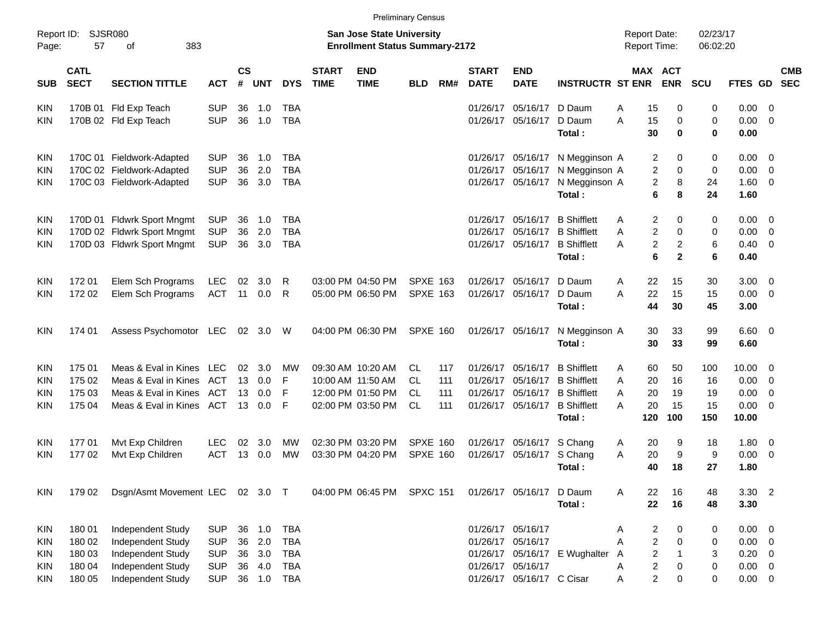|                     |                            |                                 |            |                    |            |            |                             |                                                                           | <b>Preliminary Census</b> |     |                             |                           |                         |                                     |                                  |                      |                |                          |
|---------------------|----------------------------|---------------------------------|------------|--------------------|------------|------------|-----------------------------|---------------------------------------------------------------------------|---------------------------|-----|-----------------------------|---------------------------|-------------------------|-------------------------------------|----------------------------------|----------------------|----------------|--------------------------|
| Report ID:<br>Page: | 57                         | SJSR080<br>of<br>383            |            |                    |            |            |                             | <b>San Jose State University</b><br><b>Enrollment Status Summary-2172</b> |                           |     |                             |                           |                         | <b>Report Date:</b><br>Report Time: |                                  | 02/23/17<br>06:02:20 |                |                          |
| <b>SUB</b>          | <b>CATL</b><br><b>SECT</b> | <b>SECTION TITTLE</b>           | <b>ACT</b> | $\mathsf{cs}$<br># | <b>UNT</b> | <b>DYS</b> | <b>START</b><br><b>TIME</b> | <b>END</b><br><b>TIME</b>                                                 | <b>BLD</b>                | RM# | <b>START</b><br><b>DATE</b> | <b>END</b><br><b>DATE</b> | <b>INSTRUCTR ST ENR</b> |                                     | MAX ACT<br><b>ENR</b>            | <b>SCU</b>           | <b>FTES GD</b> | <b>CMB</b><br><b>SEC</b> |
| KIN                 |                            | 170B 01 Fld Exp Teach           | <b>SUP</b> | 36                 | 1.0        | <b>TBA</b> |                             |                                                                           |                           |     | 01/26/17                    | 05/16/17                  | D Daum                  | 15<br>A                             | 0                                | 0                    | 0.00           | 0                        |
| <b>KIN</b>          |                            | 170B 02 Fld Exp Teach           | <b>SUP</b> | 36                 | 1.0        | <b>TBA</b> |                             |                                                                           |                           |     | 01/26/17                    | 05/16/17                  | D Daum                  | A<br>15                             | 0                                | 0                    | 0.00           | 0                        |
|                     |                            |                                 |            |                    |            |            |                             |                                                                           |                           |     |                             |                           | Total:                  | 30                                  | $\bf{0}$                         | 0                    | 0.00           |                          |
| KIN                 |                            | 170C 01 Fieldwork-Adapted       | <b>SUP</b> | 36                 | 1.0        | <b>TBA</b> |                             |                                                                           |                           |     | 01/26/17                    | 05/16/17                  | N Megginson A           |                                     | 0<br>2                           | 0                    | 0.00           | - 0                      |
| <b>KIN</b>          |                            | 170C 02 Fieldwork-Adapted       | <b>SUP</b> | 36                 | 2.0        | <b>TBA</b> |                             |                                                                           |                           |     | 01/26/17                    | 05/16/17                  | N Megginson A           |                                     | 2<br>0                           | 0                    | 0.00           | 0                        |
| KIN                 |                            | 170C 03 Fieldwork-Adapted       | <b>SUP</b> | 36                 | 3.0        | <b>TBA</b> |                             |                                                                           |                           |     | 01/26/17                    | 05/16/17                  | N Megginson A           |                                     | $\overline{c}$<br>8              | 24                   | 1.60           | 0                        |
|                     |                            |                                 |            |                    |            |            |                             |                                                                           |                           |     |                             |                           | Total:                  |                                     | 6<br>8                           | 24                   | 1.60           |                          |
| KIN                 |                            | 170D 01 Fldwrk Sport Mngmt      | <b>SUP</b> | 36                 | 1.0        | <b>TBA</b> |                             |                                                                           |                           |     | 01/26/17                    | 05/16/17                  | <b>B</b> Shifflett      | A                                   | 2<br>0                           | 0                    | 0.00           | - 0                      |
| <b>KIN</b>          |                            | 170D 02 Fldwrk Sport Mngmt      | <b>SUP</b> | 36                 | 2.0        | <b>TBA</b> |                             |                                                                           |                           |     | 01/26/17                    | 05/16/17                  | <b>B</b> Shifflett      | A                                   | $\overline{2}$<br>0              | 0                    | 0.00           | 0                        |
| <b>KIN</b>          |                            | 170D 03 Fldwrk Sport Mngmt      | <b>SUP</b> | 36                 | 3.0        | <b>TBA</b> |                             |                                                                           |                           |     | 01/26/17                    | 05/16/17                  | <b>B</b> Shifflett      | A                                   | $\overline{c}$<br>$\overline{c}$ | 6                    | 0.40           | 0                        |
|                     |                            |                                 |            |                    |            |            |                             |                                                                           |                           |     |                             |                           | Total:                  | 6                                   | $\mathbf{2}$                     | 6                    | 0.40           |                          |
| KIN                 | 17201                      | Elem Sch Programs               | <b>LEC</b> | 02                 | 3.0        | R          |                             | 03:00 PM 04:50 PM                                                         | <b>SPXE 163</b>           |     | 01/26/17                    | 05/16/17                  | D Daum                  | 22<br>A                             | 15                               | 30                   | 3.00           | - 0                      |
| <b>KIN</b>          | 172 02                     | Elem Sch Programs               | <b>ACT</b> | 11                 | 0.0        | R          |                             | 05:00 PM 06:50 PM                                                         | <b>SPXE 163</b>           |     | 01/26/17                    | 05/16/17                  | D Daum                  | A<br>22                             | 15                               | 15                   | 0.00           | $\overline{0}$           |
|                     |                            |                                 |            |                    |            |            |                             |                                                                           |                           |     |                             |                           | Total:                  | 44                                  | 30                               | 45                   | 3.00           |                          |
| KIN                 | 174 01                     | Assess Psychomotor LEC          |            |                    | 02 3.0     | - W        |                             | 04:00 PM 06:30 PM                                                         | <b>SPXE 160</b>           |     |                             | 01/26/17 05/16/17         | N Megginson A           | 30                                  | 33                               | 99                   | $6.60 \quad 0$ |                          |
|                     |                            |                                 |            |                    |            |            |                             |                                                                           |                           |     |                             |                           | Total:                  | 30                                  | 33                               | 99                   | 6.60           |                          |
| KIN                 | 175 01                     | Meas & Eval in Kines LEC        |            | 02                 | 3.0        | МW         |                             | 09:30 AM 10:20 AM                                                         | CL.                       | 117 | 01/26/17                    | 05/16/17                  | <b>B</b> Shifflett      | A<br>60                             | 50                               | 100                  | 10.00          | 0                        |
| <b>KIN</b>          | 175 02                     | Meas & Eval in Kines            | ACT        | 13                 | 0.0        | F          |                             | 10:00 AM 11:50 AM                                                         | CL.                       | 111 | 01/26/17                    | 05/16/17                  | <b>B</b> Shifflett      | 20<br>A                             | 16                               | 16                   | 0.00           | 0                        |
| <b>KIN</b>          | 175 03                     | Meas & Eval in Kines            | <b>ACT</b> | 13                 | 0.0        | F          |                             | 12:00 PM 01:50 PM                                                         | CL                        | 111 | 01/26/17                    | 05/16/17                  | <b>B</b> Shifflett      | Α<br>20                             | 19                               | 19                   | 0.00           | 0                        |
| KIN                 | 175 04                     | Meas & Eval in Kines ACT        |            | 13                 | 0.0        | F          |                             | 02:00 PM 03:50 PM                                                         | CL                        | 111 | 01/26/17                    | 05/16/17                  | <b>B</b> Shifflett      | 20<br>A                             | 15                               | 15                   | 0.00           | 0                        |
|                     |                            |                                 |            |                    |            |            |                             |                                                                           |                           |     |                             |                           | Total:                  | 120                                 | 100                              | 150                  | 10.00          |                          |
| KIN                 | 17701                      | Mvt Exp Children                | LEC        | 02                 | 3.0        | МW         |                             | 02:30 PM 03:20 PM                                                         | <b>SPXE 160</b>           |     | 01/26/17                    | 05/16/17                  | S Chang                 | 20<br>A                             | 9                                | 18                   | 1.80           | - 0                      |
| KIN                 | 17702                      | Mvt Exp Children                | <b>ACT</b> | 13                 | 0.0        | MW         |                             | 03:30 PM 04:20 PM                                                         | <b>SPXE 160</b>           |     | 01/26/17                    | 05/16/17                  | S Chang                 | Α<br>20                             | 9                                | 9                    | 0.00           | 0                        |
|                     |                            |                                 |            |                    |            |            |                             |                                                                           |                           |     |                             |                           | Total:                  | 40                                  | 18                               | 27                   | 1.80           |                          |
| KIN                 | 179 02                     | Dsgn/Asmt Movement LEC 02 3.0 T |            |                    |            |            |                             | 04:00 PM 06:45 PM SPXC 151                                                |                           |     |                             | 01/26/17 05/16/17         | D Daum                  | 22<br>A                             | 16                               | 48                   | $3.30$ 2       |                          |
|                     |                            |                                 |            |                    |            |            |                             |                                                                           |                           |     |                             |                           | Total:                  | 22                                  | 16                               | 48                   | 3.30           |                          |
| KIN                 | 18001                      | Independent Study               | <b>SUP</b> |                    | 36 1.0     | <b>TBA</b> |                             |                                                                           |                           |     |                             | 01/26/17 05/16/17         |                         | A                                   | 2<br>0                           | 0                    | $0.00 \t 0$    |                          |
| KIN                 | 180 02                     | Independent Study               | <b>SUP</b> | 36                 | 2.0        | <b>TBA</b> |                             |                                                                           |                           |     |                             | 01/26/17 05/16/17         |                         | A                                   | $\boldsymbol{2}$<br>0            | 0                    | $0.00 \t 0$    |                          |
| KIN                 | 180 03                     | Independent Study               | <b>SUP</b> | 36                 | 3.0        | <b>TBA</b> |                             |                                                                           |                           |     |                             | 01/26/17 05/16/17         | E Wughalter             | A                                   | $\overline{c}$<br>$\mathbf{1}$   | 3                    | 0.20           | $\overline{\mathbf{0}}$  |
| KIN                 | 180 04                     | Independent Study               | <b>SUP</b> | 36                 | 4.0        | <b>TBA</b> |                             |                                                                           |                           |     |                             | 01/26/17 05/16/17         |                         | Α                                   | $\overline{c}$<br>0              | $\pmb{0}$            | $0.00 \t 0$    |                          |
| KIN                 | 180 05                     | Independent Study               | <b>SUP</b> |                    | 36 1.0     | <b>TBA</b> |                             |                                                                           |                           |     |                             | 01/26/17 05/16/17 C Cisar |                         | Α                                   | $\overline{c}$<br>0              | 0                    | $0.00 \t 0$    |                          |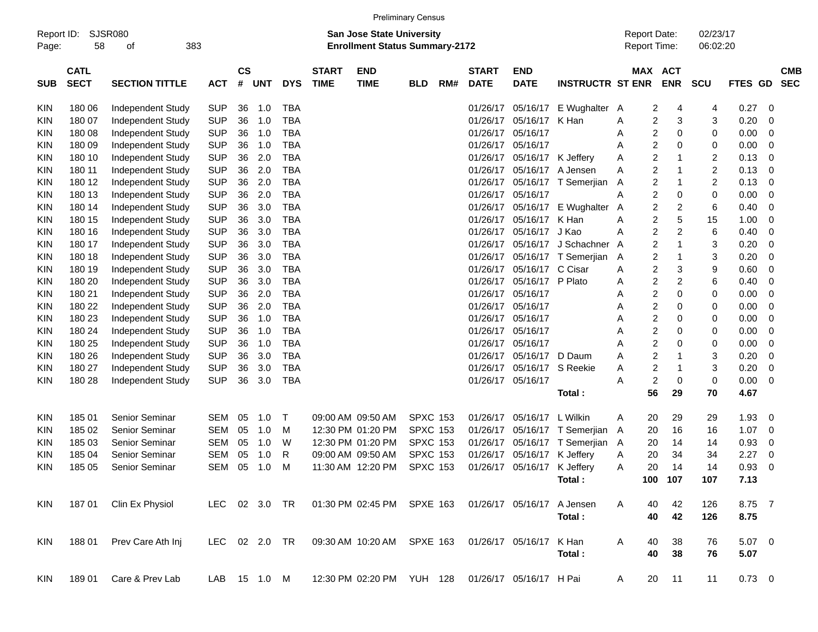|                     |                            |                                        |               |                    |            |               |                             |                                                                    | <b>Preliminary Census</b> |     |                             |                             |                               |                                     |                         |                      |                  |     |                          |
|---------------------|----------------------------|----------------------------------------|---------------|--------------------|------------|---------------|-----------------------------|--------------------------------------------------------------------|---------------------------|-----|-----------------------------|-----------------------------|-------------------------------|-------------------------------------|-------------------------|----------------------|------------------|-----|--------------------------|
| Report ID:<br>Page: | 58                         | <b>SJSR080</b><br>383<br>οf            |               |                    |            |               |                             | San Jose State University<br><b>Enrollment Status Summary-2172</b> |                           |     |                             |                             |                               | <b>Report Date:</b><br>Report Time: |                         | 02/23/17<br>06:02:20 |                  |     |                          |
| <b>SUB</b>          | <b>CATL</b><br><b>SECT</b> | <b>SECTION TITTLE</b>                  | <b>ACT</b>    | $\mathsf{cs}$<br># | <b>UNT</b> | <b>DYS</b>    | <b>START</b><br><b>TIME</b> | <b>END</b><br><b>TIME</b>                                          | <b>BLD</b>                | RM# | <b>START</b><br><b>DATE</b> | <b>END</b><br><b>DATE</b>   | <b>INSTRUCTR ST ENR</b>       |                                     | MAX ACT<br><b>ENR</b>   | <b>SCU</b>           | FTES GD          |     | <b>CMB</b><br><b>SEC</b> |
| <b>KIN</b>          | 180 06                     |                                        | <b>SUP</b>    | 36                 | 1.0        | TBA           |                             |                                                                    |                           |     | 01/26/17                    | 05/16/17                    | E Wughalter                   | 2                                   | 4                       | 4                    | 0.27             | - 0 |                          |
| <b>KIN</b>          | 180 07                     | Independent Study<br>Independent Study | <b>SUP</b>    | 36                 | 1.0        | <b>TBA</b>    |                             |                                                                    |                           |     | 01/26/17                    | 05/16/17                    | K Han                         | A<br>2<br>Α                         | 3                       | 3                    | 0.20             | -0  |                          |
| KIN                 | 180 08                     | Independent Study                      | <b>SUP</b>    | 36                 | 1.0        | <b>TBA</b>    |                             |                                                                    |                           |     |                             | 01/26/17 05/16/17           |                               | 2<br>Α                              | 0                       | 0                    | 0.00             | 0   |                          |
| <b>KIN</b>          | 180 09                     | Independent Study                      | <b>SUP</b>    | 36                 | 1.0        | <b>TBA</b>    |                             |                                                                    |                           |     |                             | 01/26/17 05/16/17           |                               | 2<br>А                              | 0                       | 0                    | 0.00             | -0  |                          |
| <b>KIN</b>          | 180 10                     | Independent Study                      | <b>SUP</b>    | 36                 | 2.0        | <b>TBA</b>    |                             |                                                                    |                           |     |                             | 01/26/17 05/16/17 K Jeffery |                               | 2<br>Α                              | 1                       | $\overline{c}$       | 0.13             | - 0 |                          |
| <b>KIN</b>          | 180 11                     | Independent Study                      | <b>SUP</b>    | 36                 | 2.0        | <b>TBA</b>    |                             |                                                                    |                           |     | 01/26/17                    | 05/16/17                    | A Jensen                      | $\overline{\mathbf{c}}$<br>Α        | 1                       | 2                    | 0.13             | 0   |                          |
| <b>KIN</b>          | 180 12                     | Independent Study                      | <b>SUP</b>    | 36                 | 2.0        | <b>TBA</b>    |                             |                                                                    |                           |     |                             |                             | 01/26/17 05/16/17 T Semerjian | 2<br>Α                              | 1                       | 2                    | 0.13             | - 0 |                          |
| <b>KIN</b>          | 180 13                     | Independent Study                      | <b>SUP</b>    | 36                 | 2.0        | <b>TBA</b>    |                             |                                                                    |                           |     |                             | 01/26/17 05/16/17           |                               | 2<br>Α                              | 0                       | 0                    | 0.00             | 0   |                          |
| <b>KIN</b>          | 180 14                     | Independent Study                      | <b>SUP</b>    | 36                 | 3.0        | <b>TBA</b>    |                             |                                                                    |                           |     |                             | 01/26/17 05/16/17           | E Wughalter                   | 2<br>A                              | 2                       | 6                    | 0.40             | 0   |                          |
| <b>KIN</b>          | 180 15                     | Independent Study                      | <b>SUP</b>    | 36                 | 3.0        | <b>TBA</b>    |                             |                                                                    |                           |     | 01/26/17                    | 05/16/17                    | K Han                         | 2<br>Α                              | 5                       | 15                   | 1.00             | 0   |                          |
| <b>KIN</b>          | 180 16                     | Independent Study                      | <b>SUP</b>    | 36                 | 3.0        | <b>TBA</b>    |                             |                                                                    |                           |     | 01/26/17                    | 05/16/17 J Kao              |                               | 2<br>Α                              | 2                       | 6                    | 0.40             | -0  |                          |
| <b>KIN</b>          | 180 17                     | Independent Study                      | <b>SUP</b>    | 36                 | 3.0        | <b>TBA</b>    |                             |                                                                    |                           |     | 01/26/17                    | 05/16/17                    | J Schachner                   | 2<br>A                              | 1                       | 3                    | 0.20             | 0   |                          |
| <b>KIN</b>          | 180 18                     | Independent Study                      | <b>SUP</b>    | 36                 | 3.0        | <b>TBA</b>    |                             |                                                                    |                           |     | 01/26/17                    |                             | 05/16/17 T Semerjian          | 2<br>A                              | 1                       | 3                    | 0.20             | -0  |                          |
| <b>KIN</b>          | 180 19                     | Independent Study                      | <b>SUP</b>    | 36                 | 3.0        | <b>TBA</b>    |                             |                                                                    |                           |     | 01/26/17                    | 05/16/17 C Cisar            |                               | 2<br>Α                              | 3                       | 9                    | 0.60             | -0  |                          |
| <b>KIN</b>          | 180 20                     | Independent Study                      | <b>SUP</b>    | 36                 | 3.0        | <b>TBA</b>    |                             |                                                                    |                           |     | 01/26/17                    | 05/16/17 P Plato            |                               | 2<br>Α                              | $\overline{\mathbf{c}}$ | 6                    | 0.40             | 0   |                          |
| <b>KIN</b>          | 180 21                     | Independent Study                      | <b>SUP</b>    | 36                 | 2.0        | <b>TBA</b>    |                             |                                                                    |                           |     |                             | 01/26/17 05/16/17           |                               | 2<br>А                              | 0                       | 0                    | 0.00             | 0   |                          |
| KIN                 | 180 22                     | Independent Study                      | <b>SUP</b>    | 36                 | 2.0        | <b>TBA</b>    |                             |                                                                    |                           |     |                             | 01/26/17 05/16/17           |                               | 2<br>А                              | 0                       | 0                    | 0.00             | -0  |                          |
| <b>KIN</b>          | 180 23                     | Independent Study                      | <b>SUP</b>    | 36                 | 1.0        | <b>TBA</b>    |                             |                                                                    |                           |     |                             | 01/26/17 05/16/17           |                               | 2<br>А                              | 0                       | 0                    | 0.00             | 0   |                          |
| <b>KIN</b>          | 180 24                     | Independent Study                      | <b>SUP</b>    | 36                 | 1.0        | <b>TBA</b>    |                             |                                                                    |                           |     |                             | 01/26/17 05/16/17           |                               | 2<br>А                              | 0                       | 0                    | 0.00             | -0  |                          |
| <b>KIN</b>          | 180 25                     | Independent Study                      | <b>SUP</b>    | 36                 | 1.0        | <b>TBA</b>    |                             |                                                                    |                           |     |                             | 01/26/17 05/16/17           |                               | 2<br>А                              | 0                       | 0                    | 0.00             | -0  |                          |
| <b>KIN</b>          | 180 26                     | Independent Study                      | <b>SUP</b>    | 36                 | 3.0        | <b>TBA</b>    |                             |                                                                    |                           |     |                             | 01/26/17 05/16/17           | D Daum                        | 2<br>Α                              |                         | 3                    | 0.20             | 0   |                          |
| KIN                 | 180 27                     | Independent Study                      | <b>SUP</b>    | 36                 | 3.0        | <b>TBA</b>    |                             |                                                                    |                           |     |                             | 01/26/17 05/16/17           | S Reekie                      | $\overline{\mathbf{c}}$<br>Α        | 1                       | 3                    | 0.20             | -0  |                          |
| <b>KIN</b>          | 180 28                     | Independent Study                      | <b>SUP</b>    | 36                 | 3.0        | <b>TBA</b>    |                             |                                                                    |                           |     |                             | 01/26/17 05/16/17           |                               | $\overline{c}$<br>Α                 | 0                       | 0                    | 0.00             | - 0 |                          |
|                     |                            |                                        |               |                    |            |               |                             |                                                                    |                           |     |                             |                             | Total:                        | 56                                  | 29                      | 70                   | 4.67             |     |                          |
| <b>KIN</b>          | 18501                      | Senior Seminar                         | SEM           | 05                 | 1.0        | $\top$        |                             | 09:00 AM 09:50 AM                                                  | <b>SPXC 153</b>           |     |                             | 01/26/17 05/16/17           | L Wilkin                      | 20<br>Α                             | 29                      | 29                   | 1.93             | - 0 |                          |
| KIN                 | 185 02                     | Senior Seminar                         | <b>SEM</b>    | 05                 | 1.0        | M             |                             | 12:30 PM 01:20 PM                                                  | <b>SPXC 153</b>           |     | 01/26/17                    |                             | 05/16/17 T Semerjian          | 20<br>A                             | 16                      | 16                   | 1.07             | - 0 |                          |
| KIN                 | 185 03                     | <b>Senior Seminar</b>                  | <b>SEM</b>    | 05                 | 1.0        | W             |                             | 12:30 PM 01:20 PM                                                  | <b>SPXC 153</b>           |     |                             |                             | 01/26/17 05/16/17 T Semerjian | 20<br>A                             | 14                      | 14                   | 0.93             | 0   |                          |
| KIN                 | 185 04                     | <b>Senior Seminar</b>                  | <b>SEM</b>    | 05                 | 1.0        | R             |                             | 09:00 AM 09:50 AM                                                  | <b>SPXC 153</b>           |     |                             | 01/26/17 05/16/17           | K Jeffery                     | 20<br>Α                             | 34                      | 34                   | 2.27             | 0   |                          |
| <b>KIN</b>          | 185 05                     | <b>Senior Seminar</b>                  | <b>SEM</b>    | 05                 | 1.0        | M             |                             | 11:30 AM 12:20 PM                                                  | <b>SPXC 153</b>           |     |                             | 01/26/17 05/16/17 K Jeffery |                               | 20<br>Α                             | 14                      | 14                   | 0.93             | - 0 |                          |
|                     |                            |                                        |               |                    |            |               |                             |                                                                    |                           |     |                             |                             | Total:                        |                                     | 100 107                 | 107                  | 7.13             |     |                          |
| KIN                 | 187 01                     | Clin Ex Physiol                        |               |                    |            | LEC 02 3.0 TR |                             | 01:30 PM 02:45 PM SPXE 163                                         |                           |     |                             | 01/26/17 05/16/17           | A Jensen                      | 40<br>A                             | 42                      | 126                  | 8.75 7           |     |                          |
|                     |                            |                                        |               |                    |            |               |                             |                                                                    |                           |     |                             |                             | Total:                        | 40                                  | 42                      | 126                  | 8.75             |     |                          |
| KIN                 | 188 01                     | Prev Care Ath Inj                      | LEC 02 2.0 TR |                    |            |               |                             | 09:30 AM 10:20 AM SPXE 163                                         |                           |     |                             | 01/26/17 05/16/17           | K Han<br>Total:               | 40<br>A<br>40                       | 38<br>38                | 76<br>76             | $5.07$ 0<br>5.07 |     |                          |
|                     |                            |                                        |               |                    |            |               |                             |                                                                    |                           |     |                             |                             |                               |                                     |                         |                      |                  |     |                          |

KIN 18901 Care & Prev Lab LAB 15 1.0 M 12:30 PM 02:20 PM YUH 128 01/26/17 05/16/17 H Pai A 20 11 11 0.73 0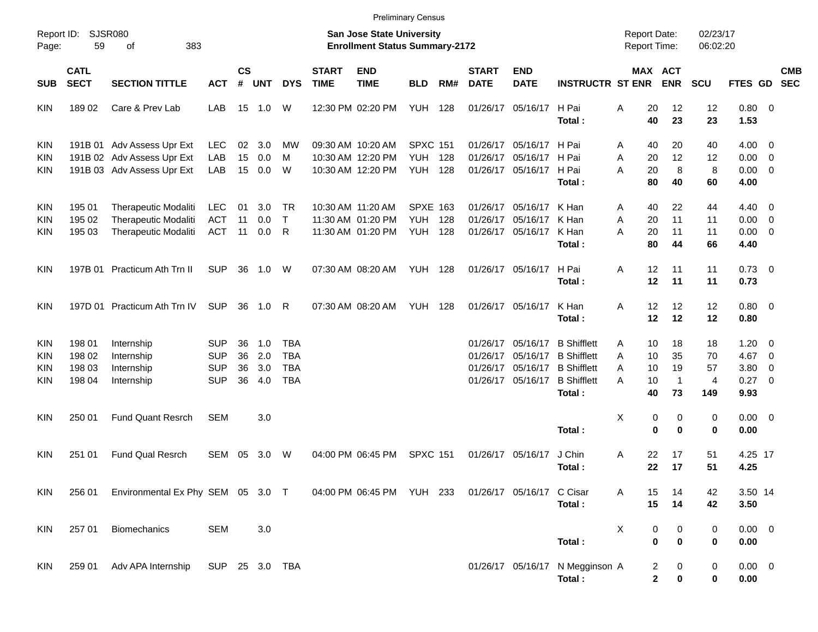|                     |                            |                                                                                       |                          |                    |            |                          |                             |                                                                           | <b>Preliminary Census</b>    |            |                             |                                           |                                                       |                                            |                              |                      |                                    |                                                      |            |
|---------------------|----------------------------|---------------------------------------------------------------------------------------|--------------------------|--------------------|------------|--------------------------|-----------------------------|---------------------------------------------------------------------------|------------------------------|------------|-----------------------------|-------------------------------------------|-------------------------------------------------------|--------------------------------------------|------------------------------|----------------------|------------------------------------|------------------------------------------------------|------------|
| Report ID:<br>Page: | 59                         | <b>SJSR080</b><br>383<br>οf                                                           |                          |                    |            |                          |                             | <b>San Jose State University</b><br><b>Enrollment Status Summary-2172</b> |                              |            |                             |                                           |                                                       | <b>Report Date:</b><br><b>Report Time:</b> |                              | 02/23/17<br>06:02:20 |                                    |                                                      |            |
| <b>SUB</b>          | <b>CATL</b><br><b>SECT</b> | <b>SECTION TITTLE</b>                                                                 | <b>ACT</b>               | $\mathsf{cs}$<br># | <b>UNT</b> | <b>DYS</b>               | <b>START</b><br><b>TIME</b> | <b>END</b><br><b>TIME</b>                                                 | <b>BLD</b>                   | RM#        | <b>START</b><br><b>DATE</b> | <b>END</b><br><b>DATE</b>                 | <b>INSTRUCTR ST ENR</b>                               |                                            | <b>MAX ACT</b><br><b>ENR</b> | <b>SCU</b>           | FTES GD SEC                        |                                                      | <b>CMB</b> |
| KIN                 | 18902                      | Care & Prev Lab                                                                       | LAB                      |                    | 15 1.0     | W                        |                             | 12:30 PM 02:20 PM                                                         | <b>YUH</b>                   | 128        | 01/26/17                    | 05/16/17 H Pai                            | Total:                                                | 20<br>Α<br>40                              | 12<br>23                     | 12<br>23             | $0.80 \ 0$<br>1.53                 |                                                      |            |
| <b>KIN</b>          |                            | 191B 01 Adv Assess Upr Ext                                                            | <b>LEC</b>               | 02                 | 3.0        | МW                       |                             | 09:30 AM 10:20 AM                                                         | <b>SPXC 151</b>              |            | 01/26/17                    | 05/16/17 H Pai                            |                                                       | 40<br>A                                    | 20                           | 40                   | $4.00 \ 0$                         |                                                      |            |
| KIN<br>KIN          |                            | 191B 02 Adv Assess Upr Ext<br>191B 03 Adv Assess Upr Ext                              | LAB<br>LAB               | 15<br>15           | 0.0<br>0.0 | м<br>W                   |                             | 10:30 AM 12:20 PM<br>10:30 AM 12:20 PM                                    | <b>YUH</b><br><b>YUH 128</b> | 128        | 01/26/17                    | 05/16/17 H Pai<br>01/26/17 05/16/17 H Pai | Total:                                                | 20<br>Α<br>A<br>20<br>80                   | 12<br>8<br>40                | 12<br>8<br>60        | $0.00 \t 0$<br>$0.00 \t 0$<br>4.00 |                                                      |            |
| KIN                 | 195 01                     | <b>Therapeutic Modaliti</b>                                                           | <b>LEC</b>               | 01                 | 3.0        | . TR                     |                             | 10:30 AM 11:20 AM                                                         | <b>SPXE 163</b>              |            | 01/26/17                    | 05/16/17 K Han                            |                                                       | 40<br>A                                    | 22                           | 44                   | $4.40 \quad 0$                     |                                                      |            |
| KIN<br>KIN          | 195 02<br>195 03           | <b>Therapeutic Modaliti</b><br>Therapeutic Modaliti                                   | <b>ACT</b><br><b>ACT</b> | 11<br>11           | 0.0<br>0.0 | $\top$<br>R              |                             | 11:30 AM 01:20 PM<br>11:30 AM 01:20 PM                                    | <b>YUH</b><br><b>YUH</b>     | 128<br>128 | 01/26/17                    | 05/16/17 K Han<br>01/26/17 05/16/17 K Han | Total:                                                | 20<br>Α<br>A<br>20<br>80                   | 11<br>11<br>44               | 11<br>11<br>66       | $0.00 \t 0$<br>$0.00 \t 0$<br>4.40 |                                                      |            |
| KIN                 |                            | 197B 01 Practicum Ath Trn II                                                          | <b>SUP</b>               | 36                 | 1.0        | W                        |                             | 07:30 AM 08:20 AM                                                         | <b>YUH 128</b>               |            |                             | 01/26/17 05/16/17 H Pai                   | Total:                                                | 12<br>Α<br>12                              | 11<br>11                     | 11<br>11             | $0.73 \quad 0$<br>0.73             |                                                      |            |
| <b>KIN</b>          |                            | 197D 01 Practicum Ath Trn IV                                                          | <b>SUP</b>               | 36                 | 1.0        | R                        |                             | 07:30 AM 08:20 AM                                                         | YUH                          | 128        |                             | 01/26/17 05/16/17                         | K Han<br>Total:                                       | 12<br>Α<br>12                              | 12<br>12                     | 12<br>12             | $0.80 \ 0$<br>0.80                 |                                                      |            |
| KIN                 | 198 01<br>198 02           | Internship                                                                            | SUP<br><b>SUP</b>        | 36<br>36           | 1.0<br>2.0 | TBA<br><b>TBA</b>        |                             |                                                                           |                              |            | 01/26/17<br>01/26/17        |                                           | 05/16/17 B Shifflett<br>05/16/17 B Shifflett          | 10<br>A<br>10<br>A                         | 18<br>35                     | 18<br>70             | 1.20<br>4.67                       | $\overline{\phantom{0}}$<br>$\overline{\phantom{0}}$ |            |
| KIN<br>KIN<br>KIN   | 198 03<br>198 04           | Internship<br>Internship<br>Internship                                                | <b>SUP</b><br><b>SUP</b> | 36<br>36           | 3.0<br>4.0 | <b>TBA</b><br><b>TBA</b> |                             |                                                                           |                              |            | 01/26/17                    |                                           | 05/16/17 B Shifflett<br>01/26/17 05/16/17 B Shifflett | 10<br>A<br>10<br>A                         | 19<br>$\mathbf 1$            | 57<br>4              | 3.80<br>$0.27 \t 0$                | $\overline{\mathbf{0}}$                              |            |
| KIN                 | 250 01                     | <b>Fund Quant Resrch</b>                                                              | <b>SEM</b>               |                    | 3.0        |                          |                             |                                                                           |                              |            |                             |                                           | Total:                                                | 40<br>X<br>0                               | 73<br>0                      | 149<br>0             | 9.93<br>$0.00 \t 0$                |                                                      |            |
|                     |                            |                                                                                       |                          |                    |            |                          |                             |                                                                           |                              |            |                             |                                           | Total:                                                | 0                                          | $\bf{0}$                     | 0                    | 0.00                               |                                                      |            |
| KIN                 | 251 01                     | <b>Fund Qual Resrch</b>                                                               | SEM                      | 05                 | 3.0        | W                        |                             | 04:00 PM 06:45 PM                                                         | <b>SPXC 151</b>              |            |                             | 01/26/17 05/16/17                         | J Chin<br>Total:                                      | Α<br>22<br>22                              | 17<br>17                     | 51<br>51             | 4.25 17<br>4.25                    |                                                      |            |
| KIN                 | 256 01                     | Environmental Ex Phy SEM 05 3.0 T 04:00 PM 06:45 PM YUH 233 01/26/17 05/16/17 C Cisar |                          |                    |            |                          |                             |                                                                           |                              |            |                             |                                           | Total:                                                | 15<br>A<br>15                              | 14<br>14                     | 42<br>42             | 3.50 14<br>3.50                    |                                                      |            |
| KIN                 | 257 01                     | Biomechanics                                                                          | <b>SEM</b>               |                    | 3.0        |                          |                             |                                                                           |                              |            |                             |                                           | Total:                                                | х<br>0<br>$\bf{0}$                         | 0<br>0                       | 0<br>0               | $0.00 \t 0$<br>0.00                |                                                      |            |
| KIN                 | 259 01                     | Adv APA Internship                                                                    | SUP 25 3.0 TBA           |                    |            |                          |                             |                                                                           |                              |            |                             |                                           | 01/26/17 05/16/17 N Megginson A<br>Total:             | 2<br>$\mathbf 2$                           | 0<br>0                       | 0<br>0               | $0.00 \t 0$<br>0.00                |                                                      |            |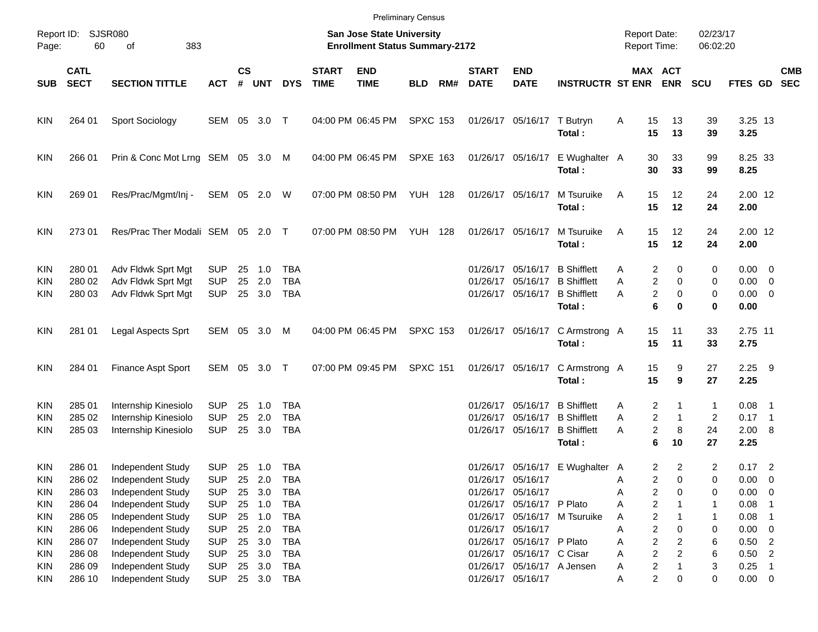|                                               |                                      |                                                                                  |                                                      |                      |                          |                                                      |                                                                    |                           | <b>Preliminary Census</b> |     |                             |                                                                                                           |                                                                          |                  |                                                                    |                                 |                                                   |                                                     |            |
|-----------------------------------------------|--------------------------------------|----------------------------------------------------------------------------------|------------------------------------------------------|----------------------|--------------------------|------------------------------------------------------|--------------------------------------------------------------------|---------------------------|---------------------------|-----|-----------------------------|-----------------------------------------------------------------------------------------------------------|--------------------------------------------------------------------------|------------------|--------------------------------------------------------------------|---------------------------------|---------------------------------------------------|-----------------------------------------------------|------------|
| Page:                                         | Report ID: SJSR080<br>60             | 383                                                                              |                                                      |                      |                          |                                                      | San Jose State University<br><b>Enrollment Status Summary-2172</b> |                           |                           |     |                             |                                                                                                           | <b>Report Date:</b><br><b>Report Time:</b>                               |                  | 02/23/17<br>06:02:20                                               |                                 |                                                   |                                                     |            |
| SUB                                           | <b>CATL</b><br><b>SECT</b>           | <b>SECTION TITTLE</b>                                                            | <b>ACT</b>                                           | $\mathsf{cs}$<br>#   | <b>UNT</b>               | <b>DYS</b>                                           | <b>START</b><br><b>TIME</b>                                        | <b>END</b><br><b>TIME</b> | <b>BLD</b>                | RM# | <b>START</b><br><b>DATE</b> | <b>END</b><br><b>DATE</b>                                                                                 | <b>INSTRUCTR ST ENR</b>                                                  |                  | MAX ACT<br><b>ENR</b>                                              | <b>SCU</b>                      | FTES GD SEC                                       |                                                     | <b>CMB</b> |
| KIN.                                          | 264 01                               | Sport Sociology                                                                  | SEM 05 3.0 T                                         |                      |                          |                                                      |                                                                    | 04:00 PM 06:45 PM         | <b>SPXC 153</b>           |     |                             | 01/26/17 05/16/17                                                                                         | T Butryn<br>Total:                                                       | Α<br>15<br>15    | 13<br>13                                                           | 39<br>39                        | 3.25 13<br>3.25                                   |                                                     |            |
| <b>KIN</b>                                    | 266 01                               | Prin & Conc Mot Lrng SEM 05 3.0 M                                                |                                                      |                      |                          |                                                      |                                                                    | 04:00 PM 06:45 PM         | <b>SPXE 163</b>           |     |                             | 01/26/17 05/16/17                                                                                         | E Wughalter A<br>Total:                                                  | 30<br>30         | 33<br>33                                                           | 99<br>99                        | 8.25 33<br>8.25                                   |                                                     |            |
| <b>KIN</b>                                    | 269 01                               | Res/Prac/Mgmt/Inj -                                                              | SEM 05 2.0 W                                         |                      |                          |                                                      |                                                                    | 07:00 PM 08:50 PM         | <b>YUH 128</b>            |     |                             | 01/26/17 05/16/17                                                                                         | M Tsuruike<br>Total:                                                     | 15<br>A<br>15    | 12<br>12                                                           | 24<br>24                        | 2.00 12<br>2.00                                   |                                                     |            |
| <b>KIN</b>                                    | 27301                                | Res/Prac Ther Modali SEM 05 2.0 T                                                |                                                      |                      |                          |                                                      |                                                                    | 07:00 PM 08:50 PM         | YUH                       | 128 |                             | 01/26/17 05/16/17                                                                                         | M Tsuruike<br>Total:                                                     | 15<br>A<br>15    | 12<br>12                                                           | 24<br>24                        | 2.00 12<br>2.00                                   |                                                     |            |
| <b>KIN</b><br><b>KIN</b><br>KIN               | 280 01<br>280 02<br>280 03           | Adv Fldwk Sprt Mgt<br>Adv Fldwk Sprt Mgt<br>Adv Fldwk Sprt Mgt                   | <b>SUP</b><br><b>SUP</b><br><b>SUP</b>               | 25<br>25             | 1.0<br>2.0<br>25 3.0     | <b>TBA</b><br><b>TBA</b><br><b>TBA</b>               |                                                                    |                           |                           |     |                             | 01/26/17 05/16/17<br>01/26/17 05/16/17<br>01/26/17 05/16/17                                               | <b>B</b> Shifflett<br><b>B</b> Shifflett<br><b>B</b> Shifflett<br>Total: | Α<br>Α<br>Α      | 2<br>0<br>2<br>0<br>2<br>0<br>6<br>0                               | 0<br>0<br>0<br>0                | $0.00 \t 0$<br>$0.00 \t 0$<br>$0.00 \t 0$<br>0.00 |                                                     |            |
| <b>KIN</b>                                    | 281 01                               | Legal Aspects Sprt                                                               | SEM 05 3.0                                           |                      |                          | M                                                    |                                                                    | 04:00 PM 06:45 PM         | <b>SPXC 153</b>           |     |                             | 01/26/17 05/16/17                                                                                         | C Armstrong A<br>Total:                                                  | 15<br>15         | 11<br>11                                                           | 33<br>33                        | 2.75 11<br>2.75                                   |                                                     |            |
| <b>KIN</b>                                    | 284 01                               | Finance Aspt Sport                                                               | SEM 05 3.0 T                                         |                      |                          |                                                      |                                                                    | 07:00 PM 09:45 PM         | <b>SPXC 151</b>           |     |                             | 01/26/17 05/16/17                                                                                         | C Armstrong A<br>Total:                                                  | 15<br>15         | 9<br>9                                                             | 27<br>27                        | $2.25$ 9<br>2.25                                  |                                                     |            |
| <b>KIN</b><br><b>KIN</b><br>KIN               | 285 01<br>285 02<br>285 03           | Internship Kinesiolo<br>Internship Kinesiolo<br>Internship Kinesiolo             | <b>SUP</b><br><b>SUP</b><br><b>SUP</b>               | 25<br>25<br>25       | 1.0<br>2.0<br>3.0        | TBA<br><b>TBA</b><br>TBA                             |                                                                    |                           |                           |     | 01/26/17                    | 01/26/17 05/16/17<br>05/16/17<br>01/26/17 05/16/17                                                        | <b>B</b> Shifflett<br><b>B</b> Shifflett<br><b>B</b> Shifflett<br>Total: | A<br>Α<br>Α      | 2<br>1<br>2<br>$\mathbf{1}$<br>2<br>8<br>6<br>10                   | 1<br>$\overline{2}$<br>24<br>27 | $0.08$ 1<br>$0.17$ 1<br>2.00 8<br>2.25            |                                                     |            |
| KIN.<br><b>KIN</b><br><b>KIN</b>              | 286 01<br>286 02<br>286 03           | Independent Study<br>Independent Study<br>Independent Study                      | <b>SUP</b><br><b>SUP</b><br><b>SUP</b>               | 25<br>25             | 25 1.0<br>2.0<br>3.0     | TBA<br><b>TBA</b><br><b>TBA</b>                      |                                                                    |                           |                           |     |                             | 01/26/17 05/16/17<br>01/26/17 05/16/17                                                                    | 01/26/17 05/16/17 E Wughalter A                                          | Α<br>А           | 2<br>$\overline{2}$<br>2<br>0<br>2<br>0                            | $\overline{c}$<br>0<br>0        | $0.17$ 2<br>0.00<br>0.00                          | $\overline{\mathbf{0}}$<br>$\overline{\phantom{0}}$ |            |
| <b>KIN</b><br><b>KIN</b><br><b>KIN</b>        | 286 04<br>286 05<br>286 06           | Independent Study<br>Independent Study<br>Independent Study                      | <b>SUP</b><br><b>SUP</b><br><b>SUP</b>               | 25<br>25<br>25       | 1.0<br>1.0<br>2.0        | <b>TBA</b><br><b>TBA</b><br><b>TBA</b>               |                                                                    |                           |                           |     |                             | 01/26/17 05/16/17 P Plato<br>01/26/17 05/16/17                                                            | 01/26/17 05/16/17 M Tsuruike                                             | Α<br>Α<br>Α      | $\overline{\mathbf{c}}$<br>2<br>2<br>0                             | 1<br>1<br>0                     | 0.08<br>0.08<br>0.00                              | $\overline{\phantom{0}}$                            |            |
| <b>KIN</b><br><b>KIN</b><br><b>KIN</b><br>KIN | 286 07<br>286 08<br>286 09<br>286 10 | Independent Study<br>Independent Study<br>Independent Study<br>Independent Study | <b>SUP</b><br><b>SUP</b><br><b>SUP</b><br><b>SUP</b> | 25<br>25<br>25<br>25 | 3.0<br>3.0<br>3.0<br>3.0 | <b>TBA</b><br><b>TBA</b><br><b>TBA</b><br><b>TBA</b> |                                                                    |                           |                           |     |                             | 01/26/17 05/16/17 P Plato<br>01/26/17 05/16/17 C Cisar<br>01/26/17 05/16/17 A Jensen<br>01/26/17 05/16/17 |                                                                          | Α<br>Α<br>Α<br>Α | 2<br>2<br>$\overline{c}$<br>2<br>2<br>$\overline{\mathbf{c}}$<br>0 | 6<br>6<br>3<br>0                | $0.50$ 2<br>0.50<br>0.25<br>$0.00 \t 0$           | $\overline{2}$<br>$\overline{\phantom{1}}$          |            |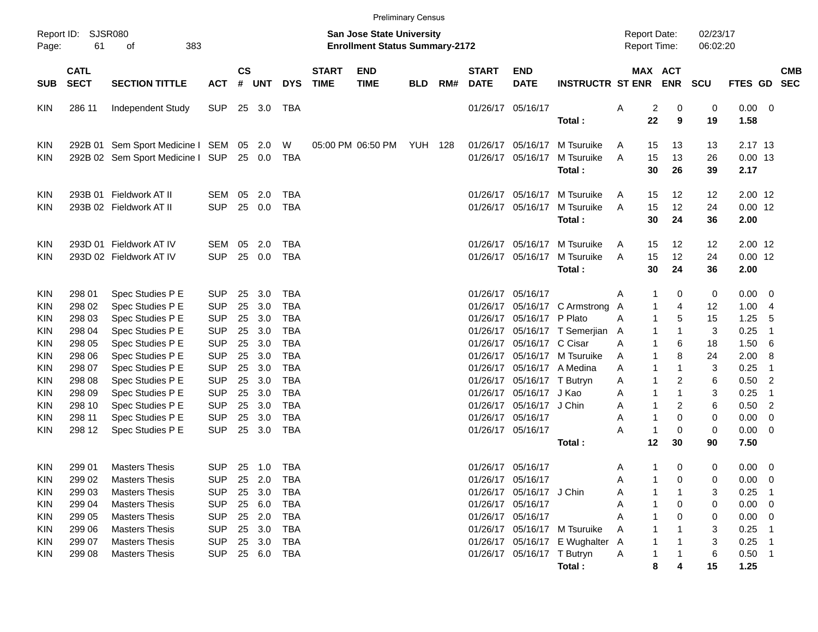|                     |                            |                                      |                          |                |            |            |                             |                                                                           | <b>Preliminary Census</b> |     |                             |                            |                                 |                     |                         |                       |                      |                |                         |                          |
|---------------------|----------------------------|--------------------------------------|--------------------------|----------------|------------|------------|-----------------------------|---------------------------------------------------------------------------|---------------------------|-----|-----------------------------|----------------------------|---------------------------------|---------------------|-------------------------|-----------------------|----------------------|----------------|-------------------------|--------------------------|
| Report ID:<br>Page: | 61                         | <b>SJSR080</b><br>383<br>οf          |                          |                |            |            |                             | <b>San Jose State University</b><br><b>Enrollment Status Summary-2172</b> |                           |     |                             |                            |                                 | <b>Report Date:</b> |                         | <b>Report Time:</b>   | 02/23/17<br>06:02:20 |                |                         |                          |
| <b>SUB</b>          | <b>CATL</b><br><b>SECT</b> | <b>SECTION TITTLE</b>                | <b>ACT</b>               | <b>CS</b><br># | UNT        | <b>DYS</b> | <b>START</b><br><b>TIME</b> | <b>END</b><br><b>TIME</b>                                                 | <b>BLD</b>                | RM# | <b>START</b><br><b>DATE</b> | <b>END</b><br><b>DATE</b>  | <b>INSTRUCTR ST ENR</b>         |                     |                         | MAX ACT<br><b>ENR</b> | SCU                  | <b>FTES GD</b> |                         | <b>CMB</b><br><b>SEC</b> |
| KIN.                | 286 11                     | Independent Study                    | <b>SUP</b>               | 25             | 3.0        | TBA        |                             |                                                                           |                           |     |                             | 01/26/17 05/16/17          |                                 | Α                   | $\overline{\mathbf{c}}$ | 0                     | 0                    | 0.00           | - 0                     |                          |
|                     |                            |                                      |                          |                |            |            |                             |                                                                           |                           |     |                             |                            | Total:                          |                     | 22                      | 9                     | 19                   | 1.58           |                         |                          |
| KIN                 |                            | 292B 01 Sem Sport Medicine I         | SEM                      | 05             | 2.0        | W          |                             | 05:00 PM 06:50 PM YUH 128                                                 |                           |     | 01/26/17                    | 05/16/17                   | M Tsuruike                      | A                   | 15                      | 13                    | 13                   | 2.17 13        |                         |                          |
| KIN.                |                            | 292B 02 Sem Sport Medicine I SUP     |                          | 25             | 0.0        | <b>TBA</b> |                             |                                                                           |                           |     | 01/26/17                    | 05/16/17                   | M Tsuruike                      | Α                   | 15                      | 13                    | 26                   | $0.00$ 13      |                         |                          |
|                     |                            |                                      |                          |                |            |            |                             |                                                                           |                           |     |                             |                            | Total:                          |                     | 30                      | 26                    | 39                   | 2.17           |                         |                          |
| KIN                 |                            | 293B 01 Fieldwork AT II              | SEM                      | 05             | 2.0        | <b>TBA</b> |                             |                                                                           |                           |     | 01/26/17                    | 05/16/17                   | M Tsuruike                      | A                   | 15                      | 12                    | 12                   | $2.00$ 12      |                         |                          |
| <b>KIN</b>          |                            | 293B 02 Fieldwork AT II              | <b>SUP</b>               | 25             | 0.0        | <b>TBA</b> |                             |                                                                           |                           |     | 01/26/17                    | 05/16/17                   | M Tsuruike                      | A                   | 15                      | 12                    | 24                   | $0.00$ 12      |                         |                          |
|                     |                            |                                      |                          |                |            |            |                             |                                                                           |                           |     |                             |                            | Total:                          |                     | 30                      | 24                    | 36                   | 2.00           |                         |                          |
| KIN                 |                            | 293D 01 Fieldwork AT IV              | <b>SEM</b>               | 05             | 2.0        | TBA        |                             |                                                                           |                           |     | 01/26/17                    | 05/16/17                   | M Tsuruike                      | A                   | 15                      | 12                    | 12                   | $2.00$ 12      |                         |                          |
| <b>KIN</b>          |                            | 293D 02 Fieldwork AT IV              | <b>SUP</b>               | 25             | 0.0        | <b>TBA</b> |                             |                                                                           |                           |     | 01/26/17                    | 05/16/17                   | M Tsuruike                      | Α                   | 15                      | 12                    | 24                   | $0.00$ 12      |                         |                          |
|                     |                            |                                      |                          |                |            |            |                             |                                                                           |                           |     |                             |                            | Total:                          |                     | 30                      | 24                    | 36                   | 2.00           |                         |                          |
| KIN                 | 298 01                     | Spec Studies P E                     | <b>SUP</b>               | 25             | 3.0        | TBA        |                             |                                                                           |                           |     | 01/26/17                    | 05/16/17                   |                                 | Α                   | 1                       | 0                     | 0                    | 0.00           | - 0                     |                          |
| KIN                 | 298 02                     | Spec Studies P E                     | <b>SUP</b>               | 25             | 3.0        | <b>TBA</b> |                             |                                                                           |                           |     | 01/26/17                    |                            | 05/16/17 C Armstrong            | A                   | 1                       | 4                     | 12                   | 1.00           | -4                      |                          |
| KIN                 | 298 03                     | Spec Studies P E                     | <b>SUP</b>               | 25             | 3.0        | <b>TBA</b> |                             |                                                                           |                           |     | 01/26/17                    | 05/16/17 P Plato           |                                 | A                   | 1                       | 5                     | 15                   | 1.25           | -5                      |                          |
| KIN                 | 298 04                     | Spec Studies P E                     | <b>SUP</b>               | 25             | 3.0        | <b>TBA</b> |                             |                                                                           |                           |     | 01/26/17                    |                            | 05/16/17 T Semerjian            | A                   | 1                       | 1                     | 3                    | 0.25           | $\overline{1}$          |                          |
| KIN                 | 298 05                     | Spec Studies P E                     | <b>SUP</b>               | 25             | 3.0        | <b>TBA</b> |                             |                                                                           |                           |     | 01/26/17                    | 05/16/17 C Cisar           |                                 | A                   |                         | 6                     | 18                   | 1.50           | 6                       |                          |
| KIN                 | 298 06                     | Spec Studies P E                     | <b>SUP</b>               | 25             | 3.0        | <b>TBA</b> |                             |                                                                           |                           |     | 01/26/17                    |                            | 05/16/17 M Tsuruike             | Α                   | 1                       | 8                     | 24                   | 2.00           | 8                       |                          |
| KIN                 | 298 07                     | Spec Studies P E                     | <b>SUP</b>               | 25             | 3.0        | <b>TBA</b> |                             |                                                                           |                           |     | 01/26/17                    |                            | 05/16/17 A Medina               | Α                   | 1                       | 1                     | 3                    | 0.25           | $\overline{1}$          |                          |
| KIN                 | 298 08                     | Spec Studies P E                     | <b>SUP</b>               | 25             | 3.0        | <b>TBA</b> |                             |                                                                           |                           |     | 01/26/17                    | 05/16/17 T Butryn          |                                 | Α                   | 1                       | 2                     | 6                    | 0.50           | $\overline{2}$          |                          |
| KIN                 | 298 09                     | Spec Studies P E                     | <b>SUP</b>               | 25             | 3.0        | <b>TBA</b> |                             |                                                                           |                           |     | 01/26/17                    | 05/16/17 J Kao             |                                 | Α                   | 1                       | 1                     | 3                    | 0.25           | $\overline{1}$          |                          |
| KIN                 | 298 10                     | Spec Studies P E                     | <b>SUP</b>               | 25             | 3.0        | <b>TBA</b> |                             |                                                                           |                           |     | 01/26/17                    | 05/16/17 J Chin            |                                 | Α                   | 1                       | 2                     | 6                    | 0.50           | $\overline{2}$          |                          |
| KIN                 | 298 11                     | Spec Studies P E<br>Spec Studies P E | <b>SUP</b><br><b>SUP</b> | 25<br>25       | 3.0<br>3.0 | <b>TBA</b> |                             |                                                                           |                           |     | 01/26/17                    | 05/16/17                   |                                 | A<br>Α              | 1<br>1                  | 0<br>0                | 0<br>0               | 0.00<br>0.00   | 0                       |                          |
| <b>KIN</b>          | 298 12                     |                                      |                          |                |            | TBA        |                             |                                                                           |                           |     |                             | 01/26/17 05/16/17          | Total:                          |                     | 12                      | 30                    | 90                   | 7.50           | 0                       |                          |
|                     |                            |                                      |                          |                |            |            |                             |                                                                           |                           |     |                             |                            |                                 |                     |                         |                       |                      |                |                         |                          |
| KIN.                | 299 01                     | <b>Masters Thesis</b>                | <b>SUP</b>               | 25             | 1.0        | TBA        |                             |                                                                           |                           |     |                             | 01/26/17 05/16/17          |                                 | A                   | 1                       | 0                     | 0                    | 0.00           | $\overline{\mathbf{0}}$ |                          |
| <b>KIN</b>          | 299 02                     | <b>Masters Thesis</b>                | <b>SUP</b>               | 25             | 2.0        | TBA        |                             |                                                                           |                           |     |                             | 01/26/17 05/16/17          |                                 | A                   |                         | 0                     | 0                    | 0.00           | - 0                     |                          |
| <b>KIN</b>          | 299 03                     | <b>Masters Thesis</b>                | <b>SUP</b>               | 25             | 3.0        | TBA        |                             |                                                                           |                           |     |                             | 01/26/17 05/16/17 J Chin   |                                 | Α                   |                         |                       | 3                    | 0.25           | - 1                     |                          |
| KIN                 | 299 04                     | <b>Masters Thesis</b>                | <b>SUP</b>               | 25             | 6.0        | TBA        |                             |                                                                           |                           |     |                             | 01/26/17 05/16/17          |                                 | Α                   |                         | 0                     | 0                    | 0.00           | - 0                     |                          |
| KIN                 | 299 05                     | <b>Masters Thesis</b>                | <b>SUP</b>               | 25             | 2.0        | TBA        |                             |                                                                           |                           |     |                             | 01/26/17 05/16/17          |                                 |                     |                         | 0                     | 0                    | 0.00           | - 0                     |                          |
| KIN                 | 299 06                     | <b>Masters Thesis</b>                | <b>SUP</b>               | 25             | 3.0        | TBA        |                             |                                                                           |                           |     |                             |                            | 01/26/17 05/16/17 M Tsuruike    | A                   |                         |                       | 3                    | 0.25           |                         |                          |
| KIN                 | 299 07                     | <b>Masters Thesis</b>                | <b>SUP</b>               | 25             | 3.0        | TBA        |                             |                                                                           |                           |     |                             |                            | 01/26/17 05/16/17 E Wughalter A |                     |                         |                       | 3                    | 0.25           | - 1                     |                          |
| KIN                 | 299 08                     | <b>Masters Thesis</b>                | <b>SUP</b>               |                | 25 6.0     | TBA        |                             |                                                                           |                           |     |                             | 01/26/17 05/16/17 T Butryn |                                 | A                   |                         |                       | $\,6$                | $0.50$ 1       |                         |                          |
|                     |                            |                                      |                          |                |            |            |                             |                                                                           |                           |     |                             |                            | Total:                          |                     | 8                       | 4                     | 15                   | 1.25           |                         |                          |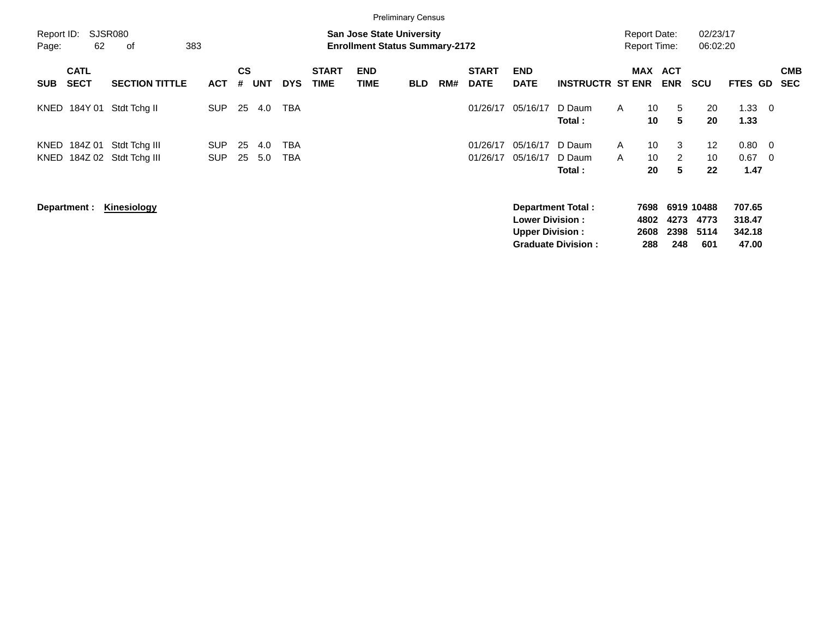|                     |                            |                                |                          |                |            |            |                             | <b>Preliminary Census</b>                                                 |            |     |                             |                                                  |                                                |                              |                                            |                     |                                   |                                     |                         |                          |
|---------------------|----------------------------|--------------------------------|--------------------------|----------------|------------|------------|-----------------------------|---------------------------------------------------------------------------|------------|-----|-----------------------------|--------------------------------------------------|------------------------------------------------|------------------------------|--------------------------------------------|---------------------|-----------------------------------|-------------------------------------|-------------------------|--------------------------|
| Report ID:<br>Page: | 62                         | <b>SJSR080</b><br>383<br>оf    |                          |                |            |            |                             | <b>San Jose State University</b><br><b>Enrollment Status Summary-2172</b> |            |     |                             |                                                  |                                                |                              | <b>Report Date:</b><br><b>Report Time:</b> |                     | 02/23/17<br>06:02:20              |                                     |                         |                          |
| <b>SUB</b>          | <b>CATL</b><br><b>SECT</b> | <b>SECTION TITTLE</b>          | <b>ACT</b>               | <b>CS</b><br># | <b>UNT</b> | <b>DYS</b> | <b>START</b><br><b>TIME</b> | <b>END</b><br>TIME                                                        | <b>BLD</b> | RM# | <b>START</b><br><b>DATE</b> | <b>END</b><br><b>DATE</b>                        | <b>INSTRUCTR ST ENR</b>                        |                              | MAX                                        | ACT<br><b>ENR</b>   | <b>SCU</b>                        | <b>FTES GD</b>                      |                         | <b>CMB</b><br><b>SEC</b> |
| KNED                | 184Y 01                    | Stdt Tchg II                   | <b>SUP</b>               | 25             | 4.0        | <b>TBA</b> |                             |                                                                           |            |     | 01/26/17                    | 05/16/17                                         | D Daum<br>Total:                               | A                            | 10<br>10                                   | 5<br>5              | 20<br>20                          | 1.33<br>1.33                        | - 0                     |                          |
| KNED<br>KNED        | 184Z 01<br>184Z 02         | Stdt Tchg III<br>Stdt Tchg III | <b>SUP</b><br><b>SUP</b> | 25<br>25       | 4.0<br>5.0 | TBA<br>TBA |                             |                                                                           |            |     | 01/26/17<br>01/26/17        | 05/16/17<br>05/16/17                             | D Daum<br>D Daum<br>Total :                    | $\mathsf{A}$<br>$\mathsf{A}$ | 10<br>10<br>20                             | 3<br>2<br>5         | $12 \overline{ }$<br>10<br>22     | $0.80 \quad 0$<br>0.67<br>1.47      | $\overline{\mathbf{0}}$ |                          |
|                     | Department :               | <b>Kinesiology</b>             |                          |                |            |            |                             |                                                                           |            |     |                             | <b>Lower Division:</b><br><b>Upper Division:</b> | Department Total:<br><b>Graduate Division:</b> |                              | 7698<br>4802<br>2608<br>288                | 4273<br>2398<br>248 | 6919 10488<br>4773<br>5114<br>601 | 707.65<br>318.47<br>342.18<br>47.00 |                         |                          |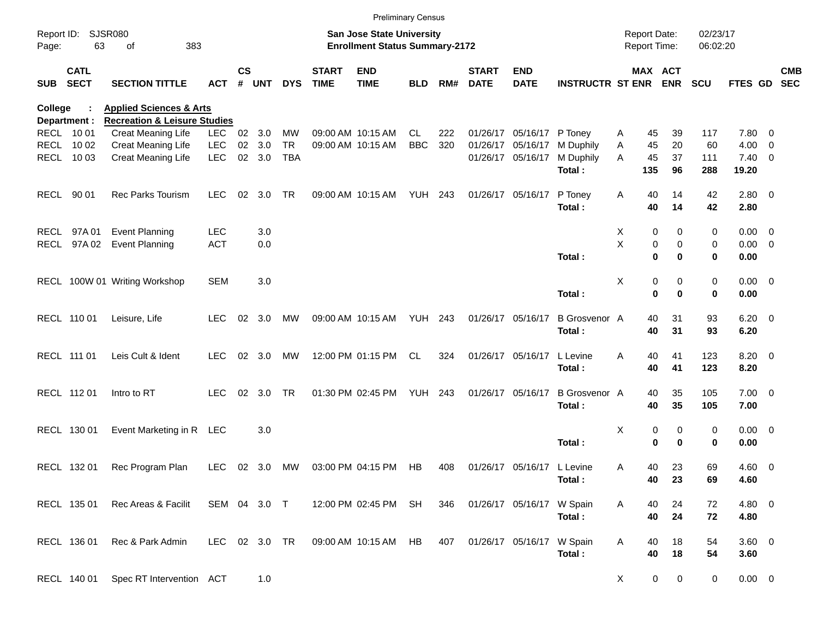|                |                            |                                                                               |               |                 |        |            |                             |                                                                           | <b>Preliminary Census</b> |     |                             |                            |                         |         |                                     |                      |                      |                          |            |
|----------------|----------------------------|-------------------------------------------------------------------------------|---------------|-----------------|--------|------------|-----------------------------|---------------------------------------------------------------------------|---------------------------|-----|-----------------------------|----------------------------|-------------------------|---------|-------------------------------------|----------------------|----------------------|--------------------------|------------|
| Page:          | Report ID: SJSR080<br>63   | 383<br>of                                                                     |               |                 |        |            |                             | <b>San Jose State University</b><br><b>Enrollment Status Summary-2172</b> |                           |     |                             |                            |                         |         | <b>Report Date:</b><br>Report Time: |                      | 02/23/17<br>06:02:20 |                          |            |
| <b>SUB</b>     | <b>CATL</b><br><b>SECT</b> | <b>SECTION TITTLE</b>                                                         | <b>ACT</b>    | $\mathsf{cs}$   | # UNT  | <b>DYS</b> | <b>START</b><br><b>TIME</b> | <b>END</b><br><b>TIME</b>                                                 | <b>BLD</b>                | RM# | <b>START</b><br><b>DATE</b> | <b>END</b><br><b>DATE</b>  | <b>INSTRUCTR ST ENR</b> |         | MAX ACT<br><b>ENR</b>               | <b>SCU</b>           | FTES GD SEC          |                          | <b>CMB</b> |
| <b>College</b> |                            | <b>Applied Sciences &amp; Arts</b><br><b>Recreation &amp; Leisure Studies</b> |               |                 |        |            |                             |                                                                           |                           |     |                             |                            |                         |         |                                     |                      |                      |                          |            |
|                | Department :<br>RECL 10 01 | Creat Meaning Life                                                            | <b>LEC</b>    |                 | 02 3.0 | МW         |                             | 09:00 AM 10:15 AM                                                         | CL                        | 222 |                             | 01/26/17 05/16/17 P Toney  |                         | A       | 45<br>39                            | 117                  | 7.80                 | $\overline{\phantom{0}}$ |            |
|                | RECL 10 02                 | <b>Creat Meaning Life</b>                                                     | <b>LEC</b>    | 02 <sub>o</sub> | 3.0    | <b>TR</b>  |                             | 09:00 AM 10:15 AM                                                         | <b>BBC</b>                | 320 |                             | 01/26/17 05/16/17          | M Duphily               | Α       | 45<br>20                            | 60                   | 4.00                 | $\overline{\phantom{0}}$ |            |
|                | RECL 10 03                 | Creat Meaning Life                                                            | <b>LEC</b>    |                 | 02 3.0 | <b>TBA</b> |                             |                                                                           |                           |     |                             | 01/26/17 05/16/17          | M Duphily               | A       | 45<br>37                            | 111                  | $7.40 \quad 0$       |                          |            |
|                |                            |                                                                               |               |                 |        |            |                             |                                                                           |                           |     |                             |                            | Total:                  | 135     | 96                                  | 288                  | 19.20                |                          |            |
|                | RECL 90 01                 | <b>Rec Parks Tourism</b>                                                      | <b>LEC</b>    | 02              | 3.0    | TR         |                             | 09:00 AM 10:15 AM                                                         | YUH 243                   |     |                             | 01/26/17 05/16/17          | P Toney<br>Total:       | A       | 40<br>14<br>40<br>14                | 42<br>42             | 2.80 0<br>2.80       |                          |            |
|                | RECL 97A01                 | <b>Event Planning</b>                                                         | <b>LEC</b>    |                 | 3.0    |            |                             |                                                                           |                           |     |                             |                            |                         | Х       | 0                                   | 0<br>0               | $0.00 \t 0$          |                          |            |
|                | RECL 97A02                 | <b>Event Planning</b>                                                         | <b>ACT</b>    |                 | 0.0    |            |                             |                                                                           |                           |     |                             |                            |                         | $\sf X$ | $\pmb{0}$                           | 0<br>0               | $0.00 \t 0$          |                          |            |
|                |                            |                                                                               |               |                 |        |            |                             |                                                                           |                           |     |                             |                            | Total:                  |         | $\bf{0}$                            | 0<br>$\mathbf 0$     | 0.00                 |                          |            |
|                |                            | RECL 100W 01 Writing Workshop                                                 | <b>SEM</b>    |                 | 3.0    |            |                             |                                                                           |                           |     |                             |                            |                         | Х       | 0                                   | 0<br>0               | $0.00 \t 0$          |                          |            |
|                |                            |                                                                               |               |                 |        |            |                             |                                                                           |                           |     |                             |                            | Total:                  |         | $\mathbf 0$                         | $\bf{0}$<br>$\bf{0}$ | 0.00                 |                          |            |
|                | RECL 110 01                | Leisure, Life                                                                 | <b>LEC</b>    | 02              | 3.0    | MW         |                             | 09:00 AM 10:15 AM                                                         | <b>YUH 243</b>            |     |                             | 01/26/17 05/16/17          | <b>B</b> Grosvenor A    |         | 40<br>31                            | 93                   | $6.20 \t 0$          |                          |            |
|                |                            |                                                                               |               |                 |        |            |                             |                                                                           |                           |     |                             |                            | Total:                  |         | 40<br>31                            | 93                   | 6.20                 |                          |            |
|                | RECL 111 01                | Leis Cult & Ident                                                             | <b>LEC</b>    | 02              | 3.0    | MW         |                             | 12:00 PM 01:15 PM                                                         | CL.                       | 324 |                             | 01/26/17 05/16/17          | L Levine                | Α       | 40<br>41                            | 123                  | 8.20 0               |                          |            |
|                |                            |                                                                               |               |                 |        |            |                             |                                                                           |                           |     |                             |                            | Total:                  |         | 40<br>41                            | 123                  | 8.20                 |                          |            |
|                | RECL 112 01                | Intro to RT                                                                   | <b>LEC</b>    | 02              | 3.0    | TR         |                             | 01:30 PM 02:45 PM                                                         | <b>YUH 243</b>            |     |                             | 01/26/17 05/16/17          | <b>B</b> Grosvenor A    |         | 40<br>35                            | 105                  | $7.00 \t 0$          |                          |            |
|                |                            |                                                                               |               |                 |        |            |                             |                                                                           |                           |     |                             |                            | Total:                  |         | 40<br>35                            | 105                  | 7.00                 |                          |            |
|                | RECL 130 01                | Event Marketing in R LEC                                                      |               |                 | 3.0    |            |                             |                                                                           |                           |     |                             |                            |                         | Х       | 0                                   | 0<br>0               | $0.00 \t 0$          |                          |            |
|                |                            |                                                                               |               |                 |        |            |                             |                                                                           |                           |     |                             |                            | Total:                  |         | $\mathbf 0$                         | $\bf{0}$<br>0        | 0.00                 |                          |            |
|                | RECL 132 01                | Rec Program Plan                                                              | LEC.          |                 | 02 3.0 | MW         |                             | 03:00 PM 04:15 PM                                                         | HB                        | 408 |                             | 01/26/17 05/16/17 L Levine |                         | A       | 23<br>40                            | 69                   | $4.60$ 0             |                          |            |
|                |                            |                                                                               |               |                 |        |            |                             |                                                                           |                           |     |                             |                            | Total:                  |         | 40<br>23                            | 69                   | 4.60                 |                          |            |
|                | RECL 135 01                | Rec Areas & Facilit                                                           | SEM 04 3.0 T  |                 |        |            |                             | 12:00 PM 02:45 PM SH                                                      |                           | 346 |                             | 01/26/17 05/16/17 W Spain  |                         | A       | 40<br>24                            | 72                   | 4.80 0               |                          |            |
|                |                            |                                                                               |               |                 |        |            |                             |                                                                           |                           |     |                             |                            | Total:                  |         | 40<br>24                            | 72                   | 4.80                 |                          |            |
|                | RECL 136 01                | Rec & Park Admin                                                              | LEC 02 3.0 TR |                 |        |            |                             | 09:00 AM 10:15 AM HB                                                      |                           | 407 |                             | 01/26/17 05/16/17 W Spain  |                         | A       | 18<br>40                            | 54                   | 3.60 0               |                          |            |
|                |                            |                                                                               |               |                 |        |            |                             |                                                                           |                           |     |                             |                            | Total:                  |         | 40<br>18                            | 54                   | 3.60                 |                          |            |
|                | RECL 140 01                | Spec RT Intervention ACT                                                      |               |                 | 1.0    |            |                             |                                                                           |                           |     |                             |                            |                         | X       | 0                                   | $\mathbf 0$<br>0     | $0.00 \t 0$          |                          |            |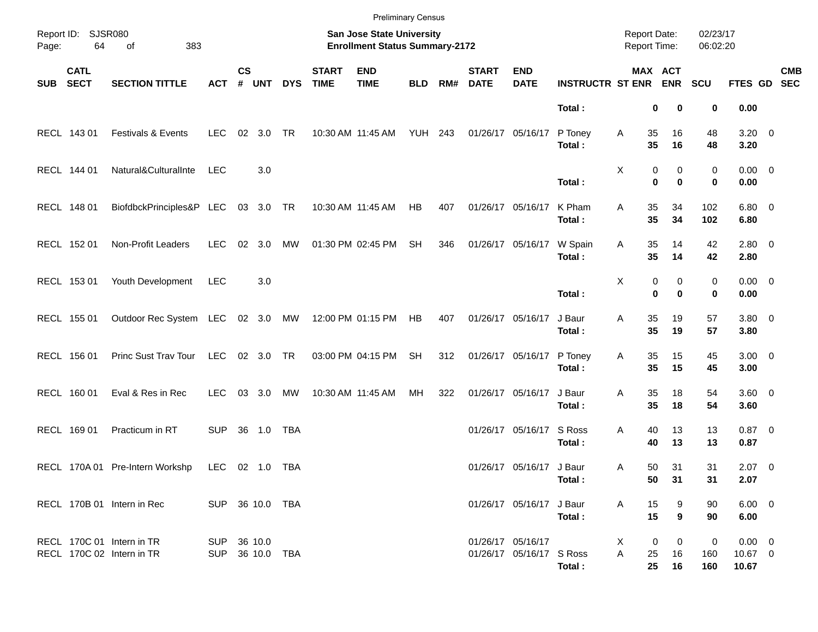|            |                            |                                                        |                 |                    |                 |            |                             | <b>Preliminary Census</b>                                          |                |     |                             |                                               |                         |                                            |                                |                      |                                 |            |
|------------|----------------------------|--------------------------------------------------------|-----------------|--------------------|-----------------|------------|-----------------------------|--------------------------------------------------------------------|----------------|-----|-----------------------------|-----------------------------------------------|-------------------------|--------------------------------------------|--------------------------------|----------------------|---------------------------------|------------|
| Page:      | Report ID: SJSR080<br>64   | 383<br>of                                              |                 |                    |                 |            |                             | San Jose State University<br><b>Enrollment Status Summary-2172</b> |                |     |                             |                                               |                         | <b>Report Date:</b><br><b>Report Time:</b> |                                | 02/23/17<br>06:02:20 |                                 |            |
| <b>SUB</b> | <b>CATL</b><br><b>SECT</b> | <b>SECTION TITTLE</b>                                  | <b>ACT</b>      | $\mathsf{cs}$<br># | <b>UNT</b>      | <b>DYS</b> | <b>START</b><br><b>TIME</b> | <b>END</b><br><b>TIME</b>                                          | <b>BLD</b>     | RM# | <b>START</b><br><b>DATE</b> | <b>END</b><br><b>DATE</b>                     | <b>INSTRUCTR ST ENR</b> |                                            | MAX ACT<br><b>ENR</b>          | <b>SCU</b>           | FTES GD SEC                     | <b>CMB</b> |
|            |                            |                                                        |                 |                    |                 |            |                             |                                                                    |                |     |                             |                                               | Total:                  |                                            | 0<br>0                         | 0                    | 0.00                            |            |
|            | RECL 143 01                | Festivals & Events                                     | <b>LEC</b>      | 02                 | 3.0             | <b>TR</b>  |                             | 10:30 AM 11:45 AM                                                  | <b>YUH 243</b> |     |                             | 01/26/17 05/16/17                             | P Toney<br>Total:       | Α                                          | 35<br>16<br>35<br>16           | 48<br>48             | $3.20 \ 0$<br>3.20              |            |
|            | RECL 144 01                | Natural&CulturalInte                                   | <b>LEC</b>      |                    | 3.0             |            |                             |                                                                    |                |     |                             |                                               | Total:                  | X                                          | 0<br>0<br>$\bf{0}$<br>$\bf{0}$ | 0<br>0               | $0.00 \t 0$<br>0.00             |            |
|            | RECL 148 01                | BiofdbckPrinciples&P LEC                               |                 |                    | 03 3.0 TR       |            |                             | 10:30 AM 11:45 AM                                                  | HB             | 407 | 01/26/17 05/16/17           |                                               | K Pham<br>Total:        | Α                                          | 35<br>34<br>35<br>34           | 102<br>102           | $6.80$ 0<br>6.80                |            |
|            | RECL 152 01                | Non-Profit Leaders                                     | <b>LEC</b>      | 02                 | 3.0             | MW         |                             | 01:30 PM 02:45 PM                                                  | <b>SH</b>      | 346 | 01/26/17 05/16/17           |                                               | W Spain<br>Total:       | Α                                          | 35<br>14<br>35<br>14           | 42<br>42             | $2.80 \t 0$<br>2.80             |            |
|            | RECL 153 01                | Youth Development                                      | <b>LEC</b>      |                    | 3.0             |            |                             |                                                                    |                |     |                             |                                               | Total:                  | X                                          | 0<br>0<br>$\bf{0}$<br>$\bf{0}$ | 0<br>0               | $0.00 \t 0$<br>0.00             |            |
|            | RECL 155 01                | Outdoor Rec System LEC 02 3.0 MW                       |                 |                    |                 |            |                             | 12:00 PM 01:15 PM                                                  | HB             | 407 | 01/26/17 05/16/17           |                                               | J Baur<br>Total:        | Α                                          | 35<br>19<br>35<br>19           | 57<br>57             | $3.80\ 0$<br>3.80               |            |
|            | RECL 156 01                | Princ Sust Trav Tour                                   | LEC             |                    | 02 3.0 TR       |            |                             | 03:00 PM 04:15 PM                                                  | <b>SH</b>      | 312 |                             | 01/26/17 05/16/17                             | P Toney<br>Total:       | Α                                          | 35<br>15<br>35<br>15           | 45<br>45             | $3.00 \ 0$<br>3.00              |            |
|            | RECL 160 01                | Eval & Res in Rec                                      | <b>LEC</b>      | 03                 | 3.0             | MW         |                             | 10:30 AM 11:45 AM                                                  | MH             | 322 | 01/26/17 05/16/17           |                                               | J Baur<br>Total:        | Α                                          | 35<br>18<br>35<br>18           | 54<br>54             | 3.60 0<br>3.60                  |            |
|            | RECL 169 01                | Practicum in RT                                        | <b>SUP</b>      | 36                 | 1.0             | <b>TBA</b> |                             |                                                                    |                |     |                             | 01/26/17 05/16/17                             | S Ross<br>Total:        | Α                                          | 40<br>13<br>40<br>13           | 13<br>13             | $0.87$ 0<br>0.87                |            |
|            |                            | RECL 170A 01 Pre-Intern Workshp                        | LEC             |                    | 02  1.0  TBA    |            |                             |                                                                    |                |     |                             | 01/26/17 05/16/17 J Baur                      | Total:                  | Α                                          | 50<br>31<br>50 31              | 31<br>31             | $2.07$ 0<br>2.07                |            |
|            |                            | RECL 170B 01 Intern in Rec                             | SUP 36 10.0 TBA |                    |                 |            |                             |                                                                    |                |     |                             | 01/26/17 05/16/17 J Baur                      | Total:                  | A                                          | 15<br>9<br>15<br>9             | 90<br>90             | $6.00 \t 0$<br>6.00             |            |
|            |                            | RECL 170C 01 Intern in TR<br>RECL 170C 02 Intern in TR | SUP 36 10.0     |                    | SUP 36 10.0 TBA |            |                             |                                                                    |                |     |                             | 01/26/17 05/16/17<br>01/26/17 05/16/17 S Ross | Total:                  | X<br>A                                     | 0<br>0<br>16<br>25<br>25<br>16 | 0<br>160<br>160      | $0.00 \t 0$<br>10.67 0<br>10.67 |            |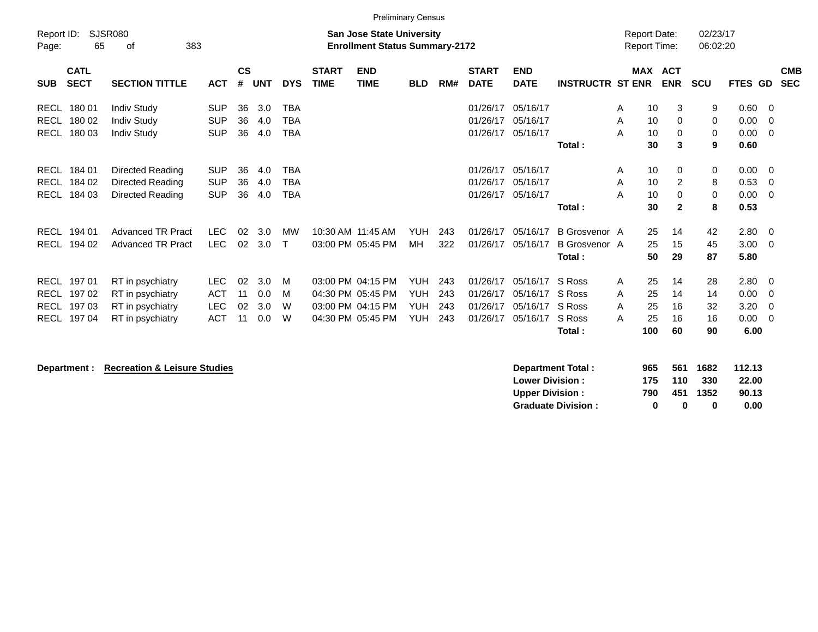| Report ID:<br>Page:                                      | SJSR080<br>65    | 383<br>οf                                                                    |                                                      |                      |                          |                                        |                             | <b>Preliminary Census</b><br><b>San Jose State University</b><br><b>Enrollment Status Summary-2172</b> |                                                      |                          |                                              |                                              |                                                 | <b>Report Date:</b><br><b>Report Time:</b> |                                                                  | 02/23/17<br>06:02:20       |                                      |                                 |                          |
|----------------------------------------------------------|------------------|------------------------------------------------------------------------------|------------------------------------------------------|----------------------|--------------------------|----------------------------------------|-----------------------------|--------------------------------------------------------------------------------------------------------|------------------------------------------------------|--------------------------|----------------------------------------------|----------------------------------------------|-------------------------------------------------|--------------------------------------------|------------------------------------------------------------------|----------------------------|--------------------------------------|---------------------------------|--------------------------|
| <b>CATL</b><br><b>SECT</b><br><b>SUB</b>                 |                  | <b>SECTION TITTLE</b>                                                        | <b>ACT</b>                                           | $\mathsf{cs}$<br>#   | <b>UNT</b>               | <b>DYS</b>                             | <b>START</b><br><b>TIME</b> | <b>END</b><br><b>TIME</b>                                                                              | <b>BLD</b>                                           | RM#                      | <b>START</b><br><b>DATE</b>                  | <b>END</b><br><b>DATE</b>                    | <b>INSTRUCTR ST ENR</b>                         |                                            | <b>MAX ACT</b><br><b>ENR</b>                                     | <b>SCU</b>                 | FTES GD                              |                                 | <b>CMB</b><br><b>SEC</b> |
| RECL<br>RECL 180 02<br><b>RECL</b>                       | 180 01<br>180 03 | <b>Indiv Study</b><br><b>Indiv Study</b><br><b>Indiv Study</b>               | <b>SUP</b><br><b>SUP</b><br><b>SUP</b>               | 36<br>36<br>36       | 3.0<br>4.0<br>4.0        | <b>TBA</b><br><b>TBA</b><br><b>TBA</b> |                             |                                                                                                        |                                                      |                          | 01/26/17<br>01/26/17<br>01/26/17             | 05/16/17<br>05/16/17<br>05/16/17             | Total:                                          | A<br>A<br>A                                | 10<br>3<br>10<br>$\Omega$<br>10<br>0<br>30<br>3                  | 9<br>0<br>$\mathbf 0$<br>9 | 0.60<br>0.00<br>0.00<br>0.60         | - 0<br>- 0<br>- 0               |                          |
| RECL 184 01<br>RECL<br>RECL                              | 184 02<br>184 03 | Directed Reading<br>Directed Reading<br>Directed Reading                     | <b>SUP</b><br><b>SUP</b><br><b>SUP</b>               | 36<br>36<br>36       | 4.0<br>4.0<br>4.0        | <b>TBA</b><br><b>TBA</b><br><b>TBA</b> |                             |                                                                                                        |                                                      |                          | 01/26/17<br>01/26/17<br>01/26/17             | 05/16/17<br>05/16/17<br>05/16/17             | Total:                                          | A<br>A<br>A                                | 10<br>0<br>$\overline{c}$<br>10<br>10<br>0<br>30<br>$\mathbf{2}$ | 0<br>8<br>$\mathbf 0$<br>8 | 0.00<br>0.53<br>0.00<br>0.53         | - 0<br>- 0<br>- 0               |                          |
| RECL<br>RECL                                             | 194 01<br>194 02 | <b>Advanced TR Pract</b><br><b>Advanced TR Pract</b>                         | <b>LEC</b><br><b>LEC</b>                             | 02<br>02             | 3.0<br>3.0               | MW<br>T                                |                             | 10:30 AM 11:45 AM<br>03:00 PM 05:45 PM                                                                 | <b>YUH</b><br>MH                                     | 243<br>322               | 01/26/17<br>01/26/17                         | 05/16/17<br>05/16/17                         | B Grosvenor A<br><b>B</b> Grosvenor A<br>Total: |                                            | 25<br>14<br>25<br>15<br>50<br>29                                 | 42<br>45<br>87             | 2.80<br>3.00<br>5.80                 | $\overline{\phantom{0}}$<br>- 0 |                          |
| RECL 197 01<br>RECL 197 02<br>RECL 197 03<br>RECL 197 04 |                  | RT in psychiatry<br>RT in psychiatry<br>RT in psychiatry<br>RT in psychiatry | <b>LEC</b><br><b>ACT</b><br><b>LEC</b><br><b>ACT</b> | 02<br>11<br>02<br>11 | 3.0<br>0.0<br>3.0<br>0.0 | M<br>M<br>W<br>W                       |                             | 03:00 PM 04:15 PM<br>04:30 PM 05:45 PM<br>03:00 PM 04:15 PM<br>04:30 PM 05:45 PM                       | <b>YUH</b><br><b>YUH</b><br><b>YUH</b><br><b>YUH</b> | 243<br>243<br>243<br>243 | 01/26/17<br>01/26/17<br>01/26/17<br>01/26/17 | 05/16/17<br>05/16/17<br>05/16/17<br>05/16/17 | S Ross<br>S Ross<br>S Ross<br>S Ross<br>Total:  | A<br>A<br>A<br>25<br>A<br>100              | 25<br>14<br>25<br>14<br>25<br>16<br>16<br>60                     | 28<br>14<br>32<br>16<br>90 | 2.80<br>0.00<br>3.20<br>0.00<br>6.00 | - 0<br>- 0<br>- 0<br>- 0        |                          |

**Department : Recreation & Leisure Studies** 

| Department Total:         | 965 |     | 561 1682 | 112.13 |
|---------------------------|-----|-----|----------|--------|
| <b>Lower Division:</b>    | 175 | 110 | -330     | 22.00  |
| <b>Upper Division:</b>    | 790 |     | 451 1352 | 90.13  |
| <b>Graduate Division:</b> | o   | n   | o        | 0.00   |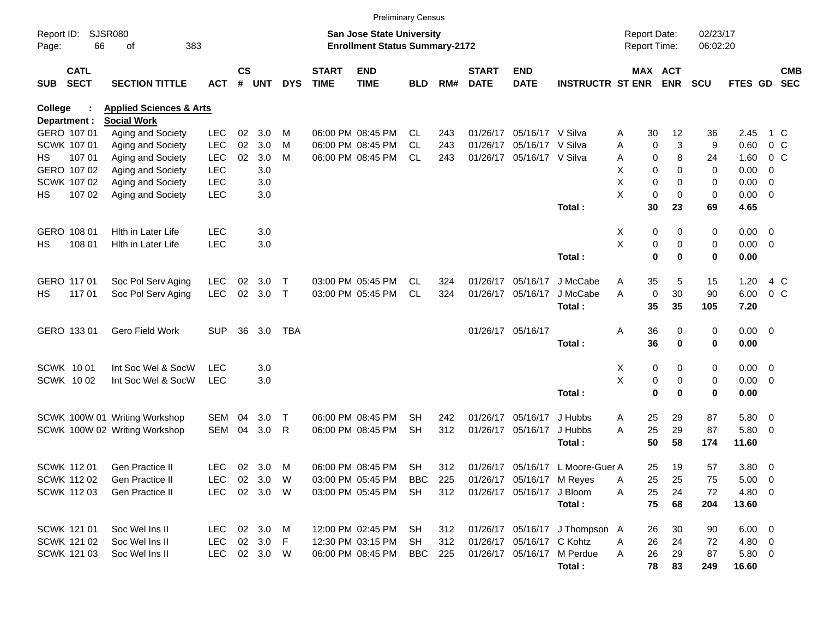|            |                            |                                    |              |                    |            |              |                             | <b>Preliminary Census</b>             |            |     |                             |                           |                                  |                     |             |                       |            |                |                |                          |
|------------|----------------------------|------------------------------------|--------------|--------------------|------------|--------------|-----------------------------|---------------------------------------|------------|-----|-----------------------------|---------------------------|----------------------------------|---------------------|-------------|-----------------------|------------|----------------|----------------|--------------------------|
| Report ID: |                            | SJSR080                            |              |                    |            |              |                             | <b>San Jose State University</b>      |            |     |                             |                           |                                  | <b>Report Date:</b> |             |                       | 02/23/17   |                |                |                          |
| Page:      | 66                         | 383<br>οf                          |              |                    |            |              |                             | <b>Enrollment Status Summary-2172</b> |            |     |                             |                           |                                  | Report Time:        |             |                       | 06:02:20   |                |                |                          |
| <b>SUB</b> | <b>CATL</b><br><b>SECT</b> | <b>SECTION TITTLE</b>              | <b>ACT</b>   | $\mathsf{cs}$<br># | <b>UNT</b> | <b>DYS</b>   | <b>START</b><br><b>TIME</b> | <b>END</b><br><b>TIME</b>             | <b>BLD</b> | RM# | <b>START</b><br><b>DATE</b> | <b>END</b><br><b>DATE</b> | <b>INSTRUCTR ST ENR</b>          |                     |             | MAX ACT<br><b>ENR</b> | <b>SCU</b> | <b>FTES GD</b> |                | <b>CMB</b><br><b>SEC</b> |
|            |                            |                                    |              |                    |            |              |                             |                                       |            |     |                             |                           |                                  |                     |             |                       |            |                |                |                          |
| College    |                            | <b>Applied Sciences &amp; Arts</b> |              |                    |            |              |                             |                                       |            |     |                             |                           |                                  |                     |             |                       |            |                |                |                          |
|            | Department :               | <b>Social Work</b>                 |              |                    |            |              |                             |                                       |            |     |                             |                           |                                  |                     |             |                       |            |                |                |                          |
|            | GERO 107 01                | Aging and Society                  | <b>LEC</b>   | 02                 | 3.0        | M            |                             | 06:00 PM 08:45 PM                     | CL.        | 243 | 01/26/17                    | 05/16/17 V Silva          |                                  | Α                   | 30          | 12                    | 36         | 2.45           | 1 C            |                          |
|            | SCWK 107 01                | Aging and Society                  | <b>LEC</b>   | 02                 | 3.0        | M            |                             | 06:00 PM 08:45 PM                     | <b>CL</b>  | 243 | 01/26/17                    | 05/16/17 V Silva          |                                  | Α                   | $\mathbf 0$ | 3                     | 9          | 0.60           | 0 <sup>o</sup> |                          |
| HS.        | 107 01                     | Aging and Society                  | <b>LEC</b>   | 02                 | 3.0        | M            |                             | 06:00 PM 08:45 PM                     | CL         | 243 | 01/26/17                    | 05/16/17 V Silva          |                                  | Α                   | 0           | 8                     | 24         | 1.60           | $0\,C$         |                          |
|            | GERO 107 02                | Aging and Society                  | <b>LEC</b>   |                    | 3.0        |              |                             |                                       |            |     |                             |                           |                                  | х                   | 0           | 0                     | 0          | 0.00           | 0              |                          |
|            | SCWK 107 02                | Aging and Society                  | <b>LEC</b>   |                    | 3.0        |              |                             |                                       |            |     |                             |                           |                                  | X                   | 0           | 0                     | 0          | 0.00           | $\overline{0}$ |                          |
| HS         | 107 02                     | Aging and Society                  | <b>LEC</b>   |                    | 3.0        |              |                             |                                       |            |     |                             |                           |                                  | X                   | 0           | $\mathbf 0$           | 0          | $0.00 \t 0$    |                |                          |
|            |                            |                                    |              |                    |            |              |                             |                                       |            |     |                             |                           | Total:                           |                     | 30          | 23                    | 69         | 4.65           |                |                          |
|            | GERO 108 01                | Hith in Later Life                 | <b>LEC</b>   |                    | 3.0        |              |                             |                                       |            |     |                             |                           |                                  | X                   | 0           | 0                     | 0          | $0.00 \t 0$    |                |                          |
| HS         | 108 01                     | Hith in Later Life                 | <b>LEC</b>   |                    | 3.0        |              |                             |                                       |            |     |                             |                           |                                  | X                   | 0           | 0                     | 0          | $0.00 \t 0$    |                |                          |
|            |                            |                                    |              |                    |            |              |                             |                                       |            |     |                             |                           | Total:                           |                     | $\mathbf 0$ | 0                     | 0          | 0.00           |                |                          |
|            | GERO 117 01                | Soc Pol Serv Aging                 | LEC          | 02                 | 3.0        | $\mathsf{T}$ |                             | 03:00 PM 05:45 PM                     | CL         | 324 | 01/26/17                    | 05/16/17                  | J McCabe                         | Α                   | 35          | 5                     | 15         | 1.20           | 4 C            |                          |
| HS.        | 117 01                     | Soc Pol Serv Aging                 | <b>LEC</b>   | 02                 | 3.0        | $\top$       |                             | 03:00 PM 05:45 PM                     | <b>CL</b>  | 324 | 01/26/17                    | 05/16/17                  | J McCabe                         | A                   | 0           | 30                    | 90         | 6.00           | 0 <sup>o</sup> |                          |
|            |                            |                                    |              |                    |            |              |                             |                                       |            |     |                             |                           | Total:                           |                     | 35          | 35                    | 105        | 7.20           |                |                          |
|            |                            |                                    |              |                    |            |              |                             |                                       |            |     |                             |                           |                                  |                     |             |                       |            |                |                |                          |
|            | GERO 133 01                | Gero Field Work                    | <b>SUP</b>   | 36                 | 3.0        | TBA          |                             |                                       |            |     |                             | 01/26/17 05/16/17         |                                  | Α                   | 36          | 0                     | 0          | $0.00 \t 0$    |                |                          |
|            |                            |                                    |              |                    |            |              |                             |                                       |            |     |                             |                           | Total:                           |                     | 36          | $\mathbf 0$           | 0          | 0.00           |                |                          |
|            | <b>SCWK 1001</b>           | Int Soc Wel & SocW                 | <b>LEC</b>   |                    | 3.0        |              |                             |                                       |            |     |                             |                           |                                  | X                   | 0           | 0                     | 0          | $0.00 \t 0$    |                |                          |
|            | <b>SCWK 1002</b>           | Int Soc Wel & SocW                 | <b>LEC</b>   |                    | 3.0        |              |                             |                                       |            |     |                             |                           |                                  | X                   | 0           | 0                     | 0          | $0.00 \t 0$    |                |                          |
|            |                            |                                    |              |                    |            |              |                             |                                       |            |     |                             |                           | Total:                           |                     | $\bf{0}$    | 0                     | 0          | 0.00           |                |                          |
|            |                            | SCWK 100W 01 Writing Workshop      | <b>SEM</b>   | 04                 | 3.0        | $\mathsf T$  |                             | 06:00 PM 08:45 PM                     | SН         | 242 | 01/26/17                    | 05/16/17                  | J Hubbs                          | A                   | 25          | 29                    | 87         | 5.80 0         |                |                          |
|            |                            | SCWK 100W 02 Writing Workshop      | <b>SEM</b>   | 04                 | 3.0        | R            |                             | 06:00 PM 08:45 PM                     | <b>SH</b>  | 312 | 01/26/17                    | 05/16/17                  | J Hubbs                          | Α                   | 25          | 29                    | 87         | 5.80 0         |                |                          |
|            |                            |                                    |              |                    |            |              |                             |                                       |            |     |                             |                           |                                  |                     |             |                       |            |                |                |                          |
|            |                            |                                    |              |                    |            |              |                             |                                       |            |     |                             |                           | Total:                           |                     | 50          | 58                    | 174        | 11.60          |                |                          |
|            | SCWK 112 01                | Gen Practice II                    | LEC.         |                    | 02 3.0     | M            |                             | 06:00 PM 08:45 PM                     | <b>SH</b>  | 312 |                             |                           | 01/26/17 05/16/17 L Moore-Guer A |                     | 25          | 19                    | 57         | 3.80 0         |                |                          |
|            | SCWK 112 02                | Gen Practice II                    | LEC.         |                    | 02 3.0 W   |              |                             | 03:00 PM 05:45 PM                     | BBC        | 225 |                             | 01/26/17 05/16/17 M Reyes |                                  | Α                   | 25          | 25                    | 75         | $5.00 \t 0$    |                |                          |
|            | <b>SCWK 11203</b>          | Gen Practice II                    | LEC 02 3.0 W |                    |            |              |                             | 03:00 PM 05:45 PM                     | SH         | 312 |                             | 01/26/17 05/16/17 J Bloom |                                  | Α                   | 25          | 24                    | 72         | 4.80 0         |                |                          |
|            |                            |                                    |              |                    |            |              |                             |                                       |            |     |                             |                           | Total:                           |                     | 75          | 68                    | 204        | 13.60          |                |                          |
|            | SCWK 121 01                | Soc Wel Ins II                     | LEC          |                    | 02 3.0 M   |              |                             | 12:00 PM 02:45 PM                     | SH         | 312 |                             |                           | 01/26/17 05/16/17 J Thompson A   |                     | 26          | 30                    | 90         | $6.00 \t 0$    |                |                          |
|            | SCWK 121 02                | Soc Wel Ins II                     | <b>LEC</b>   |                    | 02 3.0 F   |              |                             | 12:30 PM 03:15 PM                     | SH         | 312 |                             | 01/26/17 05/16/17 C Kohtz |                                  | A                   | 26          | 24                    | 72         | 4.80 0         |                |                          |
|            | <b>SCWK 121 03</b>         | Soc Wel Ins II                     | <b>LEC</b>   |                    | 02 3.0 W   |              |                             | 06:00 PM 08:45 PM                     | BBC        | 225 |                             |                           | 01/26/17 05/16/17 M Perdue       | Α                   | 26          | 29                    | 87         | $5.80\ 0$      |                |                          |
|            |                            |                                    |              |                    |            |              |                             |                                       |            |     |                             |                           | Total:                           |                     | 78          | 83                    | 249        | 16.60          |                |                          |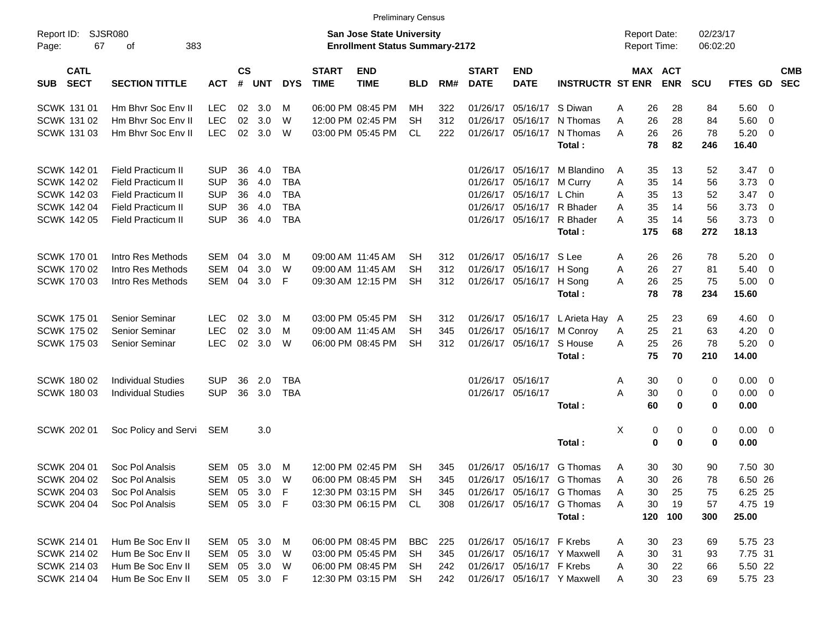|                                          |                             |                                                                           |                    |              |            |                             | <b>Preliminary Census</b>           |            |                      |                             |                           |                             |   |         |             |            |                |                         |                          |
|------------------------------------------|-----------------------------|---------------------------------------------------------------------------|--------------------|--------------|------------|-----------------------------|-------------------------------------|------------|----------------------|-----------------------------|---------------------------|-----------------------------|---|---------|-------------|------------|----------------|-------------------------|--------------------------|
| Report ID:<br>67<br>Page:                | <b>SJSR080</b><br>383<br>οf | <b>San Jose State University</b><br><b>Enrollment Status Summary-2172</b> |                    |              |            |                             | <b>Report Date:</b><br>Report Time: |            | 02/23/17<br>06:02:20 |                             |                           |                             |   |         |             |            |                |                         |                          |
| <b>CATL</b><br><b>SECT</b><br><b>SUB</b> | <b>SECTION TITTLE</b>       | <b>ACT</b>                                                                | $\mathsf{cs}$<br># | <b>UNT</b>   | <b>DYS</b> | <b>START</b><br><b>TIME</b> | <b>END</b><br><b>TIME</b>           | <b>BLD</b> | RM#                  | <b>START</b><br><b>DATE</b> | <b>END</b><br><b>DATE</b> | <b>INSTRUCTR ST ENR</b>     |   | MAX ACT | <b>ENR</b>  | <b>SCU</b> | <b>FTES GD</b> |                         | <b>CMB</b><br><b>SEC</b> |
| <b>SCWK 131 01</b>                       | Hm Bhyr Soc Eny II          | <b>LEC</b>                                                                | 02                 | 3.0          | м          |                             | 06:00 PM 08:45 PM                   | MН         | 322                  | 01/26/17                    | 05/16/17                  | S Diwan                     | A | 26      | 28          | 84         | 5.60           | - 0                     |                          |
| <b>SCWK 131 02</b>                       | Hm Bhyr Soc Eny II          | <b>LEC</b>                                                                | 02                 | 3.0          | W          |                             | 12:00 PM 02:45 PM                   | <b>SH</b>  | 312                  | 01/26/17                    | 05/16/17                  | N Thomas                    | A | 26      | 28          | 84         | 5.60           | $\overline{0}$          |                          |
| <b>SCWK 131 03</b>                       | Hm Bhyr Soc Eny II          | <b>LEC</b>                                                                | 02                 | 3.0          | W          |                             | 03:00 PM 05:45 PM                   | <b>CL</b>  | 222                  | 01/26/17                    | 05/16/17                  | N Thomas                    | A | 26      | 26          | 78         | 5.20           | $\overline{\mathbf{0}}$ |                          |
|                                          |                             |                                                                           |                    |              |            |                             |                                     |            |                      |                             |                           | Total:                      |   | 78      | 82          | 246        | 16.40          |                         |                          |
| <b>SCWK 14201</b>                        | <b>Field Practicum II</b>   | <b>SUP</b>                                                                | 36                 | 4.0          | <b>TBA</b> |                             |                                     |            |                      | 01/26/17                    | 05/16/17                  | M Blandino                  | A | 35      | 13          | 52         | 3.47           | $\overline{\mathbf{0}}$ |                          |
| <b>SCWK 142 02</b>                       | <b>Field Practicum II</b>   | <b>SUP</b>                                                                | 36                 | 4.0          | <b>TBA</b> |                             |                                     |            |                      | 01/26/17                    | 05/16/17                  | M Curry                     | Α | 35      | 14          | 56         | 3.73           | - 0                     |                          |
| <b>SCWK 142 03</b>                       | <b>Field Practicum II</b>   | <b>SUP</b>                                                                | 36                 | 4.0          | <b>TBA</b> |                             |                                     |            |                      | 01/26/17                    | 05/16/17                  | L Chin                      | A | 35      | 13          | 52         | 3.47           | $\overline{\mathbf{0}}$ |                          |
| SCWK 142 04                              | <b>Field Practicum II</b>   | <b>SUP</b>                                                                | 36                 | 4.0          | <b>TBA</b> |                             |                                     |            |                      | 01/26/17                    | 05/16/17                  | R Bhader                    | A | 35      | 14          | 56         | 3.73           | $\overline{0}$          |                          |
| <b>SCWK 142 05</b>                       | Field Practicum II          | <b>SUP</b>                                                                | 36                 | 4.0          | <b>TBA</b> |                             |                                     |            |                      | 01/26/17                    | 05/16/17                  | R Bhader                    | A | 35      | 14          | 56         | 3.73           | $\overline{\mathbf{0}}$ |                          |
|                                          |                             |                                                                           |                    |              |            |                             |                                     |            |                      |                             |                           | Total:                      |   | 175     | 68          | 272        | 18.13          |                         |                          |
| <b>SCWK 17001</b>                        | Intro Res Methods           | <b>SEM</b>                                                                | 04                 | 3.0          | M          |                             | 09:00 AM 11:45 AM                   | SH         | 312                  | 01/26/17                    | 05/16/17                  | S Lee                       | A | 26      | 26          | 78         | 5.20           | $\overline{\mathbf{0}}$ |                          |
| SCWK 170 02                              | Intro Res Methods           | <b>SEM</b>                                                                | 04                 | 3.0          | W          |                             | 09:00 AM 11:45 AM                   | <b>SH</b>  | 312                  | 01/26/17                    | 05/16/17                  | H Song                      | Α | 26      | 27          | 81         | 5.40           | $\overline{0}$          |                          |
| <b>SCWK 17003</b>                        | Intro Res Methods           | <b>SEM</b>                                                                | 04                 | 3.0          | F          |                             | 09:30 AM 12:15 PM                   | <b>SH</b>  | 312                  | 01/26/17                    | 05/16/17                  | H Song                      | A | 26      | 25          | 75         | 5.00           | $\overline{\mathbf{0}}$ |                          |
|                                          |                             |                                                                           |                    |              |            |                             |                                     |            |                      |                             |                           | Total:                      |   | 78      | 78          | 234        | 15.60          |                         |                          |
| <b>SCWK 17501</b>                        | Senior Seminar              | <b>LEC</b>                                                                | 02                 | 3.0          | M          |                             | 03:00 PM 05:45 PM                   | <b>SH</b>  | 312                  | 01/26/17                    | 05/16/17                  | L Arieta Hay                | A | 25      | 23          | 69         | 4.60           | $\overline{\mathbf{0}}$ |                          |
| <b>SCWK 17502</b>                        | Senior Seminar              | <b>LEC</b>                                                                | 02                 | 3.0          | м          |                             | 09:00 AM 11:45 AM                   | <b>SH</b>  | 345                  | 01/26/17                    | 05/16/17                  | M Conroy                    | A | 25      | 21          | 63         | 4.20           | $\overline{0}$          |                          |
| <b>SCWK 17503</b>                        | <b>Senior Seminar</b>       | <b>LEC</b>                                                                | 02                 | 3.0          | W          |                             | 06:00 PM 08:45 PM                   | <b>SH</b>  | 312                  | 01/26/17                    | 05/16/17                  | S House                     | A | 25      | 26          | 78         | 5.20           | $\overline{\mathbf{0}}$ |                          |
|                                          |                             |                                                                           |                    |              |            |                             |                                     |            |                      |                             |                           | Total:                      |   | 75      | 70          | 210        | 14.00          |                         |                          |
| <b>SCWK 180 02</b>                       | <b>Individual Studies</b>   | <b>SUP</b>                                                                | 36                 | 2.0          | <b>TBA</b> |                             |                                     |            |                      | 01/26/17                    | 05/16/17                  |                             | A | 30      | 0           | 0          | 0.00           | $\overline{0}$          |                          |
| <b>SCWK 18003</b>                        | <b>Individual Studies</b>   | <b>SUP</b>                                                                | 36                 | 3.0          | <b>TBA</b> |                             |                                     |            |                      |                             | 01/26/17 05/16/17         |                             | A | 30      | 0           | 0          | 0.00           | $\overline{\mathbf{0}}$ |                          |
|                                          |                             |                                                                           |                    |              |            |                             |                                     |            |                      |                             |                           | Total:                      |   | 60      | $\bf{0}$    | 0          | 0.00           |                         |                          |
| SCWK 202 01                              | Soc Policy and Servi        | SEM                                                                       |                    | 3.0          |            |                             |                                     |            |                      |                             |                           |                             | X | 0       | 0           | 0          | 0.00           | $\overline{\mathbf{0}}$ |                          |
|                                          |                             |                                                                           |                    |              |            |                             |                                     |            |                      |                             |                           | Total:                      |   | 0       | $\mathbf 0$ | 0          | 0.00           |                         |                          |
| SCWK 204 01                              | Soc Pol Analsis             | <b>SEM</b>                                                                | 05                 | 3.0          | M          |                             | 12:00 PM 02:45 PM                   | <b>SH</b>  | 345                  |                             | 01/26/17 05/16/17         | G Thomas                    | A | 30      | 30          | 90         | 7.50 30        |                         |                          |
| SCWK 204 02                              | Soc Pol Analsis             | SEM 05                                                                    |                    | 3.0          | W          |                             | 06:00 PM 08:45 PM                   | <b>SH</b>  | 345                  |                             |                           | 01/26/17 05/16/17 G Thomas  | Α | 30      | 26          | 78         | 6.50 26        |                         |                          |
| SCWK 204 03                              | Soc Pol Analsis             | SEM                                                                       | 05                 | 3.0          | F          |                             | 12:30 PM 03:15 PM                   | SH         | 345                  |                             |                           | 01/26/17 05/16/17 G Thomas  | A | 30      | 25          | 75         | 6.25 25        |                         |                          |
| <b>SCWK 204 04</b>                       | Soc Pol Analsis             |                                                                           |                    | SEM 05 3.0 F |            |                             | 03:30 PM 06:15 PM                   | CL         | 308                  |                             |                           | 01/26/17 05/16/17 G Thomas  | A | 30      | 19          | 57         | 4.75 19        |                         |                          |
|                                          |                             |                                                                           |                    |              |            |                             |                                     |            |                      |                             |                           | Total:                      |   | 120     | 100         | 300        | 25.00          |                         |                          |
| SCWK 214 01                              | Hum Be Soc Env II           | SEM 05                                                                    |                    | 3.0          | M          |                             | 06:00 PM 08:45 PM                   | <b>BBC</b> | 225                  |                             | 01/26/17 05/16/17 F Krebs |                             | A | 30      | 23          | 69         | 5.75 23        |                         |                          |
| SCWK 214 02                              | Hum Be Soc Env II           | SEM                                                                       |                    | 05 3.0       | W          |                             | 03:00 PM 05:45 PM                   | SH         | 345                  |                             |                           | 01/26/17 05/16/17 Y Maxwell | A | 30      | 31          | 93         | 7.75 31        |                         |                          |
| SCWK 214 03                              | Hum Be Soc Env II           | SEM                                                                       |                    | 05 3.0       | W          |                             | 06:00 PM 08:45 PM                   | SH         | 242                  |                             | 01/26/17 05/16/17 F Krebs |                             | A | 30      | 22          | 66         | 5.50 22        |                         |                          |
| SCWK 214 04                              | Hum Be Soc Env II           |                                                                           |                    | SEM 05 3.0 F |            |                             | 12:30 PM 03:15 PM                   | <b>SH</b>  | 242                  |                             |                           | 01/26/17 05/16/17 Y Maxwell | A | 30      | 23          | 69         | 5.75 23        |                         |                          |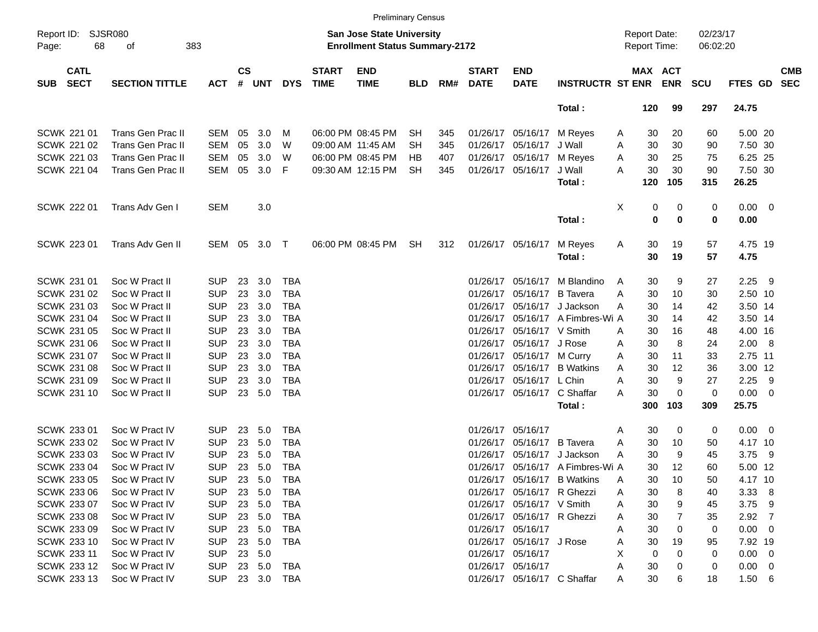|                                          |                             |            |                |        |            |                             |                                                                           | <b>Preliminary Census</b> |     |                             |                            |                                  |                                     |                              |                      |                 |                          |
|------------------------------------------|-----------------------------|------------|----------------|--------|------------|-----------------------------|---------------------------------------------------------------------------|---------------------------|-----|-----------------------------|----------------------------|----------------------------------|-------------------------------------|------------------------------|----------------------|-----------------|--------------------------|
| Report ID:<br>68<br>Page:                | <b>SJSR080</b><br>383<br>οf |            |                |        |            |                             | <b>San Jose State University</b><br><b>Enrollment Status Summary-2172</b> |                           |     |                             |                            |                                  | <b>Report Date:</b><br>Report Time: |                              | 02/23/17<br>06:02:20 |                 |                          |
| <b>CATL</b><br><b>SECT</b><br><b>SUB</b> | <b>SECTION TITTLE</b>       | <b>ACT</b> | <b>CS</b><br># | UNT    | <b>DYS</b> | <b>START</b><br><b>TIME</b> | <b>END</b><br><b>TIME</b>                                                 | <b>BLD</b>                | RM# | <b>START</b><br><b>DATE</b> | <b>END</b><br><b>DATE</b>  | <b>INSTRUCTR ST ENR</b>          |                                     | <b>MAX ACT</b><br><b>ENR</b> | <b>SCU</b>           | FTES GD         | <b>CMB</b><br><b>SEC</b> |
|                                          |                             |            |                |        |            |                             |                                                                           |                           |     |                             |                            | Total:                           | 120                                 | 99                           | 297                  | 24.75           |                          |
| SCWK 221 01                              | Trans Gen Prac II           | <b>SEM</b> | 05             | 3.0    | М          |                             | 06:00 PM 08:45 PM                                                         | <b>SH</b>                 | 345 |                             | 01/26/17 05/16/17          | M Reyes                          | A                                   | 20<br>30                     | 60                   | 5.00 20         |                          |
| <b>SCWK 221 02</b>                       | Trans Gen Prac II           | <b>SEM</b> | 05             | 3.0    | W          |                             | 09:00 AM 11:45 AM                                                         | SH                        | 345 |                             | 01/26/17 05/16/17          | J Wall                           | A                                   | 30<br>30                     | 90                   | 7.50 30         |                          |
| SCWK 221 03                              | <b>Trans Gen Prac II</b>    | <b>SEM</b> | 05             | 3.0    | W          |                             | 06:00 PM 08:45 PM                                                         | HВ                        | 407 |                             | 01/26/17 05/16/17          | M Reyes                          | A                                   | 30<br>25                     | 75                   | 6.25 25         |                          |
| SCWK 221 04                              | <b>Trans Gen Prac II</b>    | SEM        | 05             | 3.0    | F          |                             | 09:30 AM 12:15 PM                                                         | <b>SH</b>                 | 345 |                             | 01/26/17 05/16/17          | J Wall                           | Α                                   | 30<br>30                     | 90                   | 7.50 30         |                          |
|                                          |                             |            |                |        |            |                             |                                                                           |                           |     |                             |                            | Total:                           | 120                                 | 105                          | 315                  | 26.25           |                          |
| <b>SCWK 222 01</b>                       | Trans Adv Gen I             | <b>SEM</b> |                | 3.0    |            |                             |                                                                           |                           |     |                             |                            |                                  | X                                   | 0<br>0                       | 0                    | $0.00 \t 0$     |                          |
|                                          |                             |            |                |        |            |                             |                                                                           |                           |     |                             |                            | Total:                           |                                     | 0<br>$\bf{0}$                | 0                    | 0.00            |                          |
| SCWK 223 01                              | Trans Adv Gen II            | SEM 05     |                | 3.0 T  |            |                             | 06:00 PM 08:45 PM                                                         | <b>SH</b>                 | 312 |                             | 01/26/17 05/16/17          | M Reyes<br>Total:                | A                                   | 30<br>19<br>30<br>19         | 57<br>57             | 4.75 19<br>4.75 |                          |
| SCWK 231 01                              | Soc W Pract II              | <b>SUP</b> | 23             | 3.0    | TBA        |                             |                                                                           |                           |     |                             | 01/26/17 05/16/17          | M Blandino                       | A                                   | 30<br>9                      | 27                   | 2.25            | - 9                      |
| SCWK 231 02                              | Soc W Pract II              | <b>SUP</b> | 23             | 3.0    | <b>TBA</b> |                             |                                                                           |                           |     |                             | 01/26/17 05/16/17          | <b>B</b> Tavera                  | A                                   | 30<br>10                     | 30                   | 2.50 10         |                          |
| SCWK 231 03                              | Soc W Pract II              | <b>SUP</b> | 23             | 3.0    | <b>TBA</b> |                             |                                                                           |                           |     |                             | 01/26/17 05/16/17          | J Jackson                        | A                                   | 30<br>14                     | 42                   | 3.50 14         |                          |
| SCWK 231 04                              | Soc W Pract II              | <b>SUP</b> | 23             | 3.0    | <b>TBA</b> |                             |                                                                           |                           |     |                             |                            | 01/26/17 05/16/17 A Fimbres-Wi A |                                     | 30<br>14                     | 42                   | 3.50 14         |                          |
| SCWK 231 05                              | Soc W Pract II              | <b>SUP</b> | 23             | 3.0    | <b>TBA</b> |                             |                                                                           |                           |     |                             | 01/26/17 05/16/17 V Smith  |                                  | A                                   | 30<br>16                     | 48                   | 4.00 16         |                          |
| SCWK 231 06                              | Soc W Pract II              | <b>SUP</b> | 23             | 3.0    | <b>TBA</b> |                             |                                                                           |                           |     |                             | 01/26/17 05/16/17 J Rose   |                                  | Α                                   | 30<br>8                      | 24                   | 2.00 8          |                          |
| SCWK 231 07                              | Soc W Pract II              | <b>SUP</b> | 23             | 3.0    | <b>TBA</b> |                             |                                                                           |                           |     |                             | 01/26/17 05/16/17 M Curry  |                                  | A                                   | 30<br>11                     | 33                   | 2.75 11         |                          |
| SCWK 231 08                              | Soc W Pract II              | <b>SUP</b> | 23             | 3.0    | <b>TBA</b> |                             |                                                                           |                           |     |                             |                            | 01/26/17 05/16/17 B Watkins      | A                                   | 30<br>12                     | 36                   | 3.00 12         |                          |
| SCWK 231 09                              | Soc W Pract II              | <b>SUP</b> | 23             | 3.0    | <b>TBA</b> |                             |                                                                           |                           |     |                             | 01/26/17 05/16/17 L Chin   |                                  | Α                                   | 30<br>9                      | 27                   | 2.25            | - 9                      |
| SCWK 231 10                              | Soc W Pract II              | <b>SUP</b> | 23             | 5.0    | <b>TBA</b> |                             |                                                                           |                           |     |                             |                            | 01/26/17 05/16/17 C Shaffar      | Α                                   | 30<br>0                      | 0                    | $0.00 \t 0$     |                          |
|                                          |                             |            |                |        |            |                             |                                                                           |                           |     |                             |                            | Total:                           | 300                                 | 103                          | 309                  | 25.75           |                          |
| SCWK 233 01                              | Soc W Pract IV              | <b>SUP</b> | 23             | 5.0    | TBA        |                             |                                                                           |                           |     |                             | 01/26/17 05/16/17          |                                  | Α                                   | 30                           | 0<br>0               | $0.00 \quad 0$  |                          |
| SCWK 233 02                              | Soc W Pract IV              | <b>SUP</b> | 23             | 5.0    | <b>TBA</b> |                             |                                                                           |                           |     |                             | 01/26/17 05/16/17 B Tavera |                                  | A                                   | 30<br>10                     | 50                   | 4.17 10         |                          |
| SCWK 233 03                              | Soc W Pract IV              | <b>SUP</b> | 23             | 5.0    | <b>TBA</b> |                             |                                                                           |                           |     |                             | 01/26/17 05/16/17          | J Jackson                        | A                                   | 30<br>9                      | 45                   | 3.75            | - 9                      |
| SCWK 233 04                              | Soc W Pract IV              | <b>SUP</b> | 23             | 5.0    | <b>TBA</b> |                             |                                                                           |                           |     |                             |                            | 01/26/17 05/16/17 A Fimbres-Wi A |                                     | 30<br>12                     | 60                   | 5.00 12         |                          |
| SCWK 233 05                              | Soc W Pract IV              | <b>SUP</b> | 23             | 5.0    | TBA        |                             |                                                                           |                           |     |                             |                            | 01/26/17 05/16/17 B Watkins      | Α                                   | 30<br>10                     | 50                   | 4.17 10         |                          |
| SCWK 233 06                              | Soc W Pract IV              | <b>SUP</b> | 23             | 5.0    | TBA        |                             |                                                                           |                           |     |                             | 01/26/17 05/16/17 R Ghezzi |                                  | Α                                   | 30<br>8                      | 40                   | $3.33\ 8$       |                          |
| SCWK 233 07                              | Soc W Pract IV              | <b>SUP</b> | 23             | 5.0    | TBA        |                             |                                                                           |                           |     |                             | 01/26/17 05/16/17 V Smith  |                                  | Α                                   | 30<br>9                      | 45                   | $3.75$ 9        |                          |
| <b>SCWK 233 08</b>                       | Soc W Pract IV              | <b>SUP</b> | 23             | 5.0    | TBA        |                             |                                                                           |                           |     |                             | 01/26/17 05/16/17 R Ghezzi |                                  | Α                                   | 30                           | 35                   | $2.92 \quad 7$  |                          |
| SCWK 233 09                              | Soc W Pract IV              | <b>SUP</b> | 23             | 5.0    | TBA        |                             |                                                                           |                           |     |                             | 01/26/17 05/16/17          |                                  | Α                                   | 30                           | 0<br>0               | $0.00 \t 0$     |                          |
| SCWK 233 10                              | Soc W Pract IV              | <b>SUP</b> | 23             | 5.0    | TBA        |                             |                                                                           |                           |     |                             | 01/26/17 05/16/17 J Rose   |                                  | Α                                   | 30<br>19                     | 95                   | 7.92 19         |                          |
| SCWK 233 11                              | Soc W Pract IV              | <b>SUP</b> | 23             | 5.0    |            |                             |                                                                           |                           |     |                             | 01/26/17 05/16/17          |                                  | X                                   | 0<br>O                       | 0                    | $0.00 \t 0$     |                          |
| SCWK 233 12                              | Soc W Pract IV              | <b>SUP</b> |                | 23 5.0 | TBA        |                             |                                                                           |                           |     |                             | 01/26/17 05/16/17          |                                  | Α                                   | 30                           | 0                    | $0.00 \quad 0$  |                          |
| SCWK 233 13                              | Soc W Pract IV              | <b>SUP</b> |                |        | 23 3.0 TBA |                             |                                                                           |                           |     |                             |                            | 01/26/17 05/16/17 C Shaffar      | Α                                   | 30                           | 6<br>18              | $1.50\ 6$       |                          |
|                                          |                             |            |                |        |            |                             |                                                                           |                           |     |                             |                            |                                  |                                     |                              |                      |                 |                          |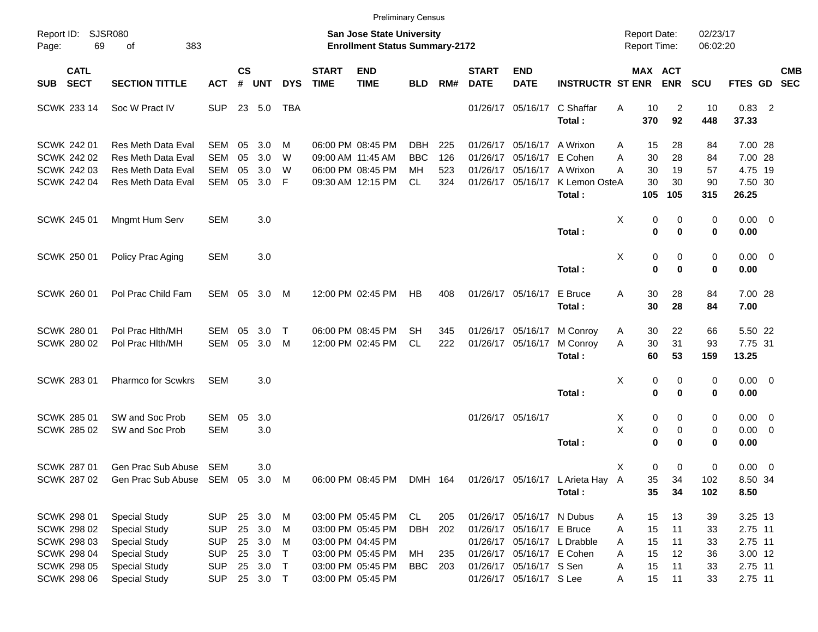|                     |                            |                                 |            |                    |            |            |                             |                                                                           | <b>Preliminary Census</b> |     |                             |                           |                                  |                                     |                                      |                      |                     |            |
|---------------------|----------------------------|---------------------------------|------------|--------------------|------------|------------|-----------------------------|---------------------------------------------------------------------------|---------------------------|-----|-----------------------------|---------------------------|----------------------------------|-------------------------------------|--------------------------------------|----------------------|---------------------|------------|
| Report ID:<br>Page: | 69                         | <b>SJSR080</b><br>383<br>of     |            |                    |            |            |                             | <b>San Jose State University</b><br><b>Enrollment Status Summary-2172</b> |                           |     |                             |                           |                                  | <b>Report Date:</b><br>Report Time: |                                      | 02/23/17<br>06:02:20 |                     |            |
| SUB                 | <b>CATL</b><br><b>SECT</b> | <b>SECTION TITTLE</b>           | <b>ACT</b> | $\mathsf{cs}$<br># | <b>UNT</b> | <b>DYS</b> | <b>START</b><br><b>TIME</b> | <b>END</b><br><b>TIME</b>                                                 | <b>BLD</b>                | RM# | <b>START</b><br><b>DATE</b> | <b>END</b><br><b>DATE</b> | <b>INSTRUCTR ST ENR</b>          |                                     | MAX ACT<br><b>ENR</b>                | <b>SCU</b>           | FTES GD SEC         | <b>CMB</b> |
|                     | SCWK 233 14                | Soc W Pract IV                  | <b>SUP</b> |                    | 23 5.0     | TBA        |                             |                                                                           |                           |     |                             | 01/26/17 05/16/17         | C Shaffar<br>Total:              | Α<br>370                            | 10<br>2<br>92                        | 10<br>448            | $0.83$ 2<br>37.33   |            |
|                     | SCWK 242 01                | <b>Res Meth Data Eval</b>       | SEM        | 05                 | 3.0        | M          |                             | 06:00 PM 08:45 PM                                                         | <b>DBH</b>                | 225 |                             | 01/26/17 05/16/17         | A Wrixon                         | Α                                   | 28<br>15                             | 84                   | 7.00 28             |            |
|                     | <b>SCWK 242 02</b>         | <b>Res Meth Data Eval</b>       | <b>SEM</b> | 05                 | 3.0        | W          |                             | 09:00 AM 11:45 AM                                                         | <b>BBC</b>                | 126 |                             | 01/26/17 05/16/17         | E Cohen                          | Α                                   | 30<br>28                             | 84                   | 7.00 28             |            |
|                     | <b>SCWK 242 03</b>         | Res Meth Data Eval              | <b>SEM</b> | 05                 | 3.0        | W          |                             | 06:00 PM 08:45 PM                                                         | MH                        | 523 |                             | 01/26/17 05/16/17         | A Wrixon                         | А                                   | 30<br>19                             | 57                   | 4.75 19             |            |
|                     | <b>SCWK 242 04</b>         | Res Meth Data Eval              | <b>SEM</b> | 05                 | 3.0        | F          |                             | 09:30 AM 12:15 PM                                                         | CL.                       | 324 |                             | 01/26/17 05/16/17         | K Lemon OsteA                    |                                     | 30<br>30                             | 90                   | 7.50 30             |            |
|                     |                            |                                 |            |                    |            |            |                             |                                                                           |                           |     |                             |                           | Total:                           | 105                                 | 105                                  | 315                  | 26.25               |            |
|                     | SCWK 245 01                | Mngmt Hum Serv                  | <b>SEM</b> |                    | 3.0        |            |                             |                                                                           |                           |     |                             |                           | Total:                           | X                                   | 0<br>0<br>$\mathbf 0$<br>$\mathbf 0$ | 0<br>0               | $0.00 \t 0$<br>0.00 |            |
|                     | <b>SCWK 250 01</b>         | Policy Prac Aging               | <b>SEM</b> |                    | 3.0        |            |                             |                                                                           |                           |     |                             |                           | Total:                           | Χ                                   | 0<br>0<br>$\mathbf 0$<br>$\bf{0}$    | 0<br>0               | $0.00 \t 0$<br>0.00 |            |
|                     | <b>SCWK 260 01</b>         | Pol Prac Child Fam              | SEM 05     |                    | 3.0        | M          |                             | 12:00 PM 02:45 PM                                                         | HB                        | 408 |                             | 01/26/17 05/16/17         | E Bruce<br>Total:                | Α                                   | 30<br>28<br>30<br>28                 | 84<br>84             | 7.00 28<br>7.00     |            |
|                     | SCWK 280 01                | Pol Prac Hlth/MH                | SEM        | 05                 | 3.0        | Т          |                             | 06:00 PM 08:45 PM                                                         | SН                        | 345 |                             | 01/26/17 05/16/17         | M Conroy                         | Α                                   | 30<br>22                             | 66                   | 5.50 22             |            |
|                     | <b>SCWK 280 02</b>         | Pol Prac Hlth/MH                | <b>SEM</b> | 05                 | 3.0        | M          |                             | 12:00 PM 02:45 PM                                                         | <b>CL</b>                 | 222 |                             | 01/26/17 05/16/17         | M Conroy                         | A                                   | 31<br>30                             | 93                   | 7.75 31             |            |
|                     |                            |                                 |            |                    |            |            |                             |                                                                           |                           |     |                             |                           | Total:                           |                                     | 53<br>60                             | 159                  | 13.25               |            |
|                     | <b>SCWK 283 01</b>         | Pharmco for Scwkrs              | SEM        |                    | 3.0        |            |                             |                                                                           |                           |     |                             |                           | Total:                           | X                                   | 0<br>0<br>$\mathbf 0$<br>$\mathbf 0$ | 0<br>0               | $0.00 \t 0$<br>0.00 |            |
|                     | SCWK 285 01                | SW and Soc Prob                 | <b>SEM</b> | 05                 | 3.0        |            |                             |                                                                           |                           |     |                             | 01/26/17 05/16/17         |                                  | X                                   | 0<br>0                               | 0                    | $0.00 \t 0$         |            |
|                     | SCWK 285 02                | SW and Soc Prob                 | <b>SEM</b> |                    | 3.0        |            |                             |                                                                           |                           |     |                             |                           |                                  | Χ                                   | 0<br>0                               | 0                    | $0.00 \t 0$         |            |
|                     |                            |                                 |            |                    |            |            |                             |                                                                           |                           |     |                             |                           | Total:                           |                                     | $\bf{0}$<br>$\bf{0}$                 | 0                    | 0.00                |            |
|                     | <b>SCWK 287 01</b>         | Gen Prac Sub Abuse              | SEM        |                    | 3.0        |            |                             |                                                                           |                           |     |                             |                           |                                  | х                                   | 0<br>0                               | 0                    | $0.00 \t 0$         |            |
|                     | SCWK 287 02                | Gen Prac Sub Abuse SEM 05 3.0 M |            |                    |            |            |                             | 06:00 PM 08:45 PM                                                         | DMH 164                   |     |                             |                           | 01/26/17 05/16/17 L Arieta Hay A |                                     | 35<br>34                             | 102                  | 8.50 34             |            |
|                     |                            |                                 |            |                    |            |            |                             |                                                                           |                           |     |                             |                           | Total:                           |                                     | 35<br>34                             | 102                  | 8.50                |            |
|                     |                            |                                 |            |                    |            |            |                             |                                                                           |                           |     |                             |                           |                                  |                                     |                                      |                      |                     |            |
|                     | SCWK 298 01                | <b>Special Study</b>            | <b>SUP</b> |                    | 25 3.0 M   |            |                             | 03:00 PM 05:45 PM                                                         | CL                        | 205 |                             | 01/26/17 05/16/17 N Dubus |                                  | Α                                   | 15<br>13                             | 39                   | 3.25 13             |            |
|                     | SCWK 298 02                | <b>Special Study</b>            | <b>SUP</b> |                    | 25 3.0     | M          |                             | 03:00 PM 05:45 PM                                                         | DBH                       | 202 |                             | 01/26/17 05/16/17 E Bruce |                                  | A                                   | 15<br>11                             | 33                   | 2.75 11             |            |
|                     | SCWK 298 03                | <b>Special Study</b>            | <b>SUP</b> |                    | 25 3.0     | M          |                             | 03:00 PM 04:45 PM                                                         |                           |     |                             |                           | 01/26/17 05/16/17 L Drabble      | A                                   | 15<br>11                             | 33                   | 2.75 11             |            |
|                     | SCWK 298 04                | <b>Special Study</b>            | <b>SUP</b> |                    | 25 3.0     | $\top$     |                             | 03:00 PM 05:45 PM                                                         | МH                        | 235 |                             | 01/26/17 05/16/17 E Cohen |                                  | A                                   | 15<br>12                             | 36                   | 3.00 12             |            |
|                     | <b>SCWK 298 05</b>         | <b>Special Study</b>            | <b>SUP</b> |                    | 25 3.0     | $\top$     |                             | 03:00 PM 05:45 PM                                                         | <b>BBC</b> 203            |     |                             | 01/26/17 05/16/17 S Sen   |                                  | Α                                   | 15<br>11                             | 33                   | 2.75 11             |            |
|                     | <b>SCWK 298 06</b>         | <b>Special Study</b>            | <b>SUP</b> |                    | 25 3.0 T   |            |                             | 03:00 PM 05:45 PM                                                         |                           |     |                             | 01/26/17 05/16/17 S Lee   |                                  | Α                                   | 15<br>11                             | 33                   | 2.75 11             |            |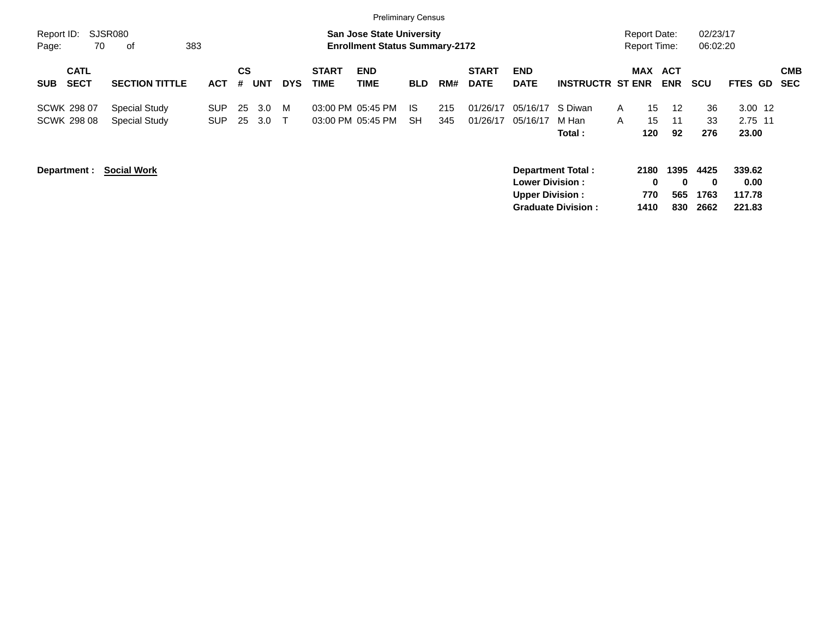|                                          |                                       |                          |          |            |             |                             | <b>Preliminary Census</b>                                                 |                  |            |                             |                                                  |                                                       |                   |                                            |                         |                                  |                                    |                          |
|------------------------------------------|---------------------------------------|--------------------------|----------|------------|-------------|-----------------------------|---------------------------------------------------------------------------|------------------|------------|-----------------------------|--------------------------------------------------|-------------------------------------------------------|-------------------|--------------------------------------------|-------------------------|----------------------------------|------------------------------------|--------------------------|
| Report ID:<br>Page:                      | SJSR080<br>70<br>383<br>оf            |                          |          |            |             |                             | <b>San Jose State University</b><br><b>Enrollment Status Summary-2172</b> |                  |            |                             |                                                  |                                                       |                   | <b>Report Date:</b><br><b>Report Time:</b> |                         | 02/23/17<br>06:02:20             |                                    |                          |
| <b>CATL</b><br><b>SECT</b><br><b>SUB</b> | <b>SECTION TITTLE</b>                 | <b>ACT</b>               | CS<br>#  | <b>UNT</b> | <b>DYS</b>  | <b>START</b><br><b>TIME</b> | <b>END</b><br><b>TIME</b>                                                 | <b>BLD</b>       | RM#        | <b>START</b><br><b>DATE</b> | <b>END</b><br><b>DATE</b>                        | <b>INSTRUCTR ST ENR</b>                               | <b>MAX</b>        | <b>ACT</b><br><b>ENR</b>                   |                         | <b>SCU</b>                       | <b>FTES GD</b>                     | <b>CMB</b><br><b>SEC</b> |
| <b>SCWK 298 07</b><br><b>SCWK 298 08</b> | <b>Special Study</b><br>Special Study | <b>SUP</b><br><b>SUP</b> | 25<br>25 | 3.0<br>3.0 | M<br>$\top$ |                             | 03:00 PM 05:45 PM<br>03:00 PM 05:45 PM                                    | IS.<br><b>SH</b> | 215<br>345 | 01/26/17<br>01/26/17        | 05/16/17<br>05/16/17                             | S Diwan<br>M Han<br>Total:                            | $\mathsf{A}$<br>A | 15<br>15<br>120                            | 12<br>11<br>92          | 36<br>33<br>276                  | $3.00$ 12<br>2.75 11<br>23.00      |                          |
| Department :                             | <b>Social Work</b>                    |                          |          |            |             |                             |                                                                           |                  |            |                             | <b>Lower Division:</b><br><b>Upper Division:</b> | <b>Department Total:</b><br><b>Graduate Division:</b> |                   | 2180<br>$\bf{0}$<br>770<br>1410            | 1395<br>0<br>565<br>830 | 4425<br>$\bf{0}$<br>1763<br>2662 | 339.62<br>0.00<br>117.78<br>221.83 |                          |